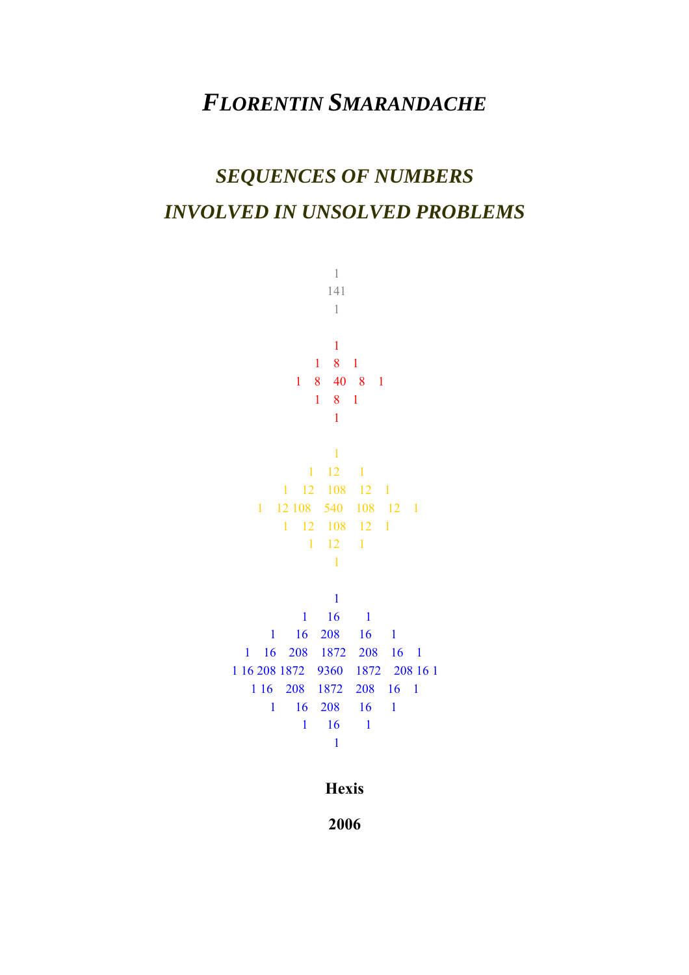## *FLORENTIN SMARANDACHE*

# *SEQUENCES OF NUMBERS INVOLVED IN UNSOLVED PROBLEMS*

**Hexis** 

**2006**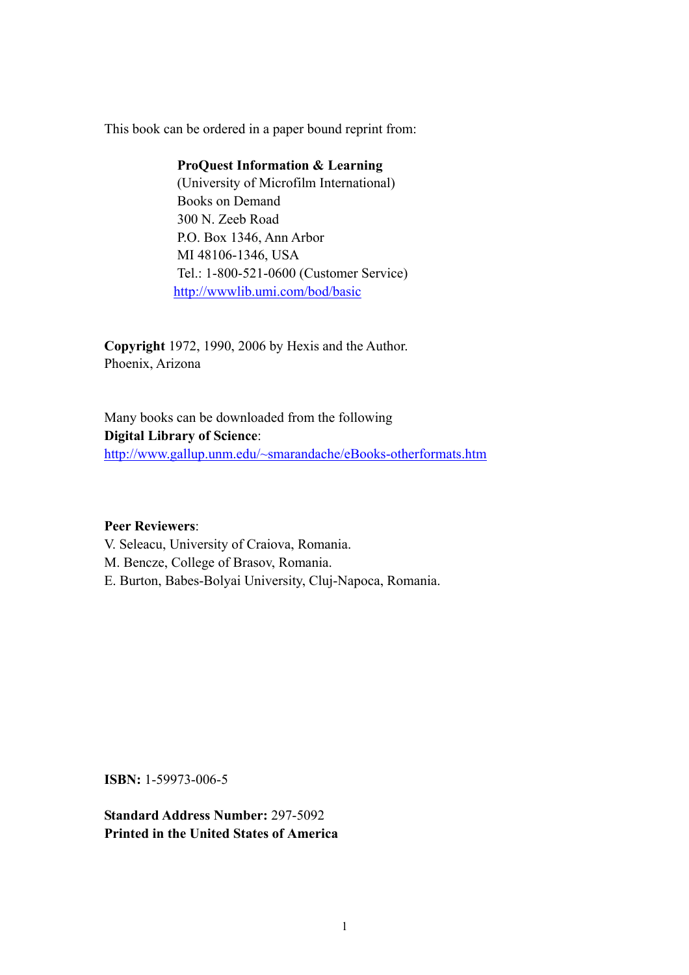This book can be ordered in a paper bound reprint from:

#### **ProQuest Information & Learning**

 (University of Microfilm International) Books on Demand 300 N. Zeeb Road P.O. Box 1346, Ann Arbor MI 48106-1346, USA Tel.: 1-800-521-0600 (Customer Service) http://wwwlib.umi.com/bod/basic

**Copyright** 1972, 1990, 2006 by Hexis and the Author. Phoenix, Arizona

Many books can be downloaded from the following **Digital Library of Science**: http://www.gallup.unm.edu/~smarandache/eBooks-otherformats.htm

#### **Peer Reviewers**:

V. Seleacu, University of Craiova, Romania. M. Bencze, College of Brasov, Romania. E. Burton, Babes-Bolyai University, Cluj-Napoca, Romania.

**ISBN:** 1-59973-006-5

**Standard Address Number:** 297-5092 **Printed in the United States of America**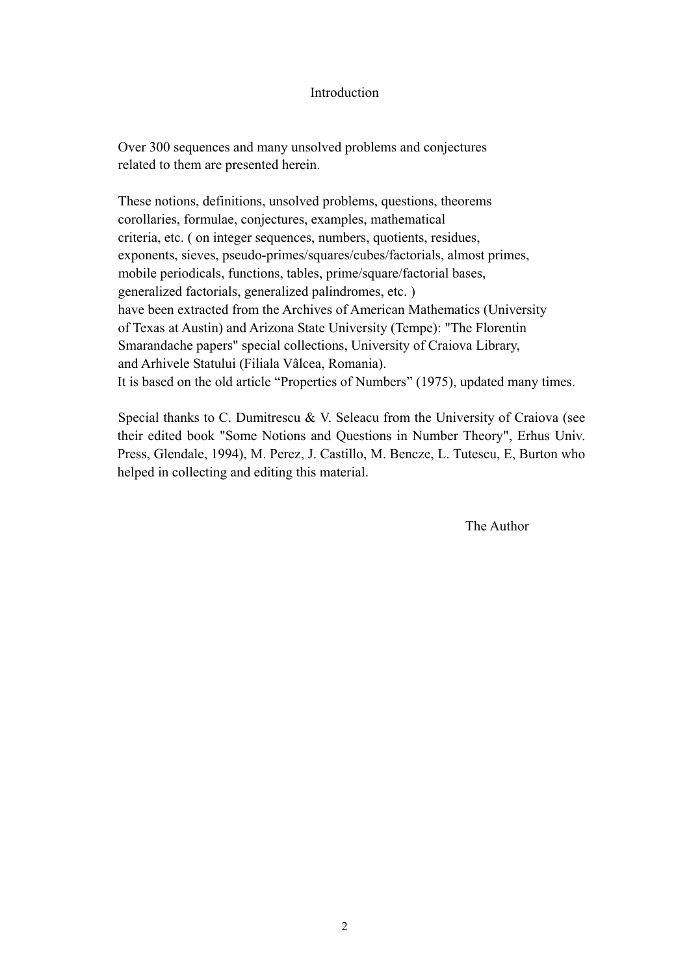#### Introduction

 Over 300 sequences and many unsolved problems and conjectures related to them are presented herein.

 These notions, definitions, unsolved problems, questions, theorems corollaries, formulae, conjectures, examples, mathematical criteria, etc. ( on integer sequences, numbers, quotients, residues, exponents, sieves, pseudo-primes/squares/cubes/factorials, almost primes, mobile periodicals, functions, tables, prime/square/factorial bases, generalized factorials, generalized palindromes, etc. ) have been extracted from the Archives of American Mathematics (University of Texas at Austin) and Arizona State University (Tempe): "The Florentin Smarandache papers" special collections, University of Craiova Library, and Arhivele Statului (Filiala Vâlcea, Romania). It is based on the old article "Properties of Numbers" (1975), updated many times.

Special thanks to C. Dumitrescu & V. Seleacu from the University of Craiova (see their edited book "Some Notions and Questions in Number Theory", Erhus Univ. Press, Glendale, 1994), M. Perez, J. Castillo, M. Bencze, L. Tutescu, E, Burton who helped in collecting and editing this material.

The Author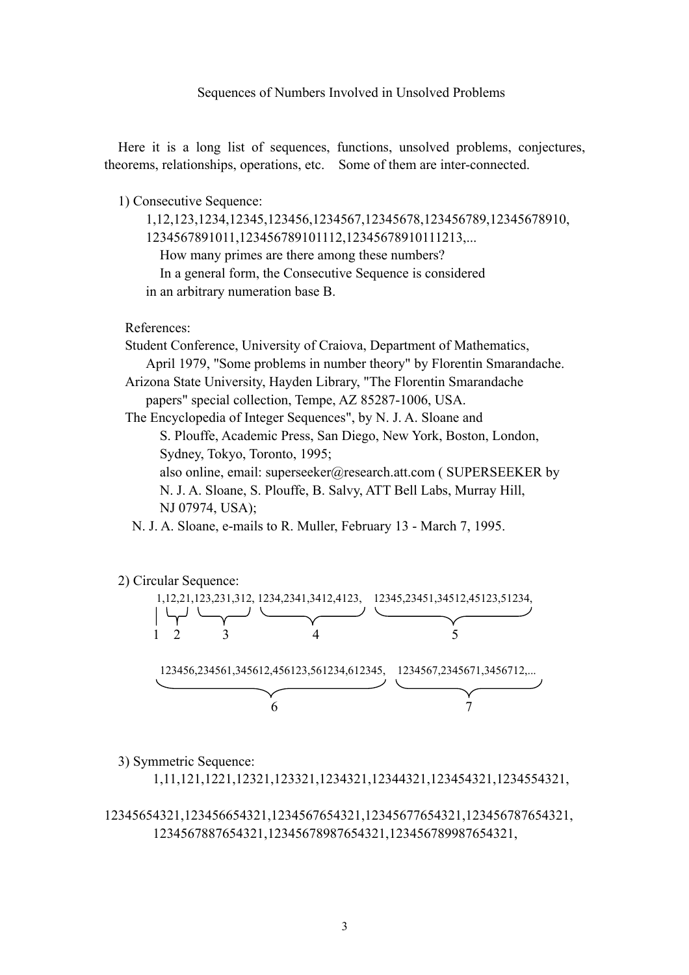#### Sequences of Numbers Involved in Unsolved Problems

 Here it is a long list of sequences, functions, unsolved problems, conjectures, theorems, relationships, operations, etc. Some of them are inter-connected.

1) Consecutive Sequence:

 1,12,123,1234,12345,123456,1234567,12345678,123456789,12345678910, 1234567891011,123456789101112,12345678910111213,... How many primes are there among these numbers? In a general form, the Consecutive Sequence is considered in an arbitrary numeration base B.

References:

Student Conference, University of Craiova, Department of Mathematics, April 1979, "Some problems in number theory" by Florentin Smarandache. Arizona State University, Hayden Library, "The Florentin Smarandache papers" special collection, Tempe, AZ 85287-1006, USA.

The Encyclopedia of Integer Sequences", by N. J. A. Sloane and

 S. Plouffe, Academic Press, San Diego, New York, Boston, London, Sydney, Tokyo, Toronto, 1995;

 also online, email: superseeker@research.att.com ( SUPERSEEKER by N. J. A. Sloane, S. Plouffe, B. Salvy, ATT Bell Labs, Murray Hill, NJ 07974, USA);

N. J. A. Sloane, e-mails to R. Muller, February 13 - March 7, 1995.



3) Symmetric Sequence:

1,11,121,1221,12321,123321,1234321,12344321,123454321,1234554321,

12345654321,123456654321,1234567654321,12345677654321,123456787654321, 1234567887654321,12345678987654321,123456789987654321,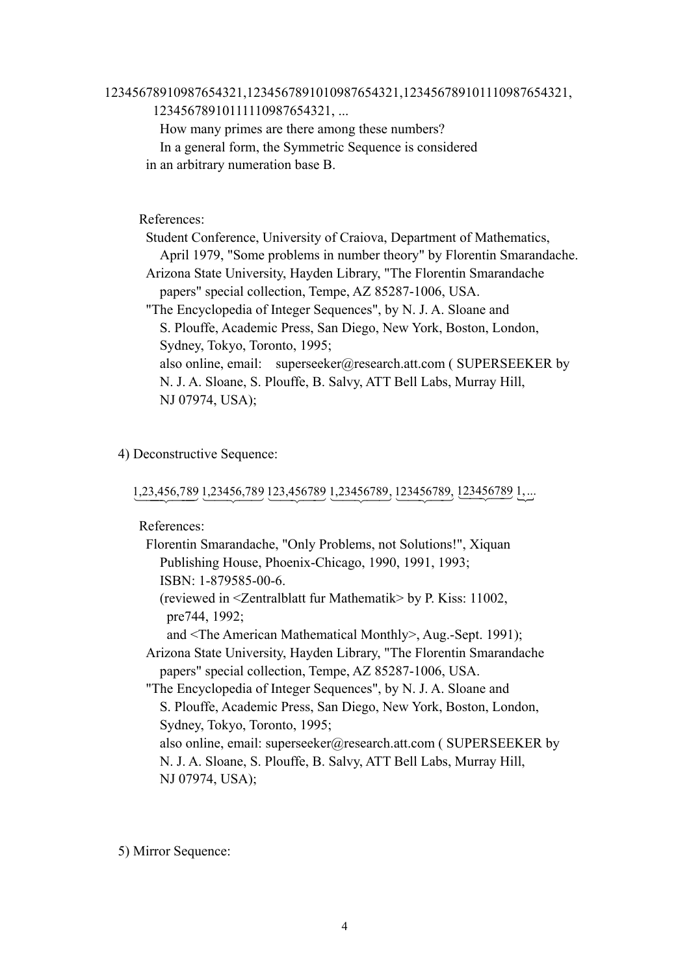#### 12345678910987654321,1234567891010987654321,123456789101110987654321, 12345678910111110987654321, ...

 How many primes are there among these numbers? In a general form, the Symmetric Sequence is considered in an arbitrary numeration base B.

#### References:

 Student Conference, University of Craiova, Department of Mathematics, April 1979, "Some problems in number theory" by Florentin Smarandache. Arizona State University, Hayden Library, "The Florentin Smarandache papers" special collection, Tempe, AZ 85287-1006, USA. "The Encyclopedia of Integer Sequences", by N. J. A. Sloane and S. Plouffe, Academic Press, San Diego, New York, Boston, London, Sydney, Tokyo, Toronto, 1995; also online, email: superseeker@research.att.com (SUPERSEEKER by N. J. A. Sloane, S. Plouffe, B. Salvy, ATT Bell Labs, Murray Hill, NJ 07974, USA);

#### 4) Deconstructive Sequence:

1,23,456,789 1,23456,789 123,456789 1,23456789, 123456789, 123456789 1,...

References:

| Florentin Smarandache, "Only Problems, not Solutions!", Xiquan            |
|---------------------------------------------------------------------------|
| Publishing House, Phoenix-Chicago, 1990, 1991, 1993;                      |
| ISBN: 1-879585-00-6.                                                      |
| (reviewed in $\leq$ 2 entral blatt fur Mathematik > by P. Kiss: 11002,    |
| pre744, 1992;                                                             |
| and <the american="" mathematical="" monthly="">, Aug.-Sept. 1991);</the> |
| Arizona State University, Hayden Library, "The Florentin Smarandache      |
| papers" special collection, Tempe, AZ 85287-1006, USA.                    |
| "The Encyclopedia of Integer Sequences", by N. J. A. Sloane and           |
| S. Plouffe, Academic Press, San Diego, New York, Boston, London,          |
| Sydney, Tokyo, Toronto, 1995;                                             |
| also online, email: superseeker@research.att.com ( SUPERSEEKER by         |
| N. J. A. Sloane, S. Plouffe, B. Salvy, ATT Bell Labs, Murray Hill,        |
| NJ 07974, USA);                                                           |
|                                                                           |

5) Mirror Sequence: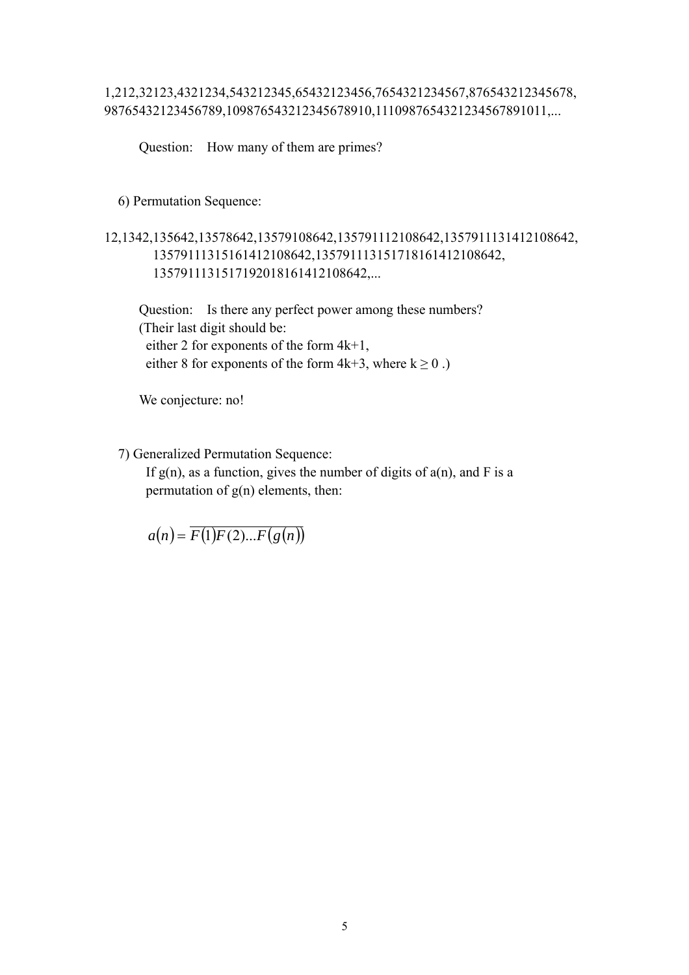#### 1,212,32123,4321234,543212345,65432123456,7654321234567,876543212345678, 98765432123456789,109876543212345678910,1110987654321234567891011,...

Question: How many of them are primes?

6) Permutation Sequence:

12,1342,135642,13578642,13579108642,135791112108642,1357911131412108642, 13579111315161412108642,135791113151718161412108642, 1357911131517192018161412108642,...

 Question: Is there any perfect power among these numbers? (Their last digit should be: either 2 for exponents of the form 4k+1, either 8 for exponents of the form  $4k+3$ , where  $k \ge 0$ .)

We conjecture: no!

7) Generalized Permutation Sequence:

If  $g(n)$ , as a function, gives the number of digits of  $a(n)$ , and F is a permutation of g(n) elements, then:

 $a(n) = \overline{F(1)F(2)...F(g(n))}$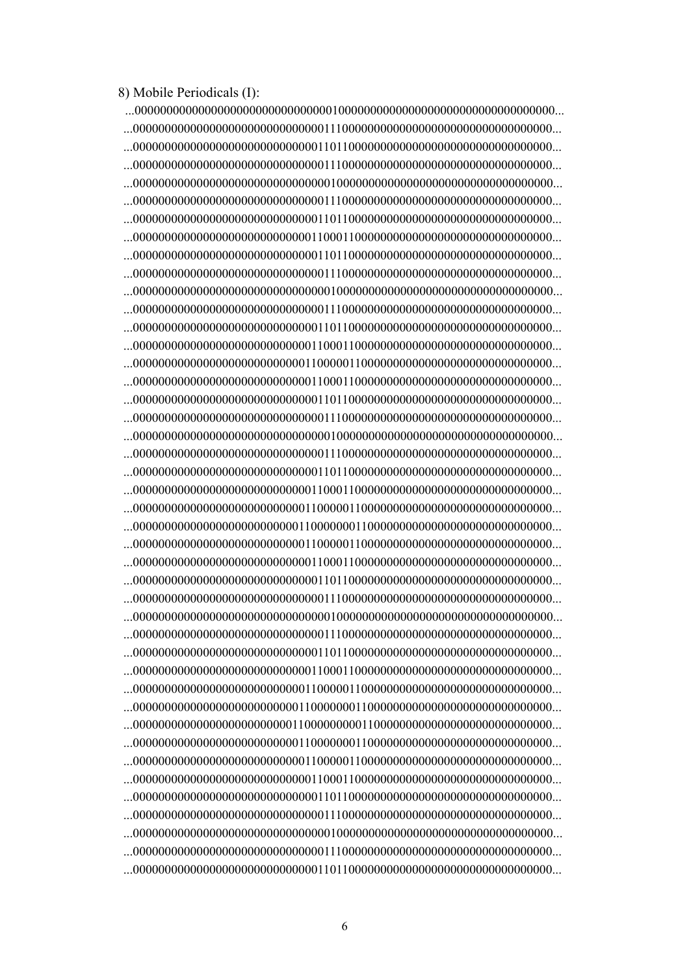8) Mobile Periodicals (I):

 ...000000000000000000000000000000010000000000000000000000000000000000... ...000000000000000000000000000000111000000000000000000000000000000000... ...000000000000000000000000000001101100000000000000000000000000000000... ...000000000000000000000000000000111000000000000000000000000000000000... ...000000000000000000000000000000010000000000000000000000000000000000... ...000000000000000000000000000000111000000000000000000000000000000000... ...000000000000000000000000000001101100000000000000000000000000000000... ...000000000000000000000000000011000110000000000000000000000000000000... ...000000000000000000000000000001101100000000000000000000000000000000... ...000000000000000000000000000000111000000000000000000000000000000000... ...000000000000000000000000000000010000000000000000000000000000000000... ...000000000000000000000000000000111000000000000000000000000000000000... ...000000000000000000000000000001101100000000000000000000000000000000... ...000000000000000000000000000011000110000000000000000000000000000000... ...000000000000000000000000000110000011000000000000000000000000000000... ...000000000000000000000000000011000110000000000000000000000000000000... ...000000000000000000000000000001101100000000000000000000000000000000... ...000000000000000000000000000000111000000000000000000000000000000000... ...000000000000000000000000000000010000000000000000000000000000000000... ...000000000000000000000000000000111000000000000000000000000000000000... ...000000000000000000000000000001101100000000000000000000000000000000... ...000000000000000000000000000011000110000000000000000000000000000000... ...000000000000000000000000000110000011000000000000000000000000000000... ...000000000000000000000000001100000001100000000000000000000000000000... ...000000000000000000000000000110000011000000000000000000000000000000... ...000000000000000000000000000011000110000000000000000000000000000000... ...000000000000000000000000000001101100000000000000000000000000000000... ...000000000000000000000000000000111000000000000000000000000000000000... ...000000000000000000000000000000010000000000000000000000000000000000... ...000000000000000000000000000000111000000000000000000000000000000000... ...000000000000000000000000000001101100000000000000000000000000000000... ...000000000000000000000000000011000110000000000000000000000000000000... ...000000000000000000000000000110000011000000000000000000000000000000... ...000000000000000000000000001100000001100000000000000000000000000000... ...000000000000000000000000011000000000110000000000000000000000000000... ...000000000000000000000000001100000001100000000000000000000000000000... ...000000000000000000000000000110000011000000000000000000000000000000... ...000000000000000000000000000011000110000000000000000000000000000000... ...000000000000000000000000000001101100000000000000000000000000000000... ...000000000000000000000000000000111000000000000000000000000000000000... ...000000000000000000000000000000010000000000000000000000000000000000... ...000000000000000000000000000000111000000000000000000000000000000000... ...000000000000000000000000000001101100000000000000000000000000000000...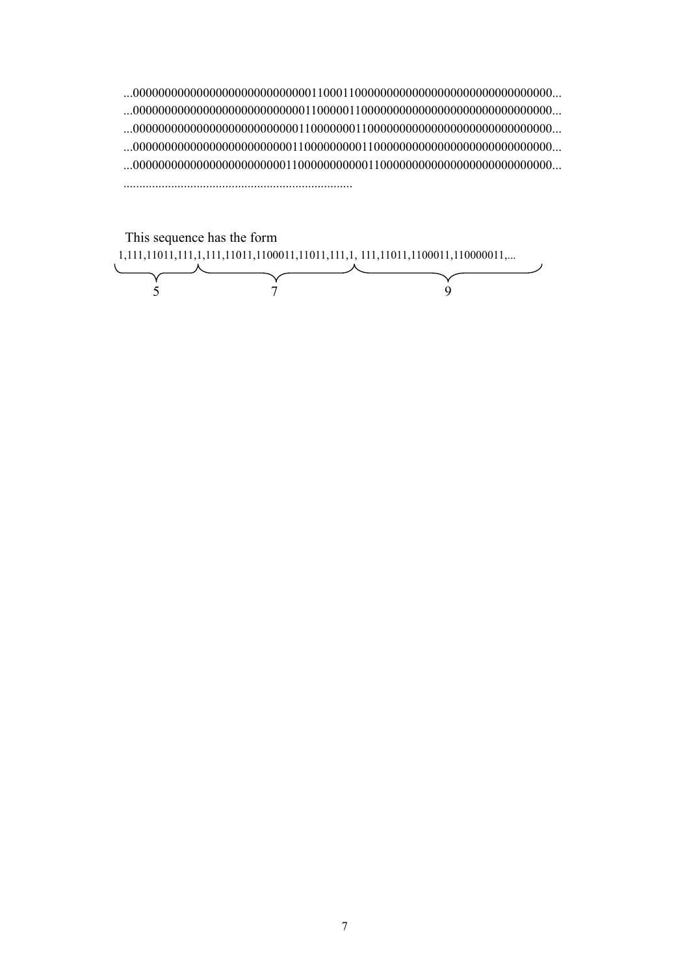...000000000000000000000000000011000110000000000000000000000000000000... ...000000000000000000000000000110000011000000000000000000000000000000... ...000000000000000000000000001100000001100000000000000000000000000000... ...000000000000000000000000011000000000110000000000000000000000000000... ...000000000000000000000000110000000000011000000000000000000000000000... ........................................................................

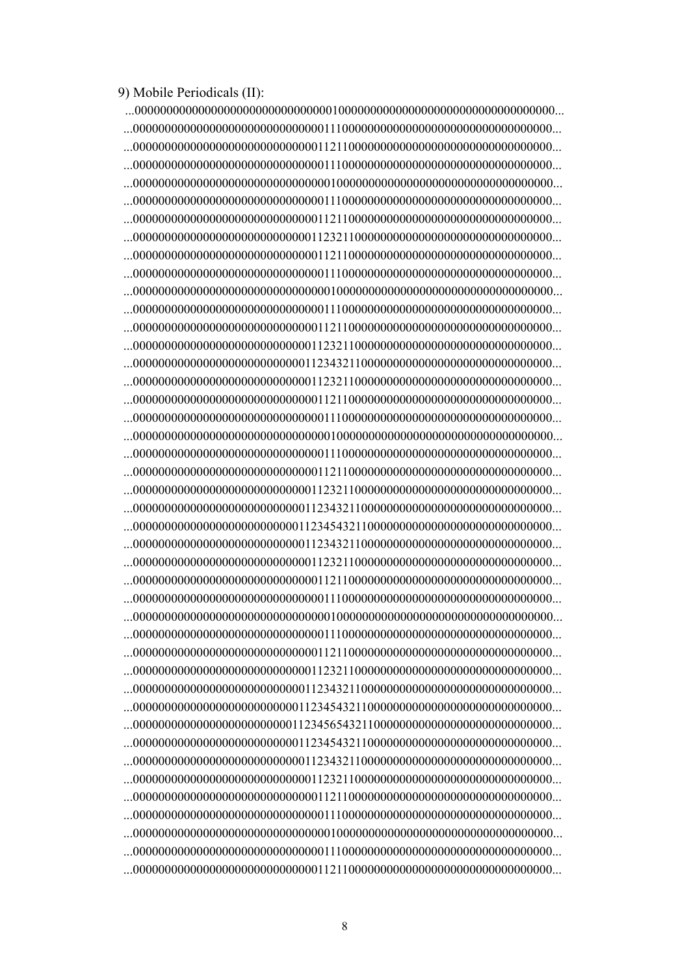9) Mobile Periodicals (II):

 ...000000000000000000000000000000010000000000000000000000000000000000... ...000000000000000000000000000000111000000000000000000000000000000000... ...000000000000000000000000000001121100000000000000000000000000000000... ...000000000000000000000000000000111000000000000000000000000000000000... ...000000000000000000000000000000010000000000000000000000000000000000... ...000000000000000000000000000000111000000000000000000000000000000000... ...000000000000000000000000000001121100000000000000000000000000000000... ...000000000000000000000000000011232110000000000000000000000000000000... ...000000000000000000000000000001121100000000000000000000000000000000... ...000000000000000000000000000000111000000000000000000000000000000000... ...000000000000000000000000000000010000000000000000000000000000000000... ...000000000000000000000000000000111000000000000000000000000000000000... ...000000000000000000000000000001121100000000000000000000000000000000... ...000000000000000000000000000011232110000000000000000000000000000000... ...000000000000000000000000000112343211000000000000000000000000000000... ...000000000000000000000000000011232110000000000000000000000000000000... ...000000000000000000000000000001121100000000000000000000000000000000... ...000000000000000000000000000000111000000000000000000000000000000000... ...000000000000000000000000000000010000000000000000000000000000000000... ...000000000000000000000000000000111000000000000000000000000000000000... ...000000000000000000000000000001121100000000000000000000000000000000... ...000000000000000000000000000011232110000000000000000000000000000000... ...000000000000000000000000000112343211000000000000000000000000000000... ...000000000000000000000000001123454321100000000000000000000000000000... ...000000000000000000000000000112343211000000000000000000000000000000... ...000000000000000000000000000011232110000000000000000000000000000000... ...000000000000000000000000000001121100000000000000000000000000000000... ...000000000000000000000000000000111000000000000000000000000000000000... ...000000000000000000000000000000010000000000000000000000000000000000... ...000000000000000000000000000000111000000000000000000000000000000000... ...000000000000000000000000000001121100000000000000000000000000000000... ...000000000000000000000000000011232110000000000000000000000000000000... ...000000000000000000000000000112343211000000000000000000000000000000... ...000000000000000000000000001123454321100000000000000000000000000000... ...000000000000000000000000011234565432110000000000000000000000000000... ...000000000000000000000000001123454321100000000000000000000000000000... ...000000000000000000000000000112343211000000000000000000000000000000... ...000000000000000000000000000011232110000000000000000000000000000000... ...000000000000000000000000000001121100000000000000000000000000000000... ...000000000000000000000000000000111000000000000000000000000000000000... ...000000000000000000000000000000010000000000000000000000000000000000... ...000000000000000000000000000000111000000000000000000000000000000000... ...000000000000000000000000000001121100000000000000000000000000000000...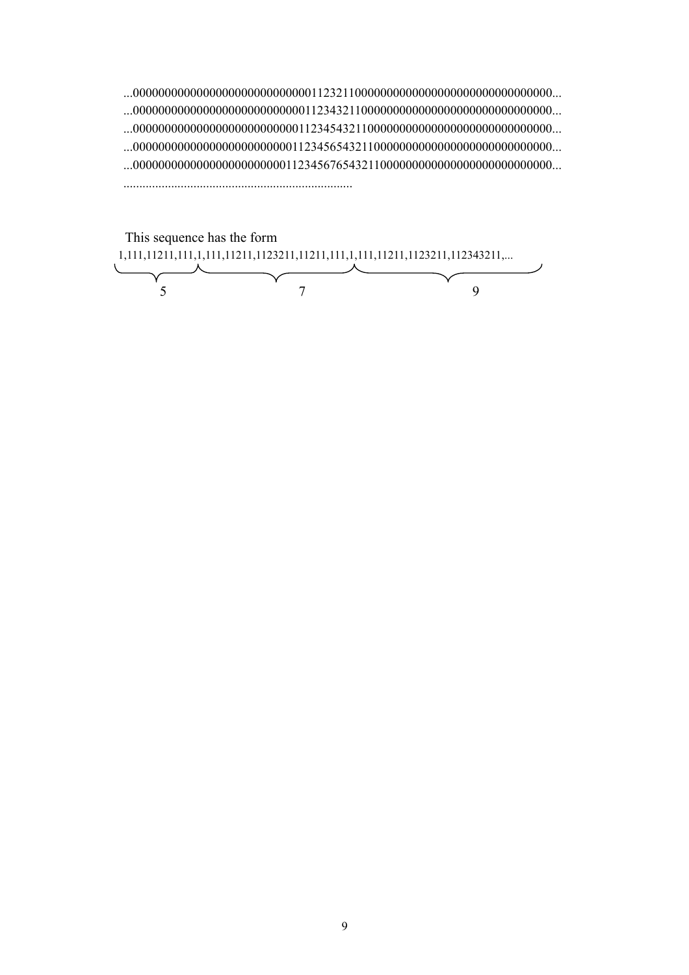...000000000000000000000000000011232110000000000000000000000000000000... ...000000000000000000000000000112343211000000000000000000000000000000... ...000000000000000000000000001123454321100000000000000000000000000000... ...000000000000000000000000011234565432110000000000000000000000000000... ...000000000000000000000000112345676543211000000000000000000000000000... ........................................................................

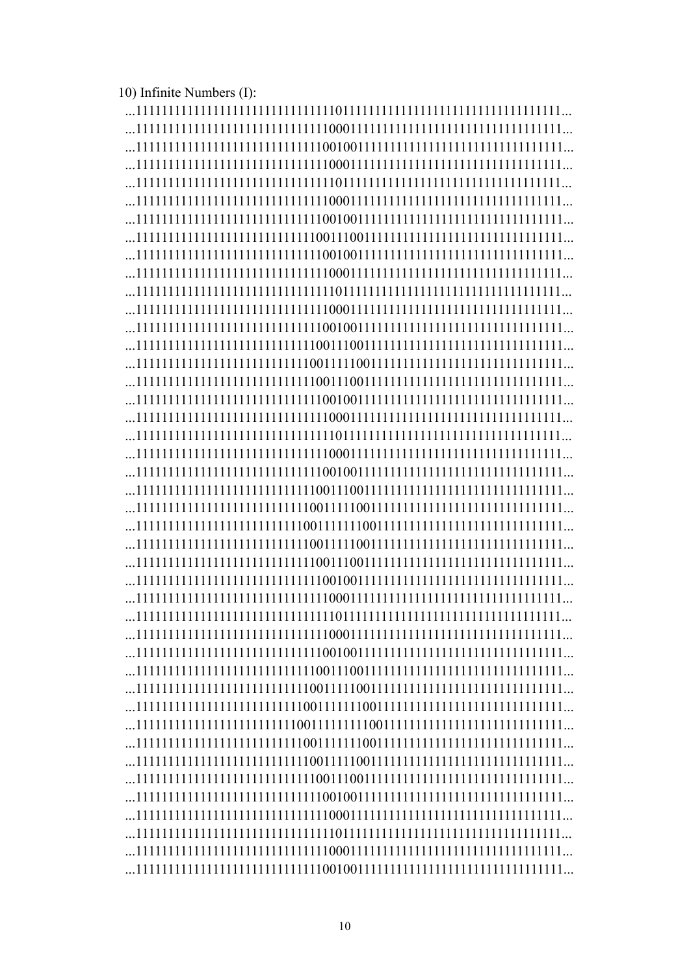| 10) Infinite Numbers (I): |  |
|---------------------------|--|
|                           |  |
|                           |  |
|                           |  |
|                           |  |
|                           |  |
|                           |  |
|                           |  |
|                           |  |
|                           |  |
|                           |  |
|                           |  |
|                           |  |
|                           |  |
|                           |  |
|                           |  |
|                           |  |
|                           |  |
|                           |  |
|                           |  |
|                           |  |
|                           |  |
|                           |  |
|                           |  |
|                           |  |
|                           |  |
|                           |  |
|                           |  |
|                           |  |

 ...111111111111111111111111111100111001111111111111111111111111111111... ...111111111111111111111111111110010011111111111111111111111111111111... ...111111111111111111111111111111000111111111111111111111111111111111... ...111111111111111111111111111111101111111111111111111111111111111111... ...111111111111111111111111111111000111111111111111111111111111111111... ...111111111111111111111111111110010011111111111111111111111111111111... ...111111111111111111111111111100111001111111111111111111111111111111... ...111111111111111111111111111001111100111111111111111111111111111111... ...111111111111111111111111110011111110011111111111111111111111111111... ...111111111111111111111111111001111100111111111111111111111111111111... ...111111111111111111111111111100111001111111111111111111111111111111... ...111111111111111111111111111110010011111111111111111111111111111111... ...111111111111111111111111111111000111111111111111111111111111111111... ...111111111111111111111111111111101111111111111111111111111111111111... ...111111111111111111111111111111000111111111111111111111111111111111... ...111111111111111111111111111110010011111111111111111111111111111111... ...111111111111111111111111111100111001111111111111111111111111111111... ...111111111111111111111111111001111100111111111111111111111111111111... ...111111111111111111111111110011111110011111111111111111111111111111... ...111111111111111111111111100111111111001111111111111111111111111111... ...111111111111111111111111110011111110011111111111111111111111111111... ...111111111111111111111111111001111100111111111111111111111111111111... ...111111111111111111111111111100111001111111111111111111111111111111... ...111111111111111111111111111110010011111111111111111111111111111111... ...111111111111111111111111111111000111111111111111111111111111111111... ...111111111111111111111111111111101111111111111111111111111111111111... ...111111111111111111111111111111000111111111111111111111111111111111...

...111111111111111111111111111110010011111111111111111111111111111111...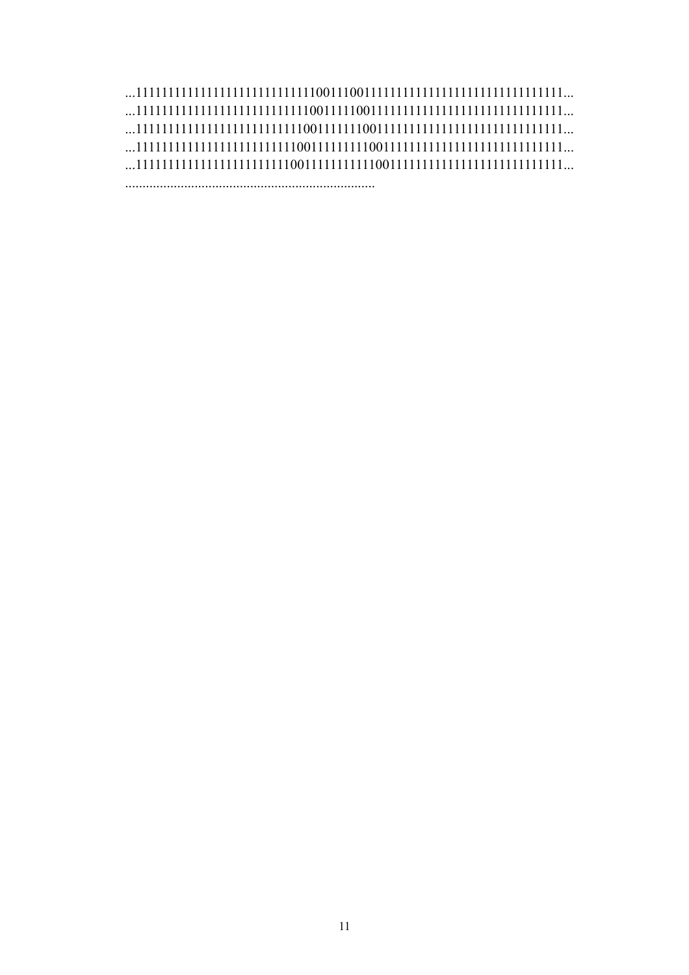## ...111111111111111111111111111100111001111111111111111111111111111111... ...111111111111111111111111111001111100111111111111111111111111111111... ...111111111111111111111111110011111110011111111111111111111111111111... ...111111111111111111111111100111111111001111111111111111111111111111... ...111111111111111111111111001111111111100111111111111111111111111111...

........................................................................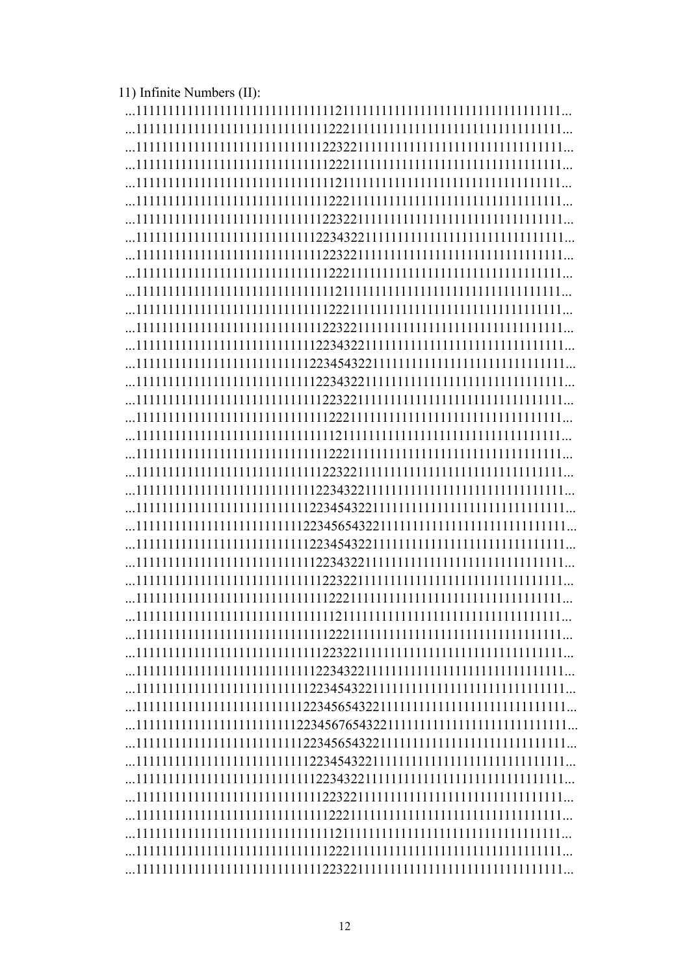11) Infinite Numbers (II):

| 11111111111111111111111111112234565432211111111111111111111111111111 |  |
|----------------------------------------------------------------------|--|
|                                                                      |  |
|                                                                      |  |
|                                                                      |  |
|                                                                      |  |
|                                                                      |  |
|                                                                      |  |
|                                                                      |  |
|                                                                      |  |
|                                                                      |  |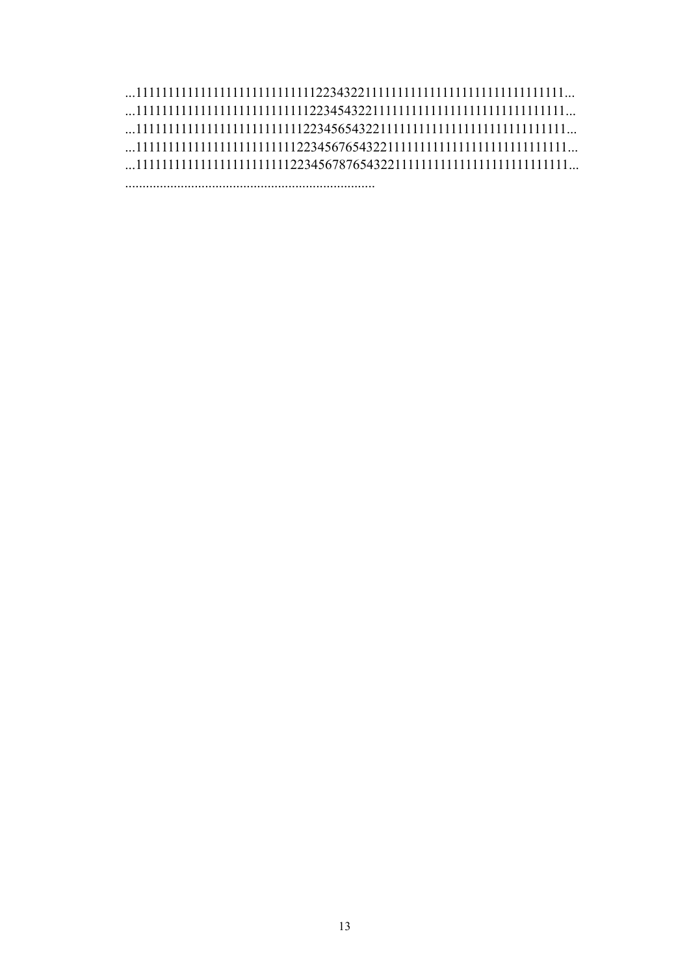### ...111111111111111111111111111122343221111111111111111111111111111111... ...111111111111111111111111111223454322111111111111111111111111111111... ...111111111111111111111111112234565432211111111111111111111111111111... ...111111111111111111111111122345676543221111111111111111111111111111...  $\dots$ 111111111111111111111111111223456787654322111111111111111111111111111 $\dots$

........................................................................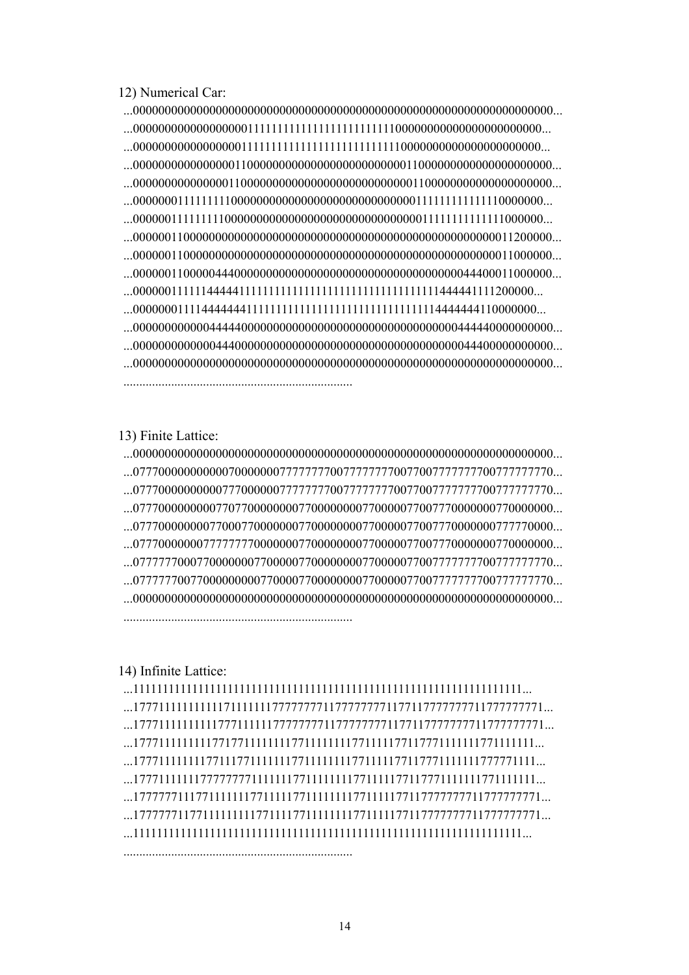12) Numerical Car:

 ...000000000000000000000000000000000000000000000000000000000000000000... ...000000000000000000111111111111111111111111100000000000000000000000... ...000000000000000001111111111111111111111111110000000000000000000000... ...000000000000000011000000000000000000000000011000000000000000000000... ...000000000000000110000000000000000000000000001100000000000000000000... ...000000011111111100000000000000000000000000000111111111111110000000... ...000000111111111000000000000000000000000000000011111111111111000000... ...000000110000000000000000000000000000000000000000000000000011200000... ...000000110000000000000000000000000000000000000000000000000011000000... ...000000110000044400000000000000000000000000000000000044400011000000... ...000000111111444441111111111111111111111111111111111444441111200000... ...000000011114444444111111111111111111111111111111114444444110000000... ...000000000000444440000000000000000000000000000000000444440000000000... ...000000000000044400000000000000000000000000000000000044400000000000... ...000000000000000000000000000000000000000000000000000000000000000000... ........................................................................

13) Finite Lattice:

 ...000000000000000000000000000000000000000000000000000000000000000000... ...077700000000000700000007777777700777777770077007777777700777777770... ...077700000000007770000007777777700777777770077007777777700777777770... ...077700000000077077000000007700000000770000077007770000000770000000... ...077700000000770007700000007700000000770000077007770000000777770000... ...077700000007777777700000007700000000770000077007770000000770000000... ...077777700077000000077000007700000000770000077007777777700777777770... ...077777700770000000007700007700000000770000077007777777700777777770... ...000000000000000000000000000000000000000000000000000000000000000000... ........................................................................

#### 14) Infinite Lattice:

........................................................................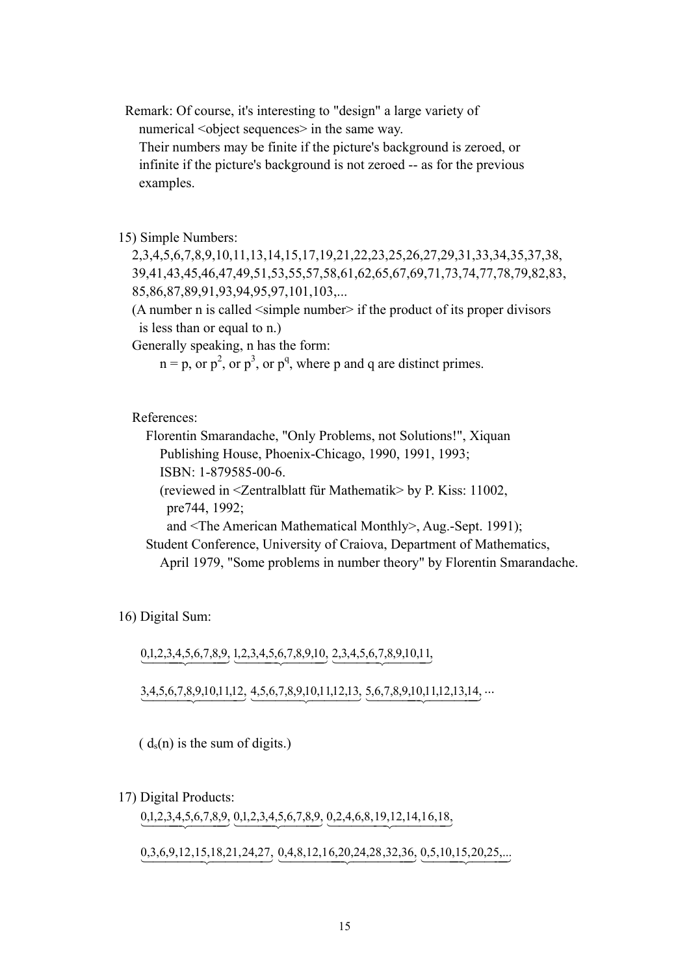Remark: Of course, it's interesting to "design" a large variety of numerical <object sequences> in the same way.

 Their numbers may be finite if the picture's background is zeroed, or infinite if the picture's background is not zeroed -- as for the previous examples.

15) Simple Numbers:

 2,3,4,5,6,7,8,9,10,11,13,14,15,17,19,21,22,23,25,26,27,29,31,33,34,35,37,38, 39,41,43,45,46,47,49,51,53,55,57,58,61,62,65,67,69,71,73,74,77,78,79,82,83, 85,86,87,89,91,93,94,95,97,101,103,...

 (A number n is called <simple number> if the product of its proper divisors is less than or equal to n.)

Generally speaking, n has the form:

 $n = p$ , or  $p^2$ , or  $p^3$ , or  $p^q$ , where p and q are distinct primes.

References:

Florentin Smarandache, "Only Problems, not Solutions!", Xiquan

Publishing House, Phoenix-Chicago, 1990, 1991, 1993;

ISBN: 1-879585-00-6.

 (reviewed in <Zentralblatt für Mathematik> by P. Kiss: 11002, pre744, 1992;

and <The American Mathematical Monthly>, Aug.-Sept. 1991);

 Student Conference, University of Craiova, Department of Mathematics, April 1979, "Some problems in number theory" by Florentin Smarandache.

16) Digital Sum:

 $0,1,2,3,4,5,6,7,8,9,12,3,4,5,6,7,8,9,10, \underline{2},3,4,5,6,7,8,9,10,11,$ 

 $3,4,5,6,7,8,9,10,11,12, \underline{4},5,6,7,8,9,10,11,12,13, \underline{5},6,7,8,9,10,11,12,13,14, \dots$ 

 $(d_s(n))$  is the sum of digits.)

#### 17) Digital Products:

 $0,1,2,3,4,5,6,7,8,9,0,1,2,3,4,5,6,7,8,9,0,2,4,6,8,19,12,14,16,18,$ 

 $0,3,6,9,12,15,18,21,24,27, 0,4,8,12,16,20,24,28,32,36, 0,5,10,15,20,25,...$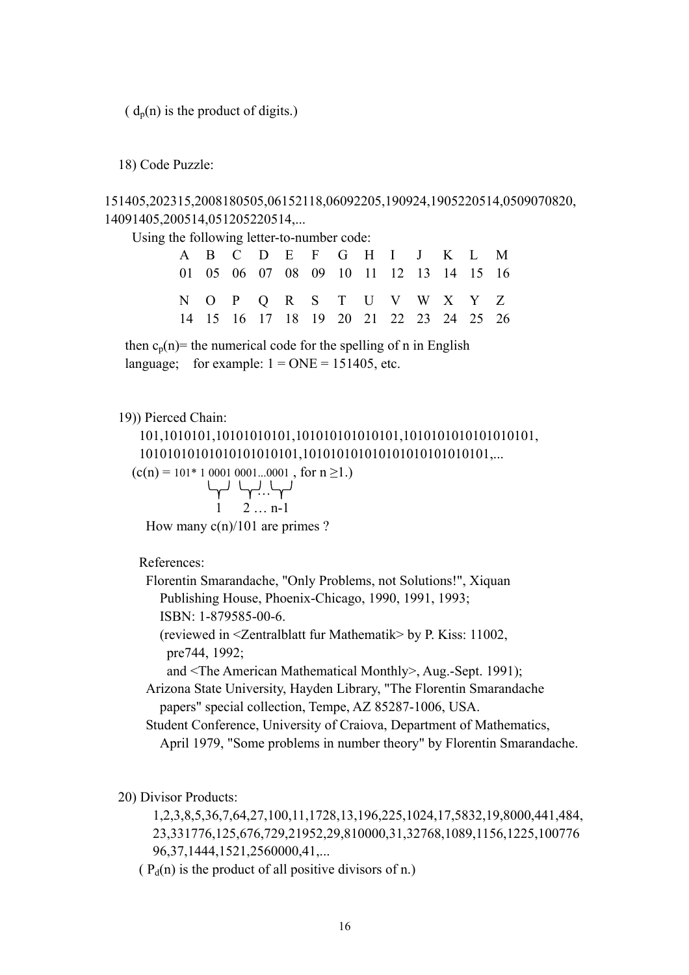$(d_p(n))$  is the product of digits.)

18) Code Puzzle:

151405,202315,2008180505,06152118,06092205,190924,1905220514,0509070820, 14091405,200514,051205220514,...

Using the following letter-to-number code:

|                                        |  |  |  | A B C D E F G H I J K L M              |  |  |
|----------------------------------------|--|--|--|----------------------------------------|--|--|
|                                        |  |  |  | 01 05 06 07 08 09 10 11 12 13 14 15 16 |  |  |
|                                        |  |  |  | N O P Q R S T U V W X Y Z              |  |  |
| 14 15 16 17 18 19 20 21 22 23 24 25 26 |  |  |  |                                        |  |  |

then  $c_n(n)$ = the numerical code for the spelling of n in English language; for example:  $1 = ONE = 151405$ , etc.

19)) Pierced Chain:

 101,1010101,10101010101,101010101010101,1010101010101010101, 10101010101010101010101,101010101010101010101010101,...

$$
(c(n) = 101*1 0001 0001...0001 , for n \ge 1.)
$$

بی ہے اس کہا جاتا ہے جس کر اس کا ان کا ان کا ان کا ان کا ان کا ان کا ان کا ان کا ان کا ان کا ان کا ان کا ان کا  $1 \t 2 \t ... n-1$ 

How many c(n)/101 are primes ?

References:

 Florentin Smarandache, "Only Problems, not Solutions!", Xiquan Publishing House, Phoenix-Chicago, 1990, 1991, 1993; ISBN: 1-879585-00-6.

 (reviewed in <Zentralblatt fur Mathematik> by P. Kiss: 11002, pre744, 1992;

and <The American Mathematical Monthly>, Aug.-Sept. 1991);

 Arizona State University, Hayden Library, "The Florentin Smarandache papers" special collection, Tempe, AZ 85287-1006, USA.

 Student Conference, University of Craiova, Department of Mathematics, April 1979, "Some problems in number theory" by Florentin Smarandache.

20) Divisor Products:

 1,2,3,8,5,36,7,64,27,100,11,1728,13,196,225,1024,17,5832,19,8000,441,484, 23,331776,125,676,729,21952,29,810000,31,32768,1089,1156,1225,100776 96,37,1444,1521,2560000,41,...

( $P_d(n)$ ) is the product of all positive divisors of n.)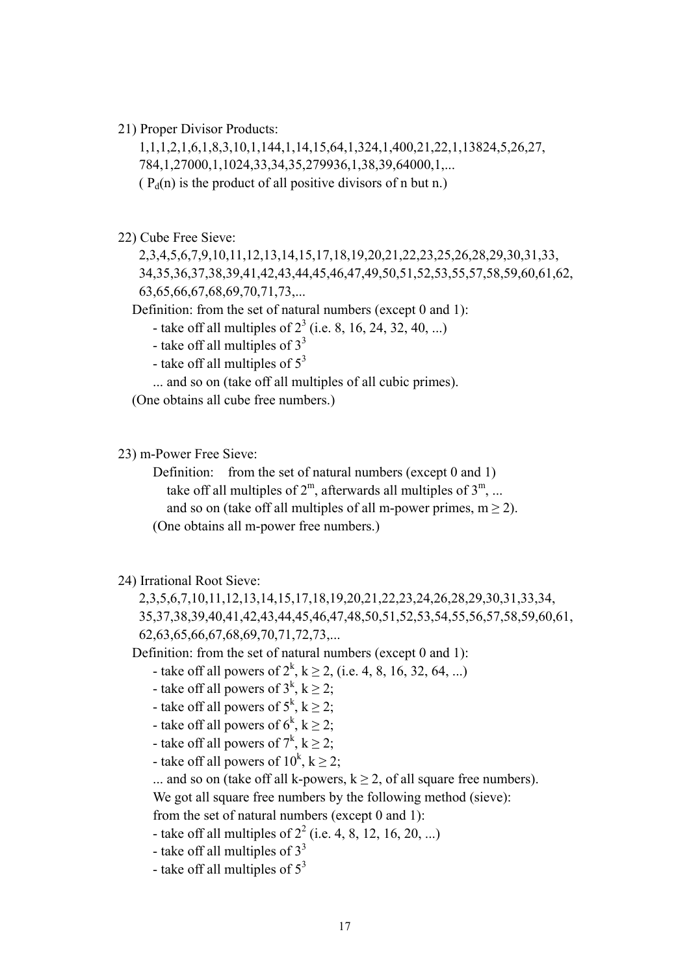21) Proper Divisor Products:

 1,1,1,2,1,6,1,8,3,10,1,144,1,14,15,64,1,324,1,400,21,22,1,13824,5,26,27, 784,1,27000,1,1024,33,34,35,279936,1,38,39,64000,1,...

( $P_d(n)$  is the product of all positive divisors of n but n.)

22) Cube Free Sieve:

 2,3,4,5,6,7,9,10,11,12,13,14,15,17,18,19,20,21,22,23,25,26,28,29,30,31,33, 34,35,36,37,38,39,41,42,43,44,45,46,47,49,50,51,52,53,55,57,58,59,60,61,62, 63,65,66,67,68,69,70,71,73,...

Definition: from the set of natural numbers (except 0 and 1):

- take off all multiples of  $2^3$  (i.e. 8, 16, 24, 32, 40, ...)

- take off all multiples of  $3<sup>3</sup>$
- take off all multiples of  $5<sup>3</sup>$

... and so on (take off all multiples of all cubic primes).

(One obtains all cube free numbers.)

23) m-Power Free Sieve:

Definition: from the set of natural numbers (except 0 and 1) take off all multiples of  $2^m$ , afterwards all multiples of  $3^m$ , ... and so on (take off all multiples of all m-power primes,  $m \ge 2$ ). (One obtains all m-power free numbers.)

#### 24) Irrational Root Sieve:

 2,3,5,6,7,10,11,12,13,14,15,17,18,19,20,21,22,23,24,26,28,29,30,31,33,34, 35,37,38,39,40,41,42,43,44,45,46,47,48,50,51,52,53,54,55,56,57,58,59,60,61, 62,63,65,66,67,68,69,70,71,72,73,...

Definition: from the set of natural numbers (except 0 and 1):

- take off all powers of  $2^k$ ,  $k \ge 2$ , (i.e. 4, 8, 16, 32, 64, ...)

- take off all powers of  $3^k$ ,  $k \ge 2$ ;
- take off all powers of  $5^k$ ,  $k \geq 2$ ;
- take off all powers of  $6^k$ ,  $k \geq 2$ ;
- take off all powers of  $7^k$ ,  $k \ge 2$ ;
- take off all powers of  $10^k$ ,  $k \ge 2$ ;

... and so on (take off all k-powers,  $k \ge 2$ , of all square free numbers).

We got all square free numbers by the following method (sieve):

from the set of natural numbers (except 0 and 1):

- take off all multiples of  $2^2$  (i.e. 4, 8, 12, 16, 20, ...)

- take off all multiples of  $3<sup>3</sup>$
- take off all multiples of  $5^3$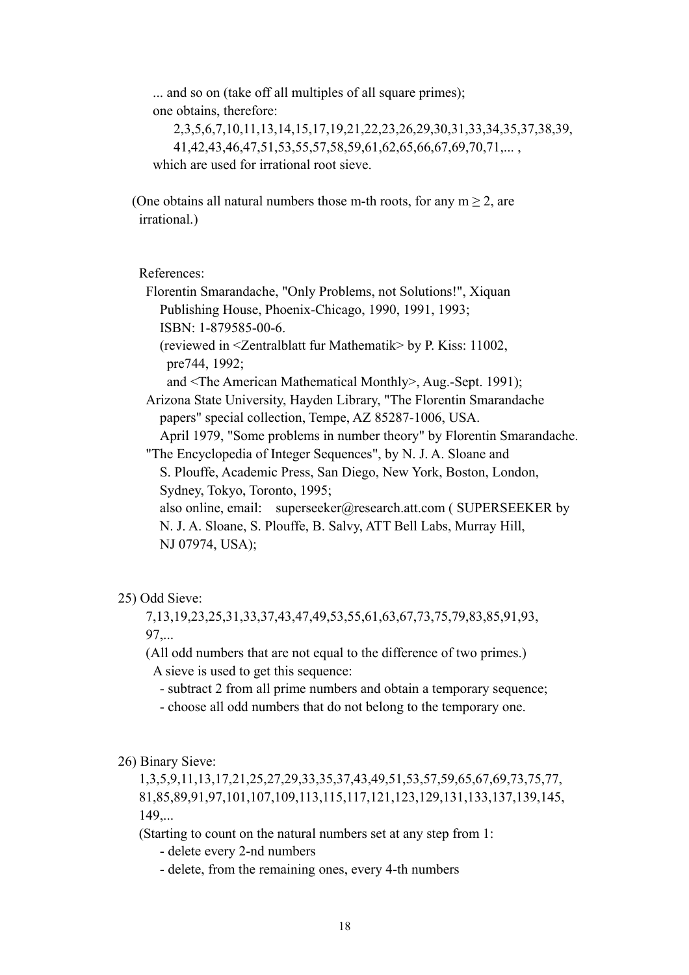... and so on (take off all multiples of all square primes); one obtains, therefore:

 2,3,5,6,7,10,11,13,14,15,17,19,21,22,23,26,29,30,31,33,34,35,37,38,39, 41,42,43,46,47,51,53,55,57,58,59,61,62,65,66,67,69,70,71,... , which are used for irrational root sieve.

(One obtains all natural numbers those m-th roots, for any  $m > 2$ , are irrational.)

References:

 Florentin Smarandache, "Only Problems, not Solutions!", Xiquan Publishing House, Phoenix-Chicago, 1990, 1991, 1993; ISBN: 1-879585-00-6.

 (reviewed in <Zentralblatt fur Mathematik> by P. Kiss: 11002, pre744, 1992;

and <The American Mathematical Monthly>, Aug.-Sept. 1991);

 Arizona State University, Hayden Library, "The Florentin Smarandache papers" special collection, Tempe, AZ 85287-1006, USA.

April 1979, "Some problems in number theory" by Florentin Smarandache.

"The Encyclopedia of Integer Sequences", by N. J. A. Sloane and

 S. Plouffe, Academic Press, San Diego, New York, Boston, London, Sydney, Tokyo, Toronto, 1995;

 also online, email: superseeker@research.att.com ( SUPERSEEKER by N. J. A. Sloane, S. Plouffe, B. Salvy, ATT Bell Labs, Murray Hill, NJ 07974, USA);

#### 25) Odd Sieve:

 7,13,19,23,25,31,33,37,43,47,49,53,55,61,63,67,73,75,79,83,85,91,93, 97,...

 (All odd numbers that are not equal to the difference of two primes.) A sieve is used to get this sequence:

- subtract 2 from all prime numbers and obtain a temporary sequence;

- choose all odd numbers that do not belong to the temporary one.

26) Binary Sieve:

 1,3,5,9,11,13,17,21,25,27,29,33,35,37,43,49,51,53,57,59,65,67,69,73,75,77, 81,85,89,91,97,101,107,109,113,115,117,121,123,129,131,133,137,139,145, 149,...

(Starting to count on the natural numbers set at any step from 1:

- delete every 2-nd numbers

- delete, from the remaining ones, every 4-th numbers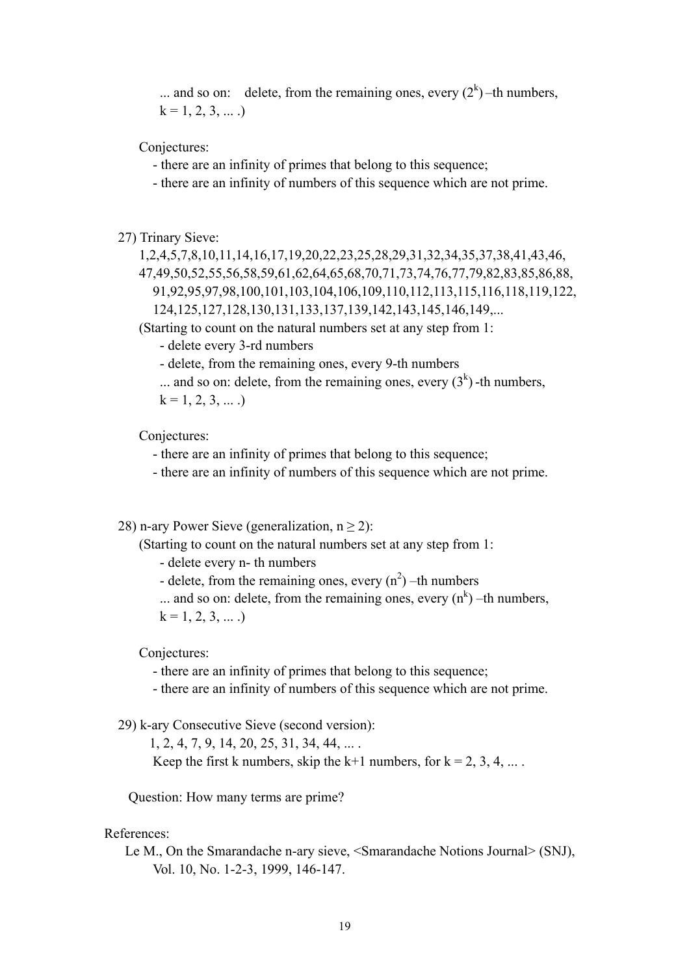... and so on: delete, from the remaining ones, every  $(2^k)$  –th numbers,  $k = 1, 2, 3, \dots$ .

Conjectures:

- there are an infinity of primes that belong to this sequence;

- there are an infinity of numbers of this sequence which are not prime.

27) Trinary Sieve:

 1,2,4,5,7,8,10,11,14,16,17,19,20,22,23,25,28,29,31,32,34,35,37,38,41,43,46, 47,49,50,52,55,56,58,59,61,62,64,65,68,70,71,73,74,76,77,79,82,83,85,86,88, 91,92,95,97,98,100,101,103,104,106,109,110,112,113,115,116,118,119,122, 124,125,127,128,130,131,133,137,139,142,143,145,146,149,...

(Starting to count on the natural numbers set at any step from 1:

- delete every 3-rd numbers

- delete, from the remaining ones, every 9-th numbers

... and so on: delete, from the remaining ones, every  $(3<sup>k</sup>)$ -th numbers,

 $k = 1, 2, 3, \dots$ .

Conjectures:

- there are an infinity of primes that belong to this sequence;

- there are an infinity of numbers of this sequence which are not prime.

28) n-ary Power Sieve (generalization,  $n > 2$ ):

(Starting to count on the natural numbers set at any step from 1:

- delete every n- th numbers

- delete, from the remaining ones, every  $(n^2)$  –th numbers

... and so on: delete, from the remaining ones, every  $(n<sup>k</sup>)$  –th numbers,

 $k = 1, 2, 3, \dots$ 

Conjectures:

- there are an infinity of primes that belong to this sequence;

- there are an infinity of numbers of this sequence which are not prime.

29) k-ary Consecutive Sieve (second version):

1, 2, 4, 7, 9, 14, 20, 25, 31, 34, 44, ... .

Keep the first k numbers, skip the k+1 numbers, for  $k = 2, 3, 4, ...$ .

Question: How many terms are prime?

References:

 Le M., On the Smarandache n-ary sieve, <Smarandache Notions Journal> (SNJ), Vol. 10, No. 1-2-3, 1999, 146-147.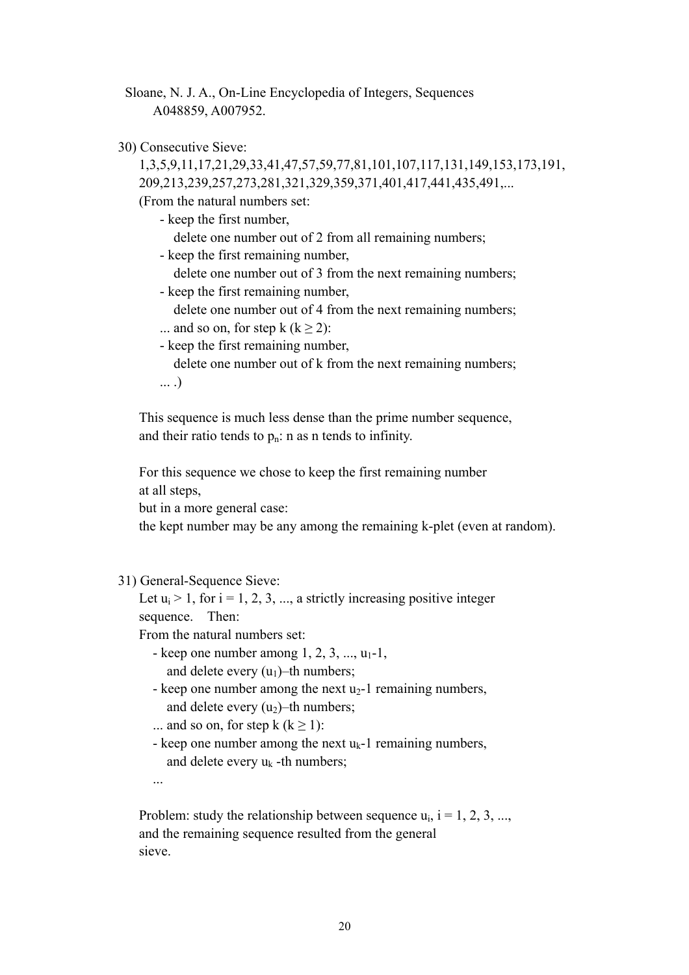Sloane, N. J. A., On-Line Encyclopedia of Integers, Sequences A048859, A007952.

30) Consecutive Sieve:

 1,3,5,9,11,17,21,29,33,41,47,57,59,77,81,101,107,117,131,149,153,173,191, 209,213,239,257,273,281,321,329,359,371,401,417,441,435,491,...

(From the natural numbers set:

- keep the first number,

delete one number out of 2 from all remaining numbers;

- keep the first remaining number,
	- delete one number out of 3 from the next remaining numbers;
- keep the first remaining number,

delete one number out of 4 from the next remaining numbers;

- ... and so on, for step k  $(k \ge 2)$ :
- keep the first remaining number,

delete one number out of k from the next remaining numbers;

... .)

 This sequence is much less dense than the prime number sequence, and their ratio tends to  $p_n$ : n as n tends to infinity.

 For this sequence we chose to keep the first remaining number at all steps,

but in a more general case:

the kept number may be any among the remaining k-plet (even at random).

#### 31) General-Sequence Sieve:

Let  $u_i > 1$ , for  $i = 1, 2, 3, \dots$ , a strictly increasing positive integer sequence Then:

From the natural numbers set:

- keep one number among  $1, 2, 3, \ldots, u_1-1$ , and delete every  $(u_1)$ –th numbers;
- keep one number among the next  $u_2$ -1 remaining numbers, and delete every  $(u_2)$ –th numbers;
- ... and so on, for step  $k (k \ge 1)$ :
- keep one number among the next  $u_k$ -1 remaining numbers, and delete every  $u_k$  -th numbers;
- ...

Problem: study the relationship between sequence  $u_i$ ,  $i = 1, 2, 3, ...,$  and the remaining sequence resulted from the general sieve.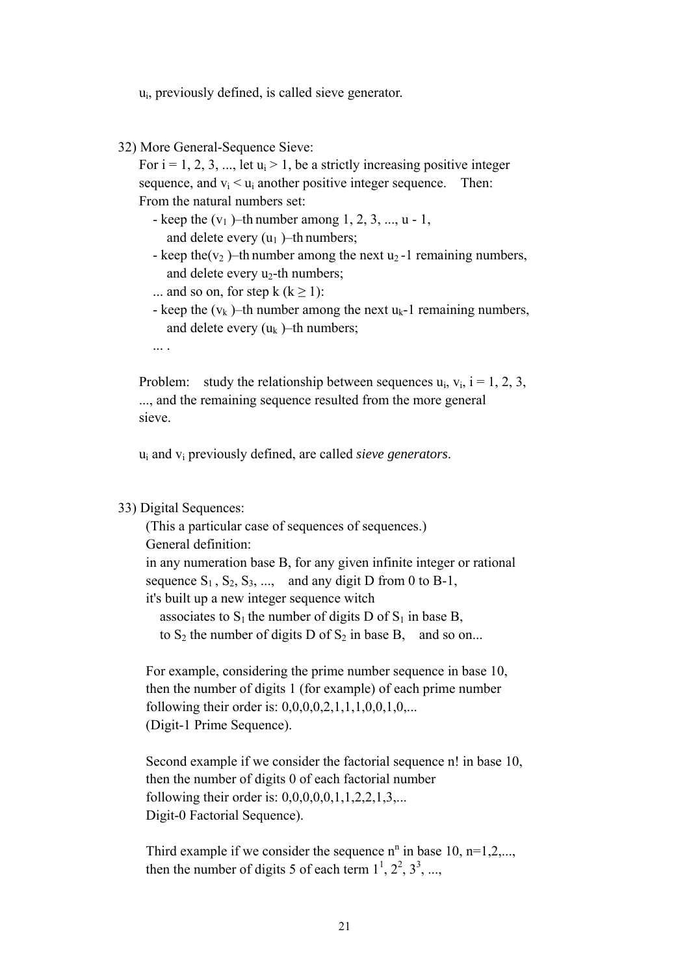ui, previously defined, is called sieve generator.

32) More General-Sequence Sieve:

For  $i = 1, 2, 3, \dots$ , let  $u_i > 1$ , be a strictly increasing positive integer sequence, and  $v_i < u_i$  another positive integer sequence. Then: From the natural numbers set:

- keep the  $(v_1)$ –th number among 1, 2, 3, ..., u 1, and delete every  $(u_1)$ –th numbers;
- keep the(v<sub>2</sub>)–th number among the next u<sub>2</sub> -1 remaining numbers, and delete every  $u_2$ -th numbers;
- ... and so on, for step k  $(k \ge 1)$ :
- keep the  $(v_k)$ –th number among the next  $u_k$ -1 remaining numbers, and delete every  $(u_k)$ –th numbers;
- ... .

Problem: study the relationship between sequences  $u_i$ ,  $v_i$ ,  $i = 1, 2, 3$ , ..., and the remaining sequence resulted from the more general sieve.

ui and vi previously defined, are called *sieve generators*.

#### 33) Digital Sequences:

 (This a particular case of sequences of sequences.) General definition: in any numeration base B, for any given infinite integer or rational sequence  $S_1$ ,  $S_2$ ,  $S_3$ , ..., and any digit D from 0 to B-1, it's built up a new integer sequence witch associates to  $S_1$  the number of digits D of  $S_1$  in base B, to  $S_2$  the number of digits D of  $S_2$  in base B, and so on...

 For example, considering the prime number sequence in base 10, then the number of digits 1 (for example) of each prime number following their order is: 0,0,0,0,2,1,1,1,0,0,1,0,... (Digit-1 Prime Sequence).

Second example if we consider the factorial sequence n! in base 10, then the number of digits 0 of each factorial number following their order is:  $0,0,0,0,0,1,1,2,2,1,3,...$ Digit-0 Factorial Sequence).

Third example if we consider the sequence  $n^n$  in base 10,  $n=1,2,...$ , then the number of digits 5 of each term  $1^1$ ,  $2^2$ ,  $3^3$ , ...,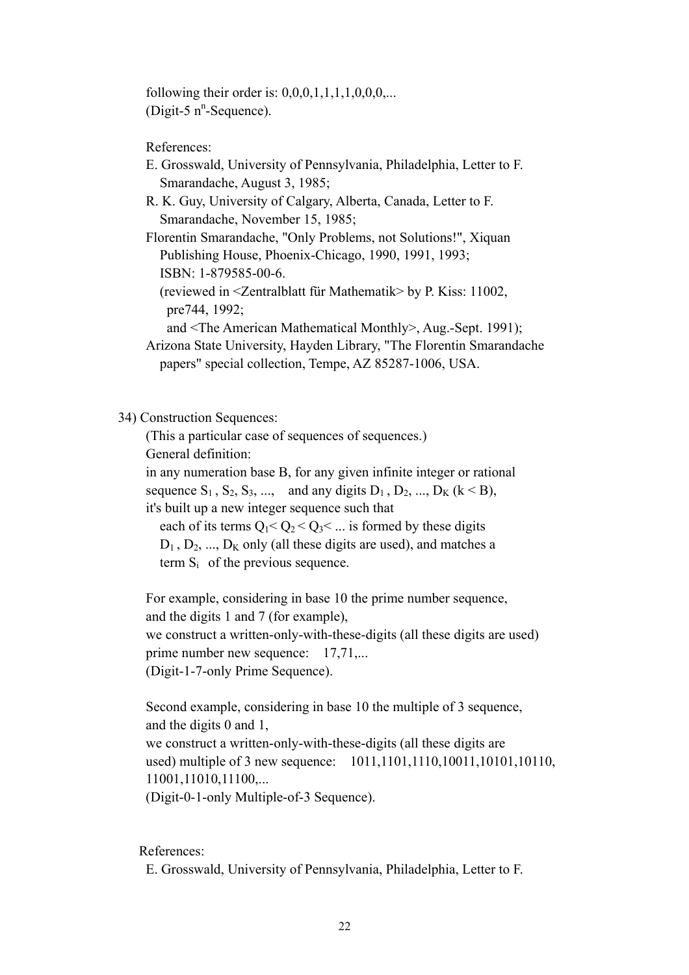following their order is:  $0,0,0,1,1,1,1,0,0,0,...$  $(Digit-5 n<sup>n</sup>-Sequence).$ 

References:

- E. Grosswald, University of Pennsylvania, Philadelphia, Letter to F. Smarandache, August 3, 1985;
- R. K. Guy, University of Calgary, Alberta, Canada, Letter to F. Smarandache, November 15, 1985;

 Florentin Smarandache, "Only Problems, not Solutions!", Xiquan Publishing House, Phoenix-Chicago, 1990, 1991, 1993; ISBN: 1-879585-00-6.

 (reviewed in <Zentralblatt für Mathematik> by P. Kiss: 11002, pre744, 1992;

and <The American Mathematical Monthly>, Aug.-Sept. 1991);

 Arizona State University, Hayden Library, "The Florentin Smarandache papers" special collection, Tempe, AZ 85287-1006, USA.

34) Construction Sequences:

 (This a particular case of sequences of sequences.) General definition:

 in any numeration base B, for any given infinite integer or rational sequence  $S_1$ ,  $S_2$ ,  $S_3$ , ..., and any digits  $D_1$ ,  $D_2$ , ...,  $D_K$  ( $k < B$ ), it's built up a new integer sequence such that

each of its terms  $Q_1 < Q_2 < Q_3 < ...$  is formed by these digits  $D_1$ ,  $D_2$ , ...,  $D_K$  only (all these digits are used), and matches a term  $S_i$  of the previous sequence.

 For example, considering in base 10 the prime number sequence, and the digits 1 and 7 (for example), we construct a written-only-with-these-digits (all these digits are used) prime number new sequence: 17,71,... (Digit-1-7-only Prime Sequence).

 Second example, considering in base 10 the multiple of 3 sequence, and the digits 0 and 1,

 we construct a written-only-with-these-digits (all these digits are used) multiple of 3 new sequence: 1011,1101,1110,10011,10101,10110, 11001,11010,11100,...

(Digit-0-1-only Multiple-of-3 Sequence).

References:

E. Grosswald, University of Pennsylvania, Philadelphia, Letter to F.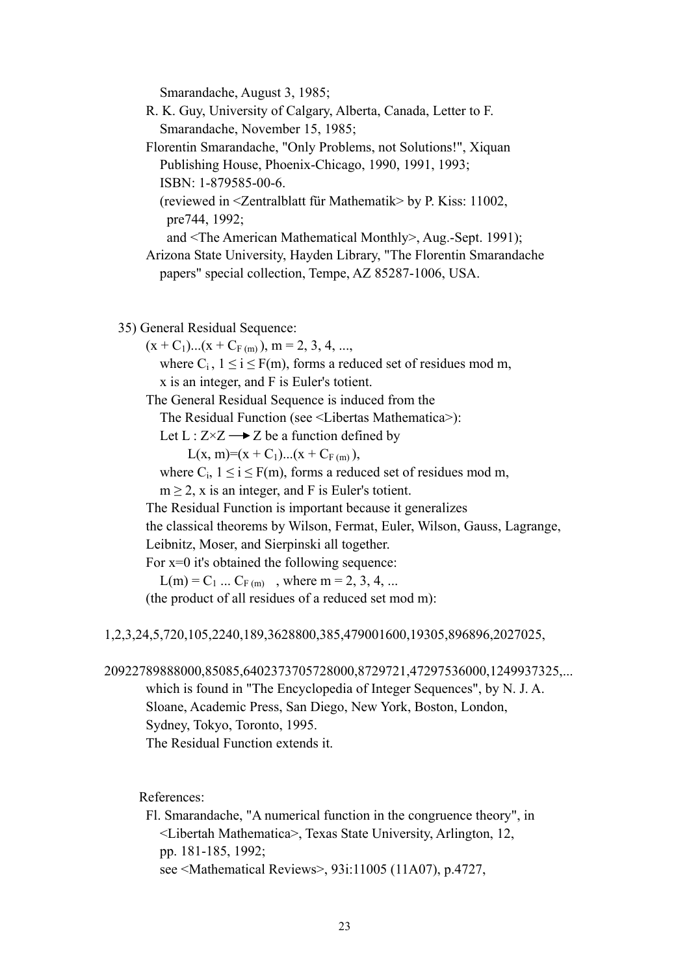Smarandache, August 3, 1985;

- R. K. Guy, University of Calgary, Alberta, Canada, Letter to F. Smarandache, November 15, 1985; Florentin Smarandache, "Only Problems, not Solutions!", Xiquan Publishing House, Phoenix-Chicago, 1990, 1991, 1993; ISBN: 1-879585-00-6. (reviewed in <Zentralblatt für Mathematik> by P. Kiss: 11002,
	- pre744, 1992;
	- and <The American Mathematical Monthly>, Aug.-Sept. 1991);
- Arizona State University, Hayden Library, "The Florentin Smarandache papers" special collection, Tempe, AZ 85287-1006, USA.
- 35) General Residual Sequence:
	- $(x + C_1)...(x + C_{F(m)})$ , m = 2, 3, 4, ...,

where  $C_i$ ,  $1 \le i \le F(m)$ , forms a reduced set of residues mod m, x is an integer, and F is Euler's totient.

The General Residual Sequence is induced from the

The Residual Function (see <Libertas Mathematica>):

Let  $L: Z \times Z \longrightarrow Z$  be a function defined by

 $L(x, m) = (x + C_1)...(x + C_{F(m)}),$ 

where  $C_i$ ,  $1 \le i \le F(m)$ , forms a reduced set of residues mod m,

 $m > 2$ , x is an integer, and F is Euler's totient.

The Residual Function is important because it generalizes

the classical theorems by Wilson, Fermat, Euler, Wilson, Gauss, Lagrange,

Leibnitz, Moser, and Sierpinski all together.

For x=0 it's obtained the following sequence:

 $L(m) = C_1 ... C_{F(m)}$ , where m = 2, 3, 4, ...

(the product of all residues of a reduced set mod m):

1,2,3,24,5,720,105,2240,189,3628800,385,479001600,19305,896896,2027025,

20922789888000,85085,6402373705728000,8729721,47297536000,1249937325,...

 which is found in "The Encyclopedia of Integer Sequences", by N. J. A. Sloane, Academic Press, San Diego, New York, Boston, London, Sydney, Tokyo, Toronto, 1995. The Residual Function extends it.

References:

 Fl. Smarandache, "A numerical function in the congruence theory", in <Libertah Mathematica>, Texas State University, Arlington, 12, pp. 181-185, 1992; see <Mathematical Reviews>, 93i:11005 (11A07), p.4727,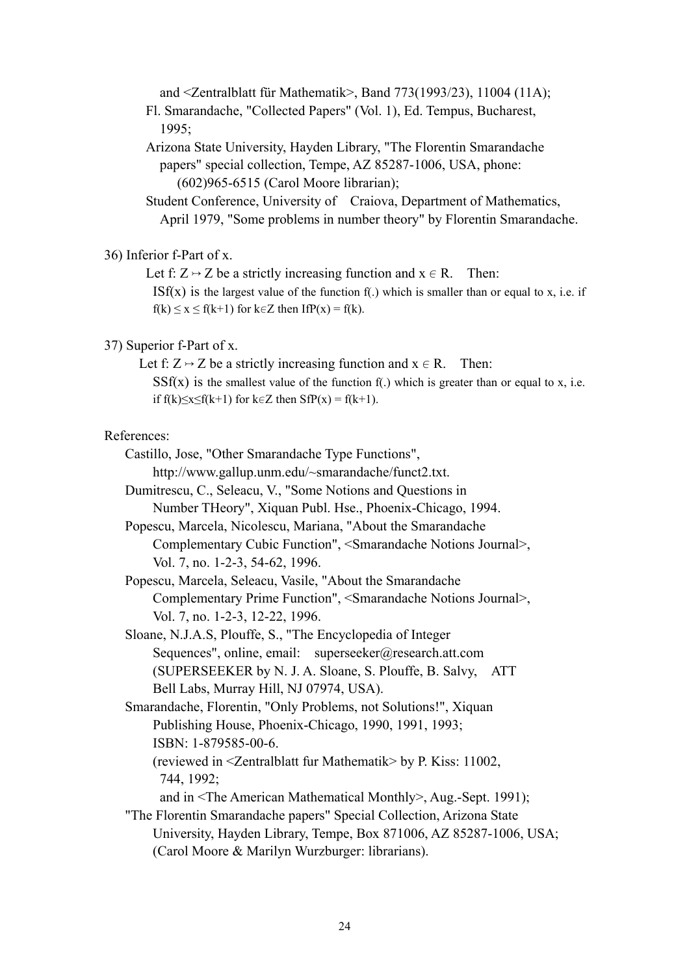and <Zentralblatt für Mathematik>, Band 773(1993/23), 11004 (11A);

 Fl. Smarandache, "Collected Papers" (Vol. 1), Ed. Tempus, Bucharest, 1995;

 Arizona State University, Hayden Library, "The Florentin Smarandache papers" special collection, Tempe, AZ 85287-1006, USA, phone: (602)965-6515 (Carol Moore librarian);

 Student Conference, University of Craiova, Department of Mathematics, April 1979, "Some problems in number theory" by Florentin Smarandache.

#### 36) Inferior f-Part of x.

Let f:  $Z \rightarrow Z$  be a strictly increasing function and  $x \in R$ . Then:

ISf(x) is the largest value of the function  $f(.)$  which is smaller than or equal to x, i.e. if  $f(k) \le x \le f(k+1)$  for k $\in \mathbb{Z}$  then IfP(x) = f(k).

#### 37) Superior f-Part of x.

Let f:  $Z \rightarrow Z$  be a strictly increasing function and  $x \in R$ . Then:  $S\text{Sf}(x)$  is the smallest value of the function f(.) which is greater than or equal to x, i.e.

if f(k) $\leq x \leq f(k+1)$  for k $\in \mathbb{Z}$  then SfP(x) = f(k+1).

#### References:

- Castillo, Jose, "Other Smarandache Type Functions",
	- http://www.gallup.unm.edu/~smarandache/funct2.txt.
- Dumitrescu, C., Seleacu, V., "Some Notions and Questions in Number THeory", Xiquan Publ. Hse., Phoenix-Chicago, 1994.

 Popescu, Marcela, Nicolescu, Mariana, "About the Smarandache Complementary Cubic Function", <Smarandache Notions Journal>, Vol. 7, no. 1-2-3, 54-62, 1996.

- Popescu, Marcela, Seleacu, Vasile, "About the Smarandache Complementary Prime Function", <Smarandache Notions Journal>, Vol. 7, no. 1-2-3, 12-22, 1996.
- Sloane, N.J.A.S, Plouffe, S., "The Encyclopedia of Integer Sequences", online, email: superseeker@research.att.com (SUPERSEEKER by N. J. A. Sloane, S. Plouffe, B. Salvy, ATT Bell Labs, Murray Hill, NJ 07974, USA).

 Smarandache, Florentin, "Only Problems, not Solutions!", Xiquan Publishing House, Phoenix-Chicago, 1990, 1991, 1993; ISBN: 1-879585-00-6.

 (reviewed in <Zentralblatt fur Mathematik> by P. Kiss: 11002, 744, 1992;

- and in <The American Mathematical Monthly>, Aug.-Sept. 1991); "The Florentin Smarandache papers" Special Collection, Arizona State
- University, Hayden Library, Tempe, Box 871006, AZ 85287-1006, USA; (Carol Moore & Marilyn Wurzburger: librarians).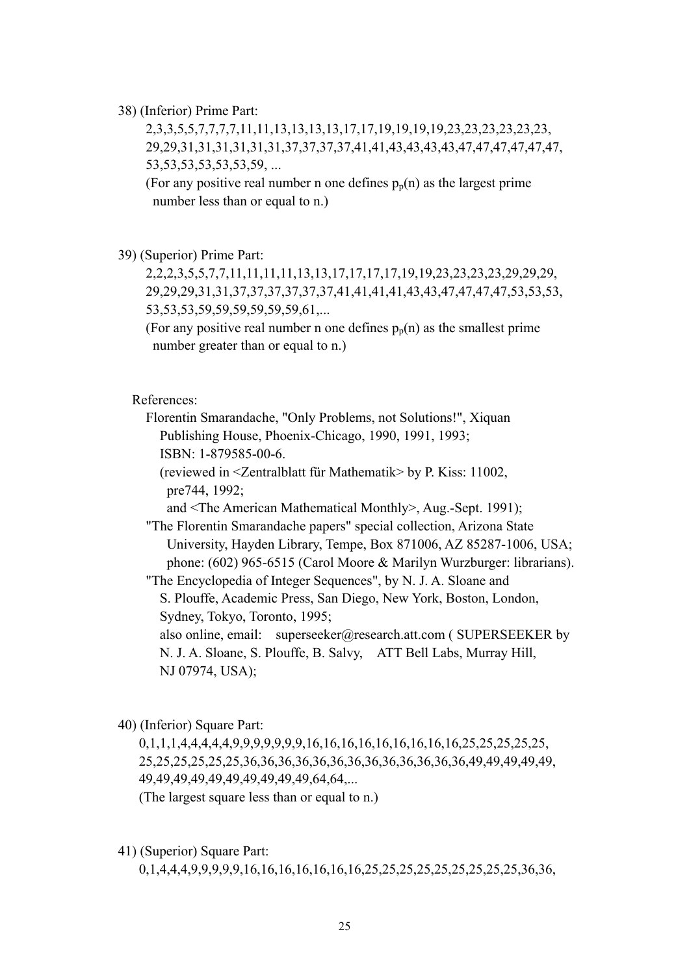38) (Inferior) Prime Part:

 2,3,3,5,5,7,7,7,7,11,11,13,13,13,13,17,17,19,19,19,19,23,23,23,23,23,23, 29,29,31,31,31,31,31,31,37,37,37,37,41,41,43,43,43,43,47,47,47,47,47,47, 53,53,53,53,53,53,59, ...

(For any positive real number n one defines  $p_p(n)$  as the largest prime number less than or equal to n.)

39) (Superior) Prime Part:

 2,2,2,3,5,5,7,7,11,11,11,11,13,13,17,17,17,17,19,19,23,23,23,23,29,29,29, 29,29,29,31,31,37,37,37,37,37,37,41,41,41,41,43,43,47,47,47,47,53,53,53, 53,53,53,59,59,59,59,59,59,61,...

(For any positive real number n one defines  $p_n(n)$  as the smallest prime number greater than or equal to n.)

References:

 Florentin Smarandache, "Only Problems, not Solutions!", Xiquan Publishing House, Phoenix-Chicago, 1990, 1991, 1993; ISBN: 1-879585-00-6.

 (reviewed in <Zentralblatt für Mathematik> by P. Kiss: 11002, pre744, 1992;

and <The American Mathematical Monthly>, Aug.-Sept. 1991);

 "The Florentin Smarandache papers" special collection, Arizona State University, Hayden Library, Tempe, Box 871006, AZ 85287-1006, USA; phone: (602) 965-6515 (Carol Moore & Marilyn Wurzburger: librarians).

"The Encyclopedia of Integer Sequences", by N. J. A. Sloane and

 S. Plouffe, Academic Press, San Diego, New York, Boston, London, Sydney, Tokyo, Toronto, 1995;

also online, email: superseeker@research.att.com (SUPERSEEKER by N. J. A. Sloane, S. Plouffe, B. Salvy, ATT Bell Labs, Murray Hill, NJ 07974, USA);

40) (Inferior) Square Part:

 0,1,1,1,4,4,4,4,4,9,9,9,9,9,9,9,16,16,16,16,16,16,16,16,16,25,25,25,25,25, 25,25,25,25,25,25,36,36,36,36,36,36,36,36,36,36,36,36,36,49,49,49,49,49, 49,49,49,49,49,49,49,49,49,49,64,64,...

(The largest square less than or equal to n.)

41) (Superior) Square Part:

0,1,4,4,4,9,9,9,9,9,16,16,16,16,16,16,16,25,25,25,25,25,25,25,25,25,36,36,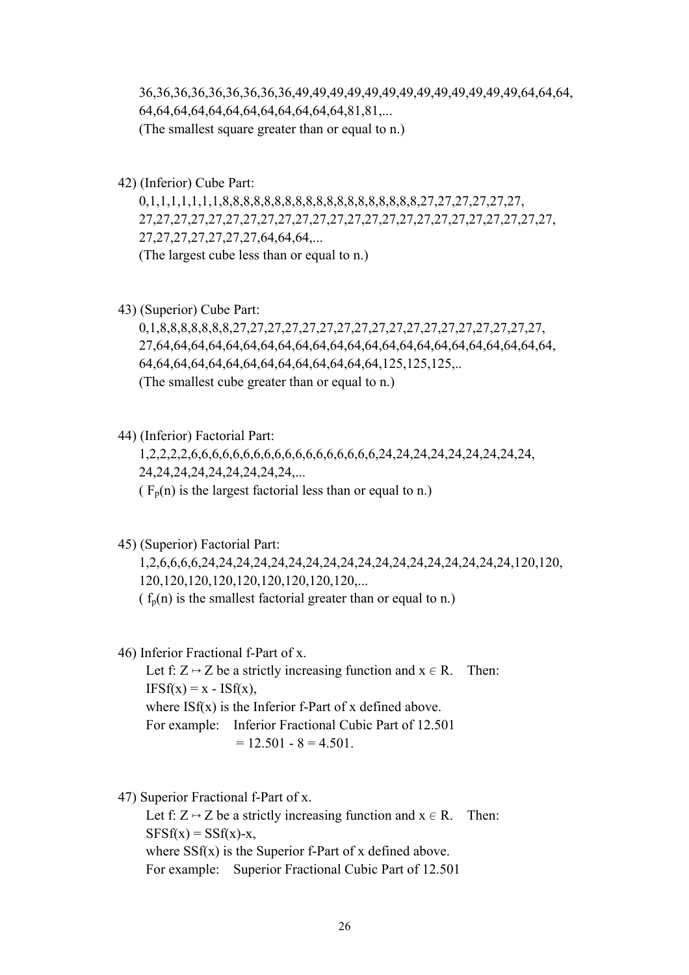36,36,36,36,36,36,36,36,36,49,49,49,49,49,49,49,49,49,49,49,49,49,64,64,64, 64,64,64,64,64,64,64,64,64,64,64,64,81,81,... (The smallest square greater than or equal to n.)

42) (Inferior) Cube Part:

 0,1,1,1,1,1,1,1,8,8,8,8,8,8,8,8,8,8,8,8,8,8,8,8,8,8,8,27,27,27,27,27,27, 27,27,27,27,27,27,27,27,27,27,27,27,27,27,27,27,27,27,27,27,27,27,27,27, 27,27,27,27,27,27,27,64,64,64,... (The largest cube less than or equal to n.)

43) (Superior) Cube Part:

 0,1,8,8,8,8,8,8,8,27,27,27,27,27,27,27,27,27,27,27,27,27,27,27,27,27,27, 27,64,64,64,64,64,64,64,64,64,64,64,64,64,64,64,64,64,64,64,64,64,64,64, 64,64,64,64,64,64,64,64,64,64,64,64,64,64,125,125,125,.. (The smallest cube greater than or equal to n.)

44) (Inferior) Factorial Part:

 1,2,2,2,2,6,6,6,6,6,6,6,6,6,6,6,6,6,6,6,6,6,6,24,24,24,24,24,24,24,24,24, 24,24,24,24,24,24,24,24,24,... ( $F_p(n)$  is the largest factorial less than or equal to n.)

45) (Superior) Factorial Part:

 1,2,6,6,6,6,24,24,24,24,24,24,24,24,24,24,24,24,24,24,24,24,24,24,120,120, 120,120,120,120,120,120,120,120,120,... ( $f_p(n)$  is the smallest factorial greater than or equal to n.)

46) Inferior Fractional f-Part of x.

Let f:  $Z \rightarrow Z$  be a strictly increasing function and  $x \in R$ . Then:  $IFSf(x) = x - ISf(x)$ , where  $\text{ISf}(x)$  is the Inferior f-Part of x defined above. For example: Inferior Fractional Cubic Part of 12.501  $= 12.501 - 8 = 4.501$ .

47) Superior Fractional f-Part of x.

Let f:  $Z \rightarrow Z$  be a strictly increasing function and  $x \in R$ . Then:  $SFSf(x) = SSf(x)-x$ , where  $S\text{Sf}(x)$  is the Superior f-Part of x defined above. For example: Superior Fractional Cubic Part of 12.501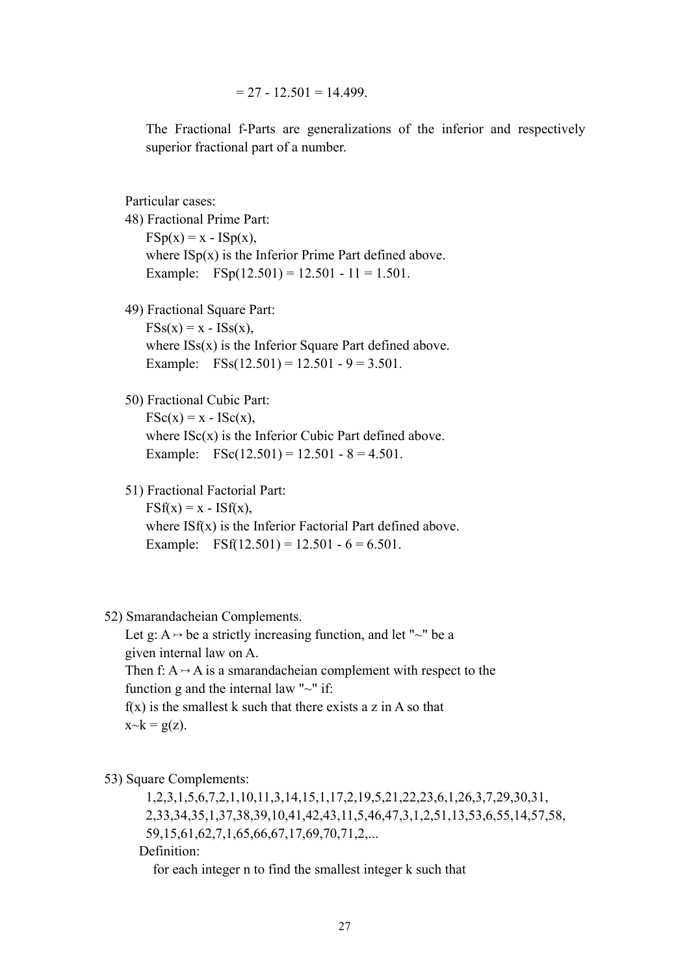$= 27 - 12.501 = 14.499$ .

The Fractional f-Parts are generalizations of the inferior and respectively superior fractional part of a number.

Particular cases:

 48) Fractional Prime Part:  $FSp(x) = x - ISp(x)$ , where  $\text{ISp}(x)$  is the Inferior Prime Part defined above. Example:  $FSp(12.501) = 12.501 - 11 = 1.501$ .

49) Fractional Square Part:

 $FSS(x) = x - ISS(x)$ , where  $ISS(x)$  is the Inferior Square Part defined above. Example:  $FSS(12.501) = 12.501 - 9 = 3.501$ .

#### 50) Fractional Cubic Part:

 $\text{FSc}(x) = x - \text{ISc}(x)$ , where  $\text{ISc}(x)$  is the Inferior Cubic Part defined above. Example:  $FSc(12.501) = 12.501 - 8 = 4.501$ .

51) Fractional Factorial Part:

 $\text{FSf}(x) = x - \text{ISf}(x)$ , where  $\text{ISf}(x)$  is the Inferior Factorial Part defined above. Example: FSf(12.501) = 12.501 -  $6 = 6.501$ .

#### 52) Smarandacheian Complements.

Let g:  $A \rightarrow be$  a strictly increasing function, and let "~" be a given internal law on A. Then f:  $A \rightarrow A$  is a smarandacheian complement with respect to the function g and the internal law " $\sim$ " if:  $f(x)$  is the smallest k such that there exists a z in A so that  $x \sim k = g(z)$ .

53) Square Complements:

 1,2,3,1,5,6,7,2,1,10,11,3,14,15,1,17,2,19,5,21,22,23,6,1,26,3,7,29,30,31, 2,33,34,35,1,37,38,39,10,41,42,43,11,5,46,47,3,1,2,51,13,53,6,55,14,57,58, 59,15,61,62,7,1,65,66,67,17,69,70,71,2,... Definition:

for each integer n to find the smallest integer k such that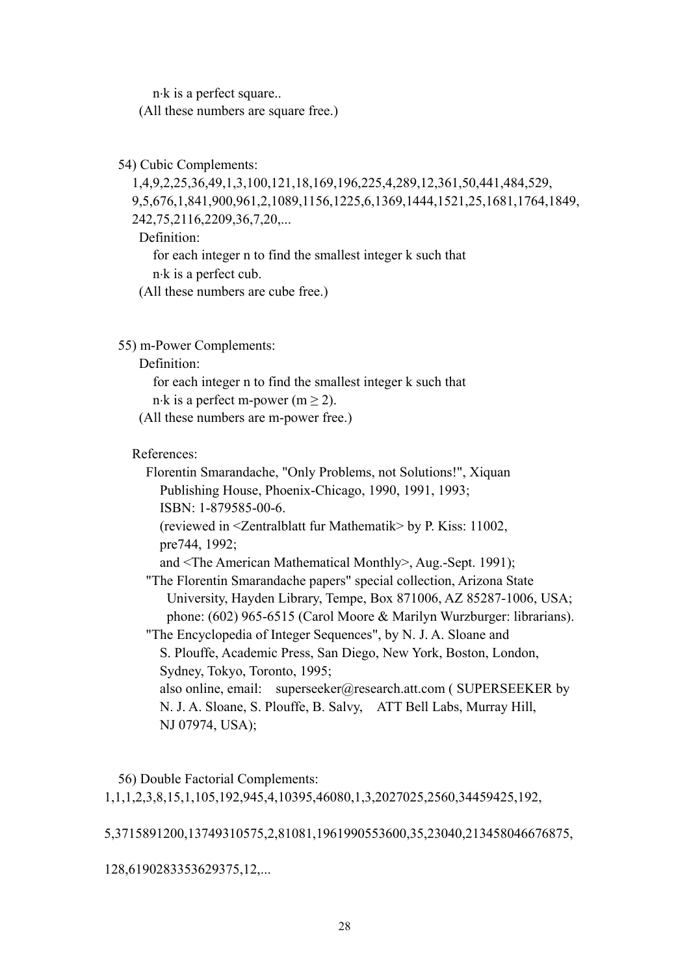n⋅k is a perfect square.. (All these numbers are square free.)

54) Cubic Complements:

 1,4,9,2,25,36,49,1,3,100,121,18,169,196,225,4,289,12,361,50,441,484,529, 9,5,676,1,841,900,961,2,1089,1156,1225,6,1369,1444,1521,25,1681,1764,1849, 242,75,2116,2209,36,7,20,... Definition:

 for each integer n to find the smallest integer k such that n⋅k is a perfect cub.

(All these numbers are cube free.)

55) m-Power Complements:

Definition:

 for each integer n to find the smallest integer k such that n⋅k is a perfect m-power  $(m > 2)$ .

(All these numbers are m-power free.)

References:

 Florentin Smarandache, "Only Problems, not Solutions!", Xiquan Publishing House, Phoenix-Chicago, 1990, 1991, 1993; ISBN: 1-879585-00-6. (reviewed in <Zentralblatt fur Mathematik> by P. Kiss: 11002, pre744, 1992; and <The American Mathematical Monthly>, Aug.-Sept. 1991); "The Florentin Smarandache papers" special collection, Arizona State University, Hayden Library, Tempe, Box 871006, AZ 85287-1006, USA; phone: (602) 965-6515 (Carol Moore & Marilyn Wurzburger: librarians). "The Encyclopedia of Integer Sequences", by N. J. A. Sloane and S. Plouffe, Academic Press, San Diego, New York, Boston, London, Sydney, Tokyo, Toronto, 1995; also online, email: superseeker@research.att.com ( SUPERSEEKER by N. J. A. Sloane, S. Plouffe, B. Salvy, ATT Bell Labs, Murray Hill, NJ 07974, USA);

 56) Double Factorial Complements: 1,1,1,2,3,8,15,1,105,192,945,4,10395,46080,1,3,2027025,2560,34459425,192,

5,3715891200,13749310575,2,81081,1961990553600,35,23040,213458046676875,

128,6190283353629375,12,...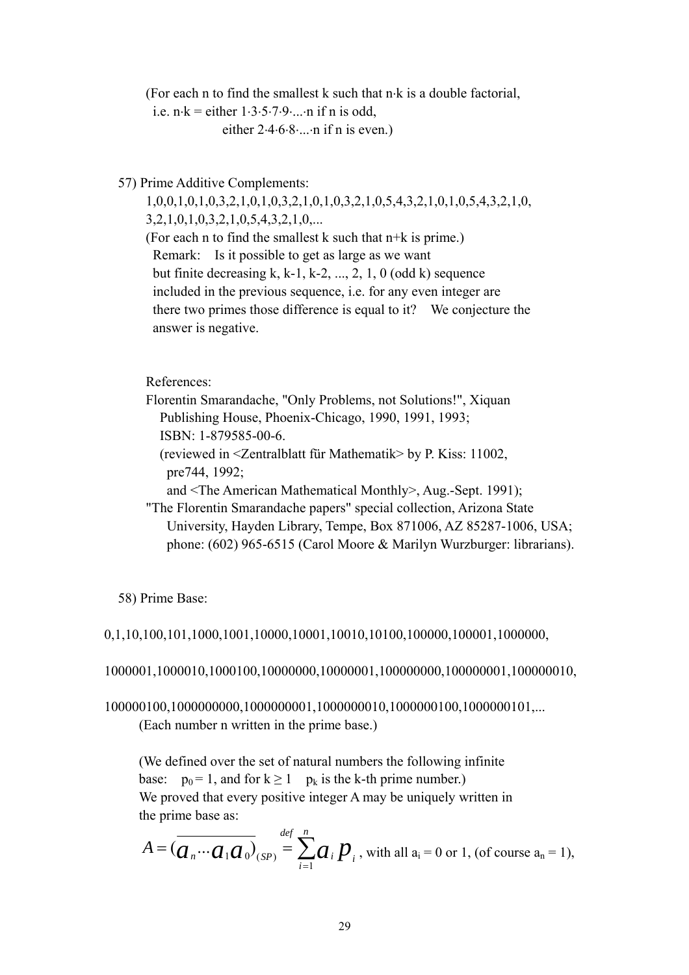(For each n to find the smallest k such that n⋅k is a double factorial, i.e.  $n \cdot k =$  either  $1 \cdot 3 \cdot 5 \cdot 7 \cdot 9 \cdot ... \cdot n$  if n is odd, either  $2.4.6.8...$  n if n is even.)

57) Prime Additive Complements:

 1,0,0,1,0,1,0,3,2,1,0,1,0,3,2,1,0,1,0,3,2,1,0,5,4,3,2,1,0,1,0,5,4,3,2,1,0, 3,2,1,0,1,0,3,2,1,0,5,4,3,2,1,0,... (For each n to find the smallest k such that n+k is prime.) Remark: Is it possible to get as large as we want but finite decreasing k, k-1, k-2,  $\dots$ , 2, 1, 0 (odd k) sequence included in the previous sequence, i.e. for any even integer are there two primes those difference is equal to it? We conjecture the answer is negative.

References:

 Florentin Smarandache, "Only Problems, not Solutions!", Xiquan Publishing House, Phoenix-Chicago, 1990, 1991, 1993; ISBN: 1-879585-00-6.

 (reviewed in <Zentralblatt für Mathematik> by P. Kiss: 11002, pre744, 1992;

and <The American Mathematical Monthly>, Aug.-Sept. 1991);

 "The Florentin Smarandache papers" special collection, Arizona State University, Hayden Library, Tempe, Box 871006, AZ 85287-1006, USA; phone: (602) 965-6515 (Carol Moore & Marilyn Wurzburger: librarians).

58) Prime Base:

0,1,10,100,101,1000,1001,10000,10001,10010,10100,100000,100001,1000000,

1000001,1000010,1000100,10000000,10000001,100000000,100000001,100000010,

100000100,1000000000,1000000001,1000000010,1000000100,1000000101,... (Each number n written in the prime base.)

 (We defined over the set of natural numbers the following infinite base:  $p_0 = 1$ , and for  $k \ge 1$   $p_k$  is the k-th prime number.) We proved that every positive integer A may be uniquely written in the prime base as:

$$
A = \left(\overline{a_n \cdots a_1 a_0}\right)_{(SP)} \stackrel{def}{=} \sum_{i=1}^n a_i p_i
$$
, with all  $a_i = 0$  or 1, (of course  $a_n = 1$ ),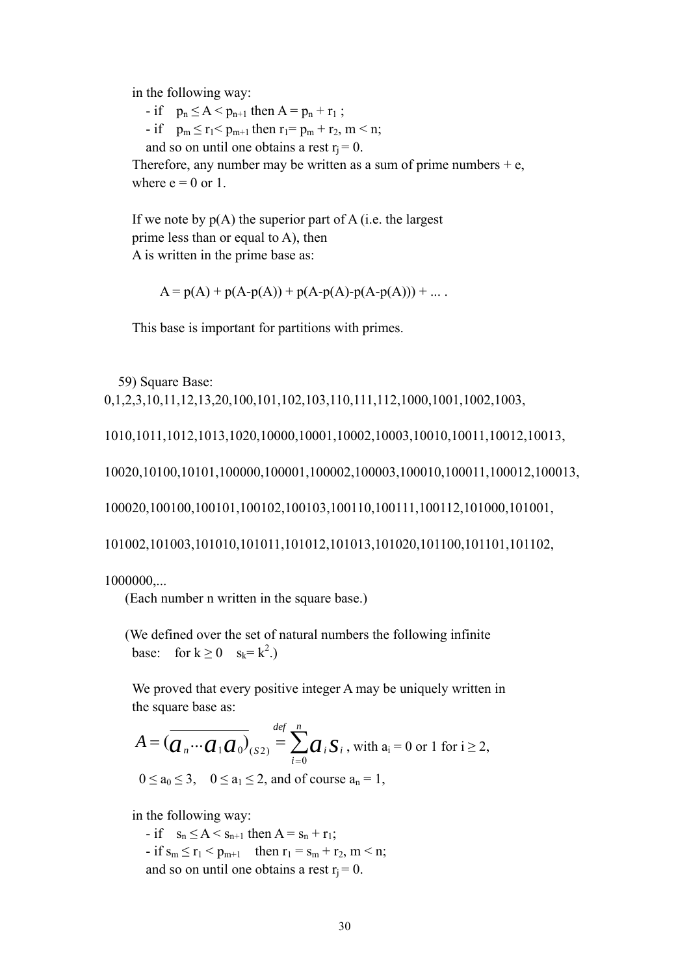in the following way:

- if  $p_n \leq A < p_{n+1}$  then  $A = p_n + r_1$ ;

- if  $p_m \le r_1 < p_{m+1}$  then  $r_1 = p_m + r_2$ ,  $m < n$ ;

and so on until one obtains a rest  $r_i = 0$ .

Therefore, any number may be written as a sum of prime numbers  $+e$ , where  $e = 0$  or 1.

If we note by  $p(A)$  the superior part of A (i.e. the largest prime less than or equal to A), then A is written in the prime base as:

$$
A = p(A) + p(A - p(A)) + p(A - p(A) - p(A - p(A))) + ...
$$

This base is important for partitions with primes.

59) Square Base:

0,1,2,3,10,11,12,13,20,100,101,102,103,110,111,112,1000,1001,1002,1003,

1010,1011,1012,1013,1020,10000,10001,10002,10003,10010,10011,10012,10013,

10020,10100,10101,100000,100001,100002,100003,100010,100011,100012,100013,

100020,100100,100101,100102,100103,100110,100111,100112,101000,101001,

101002,101003,101010,101011,101012,101013,101020,101100,101101,101102,

1000000,...

(Each number n written in the square base.)

 (We defined over the set of natural numbers the following infinite base: for  $k \ge 0$  s<sub>k</sub>=k<sup>2</sup>.)

 We proved that every positive integer A may be uniquely written in the square base as:

$$
A = (\overline{a_n \cdots a_1 a_0}_{(s_2)}) \stackrel{\text{def}}{=} \sum_{i=0}^n a_i S_i
$$
, with  $a_i = 0$  or 1 for  $i \ge 2$ ,  
  $0 \le a_0 \le 3$ ,  $0 \le a_1 \le 2$ , and of course  $a_n = 1$ ,

in the following way:

- if  $s_n \leq A \leq s_{n+1}$  then  $A = s_n + r_1$ ; - if  $s_m \le r_1 < p_{m+1}$  then  $r_1 = s_m + r_2$ ,  $m < n$ ; and so on until one obtains a rest  $r_i = 0$ .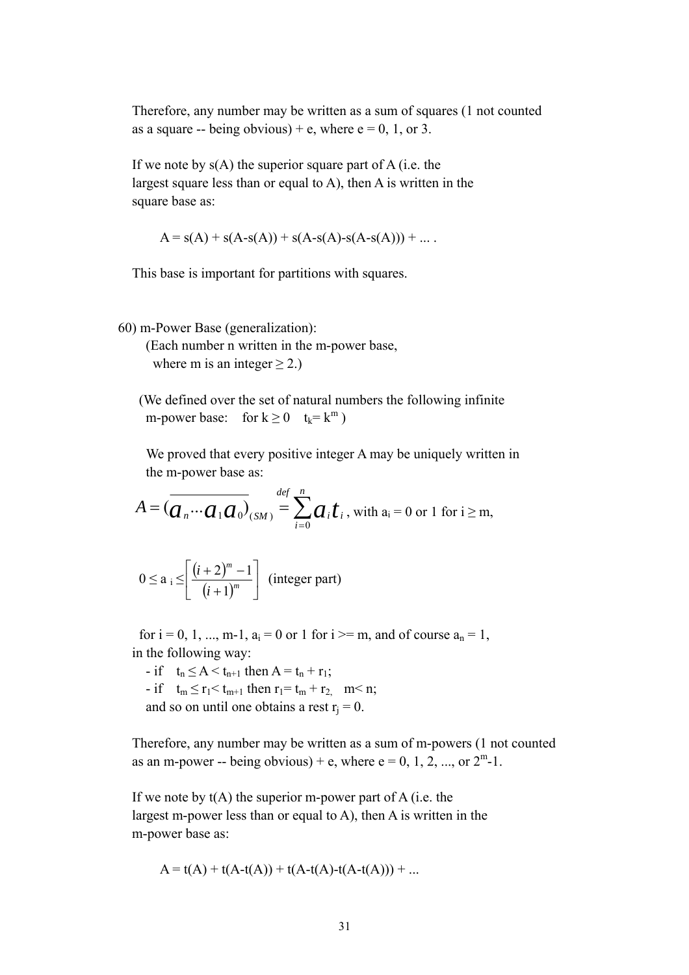Therefore, any number may be written as a sum of squares (1 not counted as a square -- being obvious) + e, where  $e = 0$ , 1, or 3.

If we note by  $s(A)$  the superior square part of A (i.e. the largest square less than or equal to A), then A is written in the square base as:

 $A = s(A) + s(A-s(A)) + s(A-s(A-s(A)) + \dots$ 

This base is important for partitions with squares.

60) m-Power Base (generalization):

 (Each number n written in the m-power base, where m is an integer  $\geq$  2.)

 (We defined over the set of natural numbers the following infinite m-power base: for  $k \ge 0$   $t_k = k^m$ )

 We proved that every positive integer A may be uniquely written in the m-power base as:

$$
A = \left(\overline{a_n \cdots a_1 a_0}\right)_{(SM)} \stackrel{def}{=} \sum_{i=0}^n a_i t_i
$$
, with  $a_i = 0$  or 1 for  $i \ge m$ ,

$$
0 \le a_i \le \left[ \frac{(i+2)^m - 1}{(i+1)^m} \right] \text{ (integer part)}
$$

for  $i = 0, 1, ..., m-1$ ,  $a_i = 0$  or 1 for  $i \ge m$ , and of course  $a_n = 1$ , in the following way:

- if  $t_n \leq A < t_{n+1}$  then  $A = t_n + r_1$ ; - if  $t_m \le r_1 < t_{m+1}$  then  $r_1 = t_m + r_2$ ,  $m < n$ ; and so on until one obtains a rest  $r_i = 0$ .

Therefore, any number may be written as a sum of m-powers (1 not counted

as an m-power -- being obvious) + e, where  $e = 0, 1, 2, \dots$ , or  $2^m$ -1.

If we note by  $t(A)$  the superior m-power part of A (i.e. the largest m-power less than or equal to A), then A is written in the m-power base as:

$$
A = t(A) + t(A-t(A)) + t(A-t(A)-t(A-t(A))) + ...
$$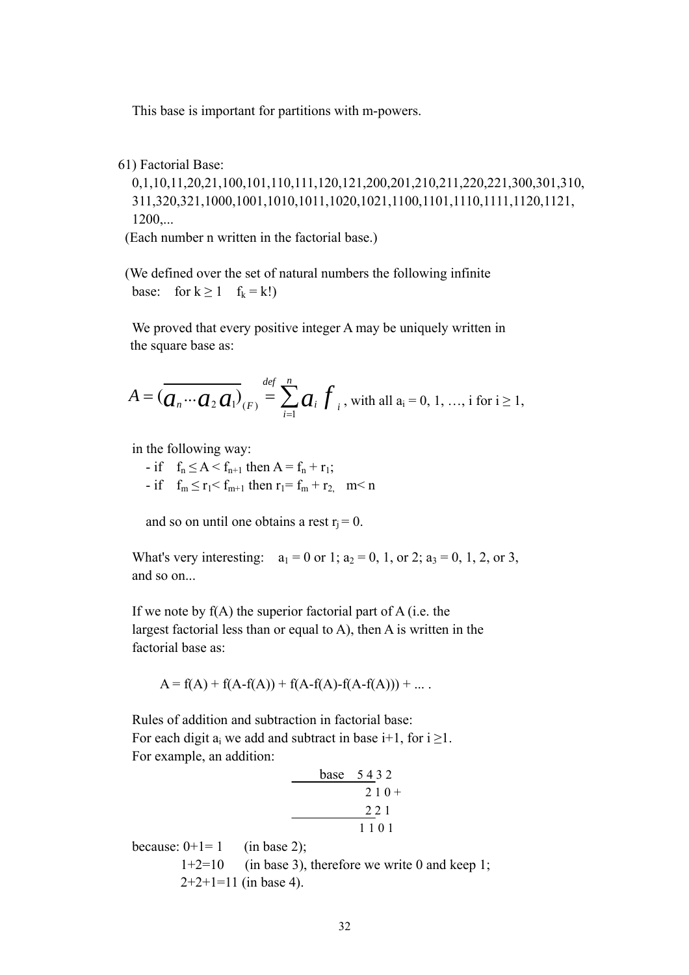This base is important for partitions with m-powers.

61) Factorial Base:

 0,1,10,11,20,21,100,101,110,111,120,121,200,201,210,211,220,221,300,301,310, 311,320,321,1000,1001,1010,1011,1020,1021,1100,1101,1110,1111,1120,1121, 1200,...

(Each number n written in the factorial base.)

 (We defined over the set of natural numbers the following infinite base: for  $k \ge 1$  f<sub>k</sub> = k!)

 We proved that every positive integer A may be uniquely written in the square base as:

$$
A = \left(\overline{a_n \cdots a_2 a_1}\right)_{(F)} = \sum_{i=1}^{def} a_i f_i
$$
, with all  $a_i = 0, 1, ..., i$  for  $i \ge 1$ ,

in the following way:

- if  $f_n \leq A < f_{n+1}$  then  $A = f_n + r_1$ ;
- if  $f_m \le r_1 < f_{m+1}$  then  $r_1 = f_m + r_2$ ,  $m < n$

and so on until one obtains a rest  $r_i = 0$ .

What's very interesting:  $a_1 = 0$  or 1;  $a_2 = 0$ , 1, or 2;  $a_3 = 0$ , 1, 2, or 3, and so on...

If we note by  $f(A)$  the superior factorial part of A (i.e. the largest factorial less than or equal to A), then A is written in the factorial base as:

$$
A = f(A) + f(A - f(A)) + f(A - f(A) - f(A - f(A))) + ...
$$

 Rules of addition and subtraction in factorial base: For each digit  $a_i$  we add and subtract in base i+1, for  $i \ge 1$ . For example, an addition:

$$
\frac{\text{base} \quad 5432}{210+21}
$$
\n
$$
\frac{221}{1101}
$$

because:  $0+1=1$  (in base 2);

 $1+2=10$  (in base 3), therefore we write 0 and keep 1;  $2+2+1=11$  (in base 4).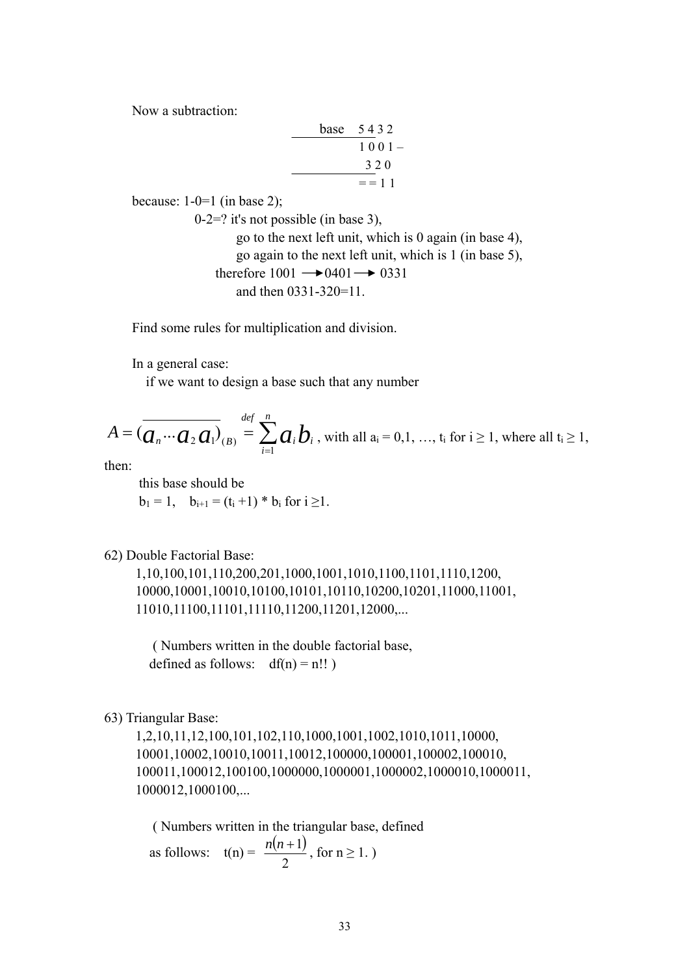Now a subtraction:

|  | base 5432 |
|--|-----------|
|  | $1001-$   |
|  | 320       |
|  | $=$ = 1.1 |

because:  $1-0=1$  (in base 2);

 0-2=? it's not possible (in base 3), go to the next left unit, which is 0 again (in base 4), go again to the next left unit, which is 1 (in base 5), therefore  $1001 \rightarrow 0401 \rightarrow 0331$ and then 0331-320=11.

Find some rules for multiplication and division.

In a general case:

if we want to design a base such that any number

$$
A = \left(\overline{a_n \cdots a_2 a_1}\right)_{(B)} \stackrel{def}{=} \sum_{i=1}^n a_i b_i
$$
, with all  $a_i = 0, 1, ..., t_i$  for  $i \ge 1$ , where all  $t_i \ge 1$ ,

then:

 this base should be  $b_1 = 1$ ,  $b_{i+1} = (t_i + 1) * b_i$  for  $i \ge 1$ .

62) Double Factorial Base:

 1,10,100,101,110,200,201,1000,1001,1010,1100,1101,1110,1200, 10000,10001,10010,10100,10101,10110,10200,10201,11000,11001, 11010,11100,11101,11110,11200,11201,12000,...

 ( Numbers written in the double factorial base, defined as follows:  $df(n) = n!!$ )

63) Triangular Base:

 1,2,10,11,12,100,101,102,110,1000,1001,1002,1010,1011,10000, 10001,10002,10010,10011,10012,100000,100001,100002,100010, 100011,100012,100100,1000000,1000001,1000002,1000010,1000011, 1000012,1000100,...

 ( Numbers written in the triangular base, defined as follows:  $t(n) = \frac{n(n+1)}{2}$ 2  $\frac{n(n+1)}{2}$ , for n  $\geq 1$ .)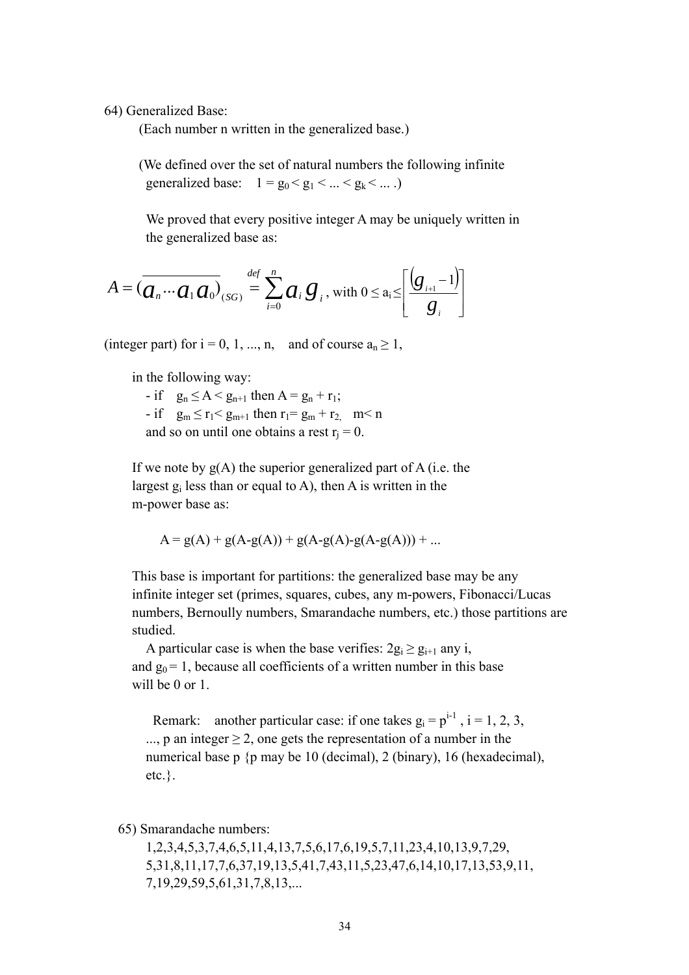64) Generalized Base:

(Each number n written in the generalized base.)

 (We defined over the set of natural numbers the following infinite generalized base:  $1 = g_0 < g_1 < ... < g_k < ...$ )

 We proved that every positive integer A may be uniquely written in the generalized base as:

$$
A = \left(\overline{a_n \cdots a_1 a_0}\right)_{(SG)} \stackrel{\text{def}}{=} \sum_{i=0}^n a_i g_i, \text{ with } 0 \leq a_i \leq \left[\frac{\left(g_{i+1} - 1\right)}{g_i}\right]
$$

(integer part) for  $i = 0, 1, ..., n$ , and of course  $a_n \ge 1$ ,

in the following way:

- if  $g_n \leq A < g_{n+1}$  then  $A = g_n + r_1$ ; - if  $g_m \le r_1 < g_{m+1}$  then  $r_1 = g_m + r_2$ ,  $m < n$ and so on until one obtains a rest  $r_i = 0$ .

If we note by  $g(A)$  the superior generalized part of A (i.e. the largest  $g_i$  less than or equal to A), then A is written in the m-power base as:

$$
A = g(A) + g(A - g(A)) + g(A - g(A) - g(A - g(A))) + ...
$$

 This base is important for partitions: the generalized base may be any infinite integer set (primes, squares, cubes, any m-powers, Fibonacci/Lucas numbers, Bernoully numbers, Smarandache numbers, etc.) those partitions are studied.

A particular case is when the base verifies:  $2g_i \ge g_{i+1}$  any i, and  $g_0 = 1$ , because all coefficients of a written number in this base will be 0 or 1.

Remark: another particular case: if one takes  $g_i = p^{i-1}$ ,  $i = 1, 2, 3$ , ..., p an integer  $\geq 2$ , one gets the representation of a number in the numerical base p {p may be 10 (decimal), 2 (binary), 16 (hexadecimal), etc.}.

65) Smarandache numbers:

 1,2,3,4,5,3,7,4,6,5,11,4,13,7,5,6,17,6,19,5,7,11,23,4,10,13,9,7,29, 5,31,8,11,17,7,6,37,19,13,5,41,7,43,11,5,23,47,6,14,10,17,13,53,9,11, 7,19,29,59,5,61,31,7,8,13,...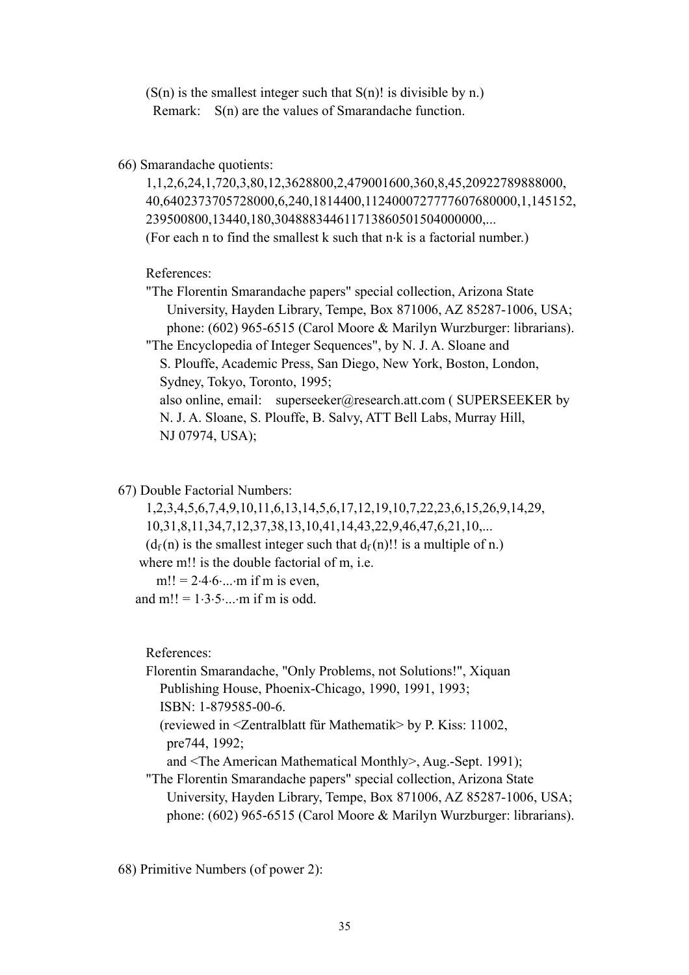$(S(n)$  is the smallest integer such that  $S(n)!$  is divisible by n.) Remark: S(n) are the values of Smarandache function.

66) Smarandache quotients:

 1,1,2,6,24,1,720,3,80,12,3628800,2,479001600,360,8,45,20922789888000, 40,6402373705728000,6,240,1814400,1124000727777607680000,1,145152, 239500800,13440,180,304888344611713860501504000000,... (For each n to find the smallest k such that n⋅k is a factorial number.)

References:

 "The Florentin Smarandache papers" special collection, Arizona State University, Hayden Library, Tempe, Box 871006, AZ 85287-1006, USA; phone: (602) 965-6515 (Carol Moore & Marilyn Wurzburger: librarians). "The Encyclopedia of Integer Sequences", by N. J. A. Sloane and S. Plouffe, Academic Press, San Diego, New York, Boston, London, Sydney, Tokyo, Toronto, 1995; also online, email: superseeker@research.att.com ( SUPERSEEKER by N. J. A. Sloane, S. Plouffe, B. Salvy, ATT Bell Labs, Murray Hill, NJ 07974, USA);

67) Double Factorial Numbers:

 1,2,3,4,5,6,7,4,9,10,11,6,13,14,5,6,17,12,19,10,7,22,23,6,15,26,9,14,29, 10,31,8,11,34,7,12,37,38,13,10,41,14,43,22,9,46,47,6,21,10,...  $(d_f(n))$  is the smallest integer such that  $d_f(n)$ !! is a multiple of n.)

where m!! is the double factorial of m, i.e.

 $m!! = 2.4.6 \dots m$  if m is even.

and m!! =  $1.3.5...$  m if m is odd.

References:

 Florentin Smarandache, "Only Problems, not Solutions!", Xiquan Publishing House, Phoenix-Chicago, 1990, 1991, 1993; ISBN: 1-879585-00-6. (reviewed in <Zentralblatt für Mathematik> by P. Kiss: 11002, pre744, 1992;

and <The American Mathematical Monthly>, Aug.-Sept. 1991);

 "The Florentin Smarandache papers" special collection, Arizona State University, Hayden Library, Tempe, Box 871006, AZ 85287-1006, USA; phone: (602) 965-6515 (Carol Moore & Marilyn Wurzburger: librarians).

68) Primitive Numbers (of power 2):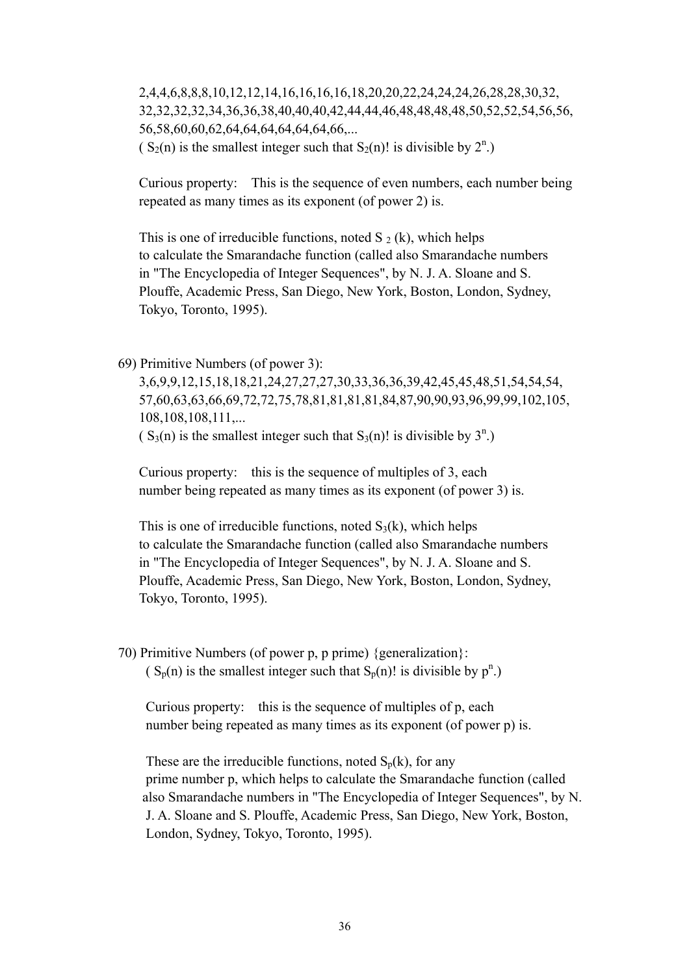2,4,4,6,8,8,8,10,12,12,14,16,16,16,16,18,20,20,22,24,24,24,26,28,28,30,32, 32,32,32,32,34,36,36,38,40,40,40,42,44,44,46,48,48,48,48,50,52,52,54,56,56, 56,58,60,60,62,64,64,64,64,64,64,66,...  $(S_2(n)$  is the smallest integer such that  $S_2(n)!$  is divisible by  $2^n$ .)

 Curious property: This is the sequence of even numbers, each number being repeated as many times as its exponent (of power 2) is.

This is one of irreducible functions, noted S  $_2$  (k), which helps to calculate the Smarandache function (called also Smarandache numbers in "The Encyclopedia of Integer Sequences", by N. J. A. Sloane and S. Plouffe, Academic Press, San Diego, New York, Boston, London, Sydney, Tokyo, Toronto, 1995).

69) Primitive Numbers (of power 3):

 3,6,9,9,12,15,18,18,21,24,27,27,27,30,33,36,36,39,42,45,45,48,51,54,54,54, 57,60,63,63,66,69,72,72,75,78,81,81,81,81,84,87,90,90,93,96,99,99,102,105, 108,108,108,111,...

 $(S_3(n)$  is the smallest integer such that  $S_3(n)!$  is divisible by  $3^n$ .)

 Curious property: this is the sequence of multiples of 3, each number being repeated as many times as its exponent (of power 3) is.

This is one of irreducible functions, noted  $S_3(k)$ , which helps to calculate the Smarandache function (called also Smarandache numbers in "The Encyclopedia of Integer Sequences", by N. J. A. Sloane and S. Plouffe, Academic Press, San Diego, New York, Boston, London, Sydney, Tokyo, Toronto, 1995).

 70) Primitive Numbers (of power p, p prime) {generalization}:  $(S_p(n)$  is the smallest integer such that  $S_p(n)!$  is divisible by  $p^n$ .)

 Curious property: this is the sequence of multiples of p, each number being repeated as many times as its exponent (of power p) is.

These are the irreducible functions, noted  $S_p(k)$ , for any prime number p, which helps to calculate the Smarandache function (called also Smarandache numbers in "The Encyclopedia of Integer Sequences", by N. J. A. Sloane and S. Plouffe, Academic Press, San Diego, New York, Boston, London, Sydney, Tokyo, Toronto, 1995).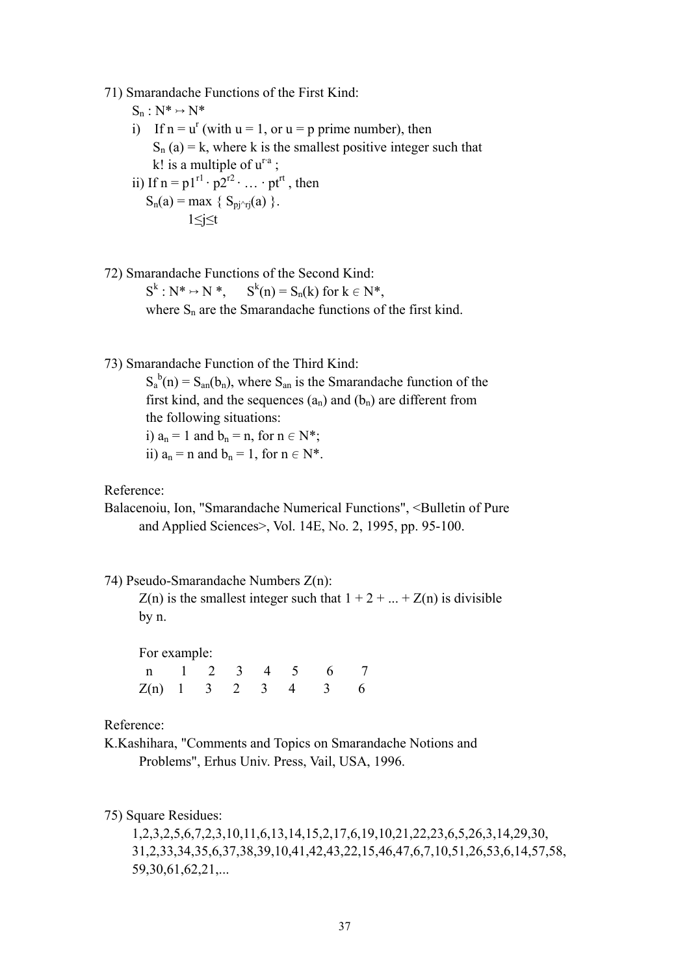71) Smarandache Functions of the First Kind:

 $S_n : N^* \rightarrow N^*$ 

- i) If  $n = u^r$  (with  $u = 1$ , or  $u = p$  prime number), then  $S_n$  (a) = k, where k is the smallest positive integer such that k! is a multiple of  $u^{ra}$  ;
	- ii) If  $n = p1^{r1} \cdot p2^{r2} \cdot \ldots \cdot pt^{rt}$ , then  $S_n(a) = \max \{ S_{pi\gamma r}(a) \}.$ 1≤j≤t
- 72) Smarandache Functions of the Second Kind:  $S^k : N^* \rightarrow N^*$ ,  $S^k$  $S^k(n) = S_n(k)$  for  $k \in N^*$ , where  $S_n$  are the Smarandache functions of the first kind.
- 73) Smarandache Function of the Third Kind:

 $S_a^b(n) = S_{an}(b_n)$ , where  $S_{an}$  is the Smarandache function of the first kind, and the sequences  $(a_n)$  and  $(b_n)$  are different from the following situations: i)  $a_n = 1$  and  $b_n = n$ , for  $n \in N^*$ ;

ii)  $a_n = n$  and  $b_n = 1$ , for  $n \in N^*$ .

Reference:

Balacenoiu, Ion, "Smarandache Numerical Functions", <Bulletin of Pure and Applied Sciences>, Vol. 14E, No. 2, 1995, pp. 95-100.

74) Pseudo-Smarandache Numbers Z(n):

 $Z(n)$  is the smallest integer such that  $1 + 2 + ... + Z(n)$  is divisible by n.

For example:

|                      |  |  | n 1 2 3 4 5 6 7 |  |
|----------------------|--|--|-----------------|--|
| $Z(n)$ 1 3 2 3 4 3 6 |  |  |                 |  |

Reference:

K.Kashihara, "Comments and Topics on Smarandache Notions and Problems", Erhus Univ. Press, Vail, USA, 1996.

75) Square Residues:

 1,2,3,2,5,6,7,2,3,10,11,6,13,14,15,2,17,6,19,10,21,22,23,6,5,26,3,14,29,30, 31,2,33,34,35,6,37,38,39,10,41,42,43,22,15,46,47,6,7,10,51,26,53,6,14,57,58, 59,30,61,62,21,...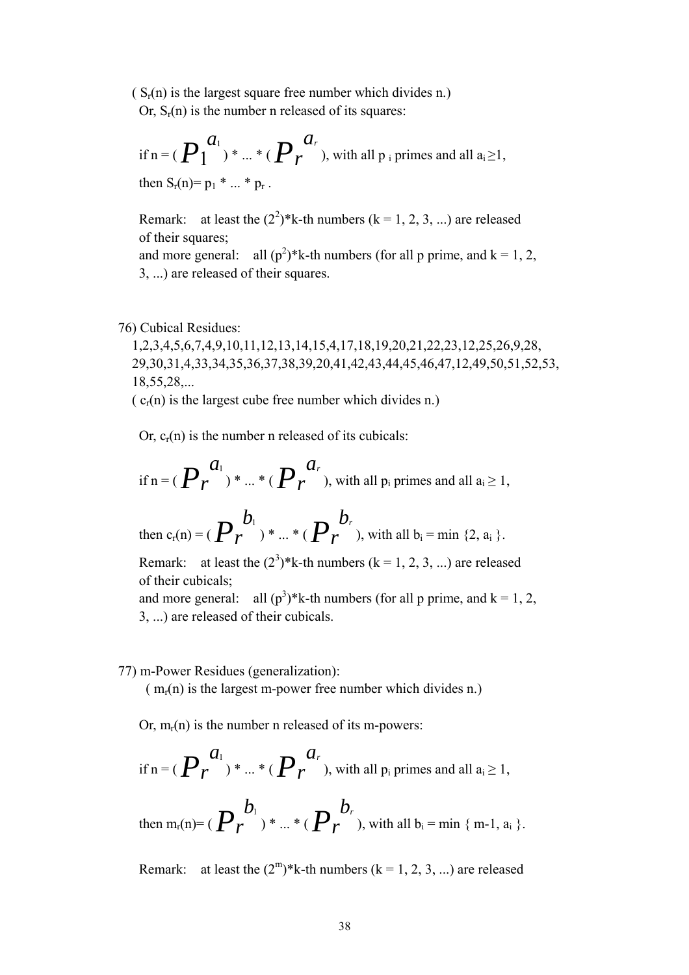$(S_r(n)$  is the largest square free number which divides n.) Or,  $S_r(n)$  is the number n released of its squares:

if  $n = (P_1^{a_1}) * ... * (P_r)$ *ar* ), with all  $p_i$  primes and all  $a_i \ge 1$ , then  $S_r(n) = p_1 * ... * p_r$ .

Remark: at least the  $(2^2)^*$ k-th numbers (k = 1, 2, 3, ...) are released of their squares; and more general: all  $(p^2)^*$ k-th numbers (for all p prime, and k = 1, 2, 3, ...) are released of their squares.

#### 76) Cubical Residues:

 1,2,3,4,5,6,7,4,9,10,11,12,13,14,15,4,17,18,19,20,21,22,23,12,25,26,9,28, 29,30,31,4,33,34,35,36,37,38,39,20,41,42,43,44,45,46,47,12,49,50,51,52,53, 18,55,28,...

 $(c_r(n))$  is the largest cube free number which divides n.)

Or,  $c_r(n)$  is the number n released of its cubicals:

if  $n = (P_r)$  $a_{1}$ ) \* ... \* (*Pr ar* ), with all  $p_i$  primes and all  $a_i \geq 1$ ,

then  $c_r(n) = (P_r)$  $b_{1}$ ) \* ... \* (*Pr*  $b_r$ ), with all  $b_i = min \{2, a_i\}$ .

Remark: at least the  $(2^3)^*$ k-th numbers (k = 1, 2, 3, ...) are released of their cubicals;

and more general: all  $(p^3)^*$ k-th numbers (for all p prime, and k = 1, 2, 3, ...) are released of their cubicals.

77) m-Power Residues (generalization):

 $(m_r(n))$  is the largest m-power free number which divides n.)

Or,  $m_r(n)$  is the number n released of its m-powers:

if n = 
$$
(P_r^{a_1})
$$
 \* ... \*  $(P_r^{a_r})$ , with all p<sub>i</sub> primes and all a<sub>i</sub>  $\ge$  1,

then m<sub>r</sub>(n)= ( $P_r$  $b_1$ ) \* ... \* (*Pr*  $b_r$ ), with all  $b_i = \min \{ m-1, a_i \}$ .

Remark: at least the  $(2^m)^*$ k-th numbers (k = 1, 2, 3, ...) are released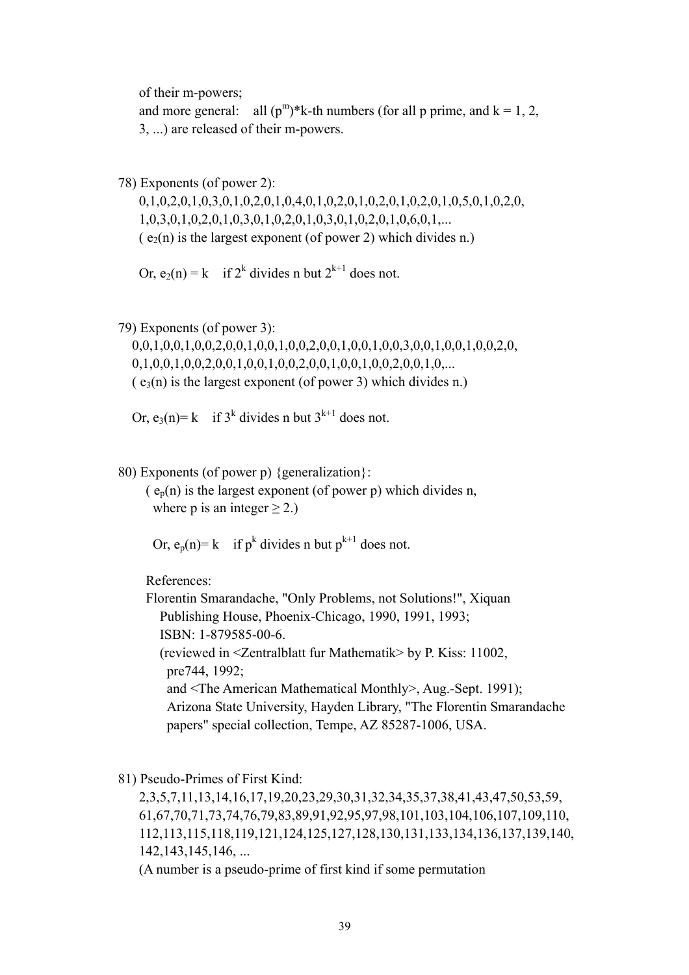of their m-powers;

and more general: all  $(p^m)*k$ -th numbers (for all p prime, and  $k = 1, 2,$ 3, ...) are released of their m-powers.

78) Exponents (of power 2):

 0,1,0,2,0,1,0,3,0,1,0,2,0,1,0,4,0,1,0,2,0,1,0,2,0,1,0,2,0,1,0,5,0,1,0,2,0, 1,0,3,0,1,0,2,0,1,0,3,0,1,0,2,0,1,0,3,0,1,0,2,0,1,0,6,0,1,...  $(e_2(n)$  is the largest exponent (of power 2) which divides n.)

Or,  $e_2(n) = k$  if  $2^k$  divides n but  $2^{k+1}$  does not.

79) Exponents (of power 3):

 0,0,1,0,0,1,0,0,2,0,0,1,0,0,1,0,0,2,0,0,1,0,0,1,0,0,3,0,0,1,0,0,1,0,0,2,0,  $0,1,0,0,1,0,0,2,0,0,1,0,0,1,0,0,2,0,0,1,0,0,2,0,0,1,0,...$  $(e<sub>3</sub>(n)$  is the largest exponent (of power 3) which divides n.)

Or,  $e_3(n) = k$  if  $3^k$  divides n but  $3^{k+1}$  does not.

80) Exponents (of power p) {generalization}:

 $(e_p(n))$  is the largest exponent (of power p) which divides n, where p is an integer  $\geq$  2.)

Or,  $e_p(n) = k$  if  $p^k$  divides n but  $p^{k+1}$  does not.

References:

 Florentin Smarandache, "Only Problems, not Solutions!", Xiquan Publishing House, Phoenix-Chicago, 1990, 1991, 1993; ISBN: 1-879585-00-6. (reviewed in <Zentralblatt fur Mathematik> by P. Kiss: 11002, pre744, 1992; and <The American Mathematical Monthly>, Aug.-Sept. 1991); Arizona State University, Hayden Library, "The Florentin Smarandache papers" special collection, Tempe, AZ 85287-1006, USA.

81) Pseudo-Primes of First Kind:

 2,3,5,7,11,13,14,16,17,19,20,23,29,30,31,32,34,35,37,38,41,43,47,50,53,59, 61,67,70,71,73,74,76,79,83,89,91,92,95,97,98,101,103,104,106,107,109,110, 112,113,115,118,119,121,124,125,127,128,130,131,133,134,136,137,139,140, 142,143,145,146, ...

(A number is a pseudo-prime of first kind if some permutation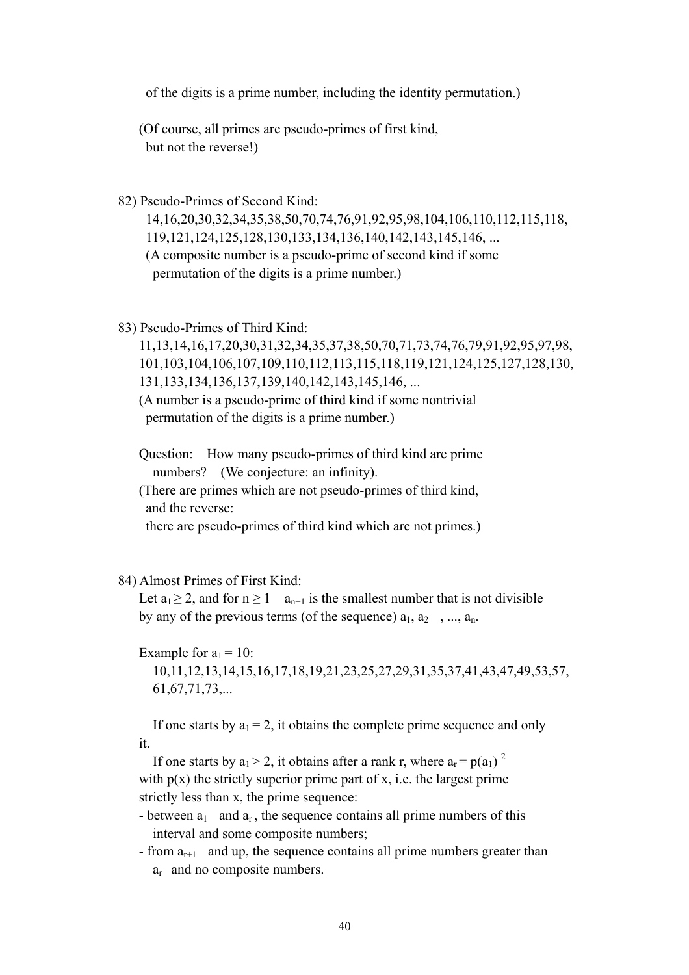of the digits is a prime number, including the identity permutation.)

 (Of course, all primes are pseudo-primes of first kind, but not the reverse!)

82) Pseudo-Primes of Second Kind:

 14,16,20,30,32,34,35,38,50,70,74,76,91,92,95,98,104,106,110,112,115,118, 119,121,124,125,128,130,133,134,136,140,142,143,145,146, ... (A composite number is a pseudo-prime of second kind if some permutation of the digits is a prime number.)

83) Pseudo-Primes of Third Kind:

 11,13,14,16,17,20,30,31,32,34,35,37,38,50,70,71,73,74,76,79,91,92,95,97,98, 101,103,104,106,107,109,110,112,113,115,118,119,121,124,125,127,128,130, 131,133,134,136,137,139,140,142,143,145,146, ... (A number is a pseudo-prime of third kind if some nontrivial

permutation of the digits is a prime number.)

 Question: How many pseudo-primes of third kind are prime numbers? (We conjecture: an infinity).

 (There are primes which are not pseudo-primes of third kind, and the reverse:

there are pseudo-primes of third kind which are not primes.)

84) Almost Primes of First Kind:

Let  $a_1 \geq 2$ , and for  $n \geq 1$  a<sub>n+1</sub> is the smallest number that is not divisible by any of the previous terms (of the sequence)  $a_1, a_2, ..., a_n$ .

Example for  $a_1 = 10$ : 10,11,12,13,14,15,16,17,18,19,21,23,25,27,29,31,35,37,41,43,47,49,53,57, 61,67,71,73,...

If one starts by  $a_1 = 2$ , it obtains the complete prime sequence and only it.

If one starts by  $a_1 > 2$ , it obtains after a rank r, where  $a_r = p(a_1)^2$ with  $p(x)$  the strictly superior prime part of x, i.e. the largest prime strictly less than x, the prime sequence:

- between  $a_1$  and  $a_r$ , the sequence contains all prime numbers of this interval and some composite numbers;
- from  $a_{r+1}$  and up, the sequence contains all prime numbers greater than ar and no composite numbers.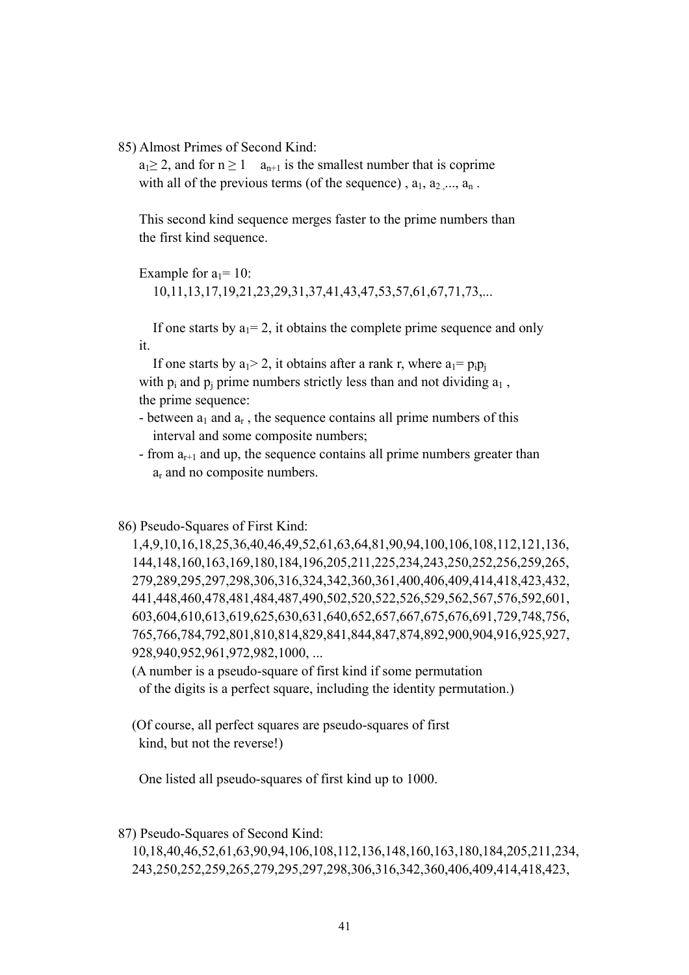85) Almost Primes of Second Kind:

 $a_1 > 2$ , and for  $n > 1$  a<sub>n+1</sub> is the smallest number that is coprime with all of the previous terms (of the sequence),  $a_1, a_2, \ldots, a_n$ .

 This second kind sequence merges faster to the prime numbers than the first kind sequence.

Example for  $a_1 = 10$ :

10,11,13,17,19,21,23,29,31,37,41,43,47,53,57,61,67,71,73,...

If one starts by  $a_1 = 2$ , it obtains the complete prime sequence and only it.

If one starts by  $a_1 > 2$ , it obtains after a rank r, where  $a_1 = p_i p_i$ with  $p_i$  and  $p_i$  prime numbers strictly less than and not dividing  $a_1$ , the prime sequence:

- between  $a_1$  and  $a_r$ , the sequence contains all prime numbers of this interval and some composite numbers;
- from  $a_{r+1}$  and up, the sequence contains all prime numbers greater than ar and no composite numbers.

86) Pseudo-Squares of First Kind:

 1,4,9,10,16,18,25,36,40,46,49,52,61,63,64,81,90,94,100,106,108,112,121,136, 144,148,160,163,169,180,184,196,205,211,225,234,243,250,252,256,259,265, 279,289,295,297,298,306,316,324,342,360,361,400,406,409,414,418,423,432, 441,448,460,478,481,484,487,490,502,520,522,526,529,562,567,576,592,601, 603,604,610,613,619,625,630,631,640,652,657,667,675,676,691,729,748,756, 765,766,784,792,801,810,814,829,841,844,847,874,892,900,904,916,925,927, 928,940,952,961,972,982,1000, ...

 (A number is a pseudo-square of first kind if some permutation of the digits is a perfect square, including the identity permutation.)

 (Of course, all perfect squares are pseudo-squares of first kind, but not the reverse!)

One listed all pseudo-squares of first kind up to 1000.

87) Pseudo-Squares of Second Kind:

 10,18,40,46,52,61,63,90,94,106,108,112,136,148,160,163,180,184,205,211,234, 243,250,252,259,265,279,295,297,298,306,316,342,360,406,409,414,418,423,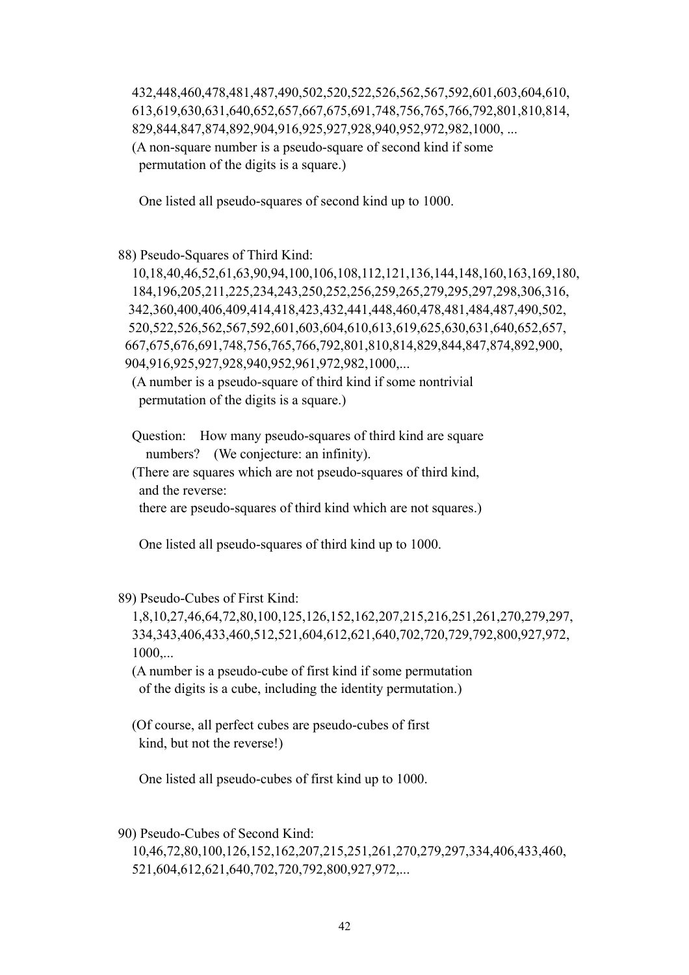432,448,460,478,481,487,490,502,520,522,526,562,567,592,601,603,604,610, 613,619,630,631,640,652,657,667,675,691,748,756,765,766,792,801,810,814, 829,844,847,874,892,904,916,925,927,928,940,952,972,982,1000, ... (A non-square number is a pseudo-square of second kind if some permutation of the digits is a square.)

One listed all pseudo-squares of second kind up to 1000.

88) Pseudo-Squares of Third Kind:

 10,18,40,46,52,61,63,90,94,100,106,108,112,121,136,144,148,160,163,169,180, 184,196,205,211,225,234,243,250,252,256,259,265,279,295,297,298,306,316, 342,360,400,406,409,414,418,423,432,441,448,460,478,481,484,487,490,502, 520,522,526,562,567,592,601,603,604,610,613,619,625,630,631,640,652,657, 667,675,676,691,748,756,765,766,792,801,810,814,829,844,847,874,892,900, 904,916,925,927,928,940,952,961,972,982,1000,...

 (A number is a pseudo-square of third kind if some nontrivial permutation of the digits is a square.)

 Question: How many pseudo-squares of third kind are square numbers? (We conjecture: an infinity).

 (There are squares which are not pseudo-squares of third kind, and the reverse:

there are pseudo-squares of third kind which are not squares.)

One listed all pseudo-squares of third kind up to 1000.

89) Pseudo-Cubes of First Kind:

 1,8,10,27,46,64,72,80,100,125,126,152,162,207,215,216,251,261,270,279,297, 334,343,406,433,460,512,521,604,612,621,640,702,720,729,792,800,927,972, 1000,...

 (A number is a pseudo-cube of first kind if some permutation of the digits is a cube, including the identity permutation.)

 (Of course, all perfect cubes are pseudo-cubes of first kind, but not the reverse!)

One listed all pseudo-cubes of first kind up to 1000.

90) Pseudo-Cubes of Second Kind:

 10,46,72,80,100,126,152,162,207,215,251,261,270,279,297,334,406,433,460, 521,604,612,621,640,702,720,792,800,927,972,...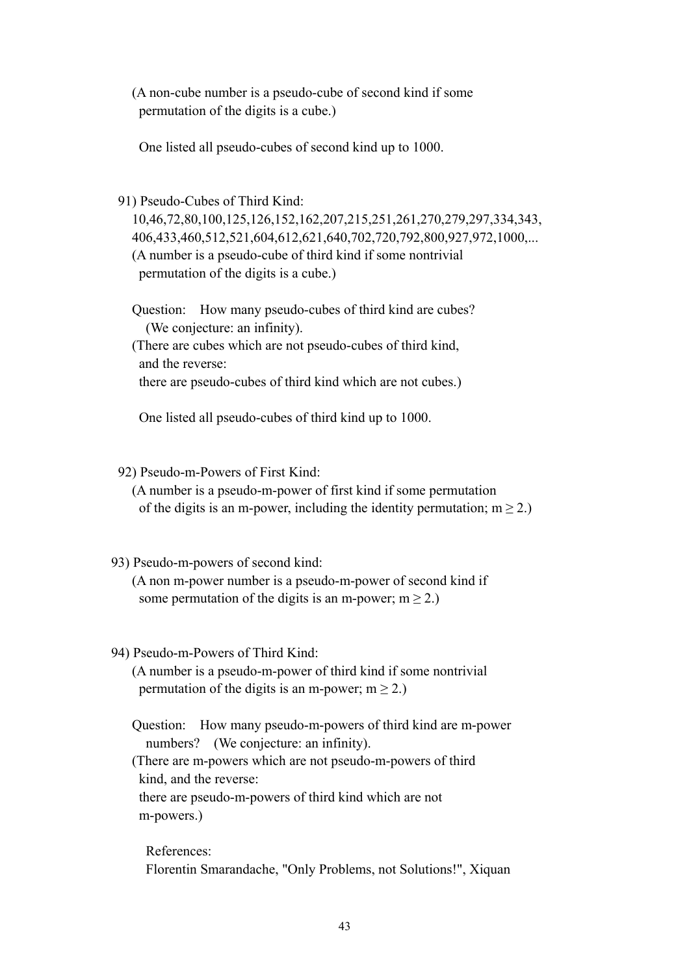(A non-cube number is a pseudo-cube of second kind if some permutation of the digits is a cube.)

One listed all pseudo-cubes of second kind up to 1000.

91) Pseudo-Cubes of Third Kind:

 10,46,72,80,100,125,126,152,162,207,215,251,261,270,279,297,334,343, 406,433,460,512,521,604,612,621,640,702,720,792,800,927,972,1000,... (A number is a pseudo-cube of third kind if some nontrivial permutation of the digits is a cube.)

 Question: How many pseudo-cubes of third kind are cubes? (We conjecture: an infinity).

 (There are cubes which are not pseudo-cubes of third kind, and the reverse:

there are pseudo-cubes of third kind which are not cubes.)

One listed all pseudo-cubes of third kind up to 1000.

92) Pseudo-m-Powers of First Kind:

 (A number is a pseudo-m-power of first kind if some permutation of the digits is an m-power, including the identity permutation;  $m \ge 2$ .)

# 93) Pseudo-m-powers of second kind:

 (A non m-power number is a pseudo-m-power of second kind if some permutation of the digits is an m-power;  $m \ge 2$ .)

# 94) Pseudo-m-Powers of Third Kind:

 (A number is a pseudo-m-power of third kind if some nontrivial permutation of the digits is an m-power;  $m \ge 2$ .)

 Question: How many pseudo-m-powers of third kind are m-power numbers? (We conjecture: an infinity).

 (There are m-powers which are not pseudo-m-powers of third kind, and the reverse:

 there are pseudo-m-powers of third kind which are not m-powers.)

 References: Florentin Smarandache, "Only Problems, not Solutions!", Xiquan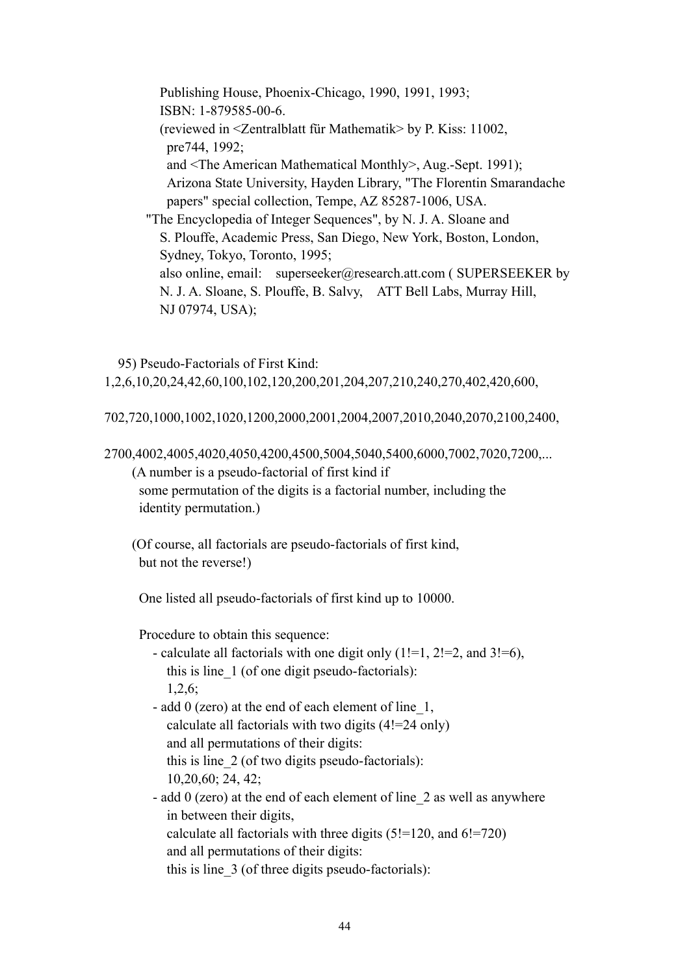Publishing House, Phoenix-Chicago, 1990, 1991, 1993; ISBN: 1-879585-00-6. (reviewed in <Zentralblatt für Mathematik> by P. Kiss: 11002, pre744, 1992; and <The American Mathematical Monthly>, Aug.-Sept. 1991); Arizona State University, Hayden Library, "The Florentin Smarandache papers" special collection, Tempe, AZ 85287-1006, USA. "The Encyclopedia of Integer Sequences", by N. J. A. Sloane and S. Plouffe, Academic Press, San Diego, New York, Boston, London, Sydney, Tokyo, Toronto, 1995; also online, email: superseeker@research.att.com ( SUPERSEEKER by N. J. A. Sloane, S. Plouffe, B. Salvy, ATT Bell Labs, Murray Hill, NJ 07974, USA);

 95) Pseudo-Factorials of First Kind: 1,2,6,10,20,24,42,60,100,102,120,200,201,204,207,210,240,270,402,420,600,

702,720,1000,1002,1020,1200,2000,2001,2004,2007,2010,2040,2070,2100,2400,

2700,4002,4005,4020,4050,4200,4500,5004,5040,5400,6000,7002,7020,7200,...

(A number is a pseudo-factorial of first kind if

 some permutation of the digits is a factorial number, including the identity permutation.)

 (Of course, all factorials are pseudo-factorials of first kind, but not the reverse!)

One listed all pseudo-factorials of first kind up to 10000.

Procedure to obtain this sequence:

- calculate all factorials with one digit only  $(1!=1, 2!=2,$  and  $3!=6)$ , this is line\_1 (of one digit pseudo-factorials): 1,2,6;

 - add 0 (zero) at the end of each element of line\_1, calculate all factorials with two digits (4!=24 only) and all permutations of their digits: this is line\_2 (of two digits pseudo-factorials): 10,20,60; 24, 42;

 - add 0 (zero) at the end of each element of line\_2 as well as anywhere in between their digits, calculate all factorials with three digits  $(5!=120, \text{ and } 6!=720)$ and all permutations of their digits:

this is line\_3 (of three digits pseudo-factorials):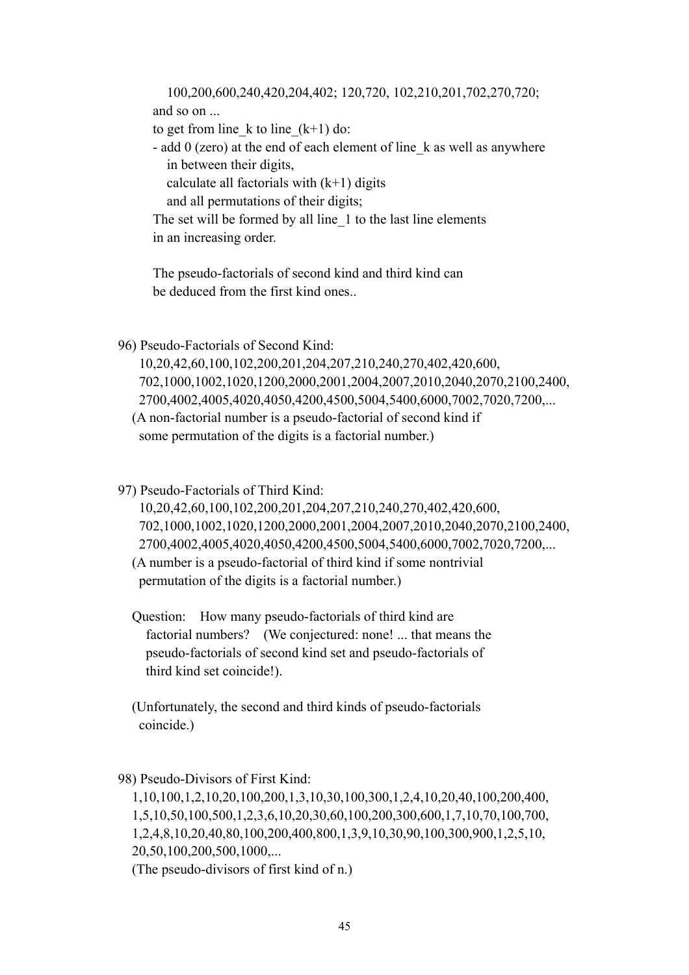100,200,600,240,420,204,402; 120,720, 102,210,201,702,270,720; and so on ...

to get from line k to line  $(k+1)$  do:

 - add 0 (zero) at the end of each element of line\_k as well as anywhere in between their digits,

calculate all factorials with  $(k+1)$  digits

and all permutations of their digits;

The set will be formed by all line 1 to the last line elements in an increasing order.

 The pseudo-factorials of second kind and third kind can be deduced from the first kind ones..

96) Pseudo-Factorials of Second Kind:

 10,20,42,60,100,102,200,201,204,207,210,240,270,402,420,600, 702,1000,1002,1020,1200,2000,2001,2004,2007,2010,2040,2070,2100,2400, 2700,4002,4005,4020,4050,4200,4500,5004,5400,6000,7002,7020,7200,...

 (A non-factorial number is a pseudo-factorial of second kind if some permutation of the digits is a factorial number.)

97) Pseudo-Factorials of Third Kind:

 10,20,42,60,100,102,200,201,204,207,210,240,270,402,420,600, 702,1000,1002,1020,1200,2000,2001,2004,2007,2010,2040,2070,2100,2400, 2700,4002,4005,4020,4050,4200,4500,5004,5400,6000,7002,7020,7200,... (A number is a pseudo-factorial of third kind if some nontrivial permutation of the digits is a factorial number.)

 Question: How many pseudo-factorials of third kind are factorial numbers? (We conjectured: none! ... that means the pseudo-factorials of second kind set and pseudo-factorials of third kind set coincide!).

 (Unfortunately, the second and third kinds of pseudo-factorials coincide.)

98) Pseudo-Divisors of First Kind:

 1,10,100,1,2,10,20,100,200,1,3,10,30,100,300,1,2,4,10,20,40,100,200,400, 1,5,10,50,100,500,1,2,3,6,10,20,30,60,100,200,300,600,1,7,10,70,100,700, 1,2,4,8,10,20,40,80,100,200,400,800,1,3,9,10,30,90,100,300,900,1,2,5,10, 20,50,100,200,500,1000,...

(The pseudo-divisors of first kind of n.)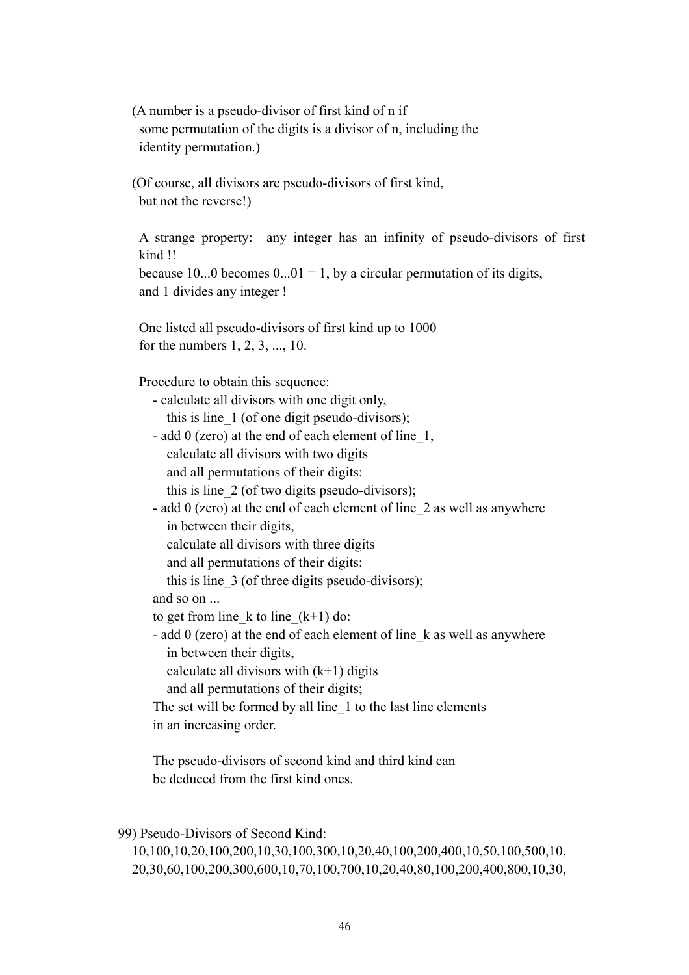(A number is a pseudo-divisor of first kind of n if some permutation of the digits is a divisor of n, including the identity permutation.)

 (Of course, all divisors are pseudo-divisors of first kind, but not the reverse!)

A strange property: any integer has an infinity of pseudo-divisors of first kind !!

because 10...0 becomes  $0...01 = 1$ , by a circular permutation of its digits, and 1 divides any integer !

 One listed all pseudo-divisors of first kind up to 1000 for the numbers 1, 2, 3, ..., 10.

Procedure to obtain this sequence:

| - calculate all divisors with one digit only,                           |
|-------------------------------------------------------------------------|
| this is line 1 (of one digit pseudo-divisors);                          |
| - add 0 (zero) at the end of each element of line $1$ ,                 |
| calculate all divisors with two digits                                  |
| and all permutations of their digits:                                   |
| this is line 2 (of two digits pseudo-divisors);                         |
| - add 0 (zero) at the end of each element of line 2 as well as anywhere |
| in between their digits,                                                |
| calculate all divisors with three digits                                |
| and all permutations of their digits:                                   |
| this is line $\overline{3}$ (of three digits pseudo-divisors);          |
| and so on                                                               |
| to get from line k to line $(k+1)$ do:                                  |
| - add 0 (zero) at the end of each element of line k as well as anywhere |
| in between their digits,                                                |
| calculate all divisors with $(k+1)$ digits                              |
| and all permutations of their digits;                                   |
| The set will be formed by all line 1 to the last line elements          |
| in an increasing order.                                                 |
| The pseudo-divisors of second kind and third kind can                   |

be deduced from the first kind ones.

99) Pseudo-Divisors of Second Kind:

 10,100,10,20,100,200,10,30,100,300,10,20,40,100,200,400,10,50,100,500,10, 20,30,60,100,200,300,600,10,70,100,700,10,20,40,80,100,200,400,800,10,30,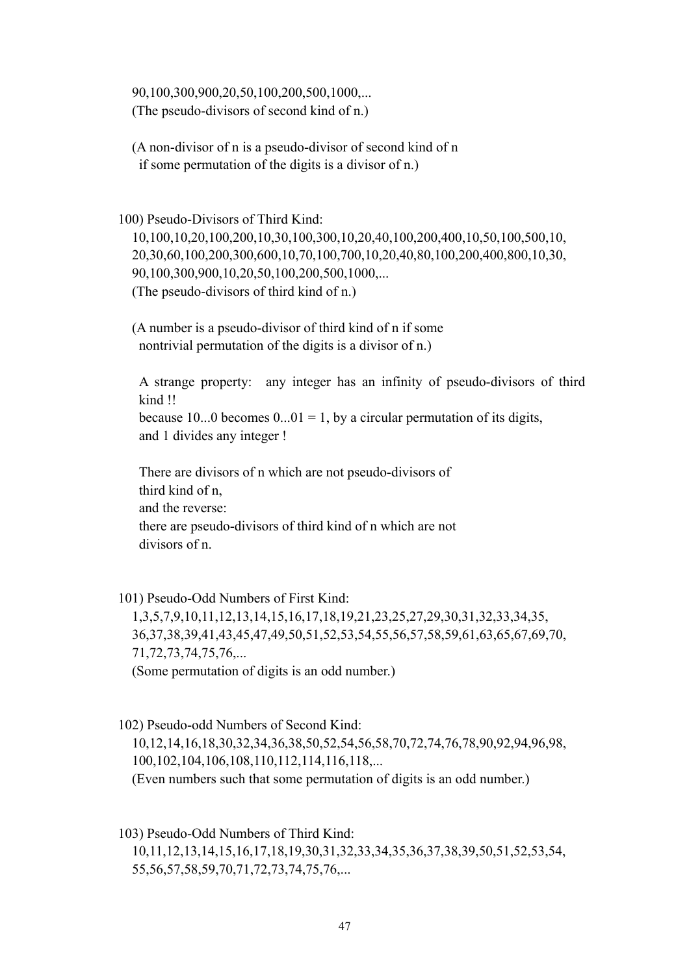90,100,300,900,20,50,100,200,500,1000,... (The pseudo-divisors of second kind of n.)

 (A non-divisor of n is a pseudo-divisor of second kind of n if some permutation of the digits is a divisor of n.)

100) Pseudo-Divisors of Third Kind:

 10,100,10,20,100,200,10,30,100,300,10,20,40,100,200,400,10,50,100,500,10, 20,30,60,100,200,300,600,10,70,100,700,10,20,40,80,100,200,400,800,10,30, 90,100,300,900,10,20,50,100,200,500,1000,... (The pseudo-divisors of third kind of n.)

 (A number is a pseudo-divisor of third kind of n if some nontrivial permutation of the digits is a divisor of n.)

A strange property: any integer has an infinity of pseudo-divisors of third kind !! because 10...0 becomes  $0...01 = 1$ , by a circular permutation of its digits,

and 1 divides any integer !

 There are divisors of n which are not pseudo-divisors of third kind of n, and the reverse: there are pseudo-divisors of third kind of n which are not divisors of n.

101) Pseudo-Odd Numbers of First Kind:

 1,3,5,7,9,10,11,12,13,14,15,16,17,18,19,21,23,25,27,29,30,31,32,33,34,35, 36,37,38,39,41,43,45,47,49,50,51,52,53,54,55,56,57,58,59,61,63,65,67,69,70, 71,72,73,74,75,76,... (Some permutation of digits is an odd number.)

102) Pseudo-odd Numbers of Second Kind:

 10,12,14,16,18,30,32,34,36,38,50,52,54,56,58,70,72,74,76,78,90,92,94,96,98, 100,102,104,106,108,110,112,114,116,118,...

(Even numbers such that some permutation of digits is an odd number.)

 103) Pseudo-Odd Numbers of Third Kind: 10,11,12,13,14,15,16,17,18,19,30,31,32,33,34,35,36,37,38,39,50,51,52,53,54, 55,56,57,58,59,70,71,72,73,74,75,76,...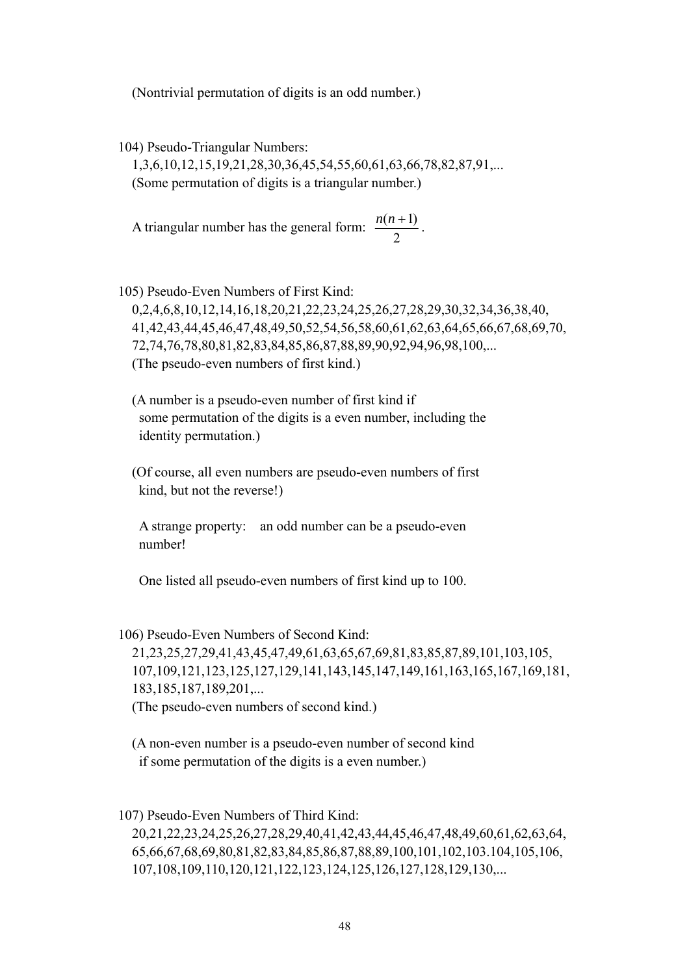(Nontrivial permutation of digits is an odd number.)

104) Pseudo-Triangular Numbers:

 1,3,6,10,12,15,19,21,28,30,36,45,54,55,60,61,63,66,78,82,87,91,... (Some permutation of digits is a triangular number.)

A triangular number has the general form:  $\frac{n(n+1)}{2}$ .

 105) Pseudo-Even Numbers of First Kind: 0,2,4,6,8,10,12,14,16,18,20,21,22,23,24,25,26,27,28,29,30,32,34,36,38,40, 41,42,43,44,45,46,47,48,49,50,52,54,56,58,60,61,62,63,64,65,66,67,68,69,70, 72,74,76,78,80,81,82,83,84,85,86,87,88,89,90,92,94,96,98,100,... (The pseudo-even numbers of first kind.)

 (A number is a pseudo-even number of first kind if some permutation of the digits is a even number, including the identity permutation.)

 (Of course, all even numbers are pseudo-even numbers of first kind, but not the reverse!)

 A strange property: an odd number can be a pseudo-even number!

One listed all pseudo-even numbers of first kind up to 100.

 106) Pseudo-Even Numbers of Second Kind: 21,23,25,27,29,41,43,45,47,49,61,63,65,67,69,81,83,85,87,89,101,103,105, 107,109,121,123,125,127,129,141,143,145,147,149,161,163,165,167,169,181, 183,185,187,189,201,... (The pseudo-even numbers of second kind.)

 (A non-even number is a pseudo-even number of second kind if some permutation of the digits is a even number.)

 107) Pseudo-Even Numbers of Third Kind: 20,21,22,23,24,25,26,27,28,29,40,41,42,43,44,45,46,47,48,49,60,61,62,63,64, 65,66,67,68,69,80,81,82,83,84,85,86,87,88,89,100,101,102,103.104,105,106, 107,108,109,110,120,121,122,123,124,125,126,127,128,129,130,...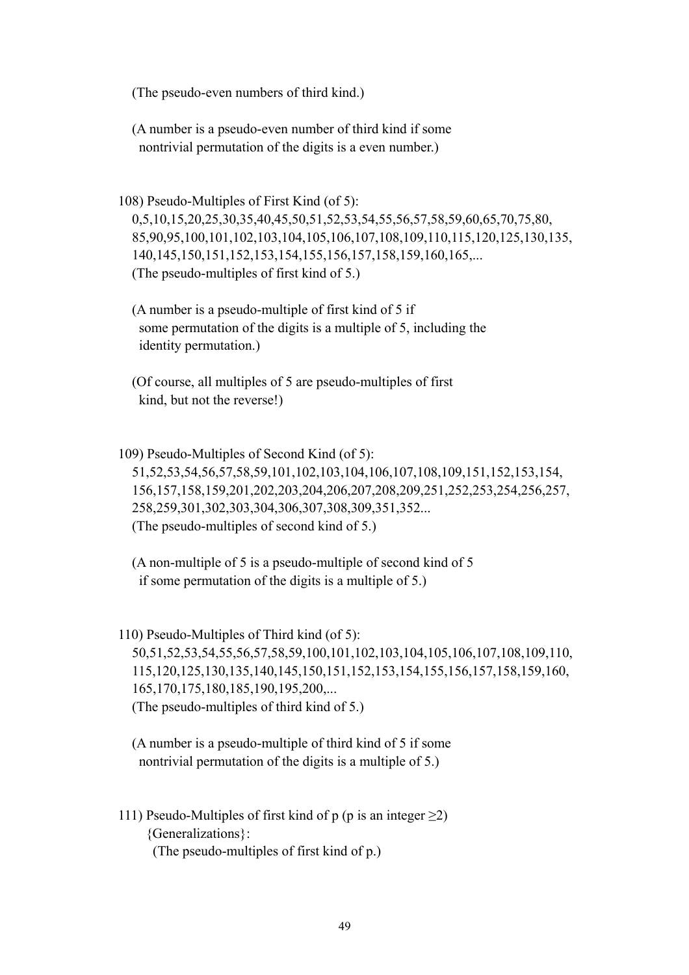(The pseudo-even numbers of third kind.)

 (A number is a pseudo-even number of third kind if some nontrivial permutation of the digits is a even number.)

108) Pseudo-Multiples of First Kind (of 5):

 0,5,10,15,20,25,30,35,40,45,50,51,52,53,54,55,56,57,58,59,60,65,70,75,80, 85,90,95,100,101,102,103,104,105,106,107,108,109,110,115,120,125,130,135, 140,145,150,151,152,153,154,155,156,157,158,159,160,165,... (The pseudo-multiples of first kind of 5.)

 (A number is a pseudo-multiple of first kind of 5 if some permutation of the digits is a multiple of 5, including the identity permutation.)

 (Of course, all multiples of 5 are pseudo-multiples of first kind, but not the reverse!)

 109) Pseudo-Multiples of Second Kind (of 5): 51,52,53,54,56,57,58,59,101,102,103,104,106,107,108,109,151,152,153,154, 156,157,158,159,201,202,203,204,206,207,208,209,251,252,253,254,256,257, 258,259,301,302,303,304,306,307,308,309,351,352... (The pseudo-multiples of second kind of 5.)

 (A non-multiple of 5 is a pseudo-multiple of second kind of 5 if some permutation of the digits is a multiple of 5.)

 110) Pseudo-Multiples of Third kind (of 5): 50,51,52,53,54,55,56,57,58,59,100,101,102,103,104,105,106,107,108,109,110, 115,120,125,130,135,140,145,150,151,152,153,154,155,156,157,158,159,160, 165,170,175,180,185,190,195,200,... (The pseudo-multiples of third kind of 5.)

 (A number is a pseudo-multiple of third kind of 5 if some nontrivial permutation of the digits is a multiple of 5.)

111) Pseudo-Multiples of first kind of p (p is an integer  $\geq$ 2) {Generalizations}: (The pseudo-multiples of first kind of p.)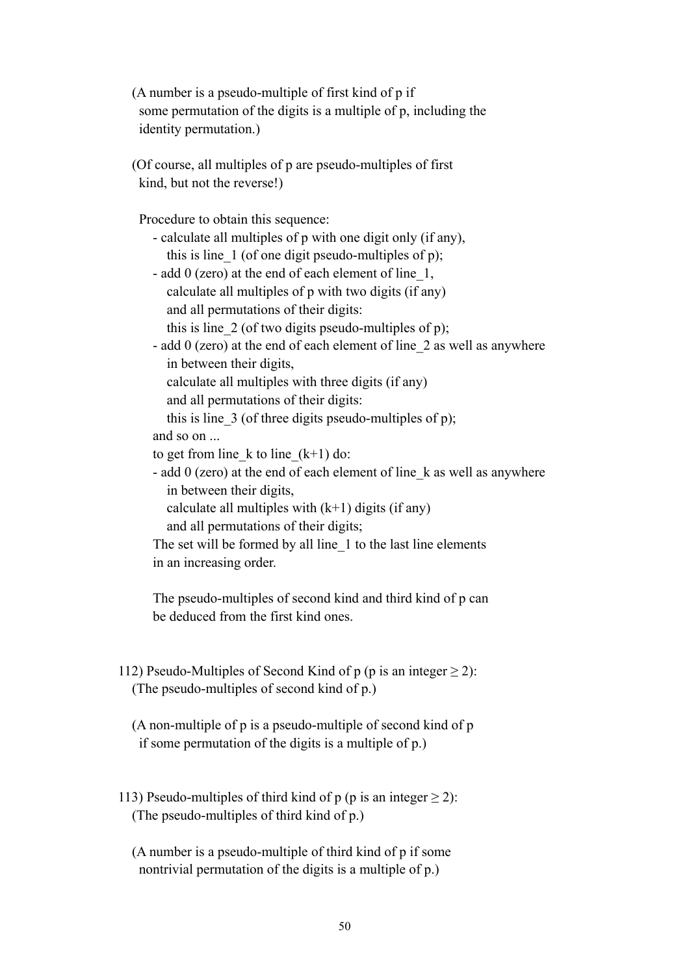(A number is a pseudo-multiple of first kind of p if some permutation of the digits is a multiple of p, including the identity permutation.)

 (Of course, all multiples of p are pseudo-multiples of first kind, but not the reverse!)

Procedure to obtain this sequence:

- calculate all multiples of p with one digit only (if any), this is line  $1$  (of one digit pseudo-multiples of p);
- add 0 (zero) at the end of each element of line\_1, calculate all multiples of p with two digits (if any) and all permutations of their digits:
	- this is line  $2$  (of two digits pseudo-multiples of p);
- add 0 (zero) at the end of each element of line\_2 as well as anywhere in between their digits,
	- calculate all multiples with three digits (if any)
	- and all permutations of their digits:

this is line  $3$  (of three digits pseudo-multiples of p);

and so on ...

to get from line k to line  $(k+1)$  do:

 - add 0 (zero) at the end of each element of line\_k as well as anywhere in between their digits,

```
calculate all multiples with (k+1) digits (if any)
```
and all permutations of their digits;

The set will be formed by all line 1 to the last line elements in an increasing order.

 The pseudo-multiples of second kind and third kind of p can be deduced from the first kind ones.

112) Pseudo-Multiples of Second Kind of p (p is an integer  $\geq$  2): (The pseudo-multiples of second kind of p.)

 (A non-multiple of p is a pseudo-multiple of second kind of p if some permutation of the digits is a multiple of p.)

- 113) Pseudo-multiples of third kind of p (p is an integer  $\geq$  2): (The pseudo-multiples of third kind of p.)
	- (A number is a pseudo-multiple of third kind of p if some nontrivial permutation of the digits is a multiple of p.)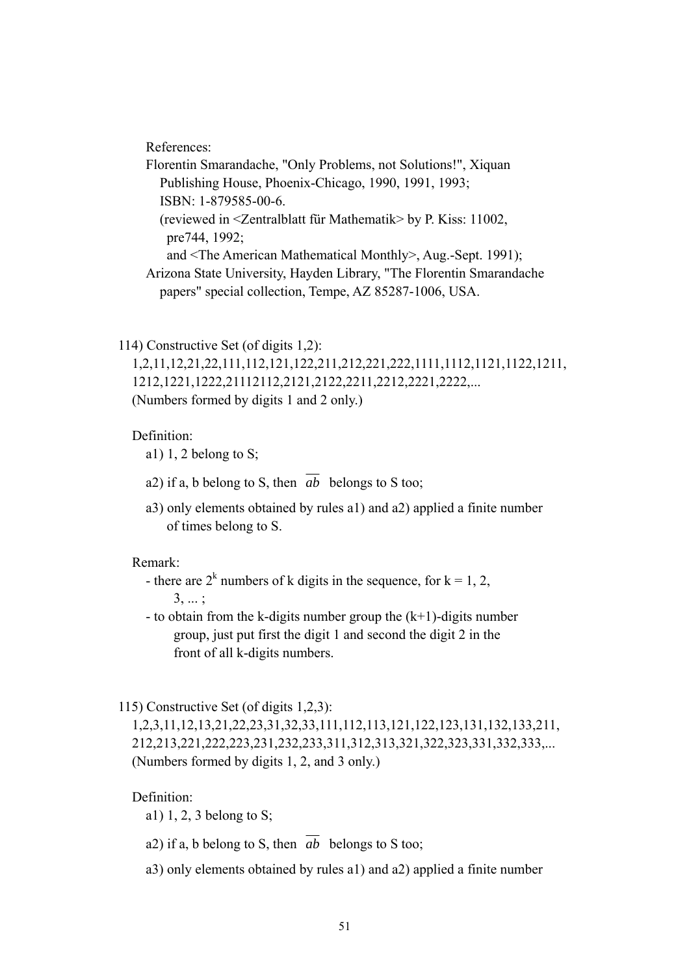References:

 Florentin Smarandache, "Only Problems, not Solutions!", Xiquan Publishing House, Phoenix-Chicago, 1990, 1991, 1993; ISBN: 1-879585-00-6. (reviewed in <Zentralblatt für Mathematik> by P. Kiss: 11002, pre744, 1992; and <The American Mathematical Monthly>, Aug.-Sept. 1991); Arizona State University, Hayden Library, "The Florentin Smarandache papers" special collection, Tempe, AZ 85287-1006, USA.

114) Constructive Set (of digits 1,2):

 1,2,11,12,21,22,111,112,121,122,211,212,221,222,1111,1112,1121,1122,1211, 1212,1221,1222,21112112,2121,2122,2211,2212,2221,2222,... (Numbers formed by digits 1 and 2 only.)

## Definition:

- a1) 1, 2 belong to  $S$ ;
- a2) if a, b belong to S, then  $\overline{ab}$  belongs to S too;
- a3) only elements obtained by rules a1) and a2) applied a finite number of times belong to S.

## Remark:

- there are  $2^k$  numbers of k digits in the sequence, for  $k = 1, 2,$  3, ... ;
	- to obtain from the k-digits number group the  $(k+1)$ -digits number group, just put first the digit 1 and second the digit 2 in the front of all k-digits numbers.

## 115) Constructive Set (of digits 1,2,3):

 1,2,3,11,12,13,21,22,23,31,32,33,111,112,113,121,122,123,131,132,133,211, 212,213,221,222,223,231,232,233,311,312,313,321,322,323,331,332,333,... (Numbers formed by digits 1, 2, and 3 only.)

#### Definition:

a1) 1, 2, 3 belong to S;

- a2) if a, b belong to S, then  $\overline{ab}$  belongs to S too;
- a3) only elements obtained by rules a1) and a2) applied a finite number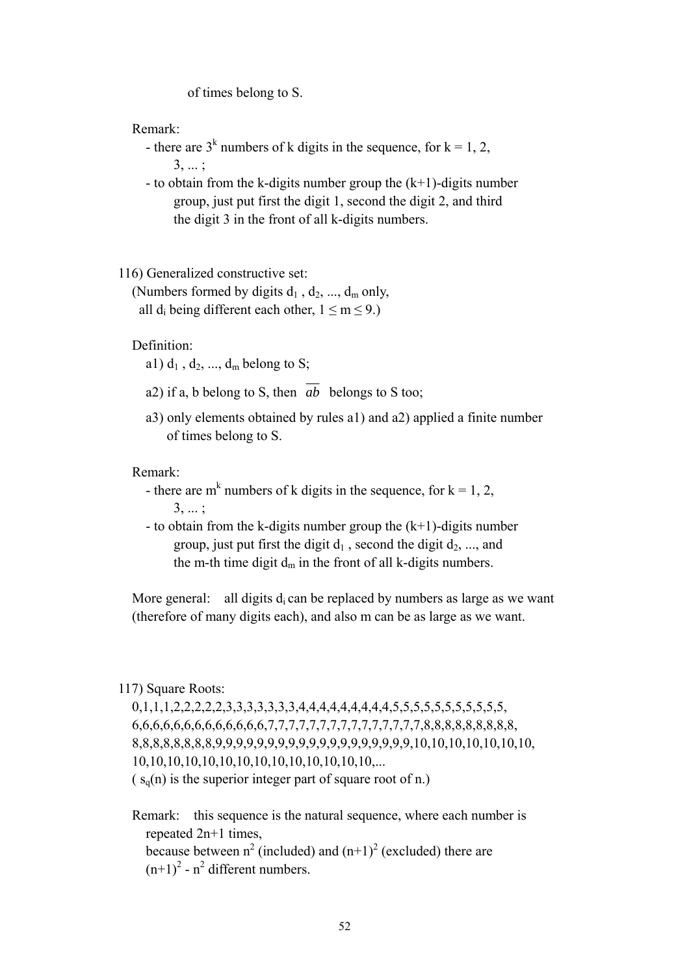of times belong to S.

Remark:

- there are  $3^k$  numbers of k digits in the sequence, for  $k = 1, 2,$ 3, ... ;

> - to obtain from the k-digits number group the  $(k+1)$ -digits number group, just put first the digit 1, second the digit 2, and third the digit 3 in the front of all k-digits numbers.

116) Generalized constructive set:

(Numbers formed by digits  $d_1$ ,  $d_2$ , ...,  $d_m$  only, all d<sub>i</sub> being different each other,  $1 \le m \le 9$ .)

Definition:

a1)  $d_1$ ,  $d_2$ , ...,  $d_m$  belong to S;

- a2) if a, b belong to S, then *ab* belongs to S too;
- a3) only elements obtained by rules a1) and a2) applied a finite number of times belong to S.

Remark:

- there are m<sup>k</sup> numbers of k digits in the sequence, for  $k = 1, 2,$  3, ... ;
	- to obtain from the k-digits number group the  $(k+1)$ -digits number group, just put first the digit  $d_1$ , second the digit  $d_2$ , ..., and the m-th time digit  $d_m$  in the front of all k-digits numbers.

More general: all digits  $d_i$  can be replaced by numbers as large as we want (therefore of many digits each), and also m can be as large as we want.

#### 117) Square Roots:

 0,1,1,1,2,2,2,2,2,3,3,3,3,3,3,3,4,4,4,4,4,4,4,4,4,5,5,5,5,5,5,5,5,5,5,5, 6,6,6,6,6,6,6,6,6,6,6,6,6,7,7,7,7,7,7,7,7,7,7,7,7,7,7,7,8,8,8,8,8,8,8,8,8, 8,8,8,8,8,8,8,8,9,9,9,9,9,9,9,9,9,9,9,9,9,9,9,9,9,9,9,10,10,10,10,10,10,10, 10,10,10,10,10,10,10,10,10,10,10,10,10,10,...  $(s<sub>o</sub>(n))$  is the superior integer part of square root of n.)

 Remark: this sequence is the natural sequence, where each number is repeated 2n+1 times, because between  $n^2$  (included) and  $(n+1)^2$  (excluded) there are  $(n+1)^2$  -  $n^2$  different numbers.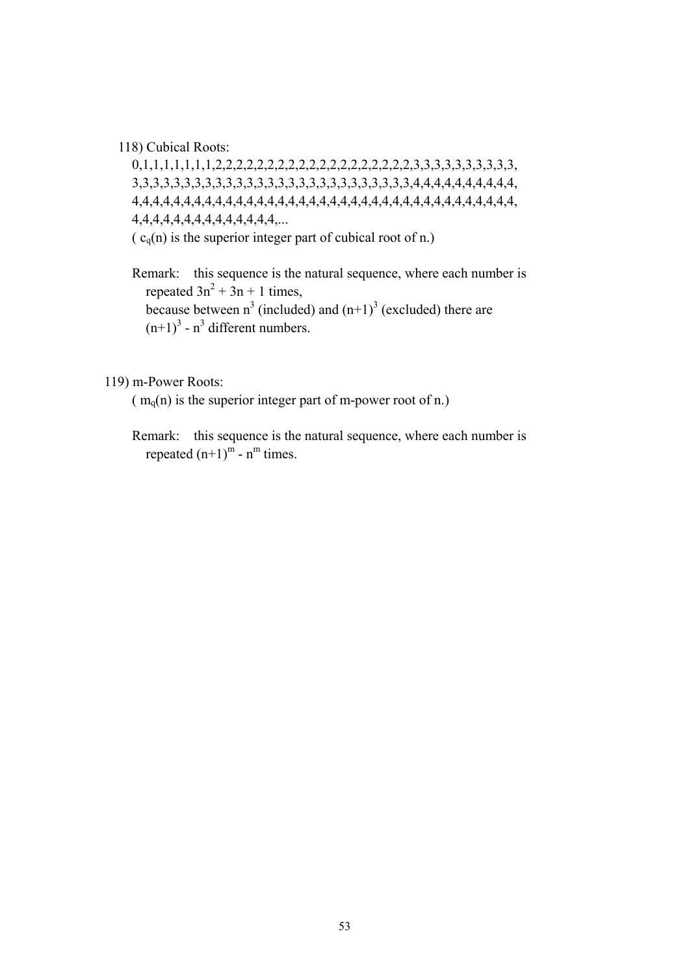118) Cubical Roots:

 0,1,1,1,1,1,1,1,2,2,2,2,2,2,2,2,2,2,2,2,2,2,2,2,2,2,2,3,3,3,3,3,3,3,3,3,3, 3,3,3,3,3,3,3,3,3,3,3,3,3,3,3,3,3,3,3,3,3,3,3,3,3,3,3,4,4,4,4,4,4,4,4,4,4, 4,4,4,4,4,4,4,4,4,4,4,4,4,4,4,4,4,4,4,4,4,4,4,4,4,4,4,4,4,4,4,4,4,4,4,4,4, 4,4,4,4,4,4,4,4,4,4,4,4,4,4,...  $(c_q(n))$  is the superior integer part of cubical root of n.)

 Remark: this sequence is the natural sequence, where each number is repeated  $3n^2 + 3n + 1$  times, because between  $n^3$  (included) and  $(n+1)^3$  (excluded) there are  $(n+1)^3$  - n<sup>3</sup> different numbers.

119) m-Power Roots:

 $(m_q(n))$  is the superior integer part of m-power root of n.)

 Remark: this sequence is the natural sequence, where each number is repeated  $(n+1)^m$  -  $n^m$  times.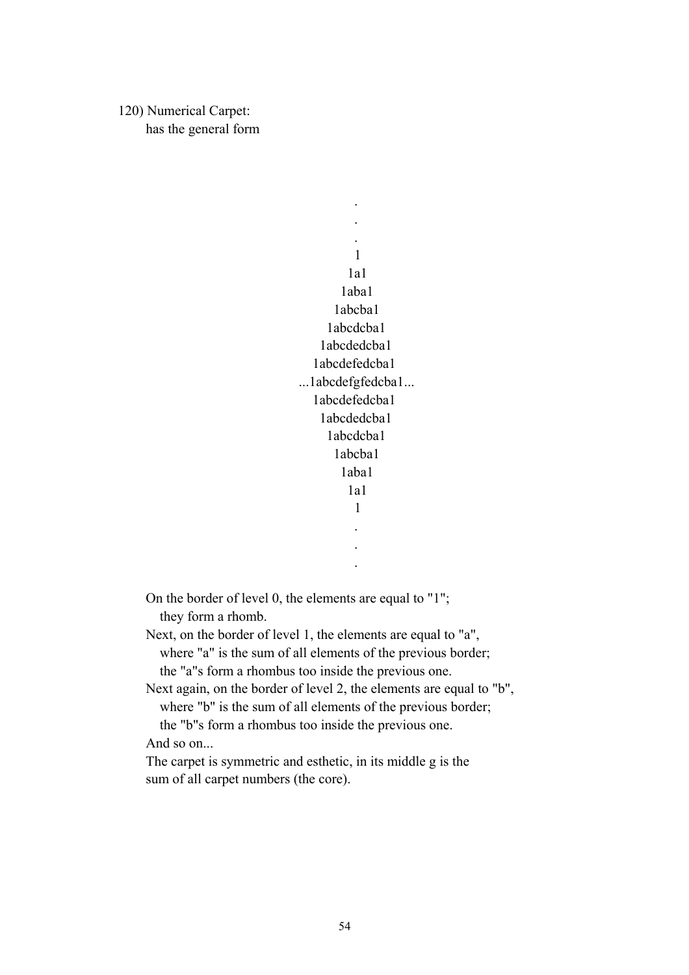120) Numerical Carpet: has the general form

 . . . 1 1a1 1aba1 1abcba1 1abcdcba1 1abcdedcba1 1abcdefedcba1 ...1abcdefgfedcba1... 1abcdefedcba1 1abcdedcba1 1abcdcba1 1abcba1 1aba1 1a1 1 . .

On the border of level 0, the elements are equal to "1";

they form a rhomb.

.

 Next, on the border of level 1, the elements are equal to "a", where "a" is the sum of all elements of the previous border; the "a"s form a rhombus too inside the previous one.

 Next again, on the border of level 2, the elements are equal to "b", where "b" is the sum of all elements of the previous border; the "b"s form a rhombus too inside the previous one.

And so on...

 The carpet is symmetric and esthetic, in its middle g is the sum of all carpet numbers (the core).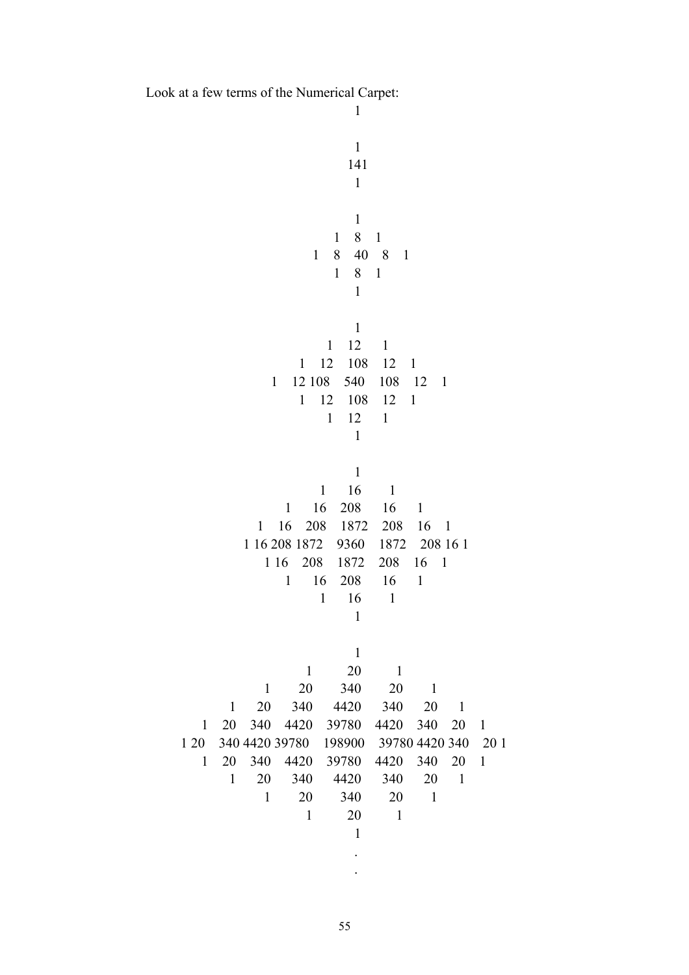Look at a few terms of the Numerical Carpet:

.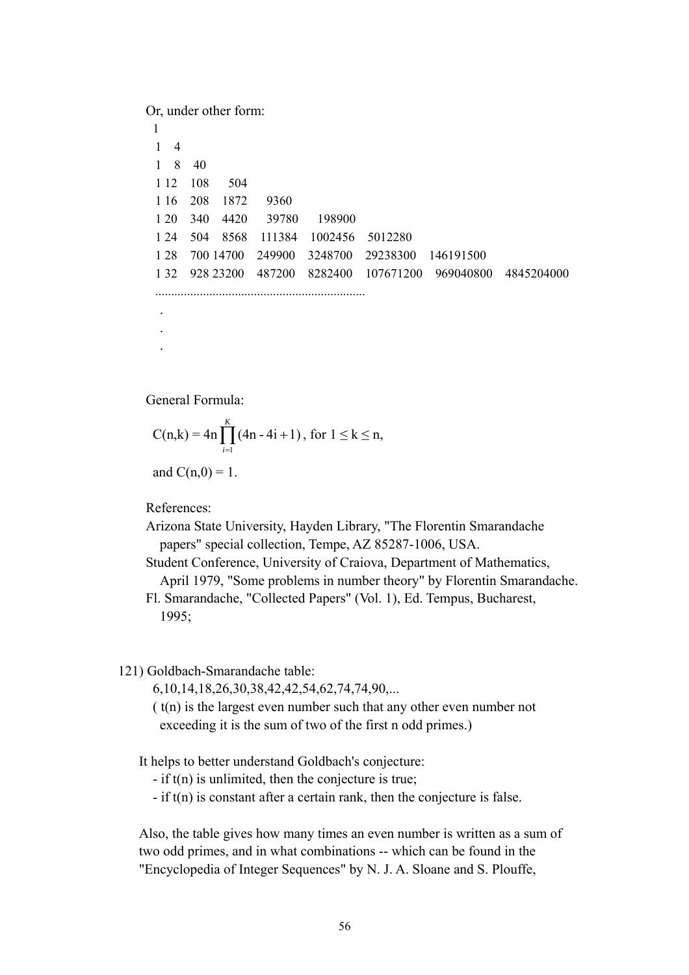Or, under other form: 1 1 4 1 8 40 1 12 108 504 1 16 208 1872 9360 1 20 340 4420 39780 198900 1 24 504 8568 111384 1002456 5012280 1 28 700 14700 249900 3248700 29238300 146191500 1 32 928 23200 487200 8282400 107671200 969040800 4845204000 .................................................................. . . .

General Formula:

$$
C(n,k) = 4n \prod_{i=1}^{K} (4n - 4i + 1), \text{ for } 1 \le k \le n,
$$

and  $C(n,0) = 1$ .

References:

 Arizona State University, Hayden Library, "The Florentin Smarandache papers" special collection, Tempe, AZ 85287-1006, USA.

 Student Conference, University of Craiova, Department of Mathematics, April 1979, "Some problems in number theory" by Florentin Smarandache.

 Fl. Smarandache, "Collected Papers" (Vol. 1), Ed. Tempus, Bucharest, 1995;

121) Goldbach-Smarandache table:

6,10,14,18,26,30,38,42,42,54,62,74,74,90,...

 ( t(n) is the largest even number such that any other even number not exceeding it is the sum of two of the first n odd primes.)

It helps to better understand Goldbach's conjecture:

- if t(n) is unlimited, then the conjecture is true;

- if t(n) is constant after a certain rank, then the conjecture is false.

 Also, the table gives how many times an even number is written as a sum of two odd primes, and in what combinations -- which can be found in the "Encyclopedia of Integer Sequences" by N. J. A. Sloane and S. Plouffe,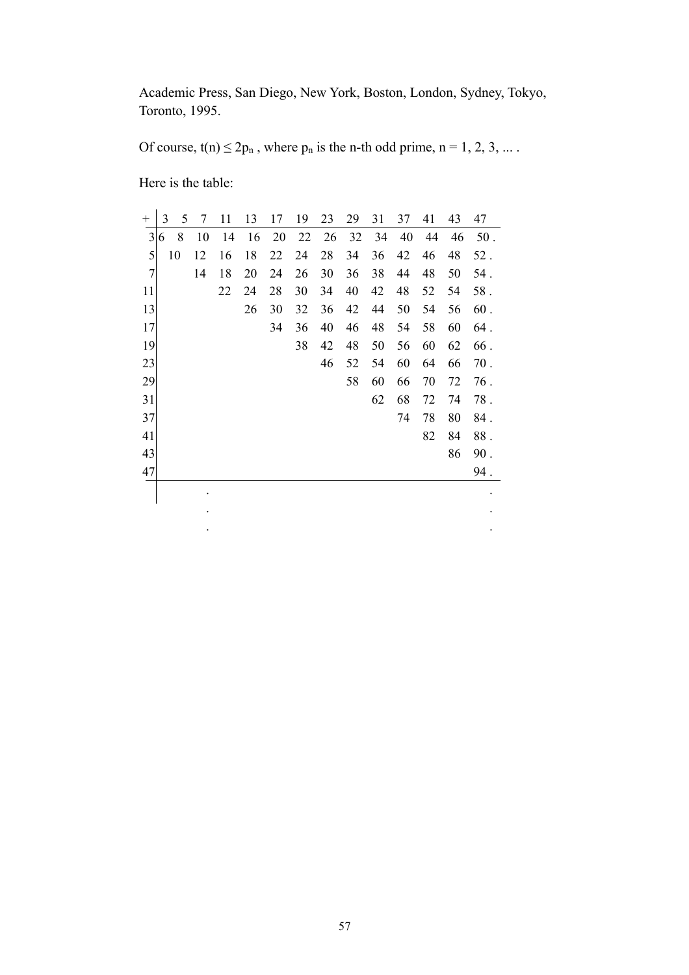Academic Press, San Diego, New York, Boston, London, Sydney, Tokyo, Toronto, 1995.

Of course,  $t(n) \le 2p_n$ , where  $p_n$  is the n-th odd prime,  $n = 1, 2, 3, ...$ .

Here is the table:

| $^{+}$         | 3 |    | 5 | 7  | 11 | 13 | 17 | 19 | 23 | 29 | 31 | 37 | 41 | 43 | 47     |
|----------------|---|----|---|----|----|----|----|----|----|----|----|----|----|----|--------|
| $\overline{3}$ | 6 |    | 8 | 10 | 14 | 16 | 20 | 22 | 26 | 32 | 34 | 40 | 44 | 46 | $50$ . |
| 5              |   | 10 |   | 12 | 16 | 18 | 22 | 24 | 28 | 34 | 36 | 42 | 46 | 48 | $52$ . |
| $\overline{7}$ |   |    |   | 14 | 18 | 20 | 24 | 26 | 30 | 36 | 38 | 44 | 48 | 50 | 54.    |
| 11             |   |    |   |    | 22 | 24 | 28 | 30 | 34 | 40 | 42 | 48 | 52 | 54 | 58.    |
| 13             |   |    |   |    |    | 26 | 30 | 32 | 36 | 42 | 44 | 50 | 54 | 56 | 60.    |
| 17             |   |    |   |    |    |    | 34 | 36 | 40 | 46 | 48 | 54 | 58 | 60 | 64.    |
| 19             |   |    |   |    |    |    |    | 38 | 42 | 48 | 50 | 56 | 60 | 62 | 66.    |
| 23             |   |    |   |    |    |    |    |    | 46 | 52 | 54 | 60 | 64 | 66 | $70$ . |
| 29             |   |    |   |    |    |    |    |    |    | 58 | 60 | 66 | 70 | 72 | 76.    |
| 31             |   |    |   |    |    |    |    |    |    |    | 62 | 68 | 72 | 74 | $78$ . |
| 37             |   |    |   |    |    |    |    |    |    |    |    | 74 | 78 | 80 | 84.    |
| 41             |   |    |   |    |    |    |    |    |    |    |    |    | 82 | 84 | $88$ . |
| 43             |   |    |   |    |    |    |    |    |    |    |    |    |    | 86 | $90.$  |
| 47             |   |    |   |    |    |    |    |    |    |    |    |    |    |    | 94.    |

. .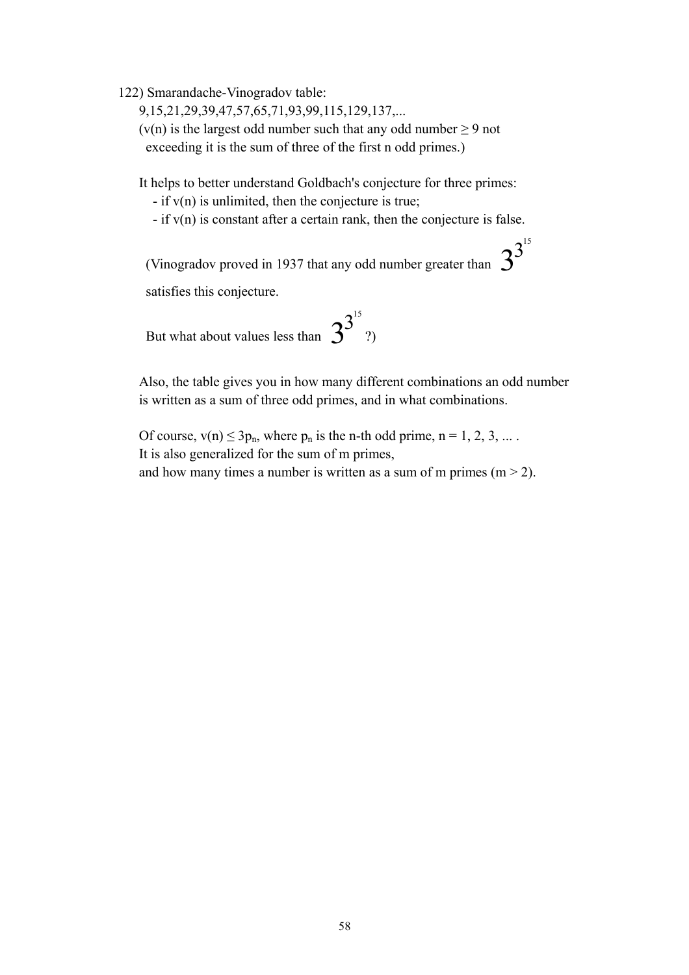122) Smarandache-Vinogradov table:

9,15,21,29,39,47,57,65,71,93,99,115,129,137,...

 $(v(n))$  is the largest odd number such that any odd number  $\geq 9$  not exceeding it is the sum of three of the first n odd primes.)

It helps to better understand Goldbach's conjecture for three primes:

 $-$  if  $v(n)$  is unlimited, then the conjecture is true;

 $-$  if  $v(n)$  is constant after a certain rank, then the conjecture is false.

(Vinogradov proved in 1937 that any odd number greater than  $3^{3^{15}}$ 

satisfies this conjecture.

But what about values less than  $3^{3^{15}}$ ?)

> Also, the table gives you in how many different combinations an odd number is written as a sum of three odd primes, and in what combinations.

Of course,  $v(n) \le 3p_n$ , where  $p_n$  is the n-th odd prime,  $n = 1, 2, 3, ...$ . It is also generalized for the sum of m primes, and how many times a number is written as a sum of m primes  $(m > 2)$ .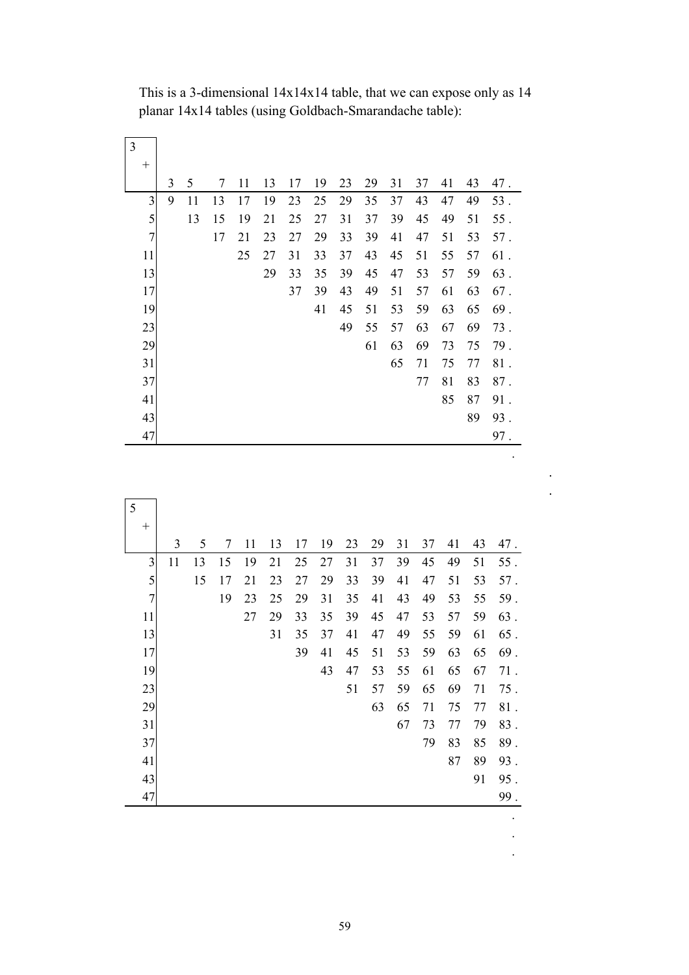|                | $\overline{3}$ | 5  | 7  | 11 | 13 | 17 | 19 | 23 | 29 | 31 | 37 | 41 | 43 | 47.    |
|----------------|----------------|----|----|----|----|----|----|----|----|----|----|----|----|--------|
| $\overline{3}$ | 9              | 11 | 13 | 17 | 19 | 23 | 25 | 29 | 35 | 37 | 43 | 47 | 49 | 53.    |
| 5              |                | 13 | 15 | 19 | 21 | 25 | 27 | 31 | 37 | 39 | 45 | 49 | 51 | $55$ . |
| $\overline{7}$ |                |    | 17 | 21 | 23 | 27 | 29 | 33 | 39 | 41 | 47 | 51 | 53 | 57.    |
| 11             |                |    |    | 25 | 27 | 31 | 33 | 37 | 43 | 45 | 51 | 55 | 57 | 61.    |
| 13             |                |    |    |    | 29 | 33 | 35 | 39 | 45 | 47 | 53 | 57 | 59 | 63.    |
| 17             |                |    |    |    |    | 37 | 39 | 43 | 49 | 51 | 57 | 61 | 63 | 67.    |
| 19             |                |    |    |    |    |    | 41 | 45 | 51 | 53 | 59 | 63 | 65 | 69.    |
| 23             |                |    |    |    |    |    |    | 49 | 55 | 57 | 63 | 67 | 69 | 73.    |
| 29             |                |    |    |    |    |    |    |    | 61 | 63 | 69 | 73 | 75 | 79.    |
| 31             |                |    |    |    |    |    |    |    |    | 65 | 71 | 75 | 77 | 81.    |
| 37             |                |    |    |    |    |    |    |    |    |    | 77 | 81 | 83 | 87.    |
| 41             |                |    |    |    |    |    |    |    |    |    |    | 85 | 87 | 91.    |
| 43             |                |    |    |    |    |    |    |    |    |    |    |    | 89 | 93.    |
| 47             |                |    |    |    |    |    |    |    |    |    |    |    |    | 97.    |

.

 This is a 3-dimensional 14x14x14 table, that we can expose only as 14 planar 14x14 tables (using Goldbach-Smarandache table):

| 5          |    |    |    |    |    |    |    |    |    |    |    |    |    |        |
|------------|----|----|----|----|----|----|----|----|----|----|----|----|----|--------|
| $^{+}$     |    |    |    |    |    |    |    |    |    |    |    |    |    |        |
|            | 3  | 5  | 7  | 11 | 13 | 17 | 19 | 23 | 29 | 31 | 37 | 41 | 43 | 47.    |
| 3          | 11 | 13 | 15 | 19 | 21 | 25 | 27 | 31 | 37 | 39 | 45 | 49 | 51 | $55$ . |
| 5          |    | 15 | 17 | 21 | 23 | 27 | 29 | 33 | 39 | 41 | 47 | 51 | 53 | 57.    |
| $\sqrt{ }$ |    |    | 19 | 23 | 25 | 29 | 31 | 35 | 41 | 43 | 49 | 53 | 55 | 59.    |
| 11         |    |    |    | 27 | 29 | 33 | 35 | 39 | 45 | 47 | 53 | 57 | 59 | 63.    |
| 13         |    |    |    |    | 31 | 35 | 37 | 41 | 47 | 49 | 55 | 59 | 61 | 65.    |
| 17         |    |    |    |    |    | 39 | 41 | 45 | 51 | 53 | 59 | 63 | 65 | 69.    |
| 19         |    |    |    |    |    |    | 43 | 47 | 53 | 55 | 61 | 65 | 67 | 71.    |
| 23         |    |    |    |    |    |    |    | 51 | 57 | 59 | 65 | 69 | 71 | 75.    |
| 29         |    |    |    |    |    |    |    |    | 63 | 65 | 71 | 75 | 77 | $81$ . |
| 31         |    |    |    |    |    |    |    |    |    | 67 | 73 | 77 | 79 | 83.    |
| 37         |    |    |    |    |    |    |    |    |    |    | 79 | 83 | 85 | 89.    |
| 41         |    |    |    |    |    |    |    |    |    |    |    | 87 | 89 | 93.    |
| 43         |    |    |    |    |    |    |    |    |    |    |    |    | 91 | 95.    |
| 47         |    |    |    |    |    |    |    |    |    |    |    |    |    | 99.    |

 . .

.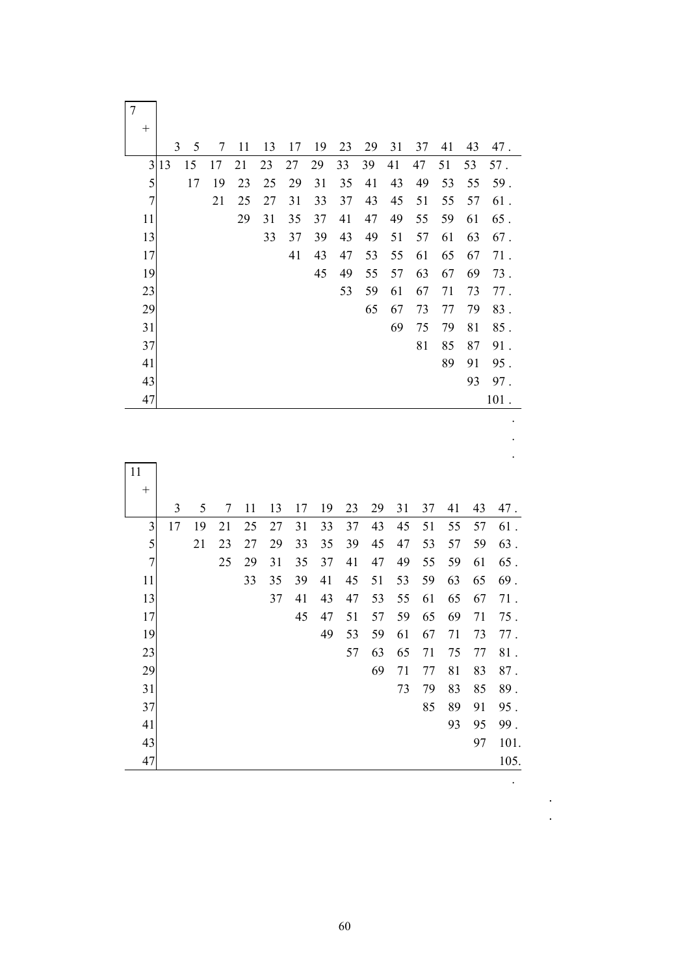|                | 3  | 5  | 7  | 11 | 13 | 17 | 19 | 23 | 29 | 31 | 37 | 41 | 43 | 47.  |
|----------------|----|----|----|----|----|----|----|----|----|----|----|----|----|------|
| 3              | 13 | 15 | 17 | 21 | 23 | 27 | 29 | 33 | 39 | 41 | 47 | 51 | 53 | 57.  |
| 5              |    | 17 | 19 | 23 | 25 | 29 | 31 | 35 | 41 | 43 | 49 | 53 | 55 | 59.  |
| $\overline{7}$ |    |    | 21 | 25 | 27 | 31 | 33 | 37 | 43 | 45 | 51 | 55 | 57 | 61.  |
| 11             |    |    |    | 29 | 31 | 35 | 37 | 41 | 47 | 49 | 55 | 59 | 61 | 65.  |
| 13             |    |    |    |    | 33 | 37 | 39 | 43 | 49 | 51 | 57 | 61 | 63 | 67.  |
| 17             |    |    |    |    |    | 41 | 43 | 47 | 53 | 55 | 61 | 65 | 67 | 71.  |
| 19             |    |    |    |    |    |    | 45 | 49 | 55 | 57 | 63 | 67 | 69 | 73.  |
| 23             |    |    |    |    |    |    |    | 53 | 59 | 61 | 67 | 71 | 73 | 77.  |
| 29             |    |    |    |    |    |    |    |    | 65 | 67 | 73 | 77 | 79 | 83.  |
| 31             |    |    |    |    |    |    |    |    |    | 69 | 75 | 79 | 81 | 85.  |
| 37             |    |    |    |    |    |    |    |    |    |    | 81 | 85 | 87 | 91.  |
| 41             |    |    |    |    |    |    |    |    |    |    |    | 89 | 91 | 95.  |
| 43             |    |    |    |    |    |    |    |    |    |    |    |    | 93 | 97.  |
| 47             |    |    |    |    |    |    |    |    |    |    |    |    |    | 101. |

| 11             |    |    |    |    |    |    |    |    |    |    |    |    |    |        |
|----------------|----|----|----|----|----|----|----|----|----|----|----|----|----|--------|
| $^{+}$         |    |    |    |    |    |    |    |    |    |    |    |    |    |        |
|                | 3  | 5  | 7  | 11 | 13 | 17 | 19 | 23 | 29 | 31 | 37 | 41 | 43 | 47.    |
| 3              | 17 | 19 | 21 | 25 | 27 | 31 | 33 | 37 | 43 | 45 | 51 | 55 | 57 | 61.    |
| 5              |    | 21 | 23 | 27 | 29 | 33 | 35 | 39 | 45 | 47 | 53 | 57 | 59 | 63.    |
| $\overline{7}$ |    |    | 25 | 29 | 31 | 35 | 37 | 41 | 47 | 49 | 55 | 59 | 61 | $65$ . |
| 11             |    |    |    | 33 | 35 | 39 | 41 | 45 | 51 | 53 | 59 | 63 | 65 | 69.    |
| 13             |    |    |    |    | 37 | 41 | 43 | 47 | 53 | 55 | 61 | 65 | 67 | 71.    |
| 17             |    |    |    |    |    | 45 | 47 | 51 | 57 | 59 | 65 | 69 | 71 | $75$ . |
| 19             |    |    |    |    |    |    | 49 | 53 | 59 | 61 | 67 | 71 | 73 | 77.    |
| 23             |    |    |    |    |    |    |    | 57 | 63 | 65 | 71 | 75 | 77 | $81$ . |
| 29             |    |    |    |    |    |    |    |    | 69 | 71 | 77 | 81 | 83 | 87.    |
| 31             |    |    |    |    |    |    |    |    |    | 73 | 79 | 83 | 85 | 89.    |
| 37             |    |    |    |    |    |    |    |    |    |    | 85 | 89 | 91 | 95.    |
| 41             |    |    |    |    |    |    |    |    |    |    |    | 93 | 95 | 99.    |
| 43             |    |    |    |    |    |    |    |    |    |    |    |    | 97 | 101.   |
| 47             |    |    |    |    |    |    |    |    |    |    |    |    |    | 105.   |

.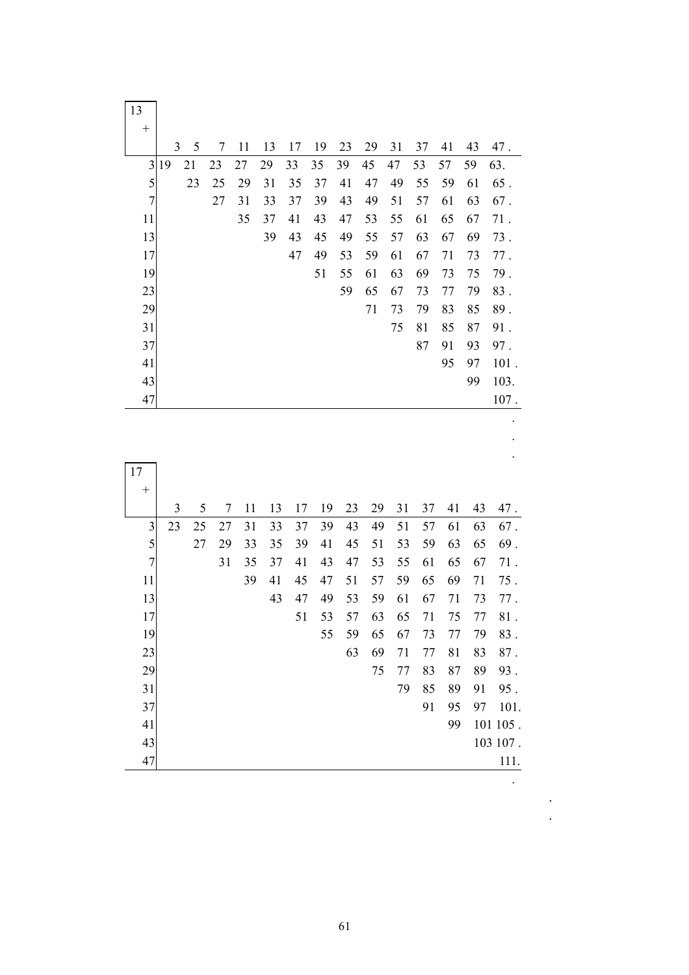| 13                      |                |    |    |    |    |    |    |                |          |    |    |    |    |         |
|-------------------------|----------------|----|----|----|----|----|----|----------------|----------|----|----|----|----|---------|
| $^{+}$                  | $\overline{3}$ | 5  | 7  | 11 | 13 | 17 | 19 | 23             | 29       | 31 | 37 | 41 | 43 | 47.     |
| 3                       | 19             | 21 | 23 | 27 | 29 | 33 | 35 | 39             | 45       | 47 | 53 | 57 | 59 | 63.     |
| 5                       |                | 23 | 25 | 29 | 31 | 35 | 37 | 41             | 47       | 49 | 55 | 59 | 61 | $65$ .  |
| $\overline{7}$          |                |    | 27 | 31 | 33 | 37 | 39 | 43             | 49       | 51 | 57 | 61 | 63 | 67.     |
| 11                      |                |    |    | 35 | 37 | 41 | 43 | 47             | 53       | 55 | 61 | 65 | 67 | $71$ .  |
| 13                      |                |    |    |    | 39 | 43 | 45 | 49             | 55       | 57 | 63 | 67 | 69 | 73.     |
| 17                      |                |    |    |    |    | 47 | 49 | 53             | 59       | 61 | 67 | 71 | 73 | 77.     |
| 19                      |                |    |    |    |    |    | 51 | 55             | 61       | 63 | 69 | 73 | 75 | 79.     |
| 23                      |                |    |    |    |    |    |    | 59             | 65       | 67 | 73 | 77 | 79 | 83.     |
| 29                      |                |    |    |    |    |    |    |                | 71       | 73 | 79 | 83 | 85 | 89.     |
| 31                      |                |    |    |    |    |    |    |                |          | 75 | 81 | 85 | 87 | 91.     |
| 37                      |                |    |    |    |    |    |    |                |          |    | 87 | 91 | 93 | 97.     |
| 41                      |                |    |    |    |    |    |    |                |          |    |    | 95 | 97 | $101$ . |
| 43                      |                |    |    |    |    |    |    |                |          |    |    |    | 99 | 103.    |
| 47                      |                |    |    |    |    |    |    |                |          |    |    |    |    | $107$ . |
|                         |                |    |    |    |    |    |    |                |          |    |    |    |    |         |
|                         |                |    |    |    |    |    |    |                |          |    |    |    |    |         |
| 17                      |                |    |    |    |    |    |    |                |          |    |    |    |    |         |
| $^{+}$                  |                |    |    |    |    |    |    |                |          |    |    |    |    |         |
|                         | 3              | 5  | 7  | 11 | 13 | 17 | 19 | 23             | 29       | 31 | 37 | 41 | 43 | 47.     |
| $\overline{\mathbf{c}}$ | 2 <sub>2</sub> | 25 | 27 | 21 | 22 | 27 | 30 | $\overline{A}$ | $\Delta$ | 51 | 57 | 61 | 62 | 67.     |

|                | 3  | 5  | 7  | 11 | 13 | 17 | 19 | 23 | 29 | 31 | 37 | 41 | 43 | 47.      |
|----------------|----|----|----|----|----|----|----|----|----|----|----|----|----|----------|
| $\mathfrak{Z}$ | 23 | 25 | 27 | 31 | 33 | 37 | 39 | 43 | 49 | 51 | 57 | 61 | 63 | 67.      |
| 5              |    | 27 | 29 | 33 | 35 | 39 | 41 | 45 | 51 | 53 | 59 | 63 | 65 | 69.      |
| $\sqrt{ }$     |    |    | 31 | 35 | 37 | 41 | 43 | 47 | 53 | 55 | 61 | 65 | 67 | 71.      |
| 11             |    |    |    | 39 | 41 | 45 | 47 | 51 | 57 | 59 | 65 | 69 | 71 | 75.      |
| 13             |    |    |    |    | 43 | 47 | 49 | 53 | 59 | 61 | 67 | 71 | 73 | 77.      |
| 17             |    |    |    |    |    | 51 | 53 | 57 | 63 | 65 | 71 | 75 | 77 | 81.      |
| 19             |    |    |    |    |    |    | 55 | 59 | 65 | 67 | 73 | 77 | 79 | 83.      |
| 23             |    |    |    |    |    |    |    | 63 | 69 | 71 | 77 | 81 | 83 | 87.      |
| 29             |    |    |    |    |    |    |    |    | 75 | 77 | 83 | 87 | 89 | 93.      |
| 31             |    |    |    |    |    |    |    |    |    | 79 | 85 | 89 | 91 | 95.      |
| 37             |    |    |    |    |    |    |    |    |    |    | 91 | 95 | 97 | 101.     |
| 41             |    |    |    |    |    |    |    |    |    |    |    | 99 |    | 101 105. |
| 43             |    |    |    |    |    |    |    |    |    |    |    |    |    | 103 107. |
| 47             |    |    |    |    |    |    |    |    |    |    |    |    |    | 111.     |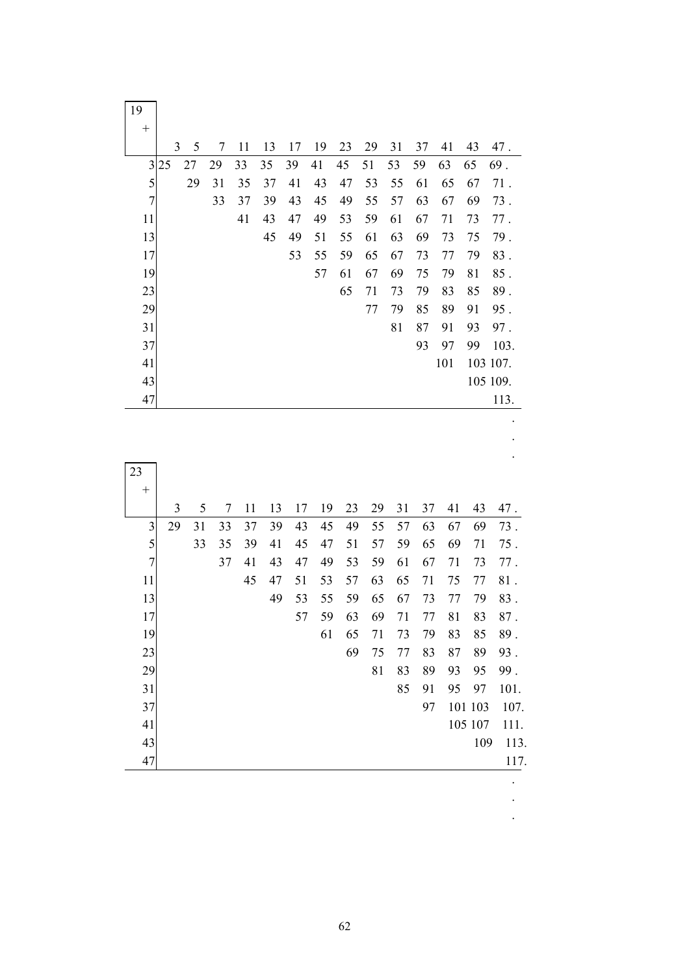| 19                      |    |        |        |    |    |    |    |    |    |    |    |     |    |          |
|-------------------------|----|--------|--------|----|----|----|----|----|----|----|----|-----|----|----------|
| $^{+}$                  |    |        |        |    |    |    |    |    |    |    |    |     |    |          |
|                         |    | 3<br>5 | $\tau$ | 11 | 13 | 17 | 19 | 23 | 29 | 31 | 37 | 41  | 43 | 47.      |
| $\overline{\mathbf{3}}$ | 25 | 27     | 29     | 33 | 35 | 39 | 41 | 45 | 51 | 53 | 59 | 63  | 65 | 69.      |
| 5                       |    | 29     | 31     | 35 | 37 | 41 | 43 | 47 | 53 | 55 | 61 | 65  | 67 | $71$ .   |
| $\overline{7}$          |    |        | 33     | 37 | 39 | 43 | 45 | 49 | 55 | 57 | 63 | 67  | 69 | 73.      |
| 11                      |    |        |        | 41 | 43 | 47 | 49 | 53 | 59 | 61 | 67 | 71  | 73 | $77$ .   |
| 13                      |    |        |        |    | 45 | 49 | 51 | 55 | 61 | 63 | 69 | 73  | 75 | 79.      |
| 17                      |    |        |        |    |    | 53 | 55 | 59 | 65 | 67 | 73 | 77  | 79 | 83.      |
| 19                      |    |        |        |    |    |    | 57 | 61 | 67 | 69 | 75 | 79  | 81 | 85.      |
| 23                      |    |        |        |    |    |    |    | 65 | 71 | 73 | 79 | 83  | 85 | 89.      |
| 29                      |    |        |        |    |    |    |    |    | 77 | 79 | 85 | 89  | 91 | 95.      |
| 31                      |    |        |        |    |    |    |    |    |    | 81 | 87 | 91  | 93 | 97.      |
| 37                      |    |        |        |    |    |    |    |    |    |    | 93 | 97  | 99 | 103.     |
| 41                      |    |        |        |    |    |    |    |    |    |    |    | 101 |    | 103 107. |
| 43                      |    |        |        |    |    |    |    |    |    |    |    |     |    | 105 109. |
| 47                      |    |        |        |    |    |    |    |    |    |    |    |     |    | 113.     |
|                         |    |        |        |    |    |    |    |    |    |    |    |     |    |          |
|                         |    |        |        |    |    |    |    |    |    |    |    |     |    |          |
|                         |    |        |        |    |    |    |    |    |    |    |    |     |    |          |
| 23                      |    |        |        |    |    |    |    |    |    |    |    |     |    |          |
| $^{+}$                  |    |        |        |    |    |    |    |    |    |    |    |     |    |          |
|                         | 3  | 5      | 7      | 11 | 13 | 17 | 19 | 23 | 29 | 31 | 37 | 41  | 43 | 47.      |
| $\overline{3}$          | 29 | 31     | 33     | 37 | 39 | 43 | 45 | 49 | 55 | 57 | 63 | 67  | 69 | 73.      |

|                         | 3  | 5  | 7  | 11 | 13 | 17 | 19 | 23 | 29 | 31 | 37 | 41 | 43      | 47.  |
|-------------------------|----|----|----|----|----|----|----|----|----|----|----|----|---------|------|
| $\overline{\mathbf{3}}$ | 29 | 31 | 33 | 37 | 39 | 43 | 45 | 49 | 55 | 57 | 63 | 67 | 69      | 73.  |
| 5                       |    | 33 | 35 | 39 | 41 | 45 | 47 | 51 | 57 | 59 | 65 | 69 | 71      | 75.  |
| $\overline{7}$          |    |    | 37 | 41 | 43 | 47 | 49 | 53 | 59 | 61 | 67 | 71 | 73      | 77.  |
| 11                      |    |    |    | 45 | 47 | 51 | 53 | 57 | 63 | 65 | 71 | 75 | 77      | 81.  |
| 13                      |    |    |    |    | 49 | 53 | 55 | 59 | 65 | 67 | 73 | 77 | 79      | 83.  |
| 17                      |    |    |    |    |    | 57 | 59 | 63 | 69 | 71 | 77 | 81 | 83      | 87.  |
| 19                      |    |    |    |    |    |    | 61 | 65 | 71 | 73 | 79 | 83 | 85      | 89.  |
| 23                      |    |    |    |    |    |    |    | 69 | 75 | 77 | 83 | 87 | 89      | 93.  |
| 29                      |    |    |    |    |    |    |    |    | 81 | 83 | 89 | 93 | 95      | 99.  |
| 31                      |    |    |    |    |    |    |    |    |    | 85 | 91 | 95 | 97      | 101. |
| 37                      |    |    |    |    |    |    |    |    |    |    | 97 |    | 101 103 | 107. |
| 41                      |    |    |    |    |    |    |    |    |    |    |    |    | 105 107 | 111. |
| 43                      |    |    |    |    |    |    |    |    |    |    |    |    | 109     | 113. |
| 47                      |    |    |    |    |    |    |    |    |    |    |    |    |         | 117. |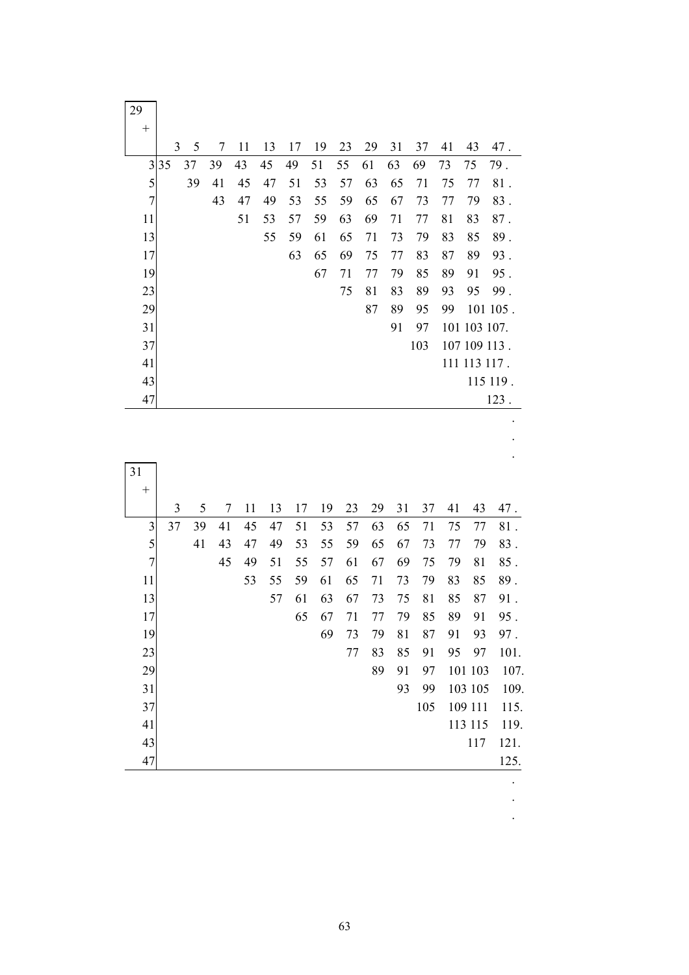| 29                      |                |          |                |    |          |          |    |    |         |    |     |    |              |                                                                      |
|-------------------------|----------------|----------|----------------|----|----------|----------|----|----|---------|----|-----|----|--------------|----------------------------------------------------------------------|
| $^{+}$                  | 3              | 5        | $\tau$         |    |          |          |    |    |         |    |     |    | 43           |                                                                      |
|                         |                |          |                | 11 | 13       | 17       | 19 | 23 | 29      | 31 | 37  | 41 |              | 47.                                                                  |
| $\overline{3}$          | 35             | 37<br>39 | 39             | 43 | 45       | 49<br>51 | 51 | 55 | 61      | 63 | 69  | 73 | 75           | 79.                                                                  |
| 5<br>$\overline{7}$     |                |          | 41             | 45 | 47       |          | 53 | 57 | 63      | 65 | 71  | 75 | 77           | $81$ .                                                               |
|                         |                |          | 43             | 47 | 49       | 53       | 55 | 59 | 65      | 67 | 73  | 77 | 79           | 83.                                                                  |
| 11                      |                |          |                | 51 | 53<br>55 | 57       | 59 | 63 | 69      | 71 | 77  | 81 | 83           | $87$ .                                                               |
| 13                      |                |          |                |    |          | 59       | 61 | 65 | 71      | 73 | 79  | 83 | 85           | 89.                                                                  |
| 17                      |                |          |                |    |          | 63       | 65 | 69 | 75      | 77 | 83  | 87 | 89           | 93.                                                                  |
| 19                      |                |          |                |    |          |          | 67 | 71 | $77 \,$ | 79 | 85  | 89 | 91           | 95.                                                                  |
| 23                      |                |          |                |    |          |          |    | 75 | 81      | 83 | 89  | 93 | 95           | 99.                                                                  |
| 29                      |                |          |                |    |          |          |    |    | 87      | 89 | 95  | 99 |              | 101 105.                                                             |
| 31                      |                |          |                |    |          |          |    |    |         | 91 | 97  |    | 101 103 107. |                                                                      |
| 37                      |                |          |                |    |          |          |    |    |         |    | 103 |    | 107 109 113. |                                                                      |
| 41                      |                |          |                |    |          |          |    |    |         |    |     |    | 111 113 117. |                                                                      |
| 43                      |                |          |                |    |          |          |    |    |         |    |     |    |              | 115 119.                                                             |
|                         |                |          |                |    |          |          |    |    |         |    |     |    |              |                                                                      |
| 47                      |                |          |                |    |          |          |    |    |         |    |     |    |              |                                                                      |
|                         |                |          |                |    |          |          |    |    |         |    |     |    |              |                                                                      |
|                         |                |          |                |    |          |          |    |    |         |    |     |    |              |                                                                      |
|                         |                |          |                |    |          |          |    |    |         |    |     |    |              |                                                                      |
| 31                      |                |          |                |    |          |          |    |    |         |    |     |    |              |                                                                      |
| $^{+}$                  | $\overline{3}$ | 5        | $\overline{7}$ | 11 | 13       | 17       | 19 | 23 | 29      | 31 | 37  | 41 | 43           |                                                                      |
| $\overline{\mathbf{3}}$ | 37             | 39       | 41             | 45 | 47       | 51       | 53 | 57 | 63      | 65 | 71  | 75 | 77           |                                                                      |
| 5                       |                | 41       | 43             | 47 | 49       | 53       | 55 | 59 | 65      | 67 | 73  | 77 | 79           |                                                                      |
| $\overline{7}$          |                |          | 45             | 49 | 51       | 55       | 57 | 61 | 67      | 69 | 75  | 79 | 81           |                                                                      |
| 11                      |                |          |                | 53 | 55       | 59       | 61 | 65 | 71      | 73 | 79  | 83 | 85           |                                                                      |
| 13                      |                |          |                |    | 57       | 61       | 63 | 67 | 73      | 75 | 81  | 85 | 87           |                                                                      |
| 17                      |                |          |                |    |          | 65       | 67 | 71 | 77      | 79 | 85  | 89 | 91           |                                                                      |
| 19                      |                |          |                |    |          |          | 69 | 73 | 79      | 81 | 87  | 91 | 93           |                                                                      |
| 23                      |                |          |                |    |          |          |    | 77 | 83      | 85 | 91  | 95 | 97           | 123.<br>47.<br>81.<br>83.<br>85.<br>89.<br>91.<br>95.<br>97.<br>101. |

63

31 93 99 103 105 109.<br>37 105 109 111 115.

41 113 115 119.

 $\begin{array}{c|cc}\n 43 & 117 & 121. \\
& 47 & 125.\n \end{array}$  47 125. . . .

37 105 109 111 115.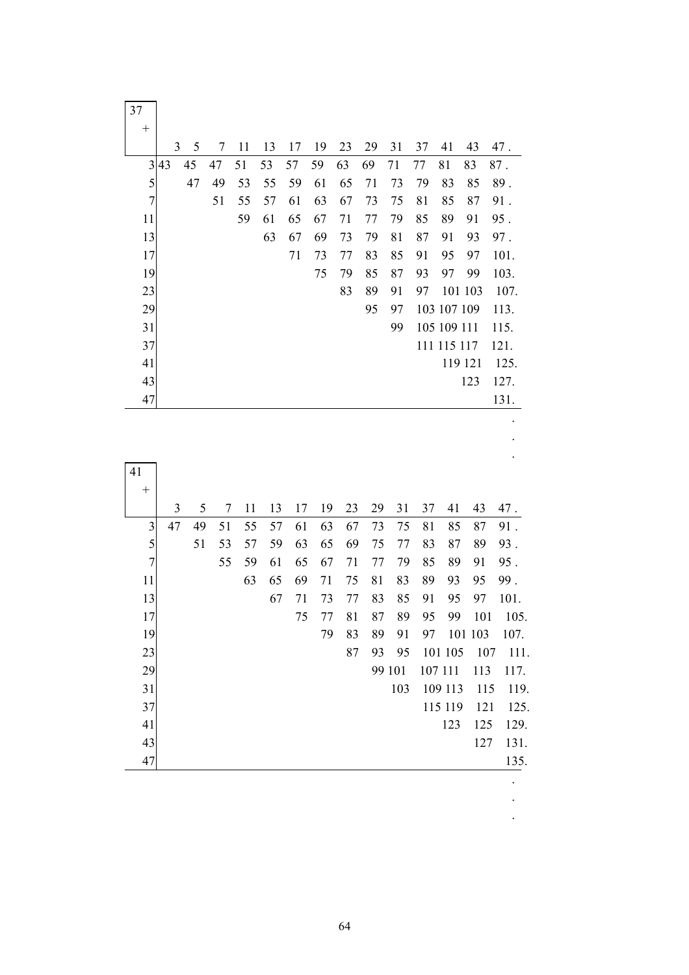| 37                      |    |    |    |    |    |    |    |    |    |        |    |             |         |          |
|-------------------------|----|----|----|----|----|----|----|----|----|--------|----|-------------|---------|----------|
| $^{+}$                  | 3  | 5  | 7  | 11 | 13 | 17 | 19 | 23 | 29 | 31     | 37 | 41          | 43      | 47.      |
| $\overline{\mathbf{3}}$ | 43 | 45 | 47 | 51 | 53 | 57 | 59 | 63 | 69 | 71     | 77 | 81          | 83      | $87$ .   |
| 5                       |    | 47 | 49 | 53 | 55 | 59 | 61 | 65 | 71 | 73     | 79 | 83          | 85      | 89.      |
| $\overline{7}$          |    |    | 51 | 55 | 57 | 61 | 63 | 67 | 73 | 75     | 81 | 85          | 87      | 91.      |
| 11                      |    |    |    | 59 | 61 | 65 | 67 | 71 | 77 | 79     | 85 | 89          | 91      | 95.      |
| 13                      |    |    |    |    | 63 | 67 | 69 | 73 | 79 | 81     | 87 | 91          | 93      | 97.      |
| 17                      |    |    |    |    |    | 71 | 73 | 77 | 83 | 85     | 91 | 95          | 97      | 101.     |
| 19                      |    |    |    |    |    |    | 75 | 79 | 85 | 87     | 93 | 97          | 99      | 103.     |
| 23                      |    |    |    |    |    |    |    | 83 | 89 | 91     | 97 |             | 101 103 | 107.     |
| 29                      |    |    |    |    |    |    |    |    | 95 | 97     |    | 103 107 109 |         | 113.     |
| 31                      |    |    |    |    |    |    |    |    |    | 99     |    | 105 109 111 |         | 115.     |
| 37                      |    |    |    |    |    |    |    |    |    |        |    | 111 115 117 |         | 121.     |
| 41                      |    |    |    |    |    |    |    |    |    |        |    |             | 119 121 | 125.     |
| 43                      |    |    |    |    |    |    |    |    |    |        |    |             | 123     | 127.     |
| 47                      |    |    |    |    |    |    |    |    |    |        |    |             |         | 131.     |
| 41                      |    |    |    |    |    |    |    |    |    |        |    |             |         |          |
| $^{+}$                  | 3  | 5  | 7  | 11 | 13 | 17 | 19 | 23 | 29 | 31     | 37 | 41          | 43      | 47.      |
| $\overline{\mathbf{3}}$ | 47 | 49 | 51 | 55 | 57 | 61 | 63 | 67 | 73 | 75     | 81 | 85          | 87      | 91.      |
| 5                       |    | 51 | 53 | 57 | 59 | 63 | 65 | 69 | 75 | 77     | 83 | 87          | 89      | 93.      |
| $\overline{7}$          |    |    | 55 | 59 | 61 | 65 | 67 | 71 | 77 | 79     | 85 | 89          | 91      | 95.      |
| 11                      |    |    |    | 63 | 65 | 69 | 71 | 75 | 81 | 83     | 89 | 93          | 95      | 99.      |
| 13                      |    |    |    |    | 67 | 71 | 73 | 77 | 83 | 85     | 91 | 95          | 97      | 101.     |
| $17$                    |    |    |    |    |    | 75 | 77 | 81 | 87 | 89     | 95 | 99          |         | 101 105. |
| 19                      |    |    |    |    |    |    | 79 | 83 | 89 | 91     | 97 |             | 101 103 | 107.     |
| 23                      |    |    |    |    |    |    |    | 87 | 93 | 95     |    | 101 105     | 107     | 111.     |
| 29                      |    |    |    |    |    |    |    |    |    | 99 101 |    | 107 111     | 113     | 117.     |
| 31                      |    |    |    |    |    |    |    |    |    | 103    |    | 109 113     | 115     | 119.     |
| $37\,$                  |    |    |    |    |    |    |    |    |    |        |    | 115 119     | 121     | 125.     |

64

 $\begin{bmatrix} 41 \\ 43 \end{bmatrix}$  123 125 129.<br>127 131.

 47 135. . . .

 $127$  131.<br>135.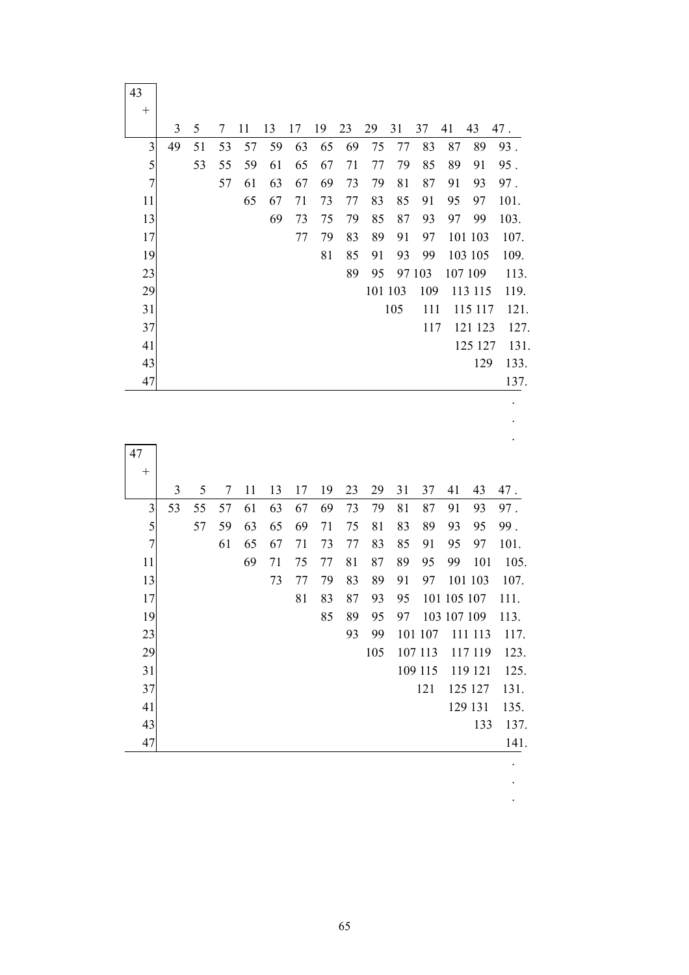|                         | 3  | 5  | 7  | 11 | 13 | 17       | 19       | 23       | 29       | 31       | 37      | 41          | 43      | 47.                                                                                               |
|-------------------------|----|----|----|----|----|----------|----------|----------|----------|----------|---------|-------------|---------|---------------------------------------------------------------------------------------------------|
| $\overline{\mathbf{3}}$ | 49 | 51 | 53 | 57 | 59 | 63       | 65       | 69       | 75       | 77       | 83      | 87          | 89      | 93.                                                                                               |
| $\overline{5}$          |    | 53 | 55 | 59 | 61 | 65       | 67       | 71       | 77       | 79       | 85      | 89          | 91      | 95.                                                                                               |
| $\overline{7}$          |    |    | 57 | 61 | 63 | 67       | 69       | 73       | 79       | 81       | 87      | 91          | 93      | 97.                                                                                               |
| 11                      |    |    |    | 65 | 67 | 71       | 73       | 77       | 83       | 85       | 91      | 95          | 97      | 101.                                                                                              |
| 13                      |    |    |    |    | 69 | 73       | 75       | 79       | 85       | 87       | 93      | 97          | 99      | 103.                                                                                              |
| 17                      |    |    |    |    |    | 77       | 79       | 83       | 89       | 91       | 97      |             | 101 103 | 107.                                                                                              |
| 19                      |    |    |    |    |    |          | 81       | 85       | 91       | 93       | 99      |             | 103 105 | 109.                                                                                              |
| 23                      |    |    |    |    |    |          |          | 89       | 95       |          | 97 103  |             | 107 109 | 113.                                                                                              |
| 29                      |    |    |    |    |    |          |          |          | 101 103  |          | 109     |             | 113 115 | 119.                                                                                              |
| 31                      |    |    |    |    |    |          |          |          |          | 105      | 111     |             | 115 117 | 121.                                                                                              |
| 37                      |    |    |    |    |    |          |          |          |          |          | 117     |             | 121 123 | 127.                                                                                              |
| 41                      |    |    |    |    |    |          |          |          |          |          |         |             | 125 127 | 131.                                                                                              |
| 43                      |    |    |    |    |    |          |          |          |          |          |         |             | 129     | 133.                                                                                              |
| 47                      |    |    |    |    |    |          |          |          |          |          |         |             |         | 137.                                                                                              |
| 47                      |    |    |    |    |    |          |          |          |          |          |         |             |         |                                                                                                   |
| $^{+}$                  |    |    |    |    |    |          |          |          |          |          |         |             |         |                                                                                                   |
|                         | 3  | 5  | 7  | 11 | 13 | 17       | 19       | 23       | 29       | 31       | 37      | 41          | 43      |                                                                                                   |
| 3                       | 53 | 55 | 57 | 61 | 63 | 67       | 69       | 73       | 79       | 81       | 87      | 91          | 93      |                                                                                                   |
| $\overline{5}$          |    | 57 | 59 | 63 | 65 | 69       | 71       | 75       | 81       | 83       | 89      | 93          | 95      |                                                                                                   |
| $\overline{7}$          |    |    | 61 | 65 | 67 | 71       | 73       | 77       | 83       | 85       | 91      | 95          | 97      |                                                                                                   |
| 11                      |    |    |    | 69 | 71 | 75       | 77<br>79 | 81       | 87<br>89 | 89       | 95      | 99          | 101     |                                                                                                   |
| 13<br>17                |    |    |    |    | 73 | 77<br>81 | 83       | 83<br>87 | 93       | 91<br>95 | 97      | 101 105 107 | 101 103 |                                                                                                   |
| 19                      |    |    |    |    |    |          | 85       | 89       | 95       | 97       |         | 103 107 109 |         |                                                                                                   |
| 23                      |    |    |    |    |    |          |          | 93       | 99       |          | 101 107 |             | 111 113 |                                                                                                   |
| 29                      |    |    |    |    |    |          |          |          | 105      |          | 107 113 |             | 117 119 |                                                                                                   |
| 31                      |    |    |    |    |    |          |          |          |          |          | 109 115 |             | 119 121 |                                                                                                   |
| 37                      |    |    |    |    |    |          |          |          |          |          | 121     |             | 125 127 |                                                                                                   |
| 41                      |    |    |    |    |    |          |          |          |          |          |         |             | 129 131 | 47.<br>97.<br>99.<br>101.<br>105.<br>107.<br>111.<br>113.<br>117.<br>123.<br>125.<br>131.<br>135. |
| 43                      |    |    |    |    |    |          |          |          |          |          |         |             | 133     | 137.                                                                                              |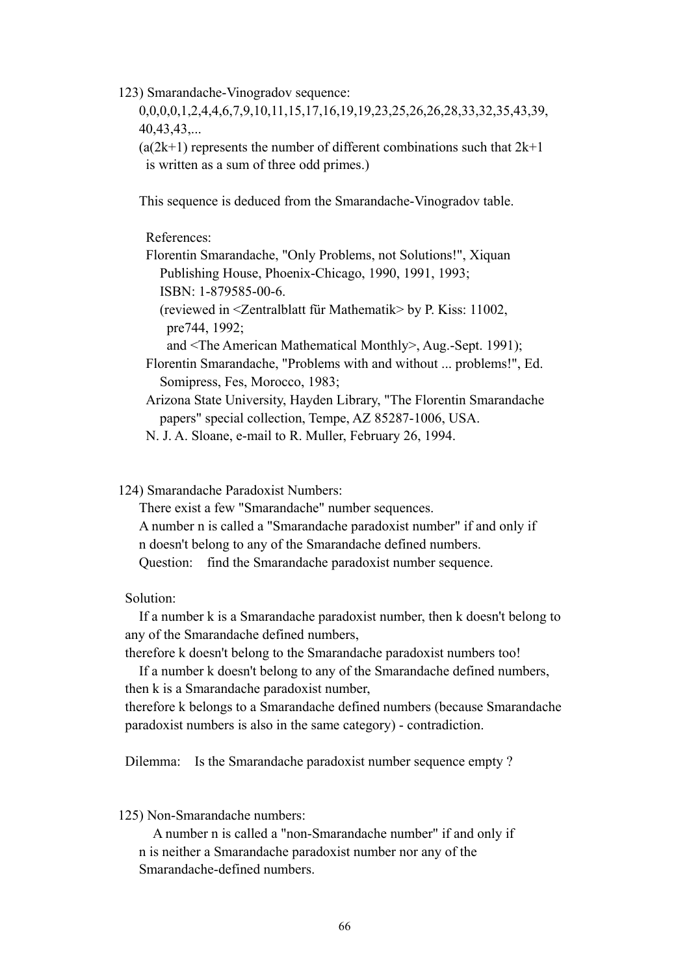123) Smarandache-Vinogradov sequence:

 0,0,0,0,1,2,4,4,6,7,9,10,11,15,17,16,19,19,23,25,26,26,28,33,32,35,43,39, 40,43,43,...

 $(a(2k+1)$  represents the number of different combinations such that  $2k+1$ is written as a sum of three odd primes.)

This sequence is deduced from the Smarandache-Vinogradov table.

References:

 Florentin Smarandache, "Only Problems, not Solutions!", Xiquan Publishing House, Phoenix-Chicago, 1990, 1991, 1993; ISBN: 1-879585-00-6.

 (reviewed in <Zentralblatt für Mathematik> by P. Kiss: 11002, pre744, 1992;

and <The American Mathematical Monthly>, Aug.-Sept. 1991);

- Florentin Smarandache, "Problems with and without ... problems!", Ed. Somipress, Fes, Morocco, 1983;
- Arizona State University, Hayden Library, "The Florentin Smarandache papers" special collection, Tempe, AZ 85287-1006, USA.

N. J. A. Sloane, e-mail to R. Muller, February 26, 1994.

124) Smarandache Paradoxist Numbers:

 There exist a few "Smarandache" number sequences. A number n is called a "Smarandache paradoxist number" if and only if n doesn't belong to any of the Smarandache defined numbers. Question: find the Smarandache paradoxist number sequence.

Solution:

 If a number k is a Smarandache paradoxist number, then k doesn't belong to any of the Smarandache defined numbers,

therefore k doesn't belong to the Smarandache paradoxist numbers too!

 If a number k doesn't belong to any of the Smarandache defined numbers, then k is a Smarandache paradoxist number,

 therefore k belongs to a Smarandache defined numbers (because Smarandache paradoxist numbers is also in the same category) - contradiction.

Dilemma: Is the Smarandache paradoxist number sequence empty ?

125) Non-Smarandache numbers:

 A number n is called a "non-Smarandache number" if and only if n is neither a Smarandache paradoxist number nor any of the Smarandache-defined numbers.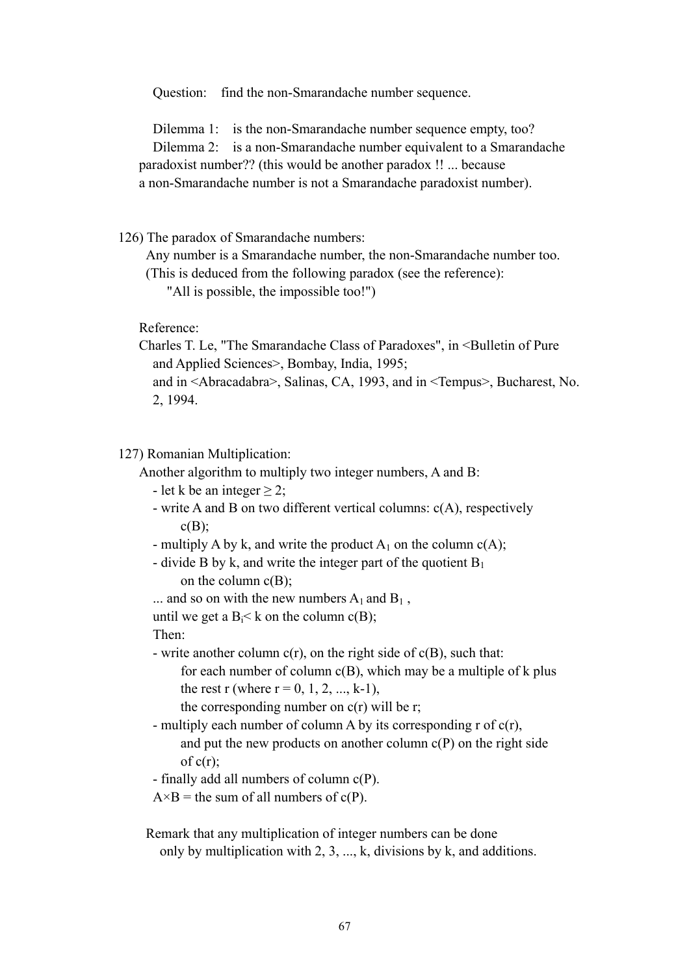Question: find the non-Smarandache number sequence.

Dilemma 1: is the non-Smarandache number sequence empty, too? Dilemma 2: is a non-Smarandache number equivalent to a Smarandache paradoxist number?? (this would be another paradox !! ... because a non-Smarandache number is not a Smarandache paradoxist number).

126) The paradox of Smarandache numbers:

 Any number is a Smarandache number, the non-Smarandache number too. (This is deduced from the following paradox (see the reference):

"All is possible, the impossible too!")

Reference:

Charles T. Le, "The Smarandache Class of Paradoxes", in <Bulletin of Pure and Applied Sciences>, Bombay, India, 1995;

```
 and in <Abracadabra>, Salinas, CA, 1993, and in <Tempus>, Bucharest, No. 
2, 1994.
```
#### 127) Romanian Multiplication:

Another algorithm to multiply two integer numbers, A and B:

- let k be an integer  $> 2$ ;

- write A and B on two different vertical columns:  $c(A)$ , respectively  $c(B)$ :
- multiply A by k, and write the product  $A_1$  on the column  $c(A)$ ;
- divide B by k, and write the integer part of the quotient  $B_1$ on the column  $c(B)$ ;
- ... and so on with the new numbers  $A_1$  and  $B_1$ ,

until we get a  $B_i < k$  on the column  $c(B)$ ;

Then:

- write another column  $c(r)$ , on the right side of  $c(B)$ , such that:

for each number of column  $c(B)$ , which may be a multiple of k plus the rest r (where  $r = 0, 1, 2, ..., k-1$ ),

```
the corresponding number on c(r) will be r;
```
- multiply each number of column A by its corresponding r of  $c(r)$ , and put the new products on another column  $c(P)$  on the right side of  $c(r)$ ;

- finally add all numbers of column c(P).

 $A \times B$  = the sum of all numbers of c(P).

 Remark that any multiplication of integer numbers can be done only by multiplication with 2, 3, ..., k, divisions by k, and additions.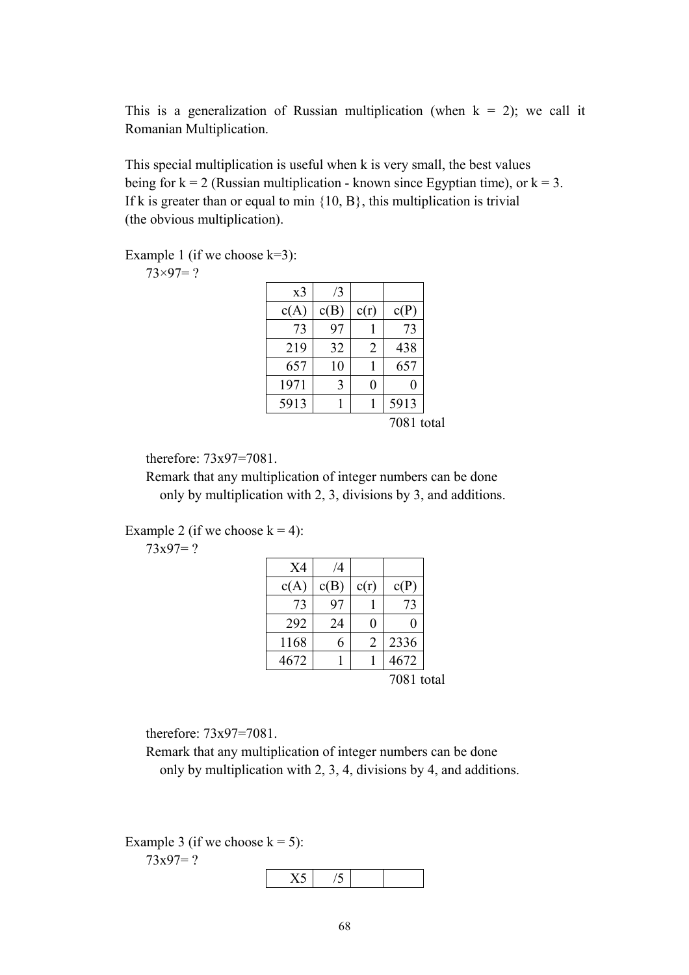This is a generalization of Russian multiplication (when  $k = 2$ ); we call it Romanian Multiplication.

 This special multiplication is useful when k is very small, the best values being for  $k = 2$  (Russian multiplication - known since Egyptian time), or  $k = 3$ . If k is greater than or equal to min  $\{10, B\}$ , this multiplication is trivial (the obvious multiplication).

Example 1 (if we choose  $k=3$ ):

 $73\times97=?$ 

| x <sub>3</sub> | /3   |                |      |
|----------------|------|----------------|------|
| c(A)           | c(B) | c(r)           | c(P) |
| 73             | 97   |                | 73   |
| 219            | 32   | $\overline{2}$ | 438  |
| 657            | 10   |                | 657  |
| 1971           | 3    |                | 0    |
| 5913           |      |                | 5913 |
|                |      |                | 700  |

7081 total

therefore: 73x97=7081.

 Remark that any multiplication of integer numbers can be done only by multiplication with 2, 3, divisions by 3, and additions.

Example 2 (if we choose  $k = 4$ ):

 $73x97=?$ 

|            |      | /4   | X4   |
|------------|------|------|------|
| c(P)       | c(r) | c(B) | c(A) |
| 73         |      | 97   | 73   |
|            | 0    | 24   | 292  |
| 2336       | 2    | 6    | 1168 |
| 4672       |      |      | 4672 |
| 7081 total |      |      |      |

therefore: 73x97=7081.

 Remark that any multiplication of integer numbers can be done only by multiplication with 2, 3, 4, divisions by 4, and additions.

Example 3 (if we choose  $k = 5$ ):

 $73x97=?$ 

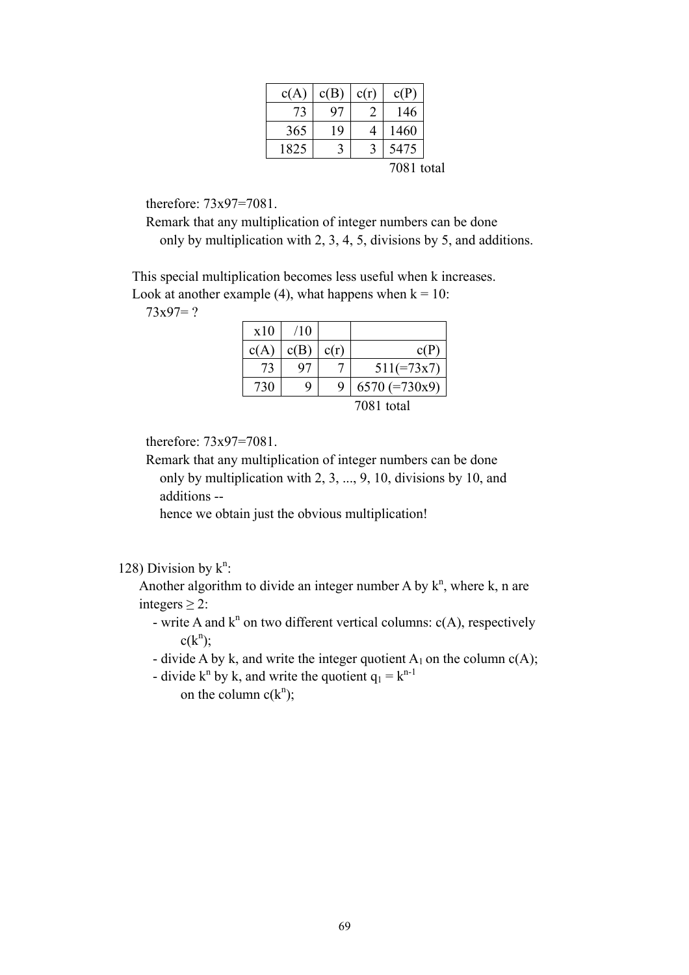| c(A) | c(B) | c(r)          | c(P)       |  |
|------|------|---------------|------------|--|
| 73   | 97   | $\mathcal{L}$ | 146        |  |
| 365  | 19   |               | 1460       |  |
| 1825 |      |               | 5475       |  |
|      |      |               | 7081 total |  |

therefore: 73x97=7081.

 Remark that any multiplication of integer numbers can be done only by multiplication with 2, 3, 4, 5, divisions by 5, and additions.

 This special multiplication becomes less useful when k increases. Look at another example (4), what happens when  $k = 10$ :

 $73x97=?$ 

| x10  | /10  |      |                 |
|------|------|------|-----------------|
| c(A) | c(B) | c(r) | c(P)            |
| 73   | 97   |      | $511(=73x7)$    |
| 730  | q    | 9    | $6570 (=730x9)$ |
|      |      |      | 7081 total      |

therefore: 73x97=7081.

 Remark that any multiplication of integer numbers can be done only by multiplication with 2, 3, ..., 9, 10, divisions by 10, and additions --

hence we obtain just the obvious multiplication!

128) Division by  $k^n$ :

Another algorithm to divide an integer number A by  $k^n$ , where k, n are integers  $>$  2:

- write A and  $k^n$  on two different vertical columns:  $c(A)$ , respectively  $c(k^n);$ 
	- divide A by k, and write the integer quotient  $A_1$  on the column  $c(A)$ ;
- divide  $k^n$  by k, and write the quotient  $q_1 = k^{n-1}$ on the column  $c(k^n)$ ;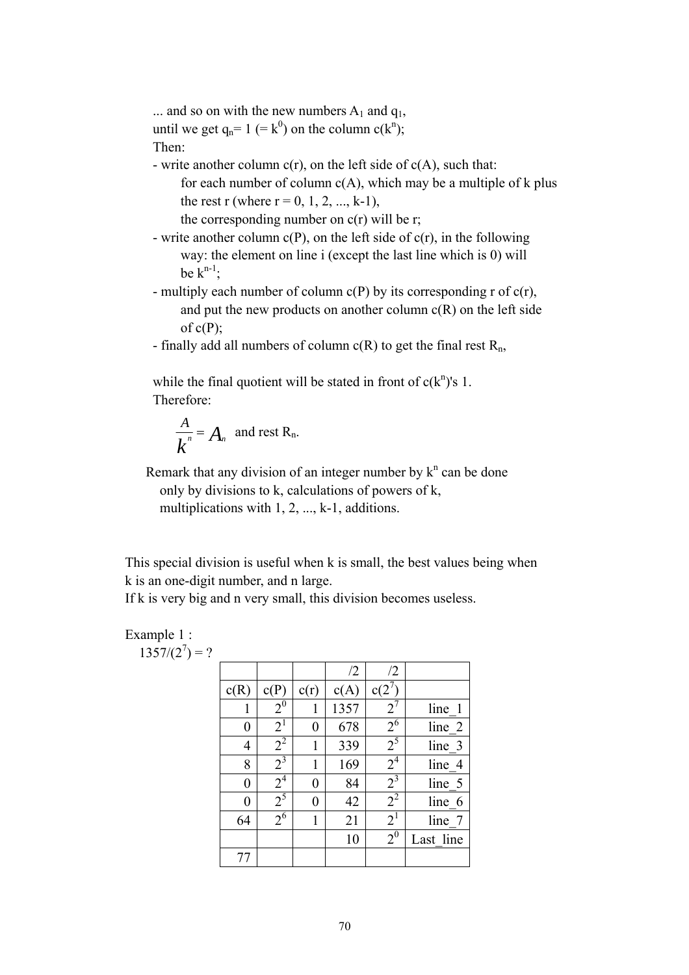... and so on with the new numbers  $A_1$  and  $q_1$ , until we get  $q_n = 1 (= k^0)$  on the column  $c(k^n)$ ; Then:

- write another column  $c(r)$ , on the left side of  $c(A)$ , such that:

for each number of column  $c(A)$ , which may be a multiple of k plus the rest r (where  $r = 0, 1, 2, ..., k-1$ ),

the corresponding number on  $c(r)$  will be r;

- write another column  $c(P)$ , on the left side of  $c(r)$ , in the following way: the element on line i (except the last line which is 0) will be  $k^{n-1}$ ;
- multiply each number of column  $c(P)$  by its corresponding r of  $c(r)$ , and put the new products on another column  $c(R)$  on the left side of  $c(P)$ ;
- finally add all numbers of column  $c(R)$  to get the final rest  $R_n$ ,

while the final quotient will be stated in front of  $c(k^n)$ 's 1. Therefore:

$$
\frac{A}{k^n} = A_n
$$
 and rest R<sub>n</sub>.

Remark that any division of an integer number by  $k^n$  can be done only by divisions to k, calculations of powers of k, multiplications with 1, 2, ..., k-1, additions.

 This special division is useful when k is small, the best values being when k is an one-digit number, and n large.

If k is very big and n very small, this division becomes useless.

# Example 1 :

 $1357/(2^7) = ?$ 

|      |                  |      | /2   | /2               |           |
|------|------------------|------|------|------------------|-----------|
| c(R) | c(P)             | c(r) | c(A) | c(2)             |           |
| 1    | $2^{0}$          |      | 1357 | $2^7$            | line 1    |
| 0    | $2^1$            | 0    | 678  | 2 <sup>6</sup>   | line 2    |
| 4    | $2^2$            |      | 339  | $\overline{2}^5$ | line 3    |
| 8    | $2^3$            |      | 169  | $2^4$            | line 4    |
| 0    | 2 <sup>4</sup>   | 0    | 84   | $\overline{2}^3$ | line 5    |
| 0    | $\overline{2^5}$ | 0    | 42   | $2^2$            | line 6    |
| 64   | 2 <sup>6</sup>   |      | 21   | 2 <sup>1</sup>   | line 7    |
|      |                  |      | 10   | $2^{0}$          | Last line |
|      |                  |      |      |                  |           |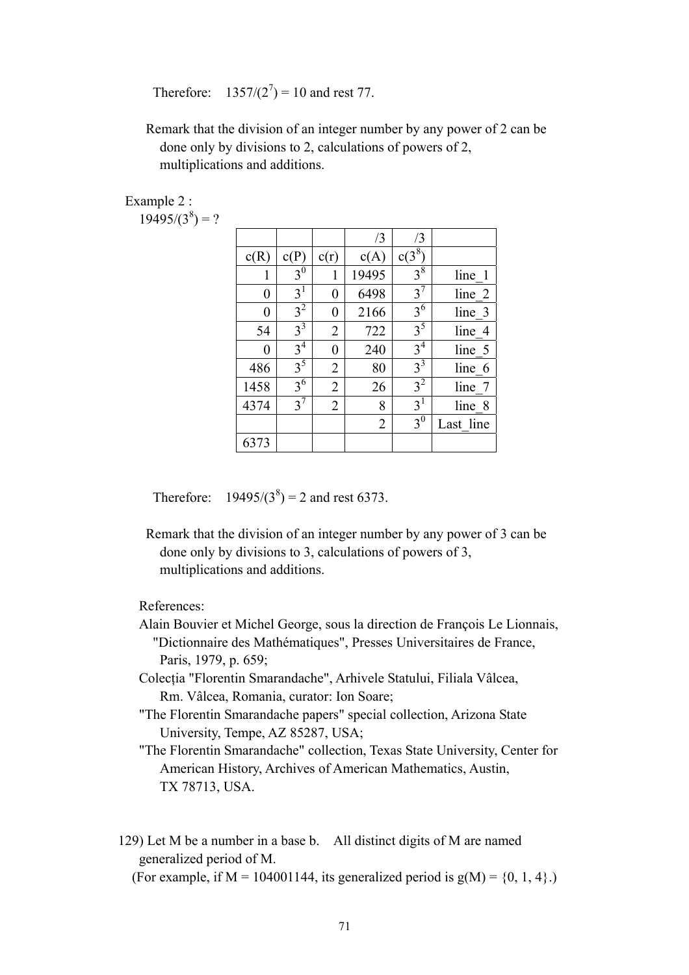Therefore:  $1357/(2^7) = 10$  and rest 77.

 Remark that the division of an integer number by any power of 2 can be done only by divisions to 2, calculations of powers of 2, multiplications and additions.

Example 2 :

 $19495/(3^8) = ?$ 

|      |                    |                | /3             | /3             |            |
|------|--------------------|----------------|----------------|----------------|------------|
| c(R) | c(P)               | c(r)           | c(A)           | $c(3^8)$       |            |
| 1    | 3 <sup>0</sup>     | 1              | 19495          | $3^8$          | line 1     |
| 0    | 3 <sup>1</sup>     | 0              | 6498           | $3^7$          | line 2     |
| 0    | 3 <sup>2</sup>     | 0              | 2166           | 3 <sup>6</sup> | line 3     |
| 54   | $3^{\overline{3}}$ | $\overline{2}$ | 722            | 3 <sup>5</sup> | line 4     |
| 0    | 3 <sup>4</sup>     | 0              | 240            | 3 <sup>4</sup> | line 5     |
| 486  | 3 <sup>5</sup>     | $\overline{2}$ | 80             | $3^3$          | line 6     |
| 1458 | $3^6$              | $\overline{2}$ | 26             | 3 <sup>2</sup> | line<br>-7 |
| 4374 | $3^7$              | $\overline{2}$ | 8              | 3 <sup>1</sup> | line 8     |
|      |                    |                | $\overline{2}$ | 3 <sup>0</sup> | Last line  |
| 6373 |                    |                |                |                |            |

Therefore:  $19495/(3^8) = 2$  and rest 6373.

 Remark that the division of an integer number by any power of 3 can be done only by divisions to 3, calculations of powers of 3, multiplications and additions.

References:

- Alain Bouvier et Michel George, sous la direction de François Le Lionnais, "Dictionnaire des Mathématiques", Presses Universitaires de France, Paris, 1979, p. 659;
- Colecţia "Florentin Smarandache", Arhivele Statului, Filiala Vâlcea, Rm. Vâlcea, Romania, curator: Ion Soare;
- "The Florentin Smarandache papers" special collection, Arizona State University, Tempe, AZ 85287, USA;
- "The Florentin Smarandache" collection, Texas State University, Center for American History, Archives of American Mathematics, Austin, TX 78713, USA.
- 129) Let M be a number in a base b. All distinct digits of M are named generalized period of M.

(For example, if  $M = 104001144$ , its generalized period is  $g(M) = \{0, 1, 4\}$ .)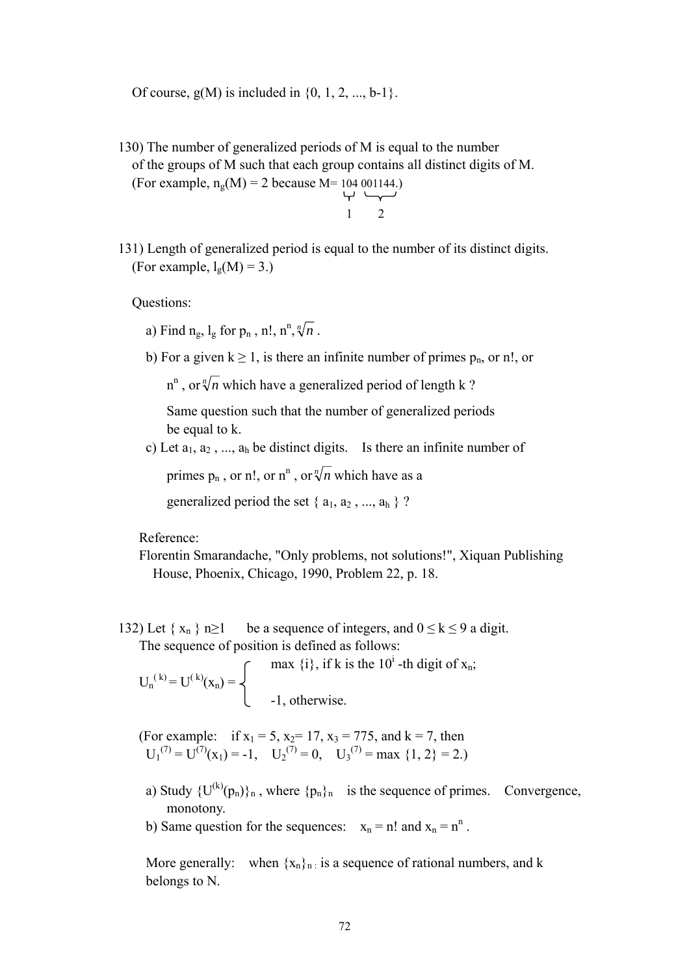Of course,  $g(M)$  is included in  $\{0, 1, 2, ..., b-1\}$ .

 130) The number of generalized periods of M is equal to the number of the groups of M such that each group contains all distinct digits of M. (For example,  $n_g(M) = 2$  because M= 104 001144.)

$$
\begin{array}{c} 1 \\ 1 \end{array}
$$

 131) Length of generalized period is equal to the number of its distinct digits. (For example,  $l_g(M) = 3.$ )

Questions:

- a) Find  $n_g$ ,  $l_g$  for  $p_n$ ,  $n!$ ,  $n^n$ ,  $\sqrt[n]{n}$ .
	- b) For a given  $k \ge 1$ , is there an infinite number of primes  $p_n$ , or n!, or

 $n^n$ , or  $\sqrt[n]{n}$  which have a generalized period of length k?

 Same question such that the number of generalized periods be equal to k.

c) Let  $a_1, a_2, ..., a_h$  be distinct digits. Is there an infinite number of

primes  $p_n$ , or n!, or  $n^n$ , or  $\sqrt[n]{n}$  which have as a

generalized period the set  $\{a_1, a_2, ..., a_h\}$ ?

Reference:

 Florentin Smarandache, "Only problems, not solutions!", Xiquan Publishing House, Phoenix, Chicago, 1990, Problem 22, p. 18.

132) Let  $\{x_n\}$  n≥1 be a sequence of integers, and  $0 \le k \le 9$  a digit. The sequence of position is defined as follows:

 $\int$  max {i}, if k is the 10<sup>i</sup>-th digit of x<sub>n</sub>;  $U_n^{(k)} = U^{(k)}(x_n) =$  $\Box$  -1, otherwise.

(For example: if  $x_1 = 5$ ,  $x_2 = 17$ ,  $x_3 = 775$ , and  $k = 7$ , then  $U_1^{(7)} = U^{(7)}(x_1) = -1$ ,  $U_2^{(7)} = 0$ ,  $U_3^{(7)} = max\{1, 2\} = 2$ .

- a) Study  $\{U^{(k)}(p_n)\}_n$ , where  $\{p_n\}_n$  is the sequence of primes. Convergence, monotony.
- b) Same question for the sequences:  $x_n = n!$  and  $x_n = n^n$ .

More generally: when  $\{x_n\}_n$  is a sequence of rational numbers, and k belongs to N.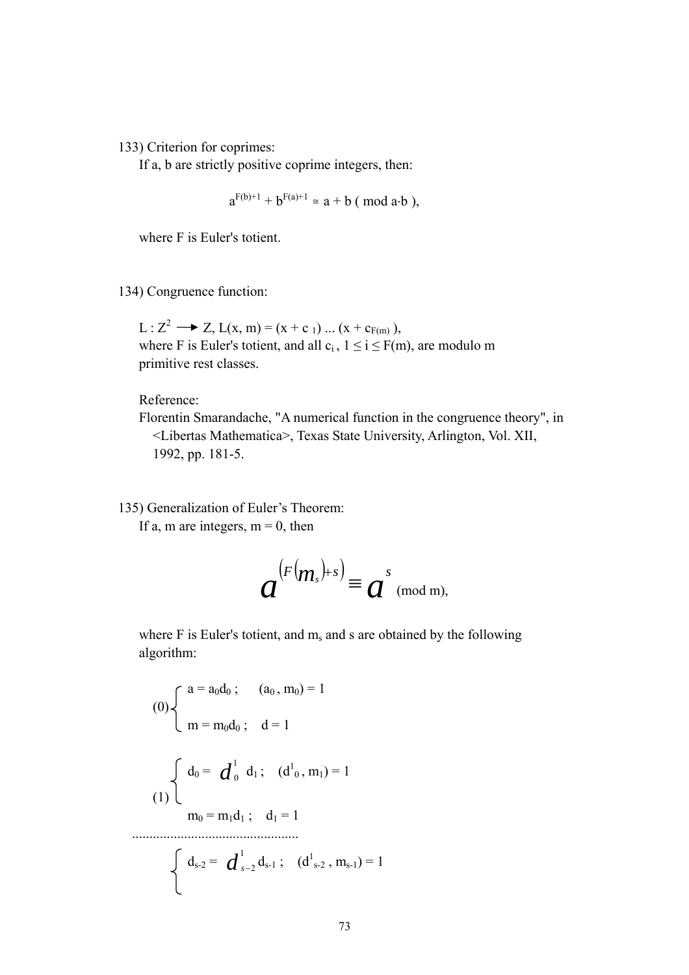133) Criterion for coprimes:

If a, b are strictly positive coprime integers, then:

$$
a^{F(b)+1} + b^{F(a)+1} \cong a + b \pmod{a \cdot b}
$$
,

where F is Euler's totient.

134) Congruence function:

L :  $Z^2 \longrightarrow Z$ , L(x, m) = (x + c <sub>1</sub>) ... (x + c<sub>F(m)</sub>), where F is Euler's totient, and all  $c_i$ ,  $1 \le i \le F(m)$ , are modulo m primitive rest classes.

Reference:

 Florentin Smarandache, "A numerical function in the congruence theory", in <Libertas Mathematica>, Texas State University, Arlington, Vol. XII, 1992, pp. 181-5.

135) Generalization of Euler's Theorem:

If a, m are integers,  $m = 0$ , then

$$
a^{(F(m_s)+s)} \equiv a^{s} \pmod{m},
$$

where  $F$  is Euler's totient, and  $m_s$  and s are obtained by the following algorithm:

(0)
$$
\begin{cases}\na = a_0 d_0; & (a_0, m_0) = 1 \\
m = m_0 d_0; & d = 1\n\end{cases}
$$
\n(1)
$$
\begin{cases}\nd_0 = d_0^1 d_1; & (d_0, m_1) = 1 \\
m_0 = m_1 d_1; & d_1 = 1\n\end{cases}
$$
\n
$$
\begin{cases}\nd_{s-2} = d_{s-2}^1 d_{s-1}; & (d_{s-2}^1, m_{s-1}) = 1\n\end{cases}
$$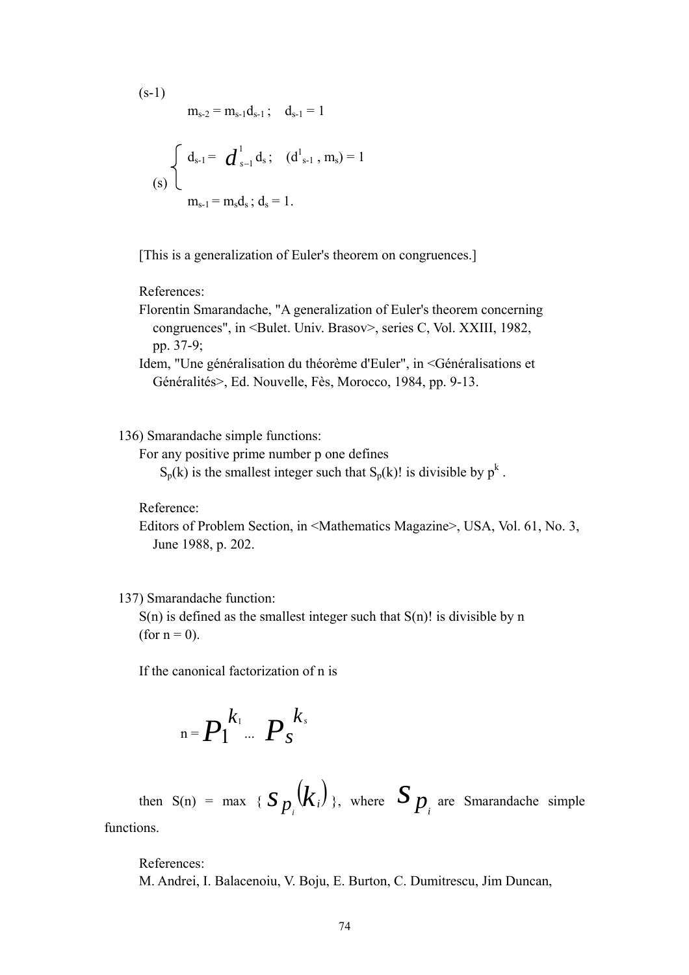(s-1)  
\n
$$
m_{s-2} = m_{s-1}d_{s-1} ; \quad d_{s-1} = 1
$$
\n
$$
(s) \begin{cases} d_{s-1} = d_{s-1}^1 d_s ; \quad (d_{s-1}^1, m_s) = 1 \\ m_{s-1} = m_s d_s ; d_s = 1. \end{cases}
$$

[This is a generalization of Euler's theorem on congruences.]

## References:

 Florentin Smarandache, "A generalization of Euler's theorem concerning congruences", in <Bulet. Univ. Brasov>, series C, Vol. XXIII, 1982, pp. 37-9;

 Idem, "Une généralisation du théorème d'Euler", in <Généralisations et Généralités>, Ed. Nouvelle, Fès, Morocco, 1984, pp. 9-13.

### 136) Smarandache simple functions:

For any positive prime number p one defines

 $S_p(k)$  is the smallest integer such that  $S_p(k)$ ! is divisible by  $p^k$ .

Reference:

 Editors of Problem Section, in <Mathematics Magazine>, USA, Vol. 61, No. 3, June 1988, p. 202.

#### 137) Smarandache function:

 $S(n)$  is defined as the smallest integer such that  $S(n)!$  is divisible by n (for  $n = 0$ ).

If the canonical factorization of n is

$$
{}_{n} = P_1^{k_1} \cdots P_s^{k_s}
$$

then  $S(n) = \max \{ S_p(k_i) \}$ , where  $S_p$  are Smarandache simple

functions.

 References: M. Andrei, I. Balacenoiu, V. Boju, E. Burton, C. Dumitrescu, Jim Duncan,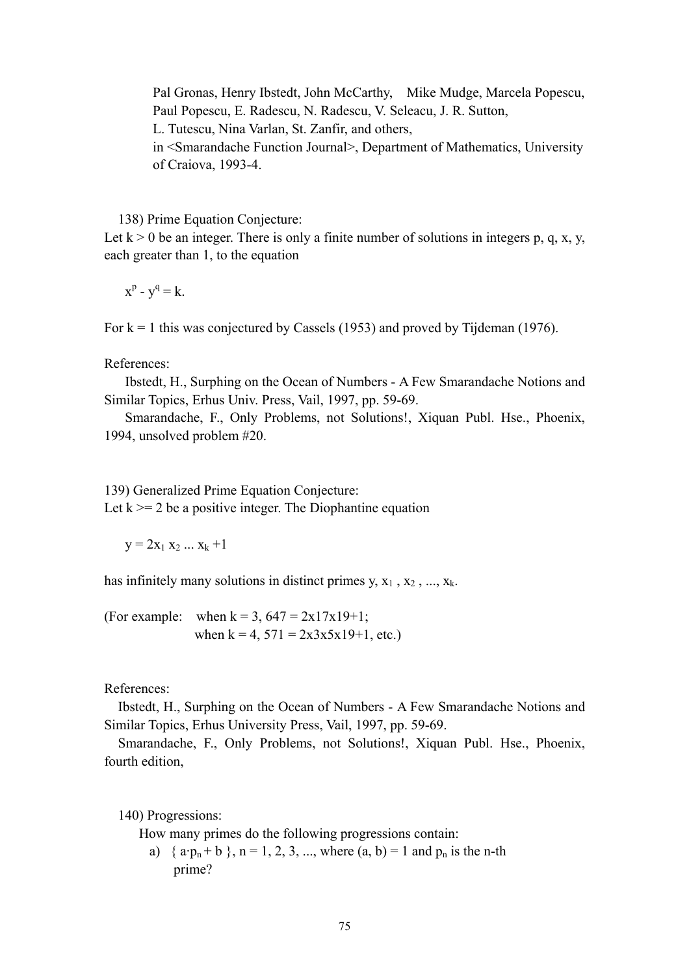Pal Gronas, Henry Ibstedt, John McCarthy, Mike Mudge, Marcela Popescu, Paul Popescu, E. Radescu, N. Radescu, V. Seleacu, J. R. Sutton,

L. Tutescu, Nina Varlan, St. Zanfir, and others,

 in <Smarandache Function Journal>, Department of Mathematics, University of Craiova, 1993-4.

138) Prime Equation Conjecture:

Let  $k > 0$  be an integer. There is only a finite number of solutions in integers p, q, x, y, each greater than 1, to the equation

 $x^p - y^q = k$ .

For  $k = 1$  this was conjectured by Cassels (1953) and proved by Tijdeman (1976).

References:

 Ibstedt, H., Surphing on the Ocean of Numbers - A Few Smarandache Notions and Similar Topics, Erhus Univ. Press, Vail, 1997, pp. 59-69.

 Smarandache, F., Only Problems, not Solutions!, Xiquan Publ. Hse., Phoenix, 1994, unsolved problem #20.

139) Generalized Prime Equation Conjecture:

Let  $k \geq 2$  be a positive integer. The Diophantine equation

 $y = 2x_1 x_2 ... x_k +1$ 

has infinitely many solutions in distinct primes y,  $x_1$ ,  $x_2$ , ...,  $x_k$ .

(For example: when  $k = 3$ ,  $647 = 2x17x19+1$ ; when  $k = 4$ ,  $571 = 2x3x5x19+1$ , etc.)

References:

 Ibstedt, H., Surphing on the Ocean of Numbers - A Few Smarandache Notions and Similar Topics, Erhus University Press, Vail, 1997, pp. 59-69.

 Smarandache, F., Only Problems, not Solutions!, Xiquan Publ. Hse., Phoenix, fourth edition,

140) Progressions:

How many primes do the following progressions contain:

a) {  $a \cdot p_n + b$  },  $n = 1, 2, 3, ...$ , where  $(a, b) = 1$  and  $p_n$  is the n-th prime?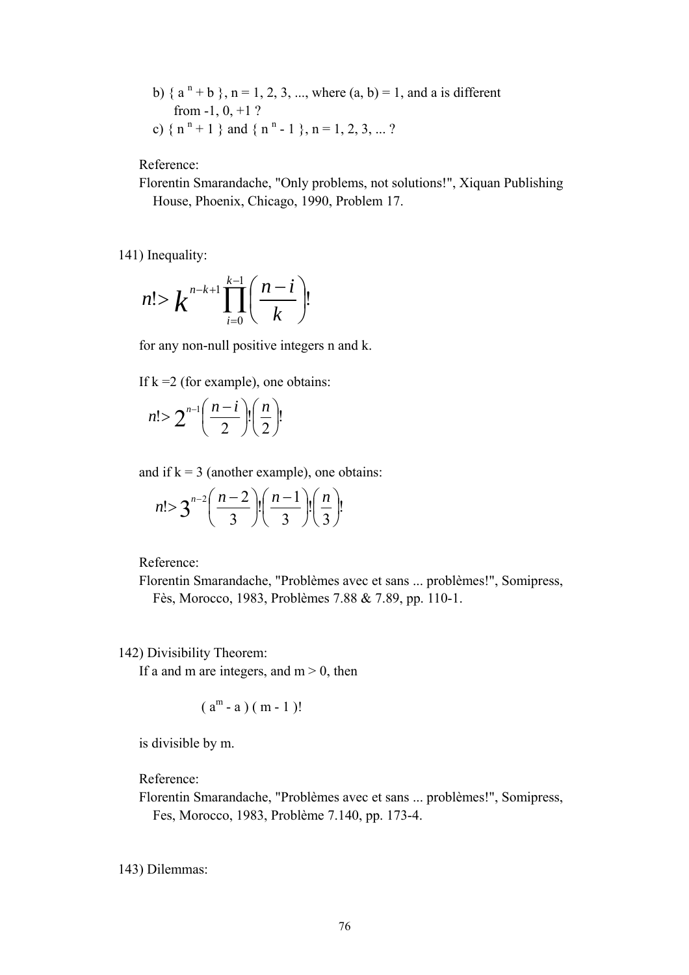b) {  $a^{n}$  + b }, n = 1, 2, 3, ..., where  $(a, b)$  = 1, and a is different from  $-1, 0, +1$  ? c) {  $n^{n}+1$  } and {  $n^{n}-1$  },  $n=1, 2, 3, ...$  ?

Reference:

 Florentin Smarandache, "Only problems, not solutions!", Xiquan Publishing House, Phoenix, Chicago, 1990, Problem 17.

141) Inequality:

$$
n! > k^{n-k+1} \prod_{i=0}^{k-1} \left( \frac{n-i}{k} \right)!
$$

for any non-null positive integers n and k.

If  $k = 2$  (for example), one obtains:

$$
n! > 2^{n-1} \left(\frac{n-i}{2}\right)! \left(\frac{n}{2}\right)!
$$

and if  $k = 3$  (another example), one obtains:

$$
n! > 3^{n-2} \left(\frac{n-2}{3}\right)! \left(\frac{n-1}{3}\right)! \left(\frac{n}{3}\right)!
$$

Reference:

 Florentin Smarandache, "Problèmes avec et sans ... problèmes!", Somipress, Fès, Morocco, 1983, Problèmes 7.88 & 7.89, pp. 110-1.

142) Divisibility Theorem:

If a and m are integers, and  $m > 0$ , then

$$
(am - a) (m - 1)!
$$

is divisible by m.

Reference:

 Florentin Smarandache, "Problèmes avec et sans ... problèmes!", Somipress, Fes, Morocco, 1983, Problème 7.140, pp. 173-4.

143) Dilemmas: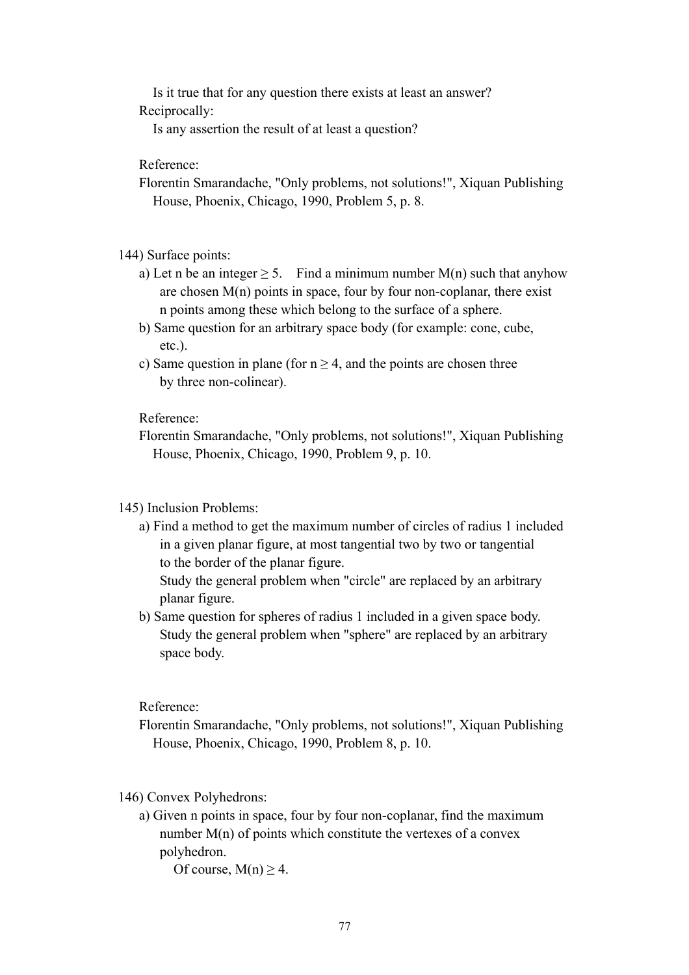Is it true that for any question there exists at least an answer? Reciprocally:

Is any assertion the result of at least a question?

Reference:

 Florentin Smarandache, "Only problems, not solutions!", Xiquan Publishing House, Phoenix, Chicago, 1990, Problem 5, p. 8.

144) Surface points:

- a) Let n be an integer  $> 5$ . Find a minimum number M(n) such that anyhow are chosen  $M(n)$  points in space, four by four non-coplanar, there exist n points among these which belong to the surface of a sphere.
- b) Same question for an arbitrary space body (for example: cone, cube, etc.).
- c) Same question in plane (for  $n \geq 4$ , and the points are chosen three by three non-colinear).

Reference:

 Florentin Smarandache, "Only problems, not solutions!", Xiquan Publishing House, Phoenix, Chicago, 1990, Problem 9, p. 10.

### 145) Inclusion Problems:

 a) Find a method to get the maximum number of circles of radius 1 included in a given planar figure, at most tangential two by two or tangential to the border of the planar figure.

 Study the general problem when "circle" are replaced by an arbitrary planar figure.

 b) Same question for spheres of radius 1 included in a given space body. Study the general problem when "sphere" are replaced by an arbitrary space body.

Reference:

- Florentin Smarandache, "Only problems, not solutions!", Xiquan Publishing House, Phoenix, Chicago, 1990, Problem 8, p. 10.
- 146) Convex Polyhedrons:
	- a) Given n points in space, four by four non-coplanar, find the maximum number  $M(n)$  of points which constitute the vertexes of a convex polyhedron.

Of course,  $M(n) > 4$ .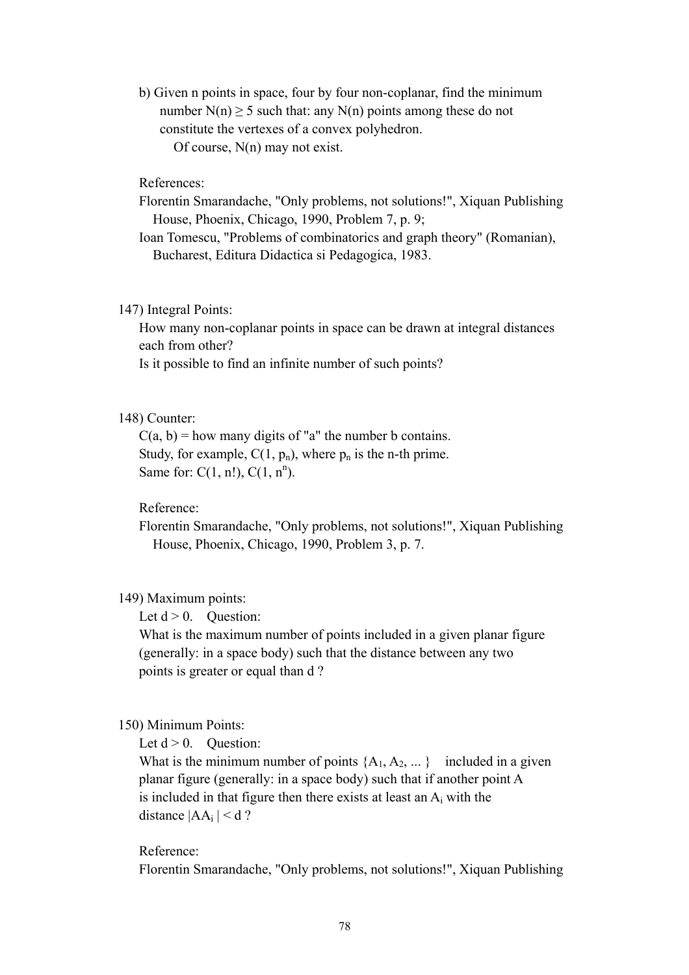b) Given n points in space, four by four non-coplanar, find the minimum number  $N(n)$  > 5 such that: any  $N(n)$  points among these do not constitute the vertexes of a convex polyhedron. Of course, N(n) may not exist.

### References:

- Florentin Smarandache, "Only problems, not solutions!", Xiquan Publishing House, Phoenix, Chicago, 1990, Problem 7, p. 9;
- Ioan Tomescu, "Problems of combinatorics and graph theory" (Romanian), Bucharest, Editura Didactica si Pedagogica, 1983.

#### 147) Integral Points:

 How many non-coplanar points in space can be drawn at integral distances each from other?

Is it possible to find an infinite number of such points?

#### 148) Counter:

 $C(a, b)$  = how many digits of "a" the number b contains. Study, for example,  $C(1, p_n)$ , where  $p_n$  is the n-th prime. Same for:  $C(1, n!)$ ,  $C(1, n^n)$ .

## Reference:

 Florentin Smarandache, "Only problems, not solutions!", Xiquan Publishing House, Phoenix, Chicago, 1990, Problem 3, p. 7.

#### 149) Maximum points:

Let  $d > 0$ . Ouestion:

 What is the maximum number of points included in a given planar figure (generally: in a space body) such that the distance between any two points is greater or equal than d ?

#### 150) Minimum Points:

Let  $d > 0$ . Ouestion:

What is the minimum number of points  ${A_1, A_2, ... }$  included in a given planar figure (generally: in a space body) such that if another point A is included in that figure then there exists at least an  $A_i$  with the distance  $|AA_i| < d$ ?

### Reference:

Florentin Smarandache, "Only problems, not solutions!", Xiquan Publishing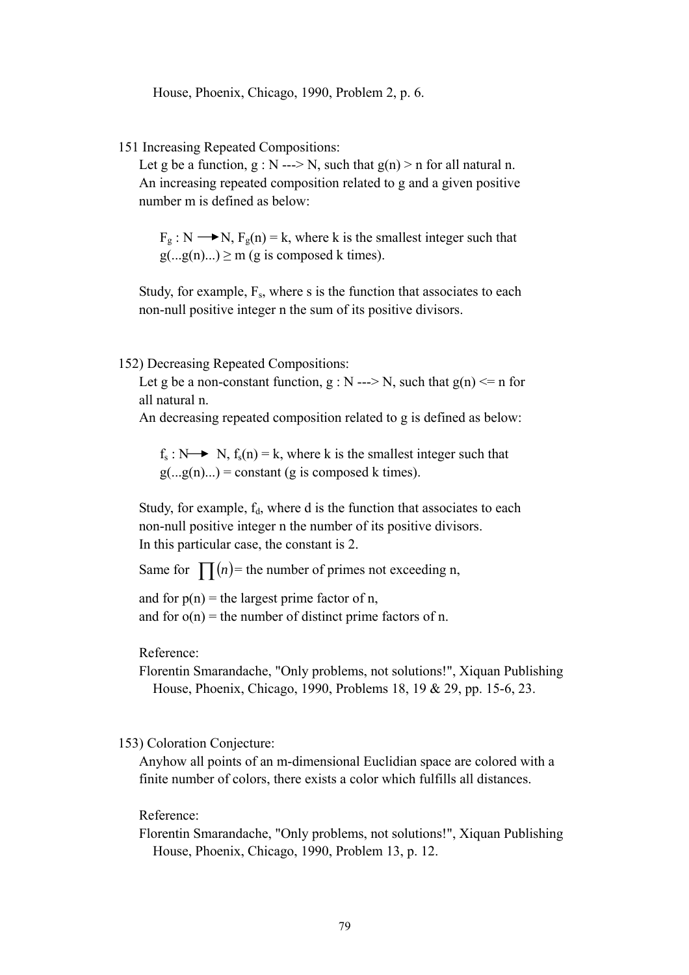House, Phoenix, Chicago, 1990, Problem 2, p. 6.

151 Increasing Repeated Compositions:

Let g be a function,  $g : N \rightarrow N$ , such that  $g(n) > n$  for all natural n. An increasing repeated composition related to g and a given positive number m is defined as below:

 $F_g$  : N  $\longrightarrow$  N,  $F_g(n) = k$ , where k is the smallest integer such that  $g(...g(n)...) \ge m$  (g is composed k times).

Study, for example,  $F_s$ , where s is the function that associates to each non-null positive integer n the sum of its positive divisors.

152) Decreasing Repeated Compositions:

Let g be a non-constant function,  $g : N \rightarrow N$ , such that  $g(n) \le n$  for all natural n.

An decreasing repeated composition related to g is defined as below:

 $f_s : N \rightarrow N$ ,  $f_s(n) = k$ , where k is the smallest integer such that  $g(...g(n)...)$  = constant (g is composed k times).

Study, for example,  $f_d$ , where d is the function that associates to each non-null positive integer n the number of its positive divisors. In this particular case, the constant is 2.

Same for  $\prod(n)$  = the number of primes not exceeding n,

and for  $p(n)$  = the largest prime factor of n, and for  $o(n)$  = the number of distinct prime factors of n.

Reference:

 Florentin Smarandache, "Only problems, not solutions!", Xiquan Publishing House, Phoenix, Chicago, 1990, Problems 18, 19 & 29, pp. 15-6, 23.

## 153) Coloration Conjecture:

 Anyhow all points of an m-dimensional Euclidian space are colored with a finite number of colors, there exists a color which fulfills all distances.

#### Reference:

 Florentin Smarandache, "Only problems, not solutions!", Xiquan Publishing House, Phoenix, Chicago, 1990, Problem 13, p. 12.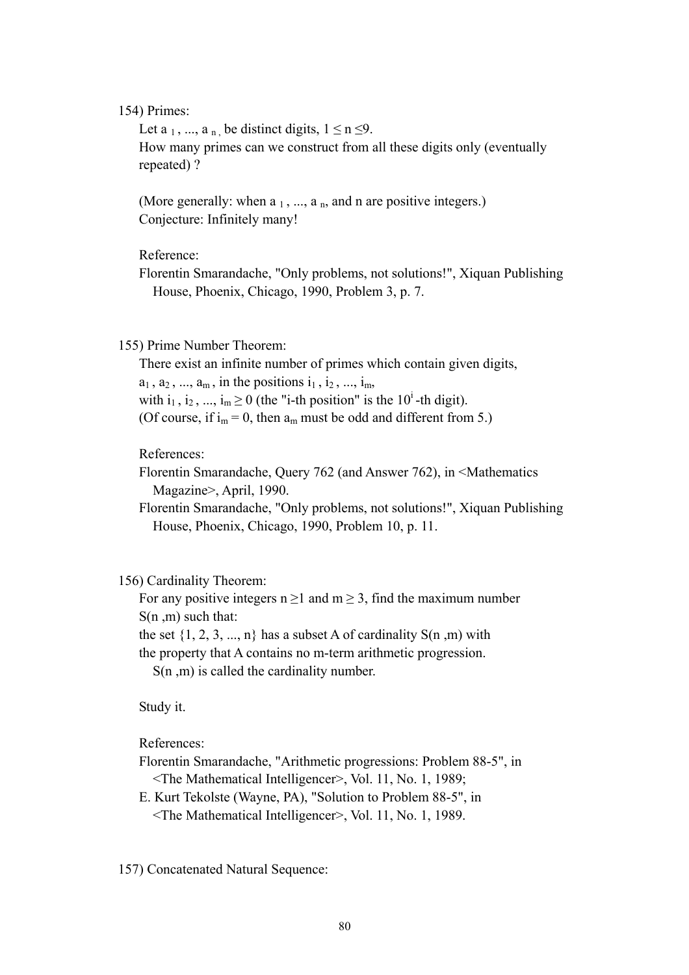### 154) Primes:

Let a  $_1$ , ..., a  $_n$ , be distinct digits,  $1 \le n \le 9$ . How many primes can we construct from all these digits only (eventually repeated) ?

(More generally: when  $a_1, ..., a_n$ , and n are positive integers.) Conjecture: Infinitely many!

Reference:

 Florentin Smarandache, "Only problems, not solutions!", Xiquan Publishing House, Phoenix, Chicago, 1990, Problem 3, p. 7.

### 155) Prime Number Theorem:

 There exist an infinite number of primes which contain given digits,  $a_1, a_2, ..., a_m$ , in the positions  $i_1, i_2, ..., i_m$ , with  $i_1$ ,  $i_2$ , ...,  $i_m \ge 0$  (the "i-th position" is the 10<sup>i</sup>-th digit). (Of course, if  $i_m = 0$ , then  $a_m$  must be odd and different from 5.)

References:

 Florentin Smarandache, Query 762 (and Answer 762), in <Mathematics Magazine>, April, 1990.

 Florentin Smarandache, "Only problems, not solutions!", Xiquan Publishing House, Phoenix, Chicago, 1990, Problem 10, p. 11.

### 156) Cardinality Theorem:

For any positive integers  $n \ge 1$  and  $m \ge 3$ , find the maximum number S(n ,m) such that:

the set  $\{1, 2, 3, ..., n\}$  has a subset A of cardinality  $S(n, m)$  with

the property that A contains no m-term arithmetic progression.

S(n, m) is called the cardinality number.

Study it.

References:

 Florentin Smarandache, "Arithmetic progressions: Problem 88-5", in <The Mathematical Intelligencer>, Vol. 11, No. 1, 1989;

 E. Kurt Tekolste (Wayne, PA), "Solution to Problem 88-5", in <The Mathematical Intelligencer>, Vol. 11, No. 1, 1989.

157) Concatenated Natural Sequence: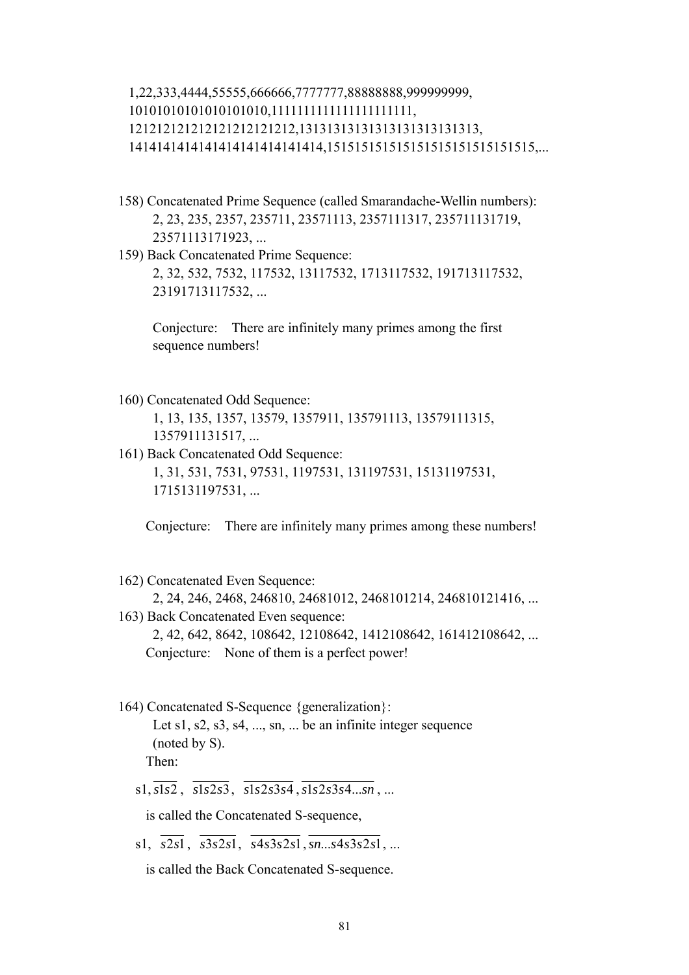# 1,22,333,4444,55555,666666,7777777,88888888,999999999, 10101010101010101010,1111111111111111111111, 121212121212121212121212,13131313131313131313131313, 1414141414141414141414141414,151515151515151515151515151515,...

- 158) Concatenated Prime Sequence (called Smarandache-Wellin numbers): 2, 23, 235, 2357, 235711, 23571113, 2357111317, 235711131719, 23571113171923, ...
- 159) Back Concatenated Prime Sequence: 2, 32, 532, 7532, 117532, 13117532, 1713117532, 191713117532, 23191713117532, ...

 Conjecture: There are infinitely many primes among the first sequence numbers!

- 160) Concatenated Odd Sequence: 1, 13, 135, 1357, 13579, 1357911, 135791113, 13579111315, 1357911131517, ...
- 161) Back Concatenated Odd Sequence: 1, 31, 531, 7531, 97531, 1197531, 131197531, 15131197531, 1715131197531, ...

Conjecture: There are infinitely many primes among these numbers!

162) Concatenated Even Sequence:

```
 2, 24, 246, 2468, 246810, 24681012, 2468101214, 246810121416, ...
```
- 163) Back Concatenated Even sequence: 2, 42, 642, 8642, 108642, 12108642, 1412108642, 161412108642, ... Conjecture: None of them is a perfect power!
- 164) Concatenated S-Sequence {generalization}:

Let s1, s2, s3, s4,  $\dots$ , sn,  $\dots$  be an infinite integer sequence (noted by S). Then:

 $s1, \overline{s1s2}, \overline{s1s2s3}, \overline{s1s2s3s4}, \overline{s1s2s3s4...sn}, \dots$ 

is called the Concatenated S-sequence,

 $s1, \overline{s2s1}, \overline{s3s2s1}, \overline{s4s3s2s1}, \overline{s}n...s4s3s2s1, \ldots$ 

is called the Back Concatenated S-sequence.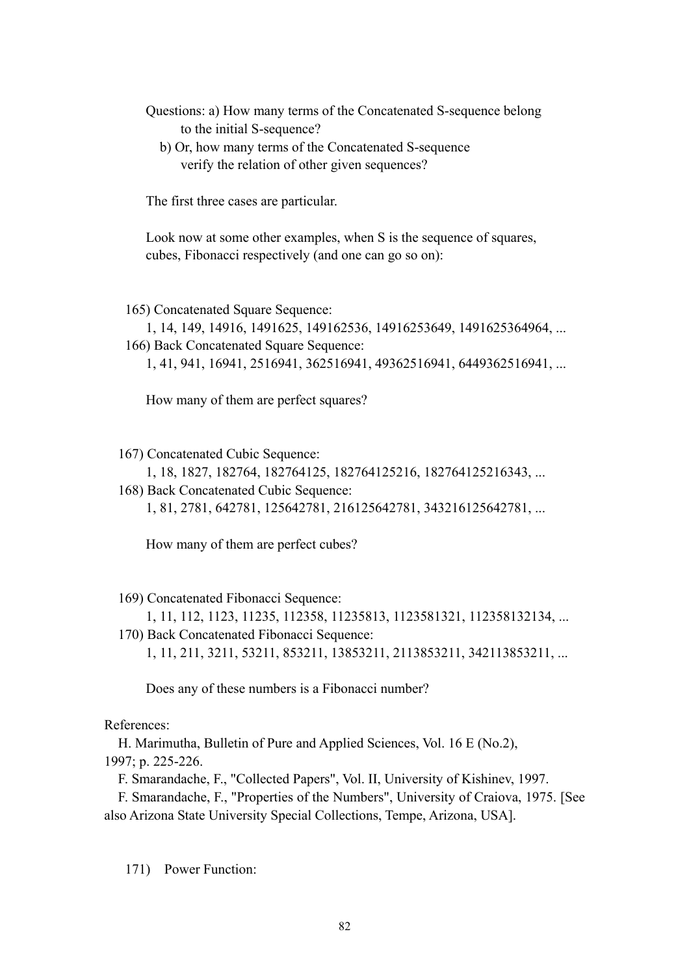- Questions: a) How many terms of the Concatenated S-sequence belong to the initial S-sequence?
	- b) Or, how many terms of the Concatenated S-sequence verify the relation of other given sequences?

The first three cases are particular.

 Look now at some other examples, when S is the sequence of squares, cubes, Fibonacci respectively (and one can go so on):

165) Concatenated Square Sequence:

 1, 14, 149, 14916, 1491625, 149162536, 14916253649, 1491625364964, ... 166) Back Concatenated Square Sequence:

1, 41, 941, 16941, 2516941, 362516941, 49362516941, 6449362516941, ...

How many of them are perfect squares?

167) Concatenated Cubic Sequence:

1, 18, 1827, 182764, 182764125, 182764125216, 182764125216343, ...

 168) Back Concatenated Cubic Sequence: 1, 81, 2781, 642781, 125642781, 216125642781, 343216125642781, ...

How many of them are perfect cubes?

169) Concatenated Fibonacci Sequence:

1, 11, 112, 1123, 11235, 112358, 11235813, 1123581321, 112358132134, ...

- 170) Back Concatenated Fibonacci Sequence:
	- 1, 11, 211, 3211, 53211, 853211, 13853211, 2113853211, 342113853211, ...

Does any of these numbers is a Fibonacci number?

References:

 H. Marimutha, Bulletin of Pure and Applied Sciences, Vol. 16 E (No.2), 1997; p. 225-226.

F. Smarandache, F., "Collected Papers", Vol. II, University of Kishinev, 1997.

 F. Smarandache, F., "Properties of the Numbers", University of Craiova, 1975. [See also Arizona State University Special Collections, Tempe, Arizona, USA].

171) Power Function: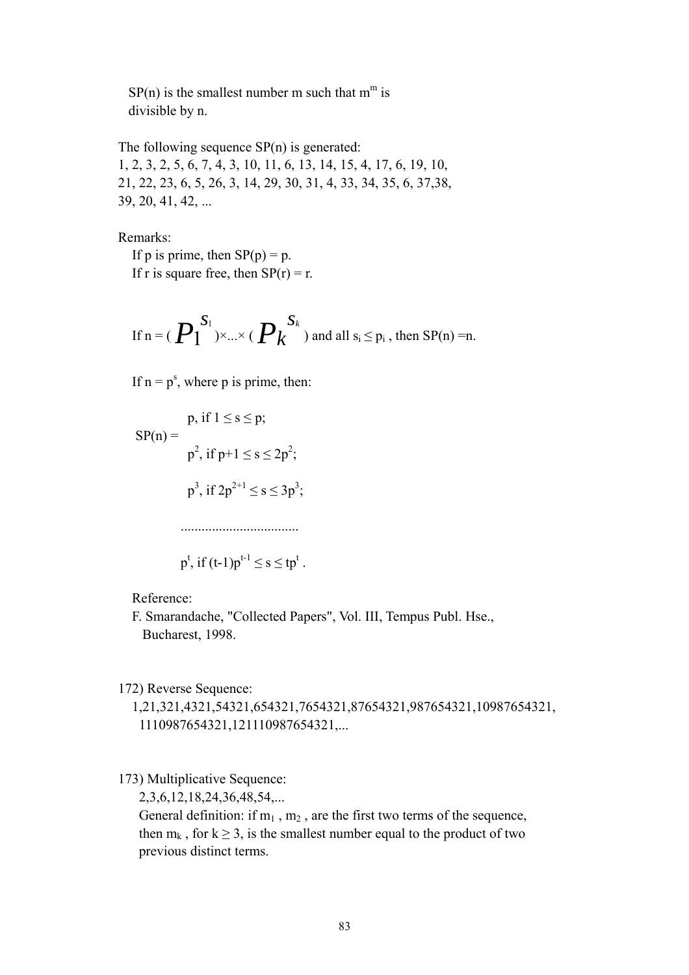$SP(n)$  is the smallest number m such that m<sup>m</sup> is divisible by n.

 The following sequence SP(n) is generated: 1, 2, 3, 2, 5, 6, 7, 4, 3, 10, 11, 6, 13, 14, 15, 4, 17, 6, 19, 10, 21, 22, 23, 6, 5, 26, 3, 14, 29, 30, 31, 4, 33, 34, 35, 6, 37,38, 39, 20, 41, 42, ...

Remarks:

If p is prime, then  $SP(p) = p$ . If r is square free, then  $SP(r) = r$ .

If 
$$
n = (P_1^{S_1}) \times ... \times (P_k^{S_k})
$$
 and all  $s_i \le p_i$ , then  $SP(n) = n$ .

If  $n = p<sup>s</sup>$ , where p is prime, then:

$$
SP(n) = \n\begin{cases}\n\text{p, if } 1 \le s \le p; \\
\text{p}^2, \text{ if } p+1 \le s \le 2p^2; \\
\text{p}^3, \text{ if } 2p^{2+1} \le s \le 3p^3; \\
\text{...} \\
\text{p}^t, \text{ if } (t-1)p^{t-1} \le s \le tp^t.\n\end{cases}
$$

Reference:

 F. Smarandache, "Collected Papers", Vol. III, Tempus Publ. Hse., Bucharest, 1998.

172) Reverse Sequence:

 1,21,321,4321,54321,654321,7654321,87654321,987654321,10987654321, 1110987654321,121110987654321,...

173) Multiplicative Sequence:

2,3,6,12,18,24,36,48,54,...

General definition: if  $m_1$ ,  $m_2$ , are the first two terms of the sequence, then  $m_k$ , for  $k \ge 3$ , is the smallest number equal to the product of two previous distinct terms.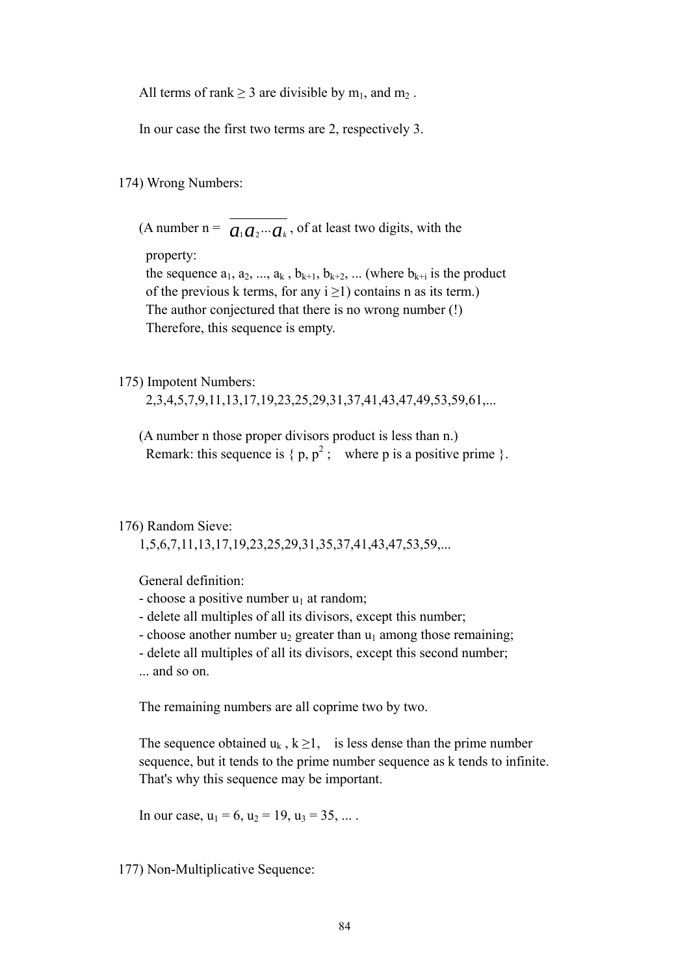All terms of rank  $\geq 3$  are divisible by m<sub>1</sub>, and m<sub>2</sub>.

In our case the first two terms are 2, respectively 3.

174) Wrong Numbers:

(A number n =  $\overline{a_1 a_2 \cdots a_k}$ , of at least two digits, with the

property:

the sequence  $a_1, a_2, ..., a_k, b_{k+1}, b_{k+2}, ...$  (where  $b_{k+1}$  is the product of the previous k terms, for any  $i \ge 1$ ) contains n as its term.) The author conjectured that there is no wrong number (!) Therefore, this sequence is empty.

#### 175) Impotent Numbers:

2,3,4,5,7,9,11,13,17,19,23,25,29,31,37,41,43,47,49,53,59,61,...

 (A number n those proper divisors product is less than n.) Remark: this sequence is  $\{p, p^2\}$ ; where p is a positive prime  $\}$ .

## 176) Random Sieve:

1,5,6,7,11,13,17,19,23,25,29,31,35,37,41,43,47,53,59,...

General definition:

- choose a positive number  $u_1$  at random;
- delete all multiples of all its divisors, except this number;
- choose another number  $u_2$  greater than  $u_1$  among those remaining;
- delete all multiples of all its divisors, except this second number;
- ... and so on.

The remaining numbers are all coprime two by two.

The sequence obtained  $u_k$ ,  $k \ge 1$ , is less dense than the prime number sequence, but it tends to the prime number sequence as k tends to infinite. That's why this sequence may be important.

In our case,  $u_1 = 6$ ,  $u_2 = 19$ ,  $u_3 = 35$ , ...

177) Non-Multiplicative Sequence: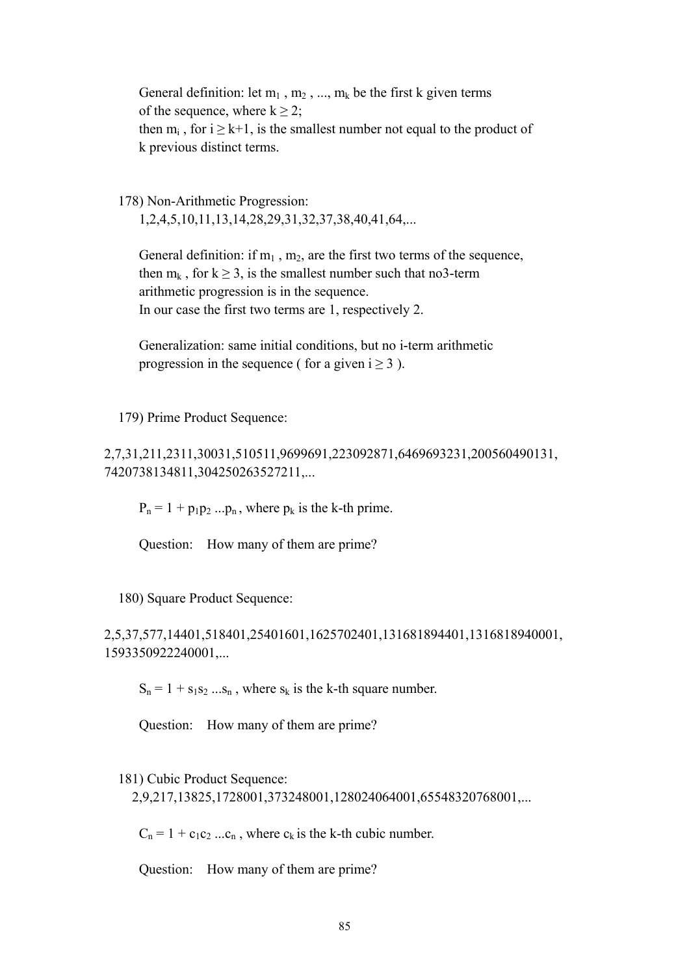General definition: let  $m_1$ ,  $m_2$ , ...,  $m_k$  be the first k given terms of the sequence, where  $k > 2$ ; then  $m_i$ , for  $i \geq k+1$ , is the smallest number not equal to the product of k previous distinct terms.

 178) Non-Arithmetic Progression: 1,2,4,5,10,11,13,14,28,29,31,32,37,38,40,41,64,...

General definition: if  $m_1$ ,  $m_2$ , are the first two terms of the sequence, then  $m_k$ , for  $k > 3$ , is the smallest number such that no3-term arithmetic progression is in the sequence. In our case the first two terms are 1, respectively 2.

 Generalization: same initial conditions, but no i-term arithmetic progression in the sequence ( for a given  $i > 3$  ).

179) Prime Product Sequence:

2,7,31,211,2311,30031,510511,9699691,223092871,6469693231,200560490131, 7420738134811,304250263527211,...

 $P_n = 1 + p_1p_2...p_n$ , where  $p_k$  is the k-th prime.

Question: How many of them are prime?

180) Square Product Sequence:

2,5,37,577,14401,518401,25401601,1625702401,131681894401,1316818940001, 1593350922240001,...

 $S_n = 1 + s_1 s_2 ... s_n$ , where  $s_k$  is the k-th square number.

Question: How many of them are prime?

181) Cubic Product Sequence:

2,9,217,13825,1728001,373248001,128024064001,65548320768001,...

 $C_n = 1 + c_1c_2$  ... $c_n$ , where  $c_k$  is the k-th cubic number.

Question: How many of them are prime?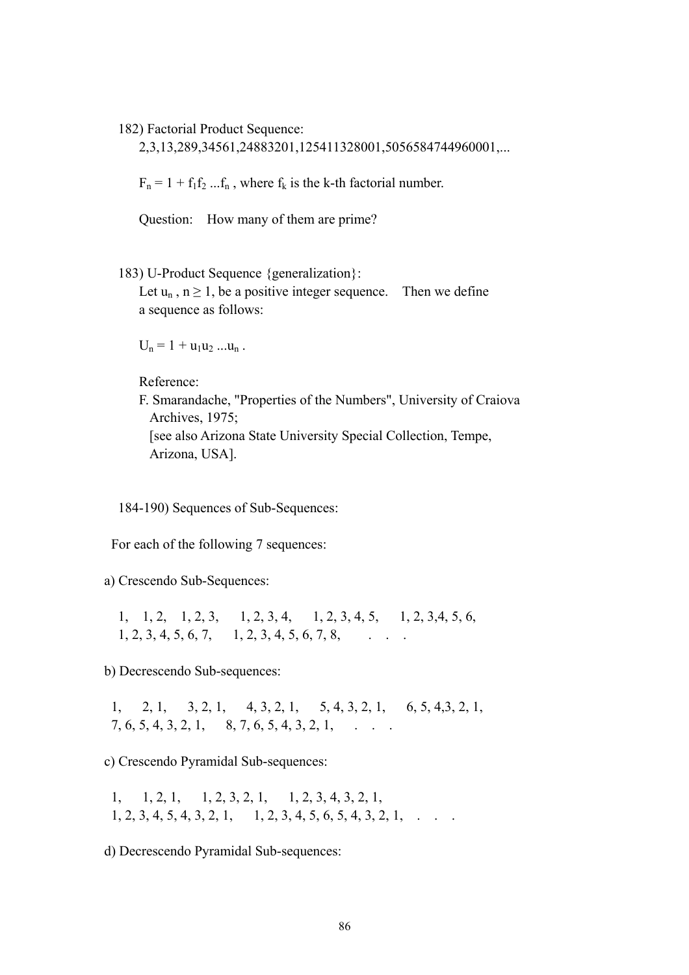182) Factorial Product Sequence:

2,3,13,289,34561,24883201,125411328001,5056584744960001,...

 $F_n = 1 + f_1 f_2 ... f_n$ , where  $f_k$  is the k-th factorial number.

Question: How many of them are prime?

183) U-Product Sequence {generalization}:

Let  $u_n$ ,  $n \ge 1$ , be a positive integer sequence. Then we define a sequence as follows:

 $U_n = 1 + u_1 u_2 ... u_n$ .

Reference:

 F. Smarandache, "Properties of the Numbers", University of Craiova Archives, 1975; [see also Arizona State University Special Collection, Tempe, Arizona, USA].

184-190) Sequences of Sub-Sequences:

For each of the following 7 sequences:

a) Crescendo Sub-Sequences:

 1, 1, 2, 1, 2, 3, 1, 2, 3, 4, 1, 2, 3, 4, 5, 1, 2, 3,4, 5, 6,  $1, 2, 3, 4, 5, 6, 7, 1, 2, 3, 4, 5, 6, 7, 8,$ 

b) Decrescendo Sub-sequences:

 1, 2, 1, 3, 2, 1, 4, 3, 2, 1, 5, 4, 3, 2, 1, 6, 5, 4,3, 2, 1,  $7, 6, 5, 4, 3, 2, 1, 8, 7, 6, 5, 4, 3, 2, 1, \ldots$ 

c) Crescendo Pyramidal Sub-sequences:

 1, 1, 2, 1, 1, 2, 3, 2, 1, 1, 2, 3, 4, 3, 2, 1,  $1, 2, 3, 4, 5, 4, 3, 2, 1, 1, 2, 3, 4, 5, 6, 5, 4, 3, 2, 1,$ 

d) Decrescendo Pyramidal Sub-sequences: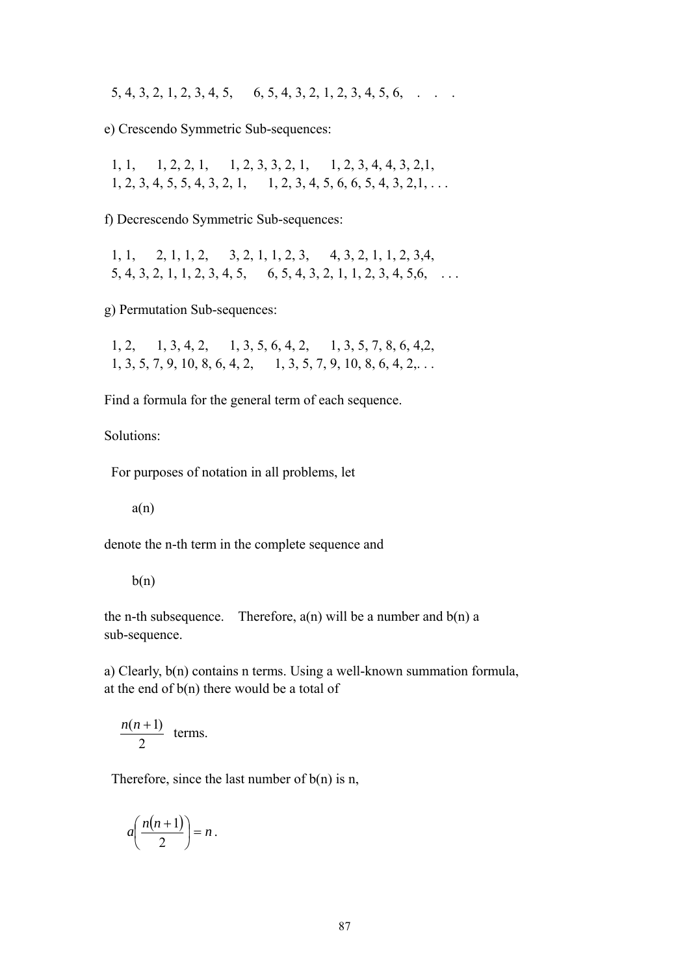$5, 4, 3, 2, 1, 2, 3, 4, 5, 6, 5, 4, 3, 2, 1, 2, 3, 4, 5, 6, \ldots$ 

e) Crescendo Symmetric Sub-sequences:

 1, 1, 1, 2, 2, 1, 1, 2, 3, 3, 2, 1, 1, 2, 3, 4, 4, 3, 2,1,  $1, 2, 3, 4, 5, 5, 4, 3, 2, 1, 1, 2, 3, 4, 5, 6, 6, 5, 4, 3, 2, 1, \ldots$ 

f) Decrescendo Symmetric Sub-sequences:

 1, 1, 2, 1, 1, 2, 3, 2, 1, 1, 2, 3, 4, 3, 2, 1, 1, 2, 3,4,  $5, 4, 3, 2, 1, 1, 2, 3, 4, 5, 6, 5, 4, 3, 2, 1, 1, 2, 3, 4, 5, 6, \ldots$ 

g) Permutation Sub-sequences:

 1, 2, 1, 3, 4, 2, 1, 3, 5, 6, 4, 2, 1, 3, 5, 7, 8, 6, 4,2, 1, 3, 5, 7, 9, 10, 8, 6, 4, 2, 1, 3, 5, 7, 9, 10, 8, 6, 4, 2,...

Find a formula for the general term of each sequence.

Solutions:

For purposes of notation in all problems, let

 $a(n)$ 

denote the n-th term in the complete sequence and

 $b(n)$ 

the n-th subsequence. Therefore,  $a(n)$  will be a number and  $b(n)$  a sub-sequence.

a) Clearly, b(n) contains n terms. Using a well-known summation formula, at the end of  $b(n)$  there would be a total of

$$
\frac{n(n+1)}{2}
$$
 terms.

Therefore, since the last number of  $b(n)$  is n,

$$
a\left(\frac{n(n+1)}{2}\right)=n.
$$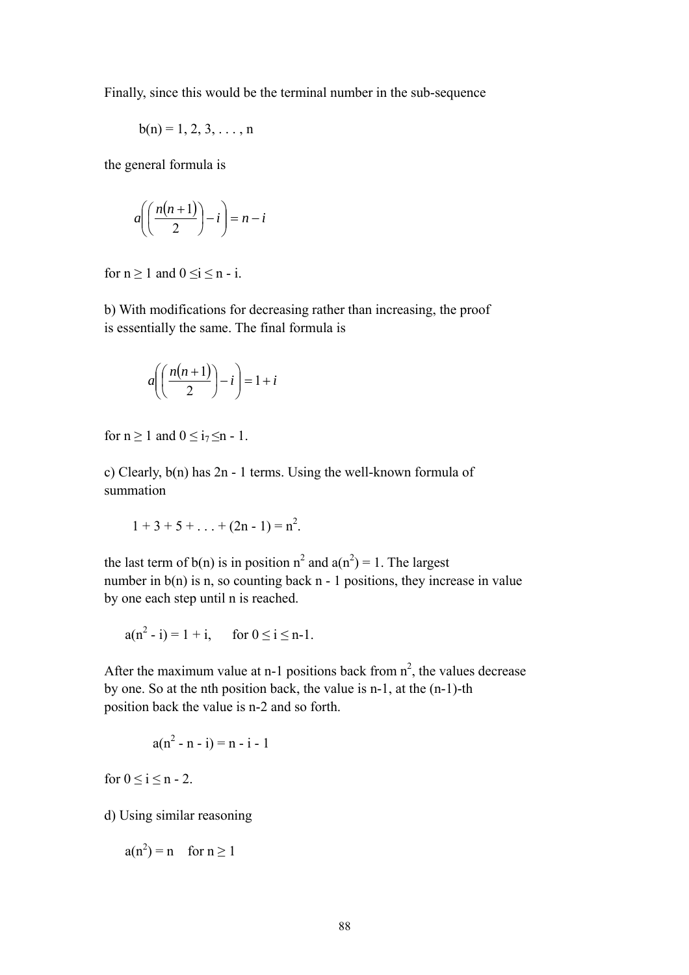Finally, since this would be the terminal number in the sub-sequence

$$
b(n) = 1, 2, 3, \ldots, n
$$

the general formula is

$$
a\left(\left(\frac{n(n+1)}{2}\right)-i\right)=n-i
$$

for  $n \ge 1$  and  $0 \le i \le n - i$ .

b) With modifications for decreasing rather than increasing, the proof is essentially the same. The final formula is

$$
a\left(\left(\frac{n(n+1)}{2}\right) - i\right) = 1 + i
$$

for  $n \ge 1$  and  $0 \le i_7 \le n - 1$ .

c) Clearly, b(n) has 2n - 1 terms. Using the well-known formula of summation

$$
1+3+5+\ldots+(2n-1)=n^2.
$$

the last term of  $b(n)$  is in position  $n^2$  and  $a(n^2) = 1$ . The largest number in  $b(n)$  is n, so counting back n - 1 positions, they increase in value by one each step until n is reached.

$$
a(n^2 - i) = 1 + i
$$
, for  $0 \le i \le n-1$ .

After the maximum value at n-1 positions back from  $n^2$ , the values decrease by one. So at the nth position back, the value is n-1, at the (n-1)-th position back the value is n-2 and so forth.

$$
a(n^2 - n - i) = n - i - 1
$$

for  $0 \le i \le n - 2$ .

d) Using similar reasoning

$$
a(n^2) = n \quad \text{for } n \ge 1
$$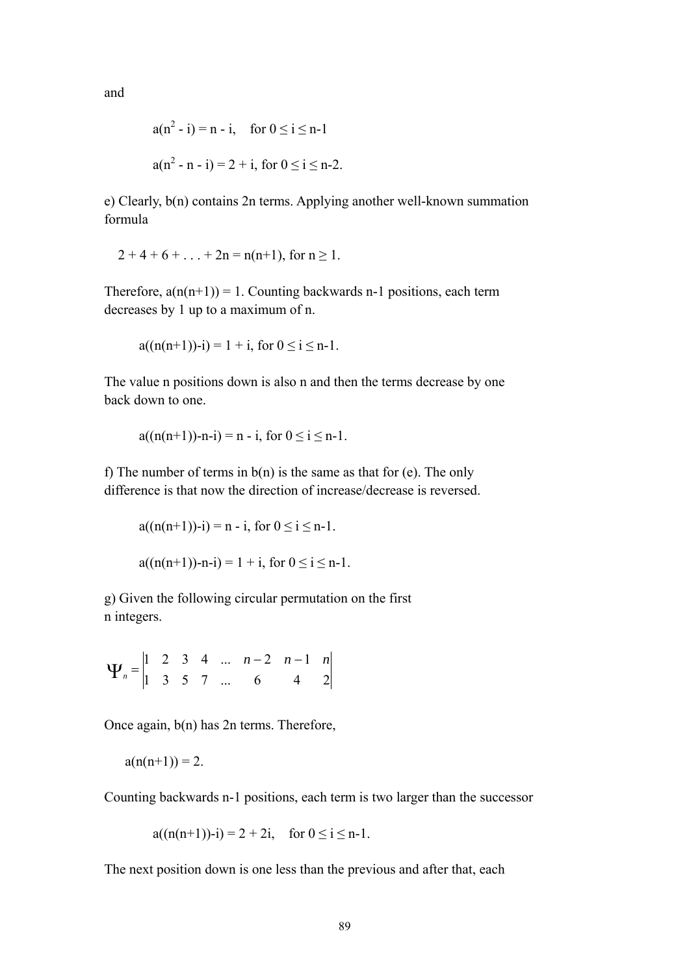and

$$
a(n2 - i) = n - i, \quad \text{for } 0 \le i \le n - 1
$$
  

$$
a(n2 - n - i) = 2 + i, \text{ for } 0 \le i \le n - 2.
$$

e) Clearly, b(n) contains 2n terms. Applying another well-known summation formula

$$
2+4+6+\ldots+2n = n(n+1)
$$
, for  $n \ge 1$ .

Therefore,  $a(n(n+1)) = 1$ . Counting backwards n-1 positions, each term decreases by 1 up to a maximum of n.

$$
a((n(n+1))-i) = 1 + i, \text{ for } 0 \leq i \leq n-1.
$$

The value n positions down is also n and then the terms decrease by one back down to one.

$$
a((n(n+1))-n-i) = n-i, \text{ for } 0 \le i \le n-1.
$$

f) The number of terms in  $b(n)$  is the same as that for (e). The only difference is that now the direction of increase/decrease is reversed.

$$
a((n(n+1))-i) = n - i, \text{ for } 0 \le i \le n-1.
$$
  

$$
a((n(n+1))-n-i) = 1 + i, \text{ for } 0 \le i \le n-1.
$$

g) Given the following circular permutation on the first n integers.

1 3 5 7 ... 6 4 2  $1 \quad 2 \quad 3 \quad 4 \quad ... \quad n-2 \quad n-1 \quad n$ *n*  $\Psi_n = \begin{vmatrix} 1 & 2 & 3 & 4 & \dots & n-2 & n-1 \\ 1 & 3 & 5 & 7 & 6 & 4 \end{vmatrix}$ 

Once again, b(n) has 2n terms. Therefore,

$$
a(n(n+1))=2.
$$

Counting backwards n-1 positions, each term is two larger than the successor

 $a((n(n+1))-i) = 2 + 2i$ , for  $0 \le i \le n-1$ .

The next position down is one less than the previous and after that, each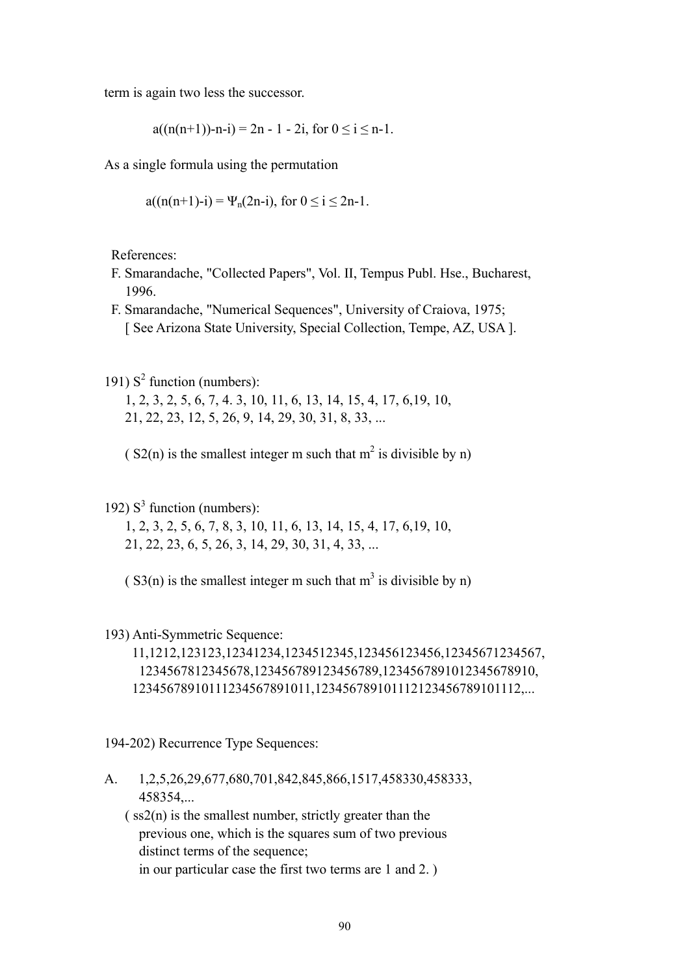term is again two less the successor.

 $a((n(n+1))-n-i) = 2n - 1 - 2i$ , for  $0 \le i \le n-1$ .

As a single formula using the permutation

$$
a((n(n+1)-i) = \Psi_n(2n-i), \text{ for } 0 \le i \le 2n-1.
$$

References:

- F. Smarandache, "Collected Papers", Vol. II, Tempus Publ. Hse., Bucharest, 1996.
- F. Smarandache, "Numerical Sequences", University of Craiova, 1975; [ See Arizona State University, Special Collection, Tempe, AZ, USA ].
- 191)  $S^2$  function (numbers):
	- 1, 2, 3, 2, 5, 6, 7, 4. 3, 10, 11, 6, 13, 14, 15, 4, 17, 6,19, 10, 21, 22, 23, 12, 5, 26, 9, 14, 29, 30, 31, 8, 33, ...
- $(S2(n)$  is the smallest integer m such that m<sup>2</sup> is divisible by n)
- 192)  $S<sup>3</sup>$  function (numbers):
	- 1, 2, 3, 2, 5, 6, 7, 8, 3, 10, 11, 6, 13, 14, 15, 4, 17, 6,19, 10, 21, 22, 23, 6, 5, 26, 3, 14, 29, 30, 31, 4, 33, ...
- $(S3(n)$  is the smallest integer m such that m<sup>3</sup> is divisible by n)

#### 193) Anti-Symmetric Sequence:

 11,1212,123123,12341234,1234512345,123456123456,12345671234567, 1234567812345678,123456789123456789,1234567891012345678910, 12345678910111234567891011,123456789101112123456789101112,...

194-202) Recurrence Type Sequences:

- A. 1,2,5,26,29,677,680,701,842,845,866,1517,458330,458333, 458354,...
	- $(ss2(n))$  is the smallest number, strictly greater than the previous one, which is the squares sum of two previous distinct terms of the sequence; in our particular case the first two terms are 1 and 2. )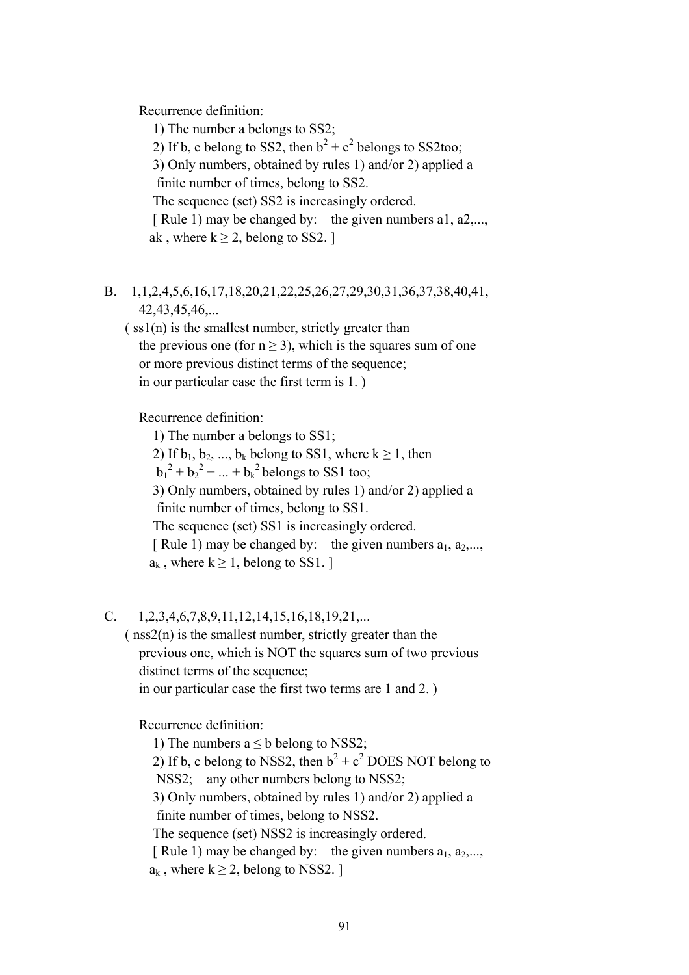Recurrence definition:

 1) The number a belongs to SS2; 2) If b, c belong to SS2, then  $b^2 + c^2$  belongs to SS2too; 3) Only numbers, obtained by rules 1) and/or 2) applied a finite number of times, belong to SS2. The sequence (set) SS2 is increasingly ordered. [ Rule 1) may be changed by: the given numbers a1, a2,..., ak, where  $k \ge 2$ , belong to SS2. ]

B. 1,1,2,4,5,6,16,17,18,20,21,22,25,26,27,29,30,31,36,37,38,40,41, 42,43,45,46,...

 $(ssl(n))$  is the smallest number, strictly greater than the previous one (for  $n \ge 3$ ), which is the squares sum of one or more previous distinct terms of the sequence; in our particular case the first term is 1. )

Recurrence definition:

 1) The number a belongs to SS1; 2) If  $b_1, b_2, ..., b_k$  belong to SS1, where  $k \ge 1$ , then  $b_1^2 + b_2^2 + ... + b_k^2$  belongs to SS1 too; 3) Only numbers, obtained by rules 1) and/or 2) applied a finite number of times, belong to SS1. The sequence (set) SS1 is increasingly ordered. [ Rule 1) may be changed by: the given numbers  $a_1, a_2, \ldots$ ,  $a_k$ , where  $k \geq 1$ , belong to SS1. ]

C. 1,2,3,4,6,7,8,9,11,12,14,15,16,18,19,21,...

 ( nss2(n) is the smallest number, strictly greater than the previous one, which is NOT the squares sum of two previous distinct terms of the sequence; in our particular case the first two terms are 1 and 2. )

Recurrence definition:

1) The numbers  $a < b$  belong to NSS2; 2) If b, c belong to NSS2, then  $b^2 + c^2$  DOES NOT belong to NSS2; any other numbers belong to NSS2; 3) Only numbers, obtained by rules 1) and/or 2) applied a finite number of times, belong to NSS2. The sequence (set) NSS2 is increasingly ordered. [ Rule 1) may be changed by: the given numbers  $a_1, a_2,...,$  $a_k$ , where  $k \geq 2$ , belong to NSS2. ]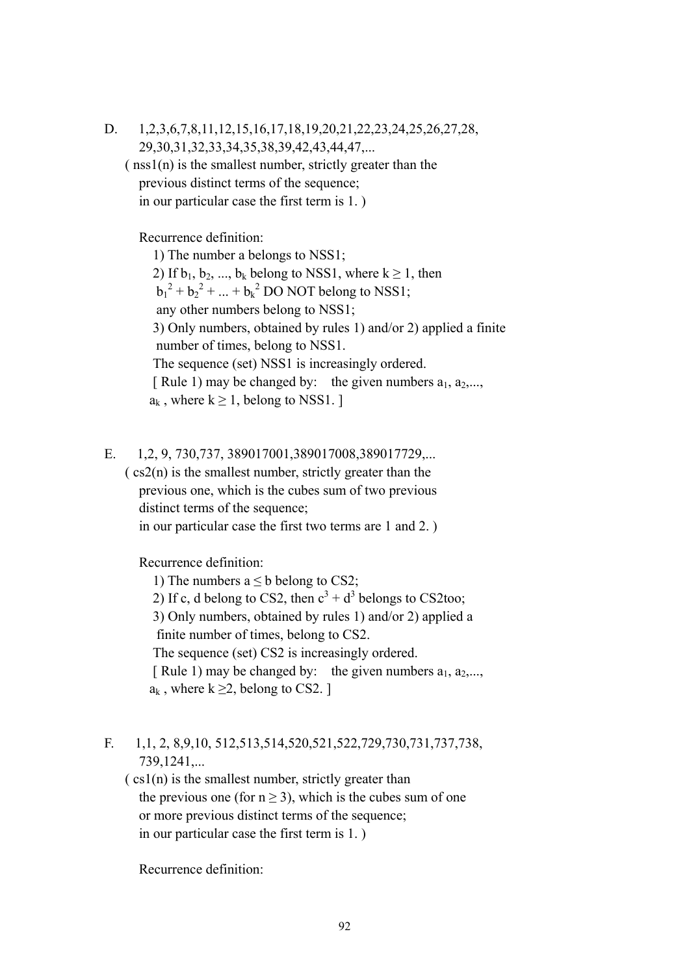D. 1,2,3,6,7,8,11,12,15,16,17,18,19,20,21,22,23,24,25,26,27,28, 29,30,31,32,33,34,35,38,39,42,43,44,47,...  $(nss1(n))$  is the smallest number, strictly greater than the previous distinct terms of the sequence;

in our particular case the first term is 1. )

Recurrence definition:

 1) The number a belongs to NSS1; 2) If  $b_1, b_2, ..., b_k$  belong to NSS1, where  $k \ge 1$ , then  $b_1^2 + b_2^2 + ... + b_k^2$  DO NOT belong to NSS1; any other numbers belong to NSS1; 3) Only numbers, obtained by rules 1) and/or 2) applied a finite number of times, belong to NSS1. The sequence (set) NSS1 is increasingly ordered. [ Rule 1) may be changed by: the given numbers  $a_1, a_2,...,$  $a_k$ , where  $k > 1$ , belong to NSS1. 1

E. 1,2, 9, 730,737, 389017001,389017008,389017729,...

 $(cs2(n))$  is the smallest number, strictly greater than the previous one, which is the cubes sum of two previous distinct terms of the sequence; in our particular case the first two terms are 1 and 2. )

Recurrence definition:

1) The numbers  $a < b$  belong to CS2; 2) If c, d belong to CS2, then  $c^3 + d^3$  belongs to CS2too; 3) Only numbers, obtained by rules 1) and/or 2) applied a finite number of times, belong to CS2. The sequence (set) CS2 is increasingly ordered. [ Rule 1) may be changed by: the given numbers  $a_1, a_2, \ldots$ ,  $a_k$ , where  $k \geq 2$ , belong to CS2. ]

# F. 1,1, 2, 8,9,10, 512,513,514,520,521,522,729,730,731,737,738, 739,1241,...

 $\cos(1(n))$  is the smallest number, strictly greater than the previous one (for  $n \ge 3$ ), which is the cubes sum of one or more previous distinct terms of the sequence; in our particular case the first term is 1. )

Recurrence definition: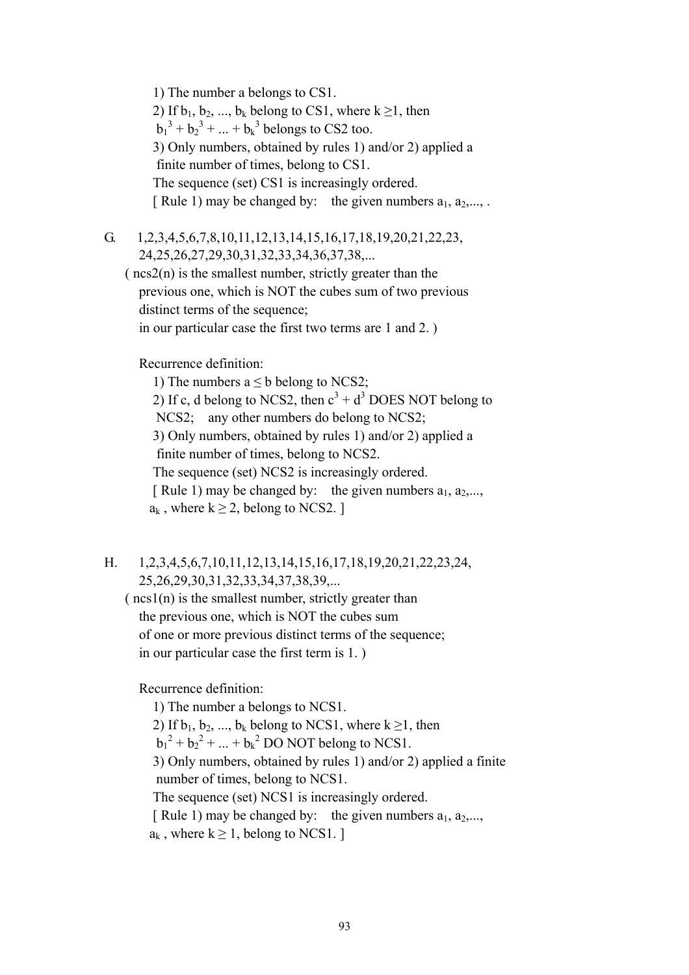1) The number a belongs to CS1. 2) If  $b_1, b_2, ..., b_k$  belong to CS1, where  $k \ge 1$ , then  $b_1^3 + b_2^3 + ... + b_k^3$  belongs to CS2 too. 3) Only numbers, obtained by rules 1) and/or 2) applied a finite number of times, belong to CS1. The sequence (set) CS1 is increasingly ordered. [ Rule 1) may be changed by: the given numbers  $a_1, a_2, \ldots$ .

G. 1,2,3,4,5,6,7,8,10,11,12,13,14,15,16,17,18,19,20,21,22,23, 24,25,26,27,29,30,31,32,33,34,36,37,38,...

 $(ncs2(n))$  is the smallest number, strictly greater than the previous one, which is NOT the cubes sum of two previous distinct terms of the sequence; in our particular case the first two terms are 1 and 2. )

Recurrence definition:

1) The numbers  $a \leq b$  belong to NCS2;

2) If c, d belong to NCS2, then  $c^3 + d^3$  DOES NOT belong to NCS2; any other numbers do belong to NCS2;

> 3) Only numbers, obtained by rules 1) and/or 2) applied a finite number of times, belong to NCS2.

The sequence (set) NCS2 is increasingly ordered.

[ Rule 1) may be changed by: the given numbers  $a_1, a_2, \ldots$  $a_k$ , where  $k \geq 2$ , belong to NCS2. ]

- H. 1,2,3,4,5,6,7,10,11,12,13,14,15,16,17,18,19,20,21,22,23,24, 25,26,29,30,31,32,33,34,37,38,39,...
	- $(ncs1(n))$  is the smallest number, strictly greater than the previous one, which is NOT the cubes sum of one or more previous distinct terms of the sequence; in our particular case the first term is 1. )

Recurrence definition:

 1) The number a belongs to NCS1. 2) If  $b_1, b_2, ..., b_k$  belong to NCS1, where  $k \ge 1$ , then  $b_1^2 + b_2^2 + ... + b_k^2$  DO NOT belong to NCS1. 3) Only numbers, obtained by rules 1) and/or 2) applied a finite number of times, belong to NCS1. The sequence (set) NCS1 is increasingly ordered. [ Rule 1) may be changed by: the given numbers  $a_1, a_2, \ldots$  $a_k$ , where  $k \geq 1$ , belong to NCS1. ]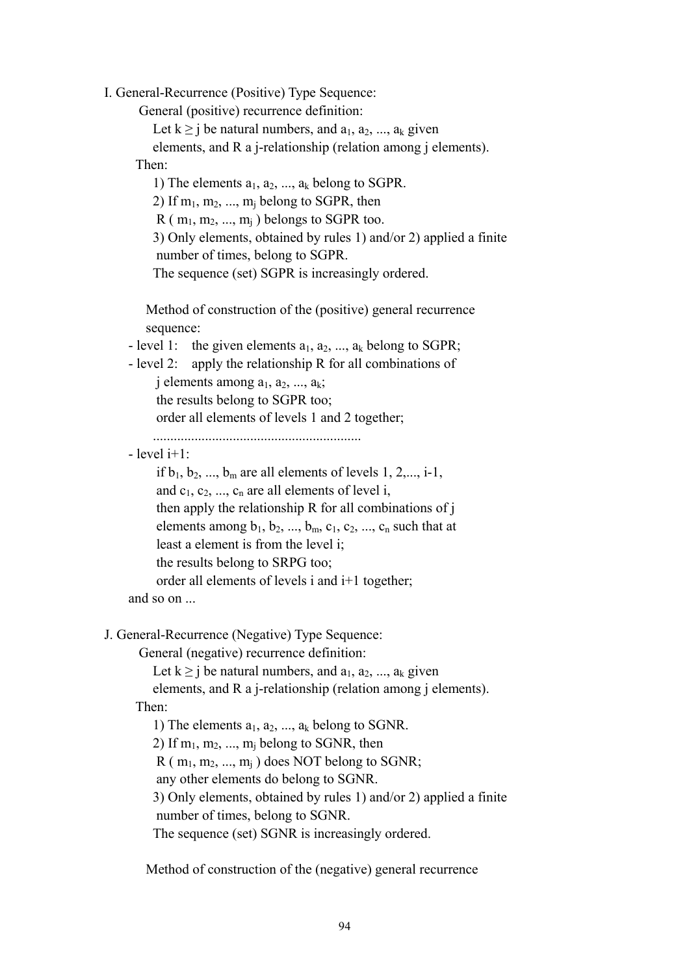I. General-Recurrence (Positive) Type Sequence:

General (positive) recurrence definition:

Let  $k \ge j$  be natural numbers, and  $a_1, a_2, ..., a_k$  given elements, and R a j-relationship (relation among j elements). Then:

1) The elements  $a_1, a_2, ..., a_k$  belong to SGPR. 2) If  $m_1, m_2, ..., m_i$  belong to SGPR, then  $R$  ( $m_1, m_2, ..., m_i$ ) belongs to SGPR too. 3) Only elements, obtained by rules 1) and/or 2) applied a finite number of times, belong to SGPR. The sequence (set) SGPR is increasingly ordered.

 Method of construction of the (positive) general recurrence sequence:

- level 1: the given elements  $a_1, a_2, ..., a_k$  belong to SGPR;

- level 2: apply the relationship R for all combinations of

j elements among  $a_1, a_2, ..., a_k$ ;

the results belong to SGPR too;

order all elements of levels 1 and 2 together;

............................................................

 $-$  level  $i+1$ .

```
if b_1, b_2, ..., b_m are all elements of levels 1, 2,..., i-1,
     and c_1, c_2, ..., c_n are all elements of level i,
      then apply the relationship R for all combinations of j 
     elements among b_1, b_2, ..., b_m, c_1, c_2, ..., c_n such that at
      least a element is from the level i; 
      the results belong to SRPG too; 
      order all elements of levels i and i+1 together; 
 and so on ...
```
J. General-Recurrence (Negative) Type Sequence:

General (negative) recurrence definition:

Let  $k \geq j$  be natural numbers, and  $a_1, a_2, ..., a_k$  given

 elements, and R a j-relationship (relation among j elements). Then:

1) The elements  $a_1, a_2, ..., a_k$  belong to SGNR.

2) If  $m_1, m_2, \ldots, m_i$  belong to SGNR, then

 $R$  ( $m_1, m_2, ..., m_i$ ) does NOT belong to SGNR;

any other elements do belong to SGNR.

 3) Only elements, obtained by rules 1) and/or 2) applied a finite number of times, belong to SGNR.

The sequence (set) SGNR is increasingly ordered.

Method of construction of the (negative) general recurrence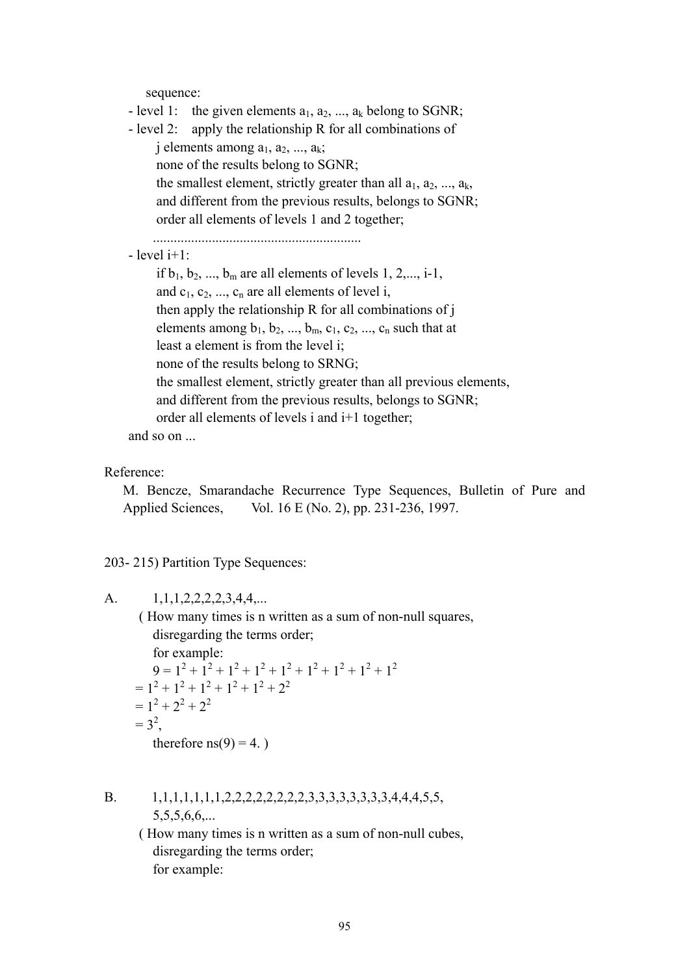sequence:

| - level 1: the given elements $a_1, a_2, , a_k$ belong to SGNR;               |
|-------------------------------------------------------------------------------|
| - level 2: apply the relationship R for all combinations of                   |
| j elements among $a_1, a_2, , a_k$ ;                                          |
| none of the results belong to SGNR;                                           |
| the smallest element, strictly greater than all $a_1, a_2, , a_k$ ,           |
| and different from the previous results, belongs to SGNR;                     |
| order all elements of levels 1 and 2 together;                                |
|                                                                               |
| $-$ level $i+1$ :                                                             |
| if $b_1$ , $b_2$ , , $b_m$ are all elements of levels 1, 2,, i-1,             |
| and $c_1, c_2, , c_n$ are all elements of level i,                            |
| then apply the relationship R for all combinations of j                       |
| elements among $b_1$ , $b_2$ , , $b_m$ , $c_1$ , $c_2$ , , $c_n$ such that at |
| least a element is from the level i;                                          |
| none of the results belong to SRNG;                                           |
| the smallest element, strictly greater than all previous elements,            |
| and different from the previous results, belongs to SGNR;                     |
| order all elements of levels i and i+1 together;                              |
| and so on                                                                     |

Reference:

M. Bencze, Smarandache Recurrence Type Sequences, Bulletin of Pure and Applied Sciences, Vol. 16 E (No. 2), pp. 231-236, 1997.

203- 215) Partition Type Sequences:

A. 1,1,1,2,2,2,2,3,4,4,... ( How many times is n written as a sum of non-null squares, disregarding the terms order; for example: 9 = 12 + 12 + 12 + 12 + 12 + 12 + 12 + 12 + 12  $= 1^2 + 1^2 + 1^2 + 1^2 + 1^2 + 2^2$  $= 1^2 + 2^2 + 2^2$  $= 3^2,$ therefore  $ns(9) = 4.$ )

B. 1,1,1,1,1,1,1,2,2,2,2,2,2,2,2,3,3,3,3,3,3,3,3,4,4,4,5,5, 5,5,5,6,6,...

> ( How many times is n written as a sum of non-null cubes, disregarding the terms order; for example: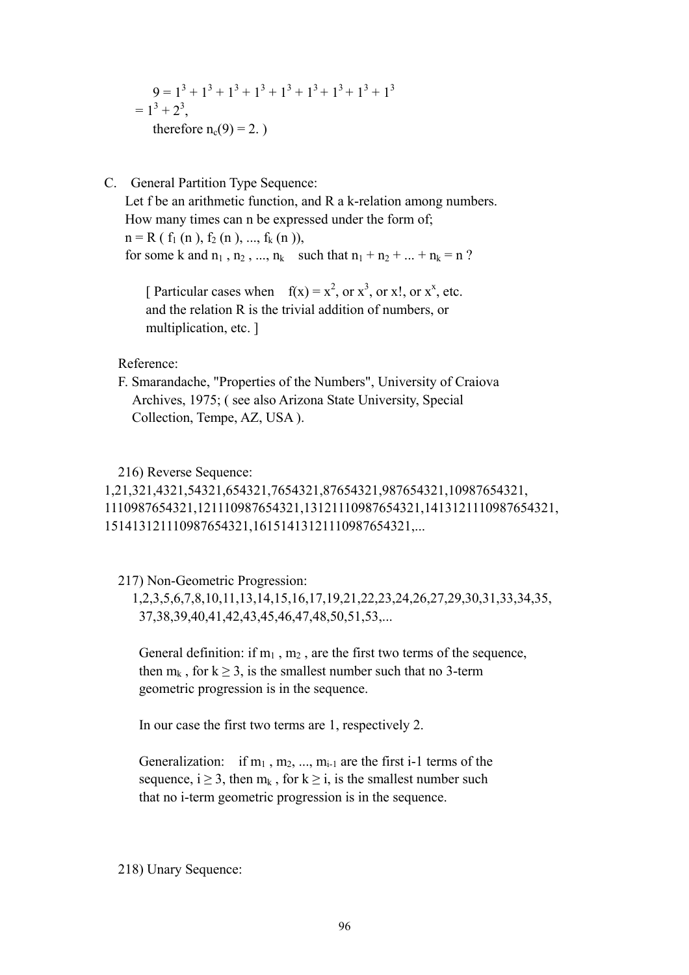$$
9 = 13 + 13 + 13 + 13 + 13 + 13 + 13 + 13 + 13
$$
  
= 1<sup>3</sup> + 2<sup>3</sup>,  
therefore n<sub>c</sub>(9) = 2.

C. General Partition Type Sequence:

 Let f be an arithmetic function, and R a k-relation among numbers. How many times can n be expressed under the form of;  $n = R(f_1(n), f_2(n), ..., f_k(n)),$ for some k and  $n_1$ ,  $n_2$ , ...,  $n_k$  such that  $n_1 + n_2 + ... + n_k = n$ ?

[ Particular cases when  $f(x) = x^2$ , or  $x^3$ , or  $x^1$ , or  $x^x$ , etc. and the relation R is the trivial addition of numbers, or multiplication, etc. ]

Reference:

 F. Smarandache, "Properties of the Numbers", University of Craiova Archives, 1975; ( see also Arizona State University, Special Collection, Tempe, AZ, USA ).

## 216) Reverse Sequence:

1,21,321,4321,54321,654321,7654321,87654321,987654321,10987654321, 1110987654321,121110987654321,13121110987654321,1413121110987654321, 151413121110987654321,16151413121110987654321,...

217) Non-Geometric Progression:

 1,2,3,5,6,7,8,10,11,13,14,15,16,17,19,21,22,23,24,26,27,29,30,31,33,34,35, 37,38,39,40,41,42,43,45,46,47,48,50,51,53,...

General definition: if  $m_1$ ,  $m_2$ , are the first two terms of the sequence, then  $m_k$ , for  $k \ge 3$ , is the smallest number such that no 3-term geometric progression is in the sequence.

In our case the first two terms are 1, respectively 2.

Generalization: if  $m_1$ ,  $m_2$ , ...,  $m_{i-1}$  are the first i-1 terms of the sequence,  $i \ge 3$ , then  $m_k$ , for  $k \ge i$ , is the smallest number such that no i-term geometric progression is in the sequence.

218) Unary Sequence: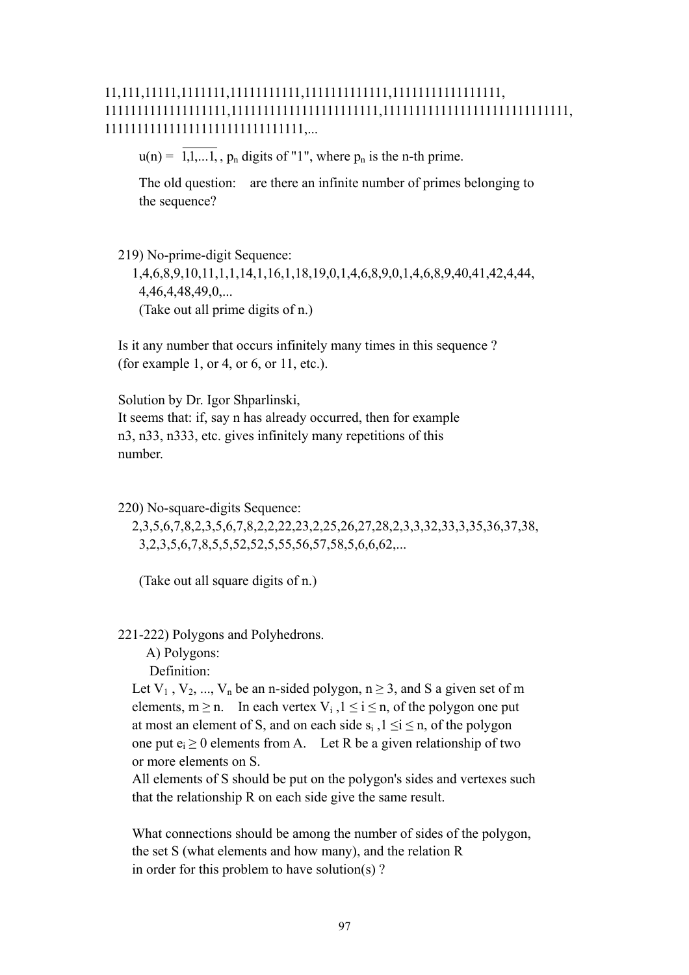# 11,111,11111,1111111,11111111111,1111111111111,11111111111111111, 1111111111111111111,11111111111111111111111,11111111111111111111111111111, 1111111111111111111111111111111,...

 $u(n) = \overline{1, 1, \ldots, 1}$ ,  $p_n$  digits of "1", where  $p_n$  is the n-th prime.

 The old question: are there an infinite number of primes belonging to the sequence?

 219) No-prime-digit Sequence: 1,4,6,8,9,10,11,1,1,14,1,16,1,18,19,0,1,4,6,8,9,0,1,4,6,8,9,40,41,42,4,44, 4,46,4,48,49,0,... (Take out all prime digits of n.)

 Is it any number that occurs infinitely many times in this sequence ? (for example 1, or 4, or 6, or 11, etc.).

 Solution by Dr. Igor Shparlinski, It seems that: if, say n has already occurred, then for example n3, n33, n333, etc. gives infinitely many repetitions of this number.

220) No-square-digits Sequence:

 2,3,5,6,7,8,2,3,5,6,7,8,2,2,22,23,2,25,26,27,28,2,3,3,32,33,3,35,36,37,38, 3,2,3,5,6,7,8,5,5,52,52,5,55,56,57,58,5,6,6,62,...

(Take out all square digits of n.)

221-222) Polygons and Polyhedrons.

 A) Polygons: Definition:

Let  $V_1$ ,  $V_2$ , ...,  $V_n$  be an n-sided polygon,  $n \ge 3$ , and S a given set of m elements,  $m \ge n$ . In each vertex  $V_i$ ,  $1 \le i \le n$ , of the polygon one put at most an element of S, and on each side  $s_i$ ,  $1 \le i \le n$ , of the polygon one put  $e_i \ge 0$  elements from A. Let R be a given relationship of two or more elements on S.

 All elements of S should be put on the polygon's sides and vertexes such that the relationship R on each side give the same result.

 What connections should be among the number of sides of the polygon, the set S (what elements and how many), and the relation R in order for this problem to have solution(s) ?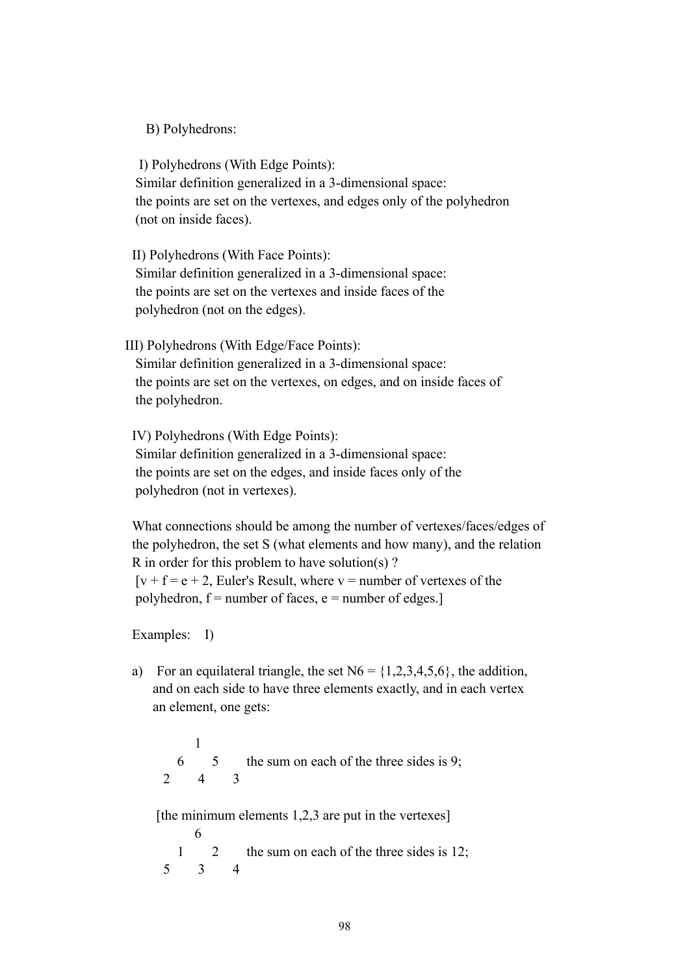B) Polyhedrons:

 I) Polyhedrons (With Edge Points): Similar definition generalized in a 3-dimensional space: the points are set on the vertexes, and edges only of the polyhedron (not on inside faces).

 II) Polyhedrons (With Face Points): Similar definition generalized in a 3-dimensional space: the points are set on the vertexes and inside faces of the polyhedron (not on the edges).

III) Polyhedrons (With Edge/Face Points):

 Similar definition generalized in a 3-dimensional space: the points are set on the vertexes, on edges, and on inside faces of the polyhedron.

 IV) Polyhedrons (With Edge Points): Similar definition generalized in a 3-dimensional space: the points are set on the edges, and inside faces only of the polyhedron (not in vertexes).

 What connections should be among the number of vertexes/faces/edges of the polyhedron, the set S (what elements and how many), and the relation R in order for this problem to have solution(s) ?  $[v + f = e + 2]$ , Euler's Result, where  $v =$  number of vertexes of the polyhedron,  $f =$  number of faces,  $e =$  number of edges.]

Examples: I)

a) For an equilateral triangle, the set  $N6 = \{1,2,3,4,5,6\}$ , the addition, and on each side to have three elements exactly, and in each vertex an element, one gets:

 1 6 5 the sum on each of the three sides is 9; 2 4 3 [the minimum elements 1,2,3 are put in the vertexes] 6 1 2 the sum on each of the three sides is 12; 5 3 4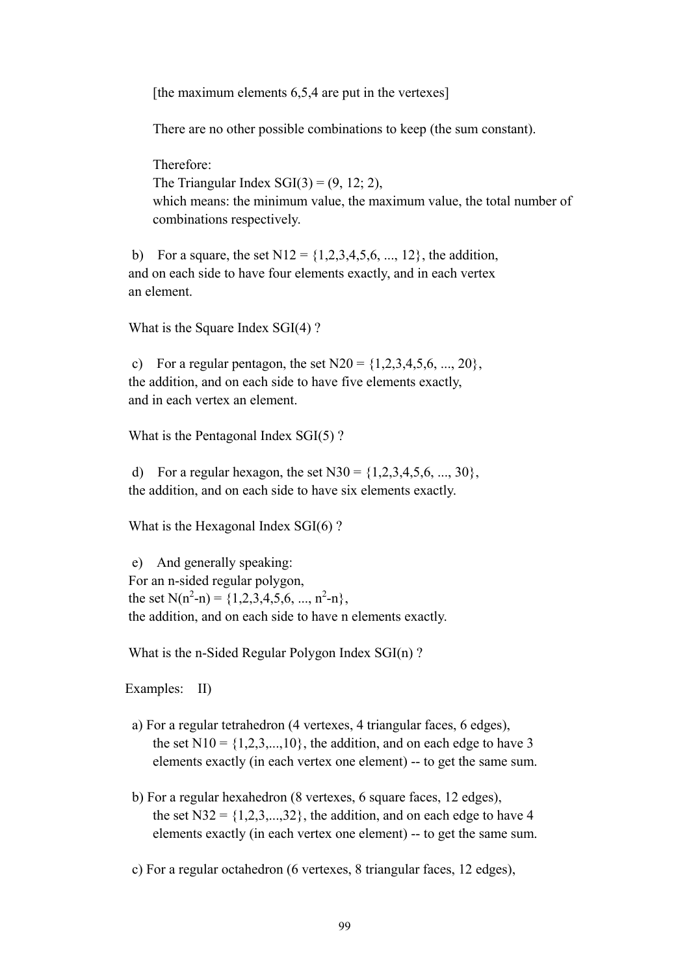[the maximum elements 6,5,4 are put in the vertexes]

There are no other possible combinations to keep (the sum constant).

 Therefore: The Triangular Index  $SGI(3) = (9, 12, 2)$ , which means: the minimum value, the maximum value, the total number of combinations respectively.

b) For a square, the set  $N12 = \{1, 2, 3, 4, 5, 6, ..., 12\}$ , the addition, and on each side to have four elements exactly, and in each vertex an element.

What is the Square Index SGI(4) ?

c) For a regular pentagon, the set  $N20 = \{1, 2, 3, 4, 5, 6, ..., 20\}$ , the addition, and on each side to have five elements exactly, and in each vertex an element.

What is the Pentagonal Index SGI(5) ?

d) For a regular hexagon, the set N30 =  $\{1,2,3,4,5,6, ..., 30\}$ , the addition, and on each side to have six elements exactly.

What is the Hexagonal Index SGI(6)?

 e) And generally speaking: For an n-sided regular polygon, the set  $N(n^2-n) = \{1,2,3,4,5,6, ..., n^2-n\},\$ the addition, and on each side to have n elements exactly.

What is the n-Sided Regular Polygon Index SGI(n) ?

Examples: II)

- a) For a regular tetrahedron (4 vertexes, 4 triangular faces, 6 edges), the set  $N10 = \{1, 2, 3, \ldots, 10\}$ , the addition, and on each edge to have 3 elements exactly (in each vertex one element) -- to get the same sum.
- b) For a regular hexahedron (8 vertexes, 6 square faces, 12 edges), the set  $N32 = \{1, 2, 3, \ldots, 32\}$ , the addition, and on each edge to have 4 elements exactly (in each vertex one element) -- to get the same sum.

c) For a regular octahedron (6 vertexes, 8 triangular faces, 12 edges),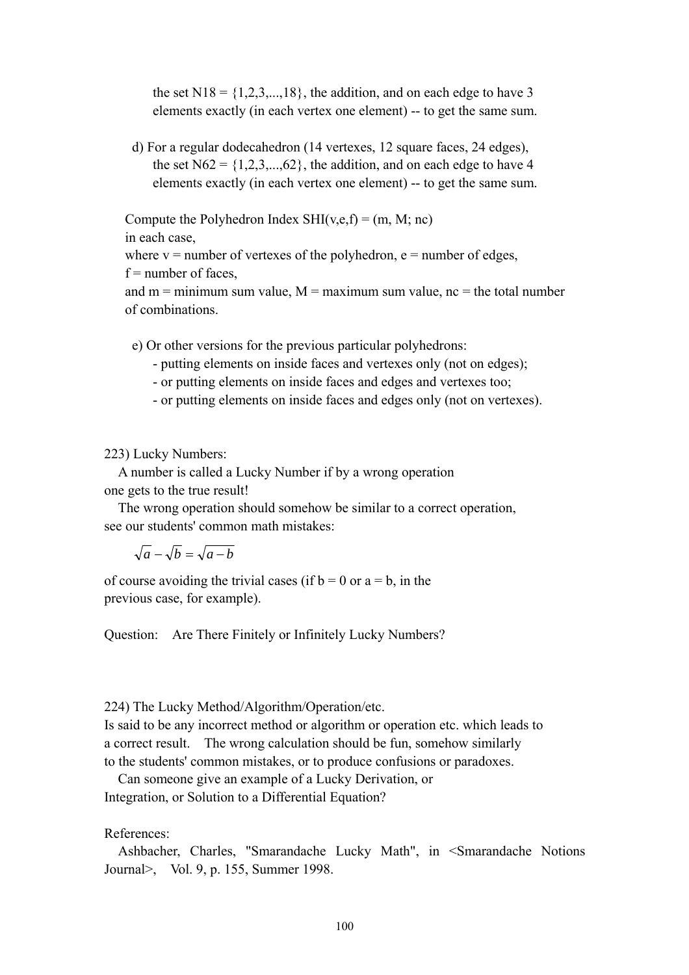the set  $N18 = \{1, 2, 3, \ldots, 18\}$ , the addition, and on each edge to have 3 elements exactly (in each vertex one element) -- to get the same sum.

 d) For a regular dodecahedron (14 vertexes, 12 square faces, 24 edges), the set  $N62 = \{1, 2, 3, \ldots, 62\}$ , the addition, and on each edge to have 4 elements exactly (in each vertex one element) -- to get the same sum.

Compute the Polyhedron Index  $SHI(v,e,f) = (m, M; nc)$ 

in each case,

where  $v =$  number of vertexes of the polyhedron,  $e =$  number of edges,

 $f =$  number of faces.

and  $m =$  minimum sum value,  $M =$  maximum sum value,  $nc =$  the total number of combinations.

e) Or other versions for the previous particular polyhedrons:

- putting elements on inside faces and vertexes only (not on edges);
- or putting elements on inside faces and edges and vertexes too;
- or putting elements on inside faces and edges only (not on vertexes).

223) Lucky Numbers:

 A number is called a Lucky Number if by a wrong operation one gets to the true result!

 The wrong operation should somehow be similar to a correct operation, see our students' common math mistakes:

 $\sqrt{a} - \sqrt{b} = \sqrt{a-b}$ 

of course avoiding the trivial cases (if  $b = 0$  or  $a = b$ , in the previous case, for example).

Question: Are There Finitely or Infinitely Lucky Numbers?

224) The Lucky Method/Algorithm/Operation/etc.

Is said to be any incorrect method or algorithm or operation etc. which leads to a correct result. The wrong calculation should be fun, somehow similarly to the students' common mistakes, or to produce confusions or paradoxes.

 Can someone give an example of a Lucky Derivation, or Integration, or Solution to a Differential Equation?

References:

 Ashbacher, Charles, "Smarandache Lucky Math", in <Smarandache Notions Journal>, Vol. 9, p. 155, Summer 1998.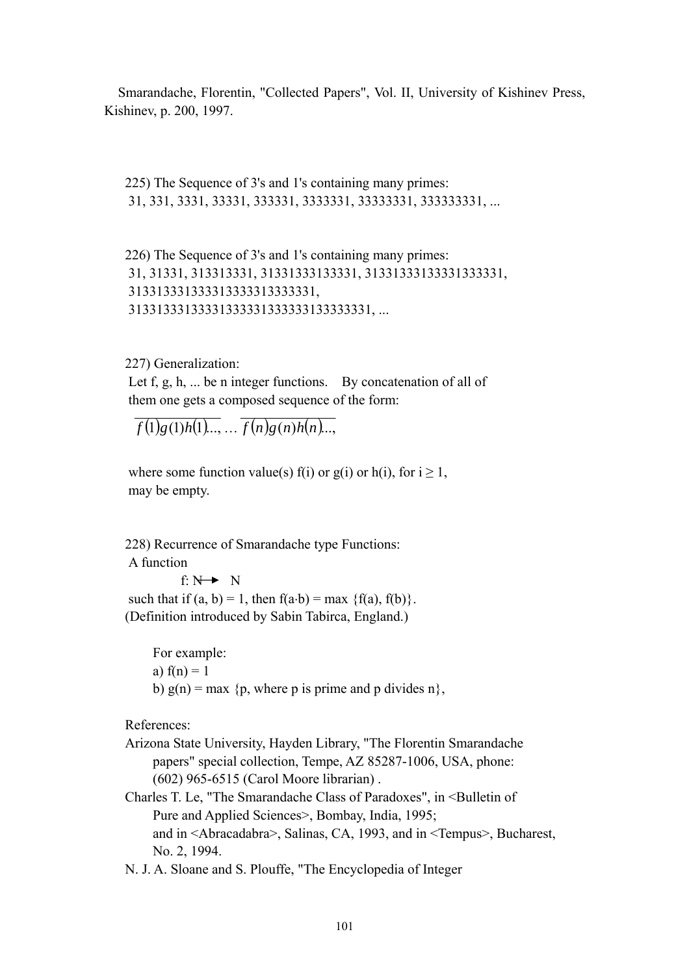Smarandache, Florentin, "Collected Papers", Vol. II, University of Kishinev Press, Kishinev, p. 200, 1997.

 225) The Sequence of 3's and 1's containing many primes: 31, 331, 3331, 33331, 333331, 3333331, 33333331, 333333331, ...

 226) The Sequence of 3's and 1's containing many primes: 31, 31331, 313313331, 31331333133331, 31331333133331333331, 313313331333313333313333331, 31331333133331333331333333133333331, ...

227) Generalization:

Let f, g, h, ... be n integer functions. By concatenation of all of them one gets a composed sequence of the form:

 $f(1)g(1)h(1)$ ...,  $f(n)g(n)h(n)$ ...

where some function value(s) f(i) or g(i) or h(i), for  $i \ge 1$ , may be empty.

 228) Recurrence of Smarandache type Functions: A function

f:  $N \rightarrow N$ such that if  $(a, b) = 1$ , then  $f(a \cdot b) = max \{f(a), f(b)\}.$ (Definition introduced by Sabin Tabirca, England.)

 For example: a)  $f(n) = 1$ b)  $g(n) = max \{p$ , where p is prime and p divides n $\}$ ,

References:

- Arizona State University, Hayden Library, "The Florentin Smarandache papers" special collection, Tempe, AZ 85287-1006, USA, phone: (602) 965-6515 (Carol Moore librarian) .
- Charles T. Le, "The Smarandache Class of Paradoxes", in <Bulletin of Pure and Applied Sciences>, Bombay, India, 1995; and in <Abracadabra>, Salinas, CA, 1993, and in <Tempus>, Bucharest, No. 2, 1994.
- N. J. A. Sloane and S. Plouffe, "The Encyclopedia of Integer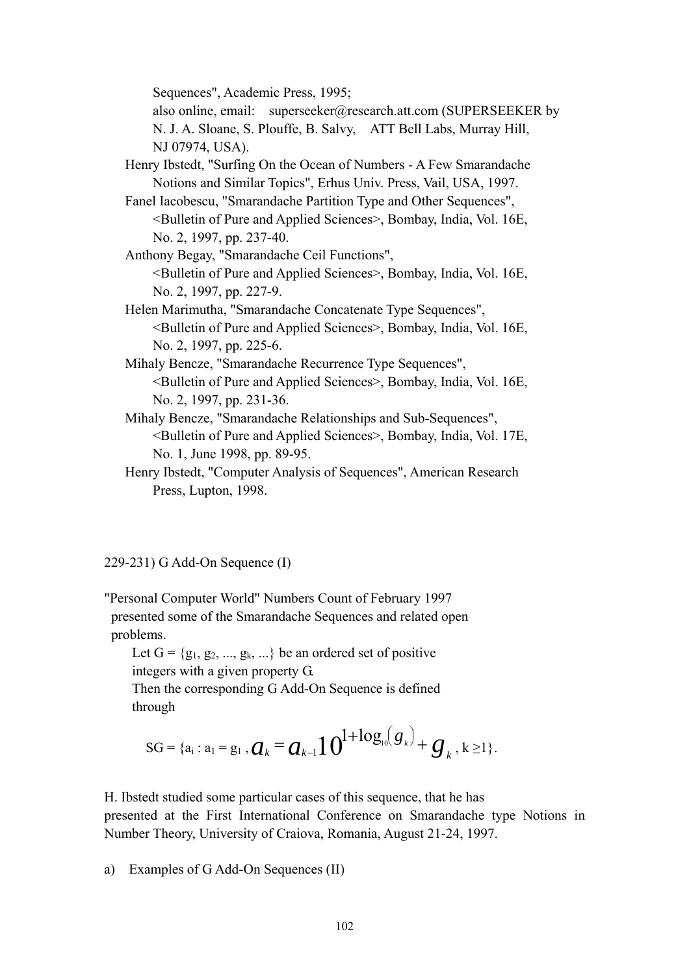Sequences", Academic Press, 1995;

 also online, email: superseeker@research.att.com (SUPERSEEKER by N. J. A. Sloane, S. Plouffe, B. Salvy, ATT Bell Labs, Murray Hill, NJ 07974, USA).

- Henry Ibstedt, "Surfing On the Ocean of Numbers A Few Smarandache Notions and Similar Topics", Erhus Univ. Press, Vail, USA, 1997.
- Fanel Iacobescu, "Smarandache Partition Type and Other Sequences", <Bulletin of Pure and Applied Sciences>, Bombay, India, Vol. 16E, No. 2, 1997, pp. 237-40.

 Anthony Begay, "Smarandache Ceil Functions", <Bulletin of Pure and Applied Sciences>, Bombay, India, Vol. 16E, No. 2, 1997, pp. 227-9.

- Helen Marimutha, "Smarandache Concatenate Type Sequences", <Bulletin of Pure and Applied Sciences>, Bombay, India, Vol. 16E, No. 2, 1997, pp. 225-6.
- Mihaly Bencze, "Smarandache Recurrence Type Sequences", <Bulletin of Pure and Applied Sciences>, Bombay, India, Vol. 16E, No. 2, 1997, pp. 231-36.
- Mihaly Bencze, "Smarandache Relationships and Sub-Sequences", <Bulletin of Pure and Applied Sciences>, Bombay, India, Vol. 17E, No. 1, June 1998, pp. 89-95.
- Henry Ibstedt, "Computer Analysis of Sequences", American Research Press, Lupton, 1998.

# 229-231) G Add-On Sequence (I)

"Personal Computer World" Numbers Count of February 1997 presented some of the Smarandache Sequences and related open problems.

Let  $G = \{g_1, g_2, ..., g_k, ...\}$  be an ordered set of positive integers with a given property G.

 Then the corresponding G Add-On Sequence is defined through

$$
SG = \{a_i : a_1 = g_1, \mathbf{Q}_k = \mathbf{Q}_{k-1} \mathbf{1} \mathbf{0}^{1+\log_{10}(\mathbf{g}_k)} + \mathbf{g}_k, k \geq 1\}.
$$

H. Ibstedt studied some particular cases of this sequence, that he has presented at the First International Conference on Smarandache type Notions in Number Theory, University of Craiova, Romania, August 21-24, 1997.

a) Examples of G Add-On Sequences (II)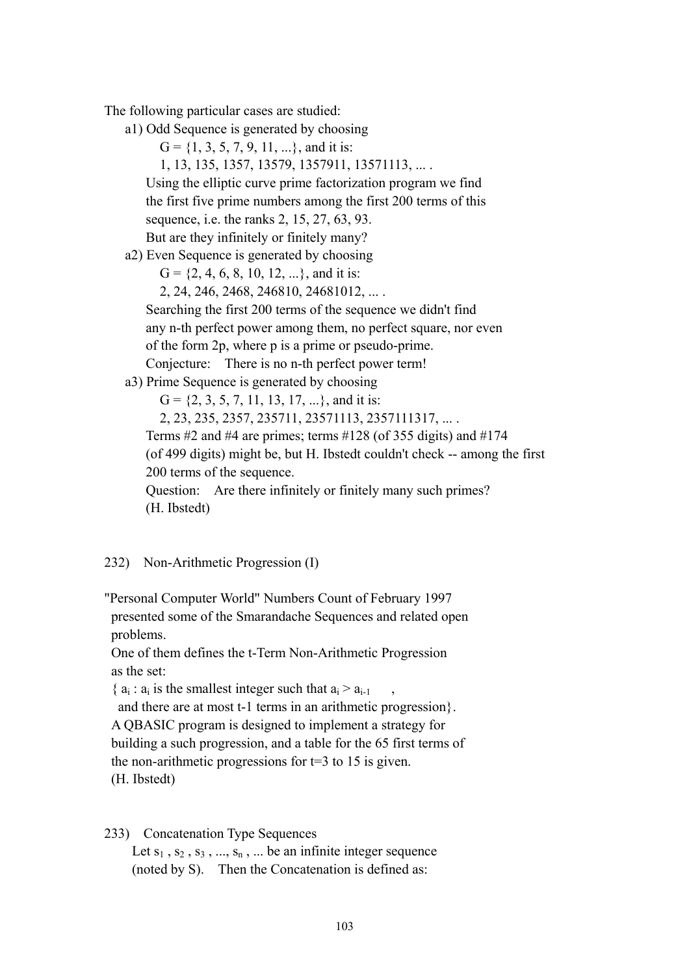The following particular cases are studied:

a1) Odd Sequence is generated by choosing

 $G = \{1, 3, 5, 7, 9, 11, ...\}$ , and it is:

1, 13, 135, 1357, 13579, 1357911, 13571113, ... .

 Using the elliptic curve prime factorization program we find the first five prime numbers among the first 200 terms of this sequence, i.e. the ranks 2, 15, 27, 63, 93. But are they infinitely or finitely many?

a2) Even Sequence is generated by choosing

 $G = \{2, 4, 6, 8, 10, 12, ...\}$ , and it is:

2, 24, 246, 2468, 246810, 24681012, ... .

 Searching the first 200 terms of the sequence we didn't find any n-th perfect power among them, no perfect square, nor even of the form 2p, where p is a prime or pseudo-prime. Conjecture: There is no n-th perfect power term!

a3) Prime Sequence is generated by choosing

 $G = \{2, 3, 5, 7, 11, 13, 17, ...\}$ , and it is: 2, 23, 235, 2357, 235711, 23571113, 2357111317, ... . Terms #2 and #4 are primes; terms #128 (of 355 digits) and #174 (of 499 digits) might be, but H. Ibstedt couldn't check -- among the first 200 terms of the sequence.

 Question: Are there infinitely or finitely many such primes? (H. Ibstedt)

# 232) Non-Arithmetic Progression (I)

"Personal Computer World" Numbers Count of February 1997 presented some of the Smarandache Sequences and related open problems.

 One of them defines the t-Term Non-Arithmetic Progression as the set:

{ $a_i$  :  $a_i$  is the smallest integer such that  $a_i > a_{i-1}$ 

 and there are at most t-1 terms in an arithmetic progression}. A QBASIC program is designed to implement a strategy for building a such progression, and a table for the 65 first terms of the non-arithmetic progressions for  $t=3$  to 15 is given. (H. Ibstedt)

#### 233) Concatenation Type Sequences

Let  $s_1$ ,  $s_2$ ,  $s_3$ , ...,  $s_n$ , ... be an infinite integer sequence (noted by S). Then the Concatenation is defined as: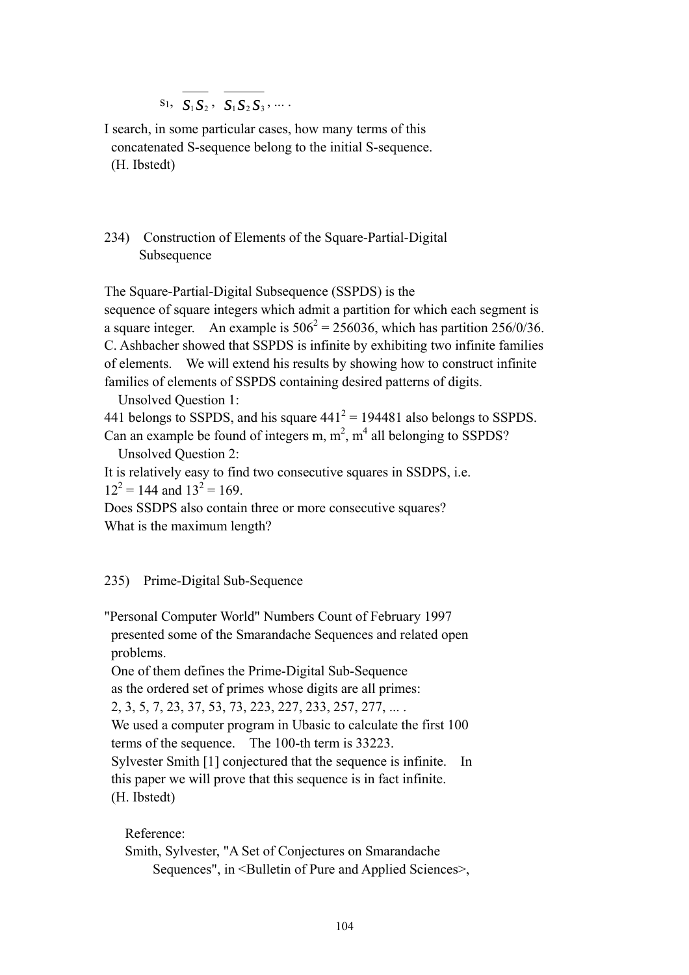$S_1$ ,  $S_1 S_2$ ,  $S_1 S_2 S_3$ , ...

I search, in some particular cases, how many terms of this concatenated S-sequence belong to the initial S-sequence. (H. Ibstedt)

# 234) Construction of Elements of the Square-Partial-Digital Subsequence

The Square-Partial-Digital Subsequence (SSPDS) is the

sequence of square integers which admit a partition for which each segment is a square integer. An example is  $506^2 = 256036$ , which has partition 256/0/36. C. Ashbacher showed that SSPDS is infinite by exhibiting two infinite families of elements. We will extend his results by showing how to construct infinite families of elements of SSPDS containing desired patterns of digits.

Unsolved Question 1:

441 belongs to SSPDS, and his square  $441^2 = 194481$  also belongs to SSPDS. Can an example be found of integers m,  $m^2$ ,  $m^4$  all belonging to SSPDS?

Unsolved Question 2:

It is relatively easy to find two consecutive squares in SSDPS, i.e.  $12^2 = 144$  and  $13^2 = 169$ .

Does SSDPS also contain three or more consecutive squares? What is the maximum length?

# 235) Prime-Digital Sub-Sequence

"Personal Computer World" Numbers Count of February 1997 presented some of the Smarandache Sequences and related open problems.

 One of them defines the Prime-Digital Sub-Sequence as the ordered set of primes whose digits are all primes: 2, 3, 5, 7, 23, 37, 53, 73, 223, 227, 233, 257, 277, ... . We used a computer program in Ubasic to calculate the first 100 terms of the sequence. The 100-th term is 33223. Sylvester Smith [1] conjectured that the sequence is infinite. In this paper we will prove that this sequence is in fact infinite. (H. Ibstedt)

Reference:

```
 Smith, Sylvester, "A Set of Conjectures on Smarandache 
     Sequences", in <Bulletin of Pure and Applied Sciences>,
```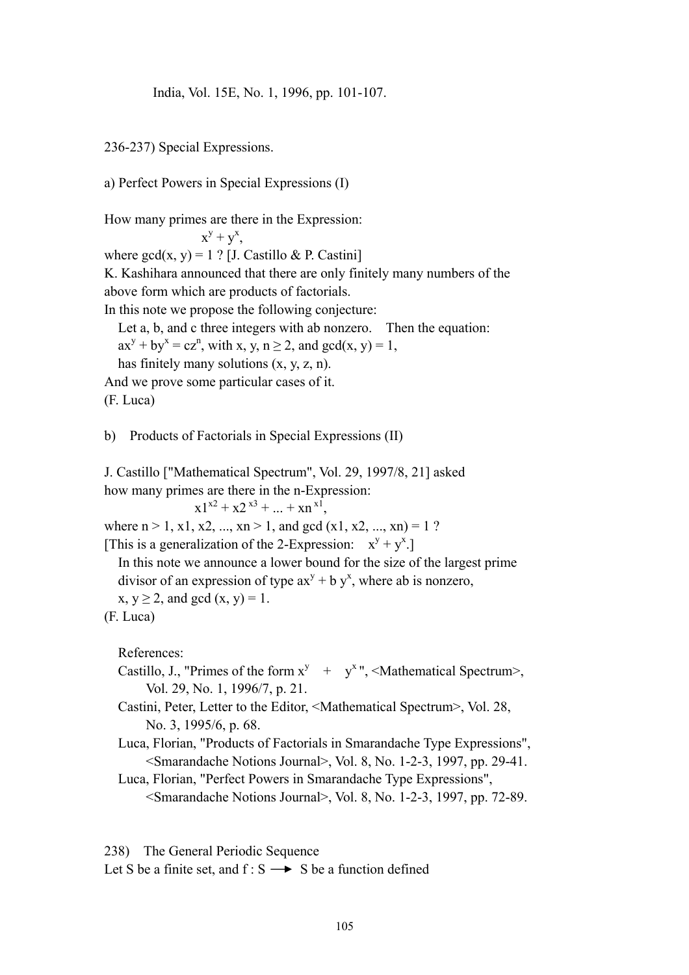India, Vol. 15E, No. 1, 1996, pp. 101-107.

236-237) Special Expressions.

a) Perfect Powers in Special Expressions (I)

How many primes are there in the Expression:

 $x^y + y^x$ , where  $gcd(x, y) = 1$  ? [J. Castillo & P. Castini] K. Kashihara announced that there are only finitely many numbers of the above form which are products of factorials. In this note we propose the following conjecture: Let a, b, and c three integers with ab nonzero. Then the equation:  $ax^{y} + by^{x} = cz^{n}$ , with x, y, n  $\geq 2$ , and gcd(x, y) = 1, has finitely many solutions (x, y, z, n). And we prove some particular cases of it.

(F. Luca)

b) Products of Factorials in Special Expressions (II)

J. Castillo ["Mathematical Spectrum", Vol. 29, 1997/8, 21] asked how many primes are there in the n-Expression:

 $x1^{x2} + x2^{x3} + ... + xn^{x1}$ 

where  $n > 1$ , x1, x2, ..., xn > 1, and gcd (x1, x2, ..., xn) = 1 ? [This is a generalization of the 2-Expression:  $x^y + y^x$ .]

 In this note we announce a lower bound for the size of the largest prime divisor of an expression of type  $ax^{y} + b y^{x}$ , where ab is nonzero,

 $x, y \ge 2$ , and gcd  $(x, y) = 1$ .

References:

- Castillo, J., "Primes of the form  $x^y$  +  $y^x$ ", <Mathematical Spectrum>, Vol. 29, No. 1, 1996/7, p. 21.
	- Castini, Peter, Letter to the Editor, <Mathematical Spectrum>, Vol. 28, No. 3, 1995/6, p. 68.
	- Luca, Florian, "Products of Factorials in Smarandache Type Expressions", <Smarandache Notions Journal>, Vol. 8, No. 1-2-3, 1997, pp. 29-41.
	- Luca, Florian, "Perfect Powers in Smarandache Type Expressions", <Smarandache Notions Journal>, Vol. 8, No. 1-2-3, 1997, pp. 72-89.

```
238) The General Periodic Sequence
```
Let S be a finite set, and  $f : S \longrightarrow S$  be a function defined

<sup>(</sup>F. Luca)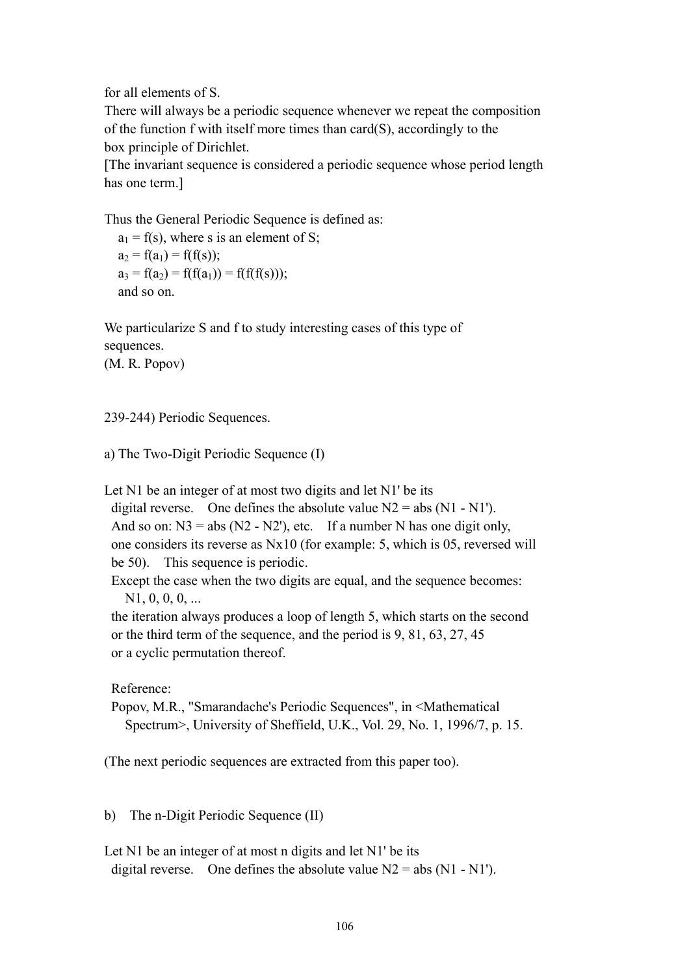for all elements of S.

There will always be a periodic sequence whenever we repeat the composition of the function f with itself more times than card(S), accordingly to the box principle of Dirichlet.

[The invariant sequence is considered a periodic sequence whose period length has one term.]

Thus the General Periodic Sequence is defined as:

 $a_1 = f(s)$ , where s is an element of S;  $a_2 = f(a_1) = f(f(s))$ ;  $a_3 = f(a_2) = f(f(a_1)) = f(f(f(s)))$ ; and so on.

We particularize S and f to study interesting cases of this type of sequences.

(M. R. Popov)

239-244) Periodic Sequences.

```
a) The Two-Digit Periodic Sequence (I)
```
Let N1 be an integer of at most two digits and let N1' be its

digital reverse. One defines the absolute value  $N2 = abs (N1 - N1')$ . And so on:  $N3 = abs (N2 - N2')$ , etc. If a number N has one digit only, one considers its reverse as Nx10 (for example: 5, which is 05, reversed will be 50). This sequence is periodic.

 Except the case when the two digits are equal, and the sequence becomes:  $N1, 0, 0, 0, ...$ 

 the iteration always produces a loop of length 5, which starts on the second or the third term of the sequence, and the period is 9, 81, 63, 27, 45 or a cyclic permutation thereof.

Reference:

 Popov, M.R., "Smarandache's Periodic Sequences", in <Mathematical Spectrum>, University of Sheffield, U.K., Vol. 29, No. 1, 1996/7, p. 15.

(The next periodic sequences are extracted from this paper too).

b) The n-Digit Periodic Sequence (II)

Let N1 be an integer of at most n digits and let N1' be its digital reverse. One defines the absolute value  $N2 = abs (N1 - N1')$ .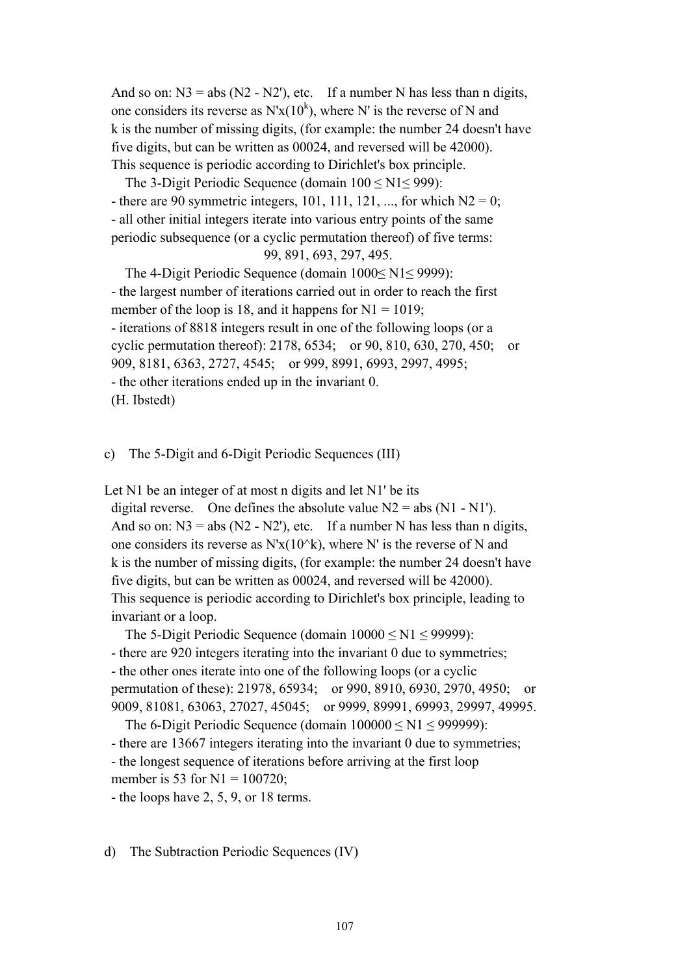And so on:  $N3 = abs (N2 - N2')$ , etc. If a number N has less than n digits, one considers its reverse as  $N'x(10^k)$ , where N' is the reverse of N and k is the number of missing digits, (for example: the number 24 doesn't have five digits, but can be written as 00024, and reversed will be 42000). This sequence is periodic according to Dirichlet's box principle.

The 3-Digit Periodic Sequence (domain  $100 \le N1 \le 999$ ): - there are 90 symmetric integers, 101, 111, 121, ..., for which  $N2 = 0$ ; - all other initial integers iterate into various entry points of the same periodic subsequence (or a cyclic permutation thereof) of five terms: 99, 891, 693, 297, 495.

 The 4-Digit Periodic Sequence (domain 1000≤ N1≤ 9999): - the largest number of iterations carried out in order to reach the first member of the loop is 18, and it happens for  $N1 = 1019$ ; - iterations of 8818 integers result in one of the following loops (or a cyclic permutation thereof): 2178, 6534; or 90, 810, 630, 270, 450; or 909, 8181, 6363, 2727, 4545; or 999, 8991, 6993, 2997, 4995; - the other iterations ended up in the invariant 0. (H. Ibstedt)

c) The 5-Digit and 6-Digit Periodic Sequences (III)

Let N1 be an integer of at most n digits and let N1' be its

digital reverse. One defines the absolute value  $N2 = abs (N1 - N1')$ . And so on:  $N3 = abs (N2 - N2')$ , etc. If a number N has less than n digits, one considers its reverse as  $N'x(10^k)$ , where N' is the reverse of N and k is the number of missing digits, (for example: the number 24 doesn't have five digits, but can be written as 00024, and reversed will be 42000). This sequence is periodic according to Dirichlet's box principle, leading to invariant or a loop.

The 5-Digit Periodic Sequence (domain  $10000 \leq N1 \leq 99999$ ): - there are 920 integers iterating into the invariant 0 due to symmetries; - the other ones iterate into one of the following loops (or a cyclic

 permutation of these): 21978, 65934; or 990, 8910, 6930, 2970, 4950; or 9009, 81081, 63063, 27027, 45045; or 9999, 89991, 69993, 29997, 49995. The 6-Digit Periodic Sequence (domain  $100000 \leq N1 \leq 999999$ ):

 - there are 13667 integers iterating into the invariant 0 due to symmetries; - the longest sequence of iterations before arriving at the first loop member is 53 for  $N1 = 100720$ ;

- the loops have 2, 5, 9, or 18 terms.

d) The Subtraction Periodic Sequences (IV)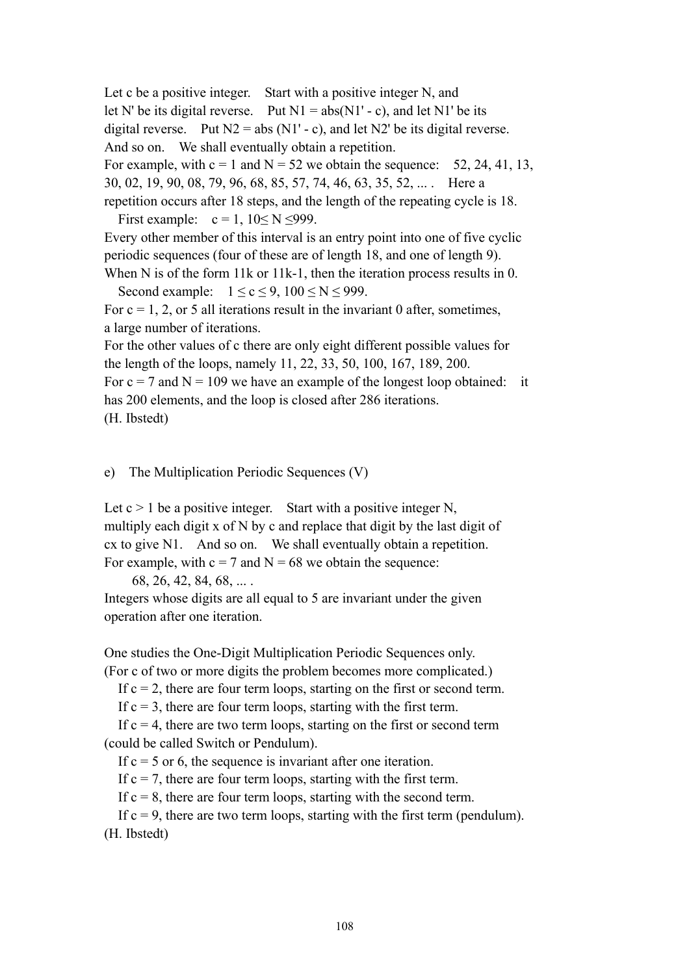Let c be a positive integer. Start with a positive integer N, and let N' be its digital reverse. Put  $N1 = abs(N1' - c)$ , and let N1' be its digital reverse. Put  $N2 = abs (N1' - c)$ , and let  $N2'$  be its digital reverse. And so on. We shall eventually obtain a repetition. For example, with  $c = 1$  and  $N = 52$  we obtain the sequence: 52, 24, 41, 13, 30, 02, 19, 90, 08, 79, 96, 68, 85, 57, 74, 46, 63, 35, 52, ... . Here a repetition occurs after 18 steps, and the length of the repeating cycle is 18.

First example:  $c = 1$ ,  $10 \le N \le 999$ . Every other member of this interval is an entry point into one of five cyclic periodic sequences (four of these are of length 18, and one of length 9).

When N is of the form 11k or 11k-1, then the iteration process results in 0. Second example:  $1 \le c \le 9$ ,  $100 \le N \le 999$ .

For  $c = 1, 2$ , or 5 all iterations result in the invariant 0 after, sometimes, a large number of iterations.

For the other values of c there are only eight different possible values for the length of the loops, namely 11, 22, 33, 50, 100, 167, 189, 200.

For  $c = 7$  and  $N = 109$  we have an example of the longest loop obtained: it has 200 elements, and the loop is closed after 286 iterations.

(H. Ibstedt)

e) The Multiplication Periodic Sequences (V)

Let  $c > 1$  be a positive integer. Start with a positive integer N, multiply each digit x of N by c and replace that digit by the last digit of cx to give N1. And so on. We shall eventually obtain a repetition. For example, with  $c = 7$  and  $N = 68$  we obtain the sequence:

68, 26, 42, 84, 68, ... .

Integers whose digits are all equal to 5 are invariant under the given operation after one iteration.

One studies the One-Digit Multiplication Periodic Sequences only. (For c of two or more digits the problem becomes more complicated.)

If  $c = 2$ , there are four term loops, starting on the first or second term.

If  $c = 3$ , there are four term loops, starting with the first term.

If  $c = 4$ , there are two term loops, starting on the first or second term (could be called Switch or Pendulum).

If  $c = 5$  or 6, the sequence is invariant after one iteration.

If  $c = 7$ , there are four term loops, starting with the first term.

If  $c = 8$ , there are four term loops, starting with the second term.

If  $c = 9$ , there are two term loops, starting with the first term (pendulum). (H. Ibstedt)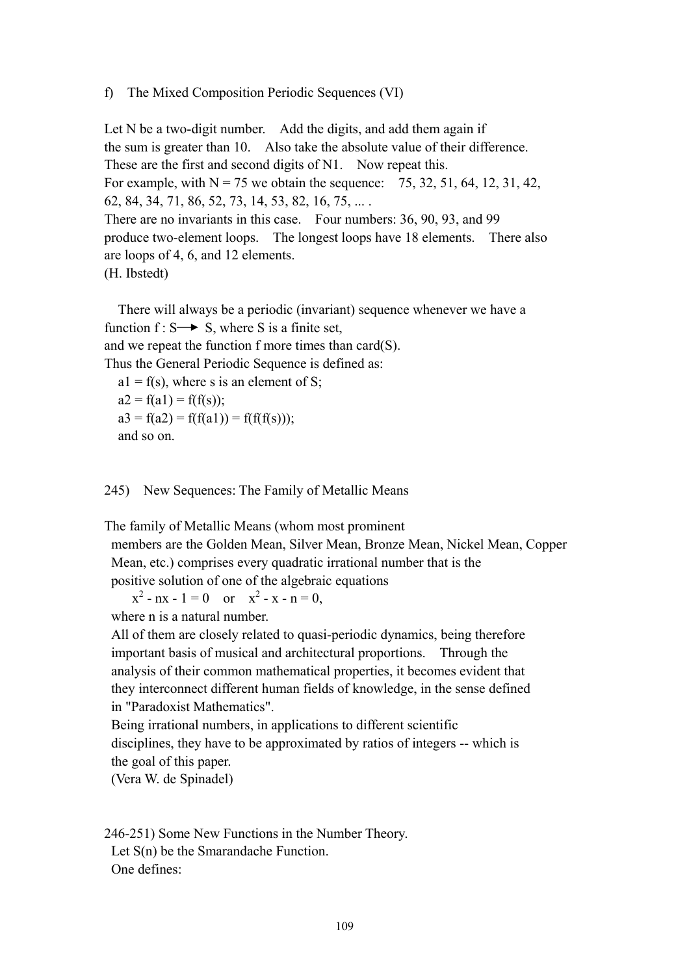### f) The Mixed Composition Periodic Sequences (VI)

Let N be a two-digit number. Add the digits, and add them again if the sum is greater than 10. Also take the absolute value of their difference. These are the first and second digits of N1. Now repeat this. For example, with  $N = 75$  we obtain the sequence: 75, 32, 51, 64, 12, 31, 42, 62, 84, 34, 71, 86, 52, 73, 14, 53, 82, 16, 75, ... . There are no invariants in this case. Four numbers: 36, 90, 93, and 99 produce two-element loops. The longest loops have 18 elements. There also are loops of 4, 6, and 12 elements. (H. Ibstedt)

 There will always be a periodic (invariant) sequence whenever we have a function  $f: S \rightarrow S$ , where S is a finite set, and we repeat the function f more times than card(S). Thus the General Periodic Sequence is defined as:  $a1 = f(s)$ , where s is an element of S;

 $a2 = f(a1) = f(f(s))$ ;  $a3 = f(a2) = f(f(a1)) = f(f(f(s)))$ ; and so on.

### 245) New Sequences: The Family of Metallic Means

The family of Metallic Means (whom most prominent

 members are the Golden Mean, Silver Mean, Bronze Mean, Nickel Mean, Copper Mean, etc.) comprises every quadratic irrational number that is the positive solution of one of the algebraic equations

 $x^2 - nx - 1 = 0$  or  $x^2 - x - n = 0$ ,

where n is a natural number.

 All of them are closely related to quasi-periodic dynamics, being therefore important basis of musical and architectural proportions. Through the analysis of their common mathematical properties, it becomes evident that they interconnect different human fields of knowledge, in the sense defined in "Paradoxist Mathematics".

 Being irrational numbers, in applications to different scientific disciplines, they have to be approximated by ratios of integers -- which is the goal of this paper.

(Vera W. de Spinadel)

246-251) Some New Functions in the Number Theory. Let S(n) be the Smarandache Function. One defines: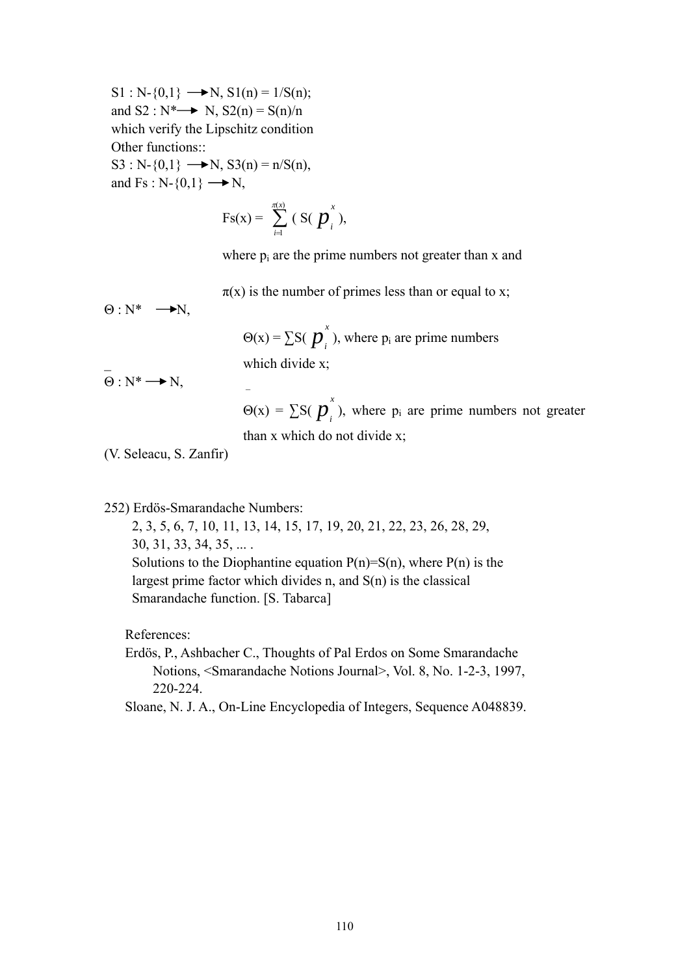$S1 : N-\{0,1\} \longrightarrow N, S1(n) = 1/S(n);$ and  $S2 : N^* \rightarrow N$ ,  $S2(n) = S(n)/n$  which verify the Lipschitz condition Other functions:: S3 : N- $\{0,1\}$   $\longrightarrow$  N, S3(n) = n/S(n), and Fs :  $N-\{0,1\} \longrightarrow N$ ,

$$
F_S(x) = \sum_{i=1}^{\pi(x)} (S(\boldsymbol{p}_i^x),
$$

where  $p_i$  are the prime numbers not greater than x and

 $\pi(x)$  is the number of primes less than or equal to x;

 $\Theta$  : N\*  $\longrightarrow$ N,

 $\Theta(x) = \sum S(\boldsymbol{p}_i^x)$ , where  $p_i$  are prime numbers which divide x;

 $\overline{\Theta}: N^* \longrightarrow N,$ 

 $\Theta(x) = \sum S(\boldsymbol{p}_i^x)$ , where  $p_i$  are prime numbers not greater than x which do not divide x;

(V. Seleacu, S. Zanfir)

252) Erdös-Smarandache Numbers:

 2, 3, 5, 6, 7, 10, 11, 13, 14, 15, 17, 19, 20, 21, 22, 23, 26, 28, 29, 30, 31, 33, 34, 35, ... . Solutions to the Diophantine equation  $P(n)=S(n)$ , where  $P(n)$  is the largest prime factor which divides n, and S(n) is the classical Smarandache function. [S. Tabarca]

References:

 Erdös, P., Ashbacher C., Thoughts of Pal Erdos on Some Smarandache Notions, <Smarandache Notions Journal>, Vol. 8, No. 1-2-3, 1997, 220-224.

Sloane, N. J. A., On-Line Encyclopedia of Integers, Sequence A048839.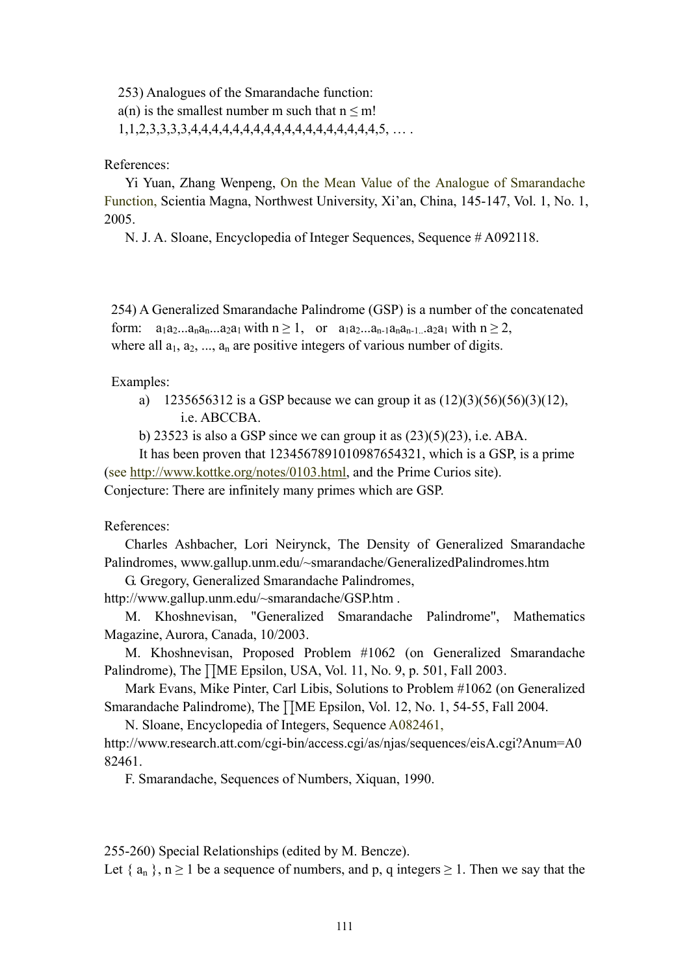253) Analogues of the Smarandache function:

 $a(n)$  is the smallest number m such that  $n \le m!$ 

1,1,2,3,3,3,3,4,4,4,4,4,4,4,4,4,4,4,4,4,4,4,4,4,4,5, … .

## References:

 Yi Yuan, Zhang Wenpeng, On the Mean Value of the Analogue of Smarandache Function, Scientia Magna, Northwest University, Xi'an, China, 145-147, Vol. 1, No. 1, 2005.

N. J. A. Sloane, Encyclopedia of Integer Sequences, Sequence # A092118.

 254) A Generalized Smarandache Palindrome (GSP) is a number of the concatenated form:  $a_1a_2...a_na_n...a_2a_1$  with  $n \ge 1$ , or  $a_1a_2...a_{n-1}a_na_{n-1}...a_2a_1$  with  $n \ge 2$ , where all  $a_1, a_2, \ldots, a_n$  are positive integers of various number of digits.

## Examples:

a) 1235656312 is a GSP because we can group it as  $(12)(3)(56)(56)(3)(12)$ , i.e. ABCCBA.

b) 23523 is also a GSP since we can group it as  $(23)(5)(23)$ , i.e. ABA.

 It has been proven that 1234567891010987654321, which is a GSP, is a prime (see http://www.kottke.org/notes/0103.html, and the Prime Curios site). Conjecture: There are infinitely many primes which are GSP.

References:

 Charles Ashbacher, Lori Neirynck, The Density of Generalized Smarandache Palindromes, www.gallup.unm.edu/~smarandache/GeneralizedPalindromes.htm

G. Gregory, Generalized Smarandache Palindromes,

http://www.gallup.unm.edu/~smarandache/GSP.htm .

 M. Khoshnevisan, "Generalized Smarandache Palindrome", Mathematics Magazine, Aurora, Canada, 10/2003.

 M. Khoshnevisan, Proposed Problem #1062 (on Generalized Smarandache Palindrome), The  $\prod$ ME Epsilon, USA, Vol. 11, No. 9, p. 501, Fall 2003.

 Mark Evans, Mike Pinter, Carl Libis, Solutions to Problem #1062 (on Generalized Smarandache Palindrome), The *HME Epsilon*, Vol. 12, No. 1, 54-55, Fall 2004.

N. Sloane, Encyclopedia of Integers, Sequence A082461,

http://www.research.att.com/cgi-bin/access.cgi/as/njas/sequences/eisA.cgi?Anum=A0 82461.

F. Smarandache, Sequences of Numbers, Xiquan, 1990.

255-260) Special Relationships (edited by M. Bencze).

Let  $\{a_n\}, n \ge 1$  be a sequence of numbers, and p, q integers  $\ge 1$ . Then we say that the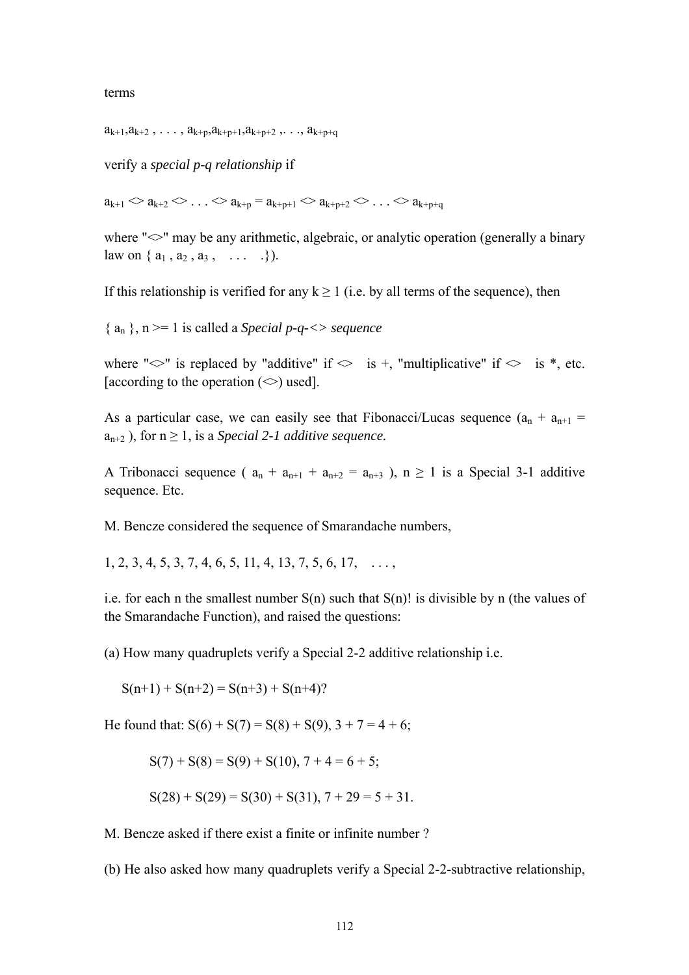terms

 $a_{k+1}, a_{k+2}, \ldots, a_{k+p}, a_{k+p+1}, a_{k+p+2}, \ldots, a_{k+p+q}$ 

verify a *special p-q relationship* if

 $a_{k+1} > a_{k+2} > \ldots > a_{k+n} = a_{k+n+1} > a_{k+n+2} > \ldots > a_{k+n+a}$ 

where " $\ll$ " may be any arithmetic, algebraic, or analytic operation (generally a binary law on  $\{a_1, a_2, a_3, \ldots \}$ ).

If this relationship is verified for any  $k \ge 1$  (i.e. by all terms of the sequence), then

 ${ a_n }$ , n = 1 is called a *Special p-q-<> sequence* 

where " $\ll$ " is replaced by "additive" if  $\ll$  is +, "multiplicative" if  $\ll$  is \*, etc. [according to the operation  $(\le)$  used].

As a particular case, we can easily see that Fibonacci/Lucas sequence  $(a_n + a_{n+1})$  $a_{n+2}$ ), for  $n \geq 1$ , is a *Special 2-1 additive sequence*.

A Tribonacci sequence (  $a_n + a_{n+1} + a_{n+2} = a_{n+3}$  ),  $n \ge 1$  is a Special 3-1 additive sequence. Etc.

M. Bencze considered the sequence of Smarandache numbers,

 $1, 2, 3, 4, 5, 3, 7, 4, 6, 5, 11, 4, 13, 7, 5, 6, 17, \ldots$ 

i.e. for each n the smallest number  $S(n)$  such that  $S(n)!$  is divisible by n (the values of the Smarandache Function), and raised the questions:

(a) How many quadruplets verify a Special 2-2 additive relationship i.e.

 $S(n+1) + S(n+2) = S(n+3) + S(n+4)$ ?

He found that:  $S(6) + S(7) = S(8) + S(9), 3 + 7 = 4 + 6;$ 

$$
S(7) + S(8) = S(9) + S(10), 7 + 4 = 6 + 5;
$$

$$
S(28) + S(29) = S(30) + S(31), 7 + 29 = 5 + 31.
$$

M. Bencze asked if there exist a finite or infinite number ?

(b) He also asked how many quadruplets verify a Special 2-2-subtractive relationship,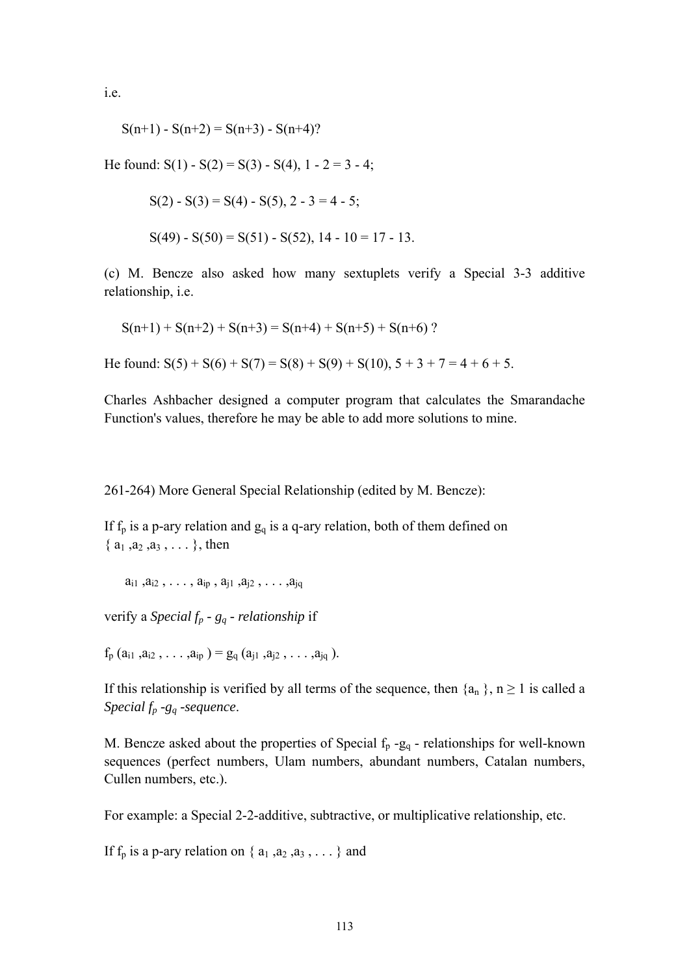i.e.

$$
S(n+1) - S(n+2) = S(n+3) - S(n+4)?
$$

He found:  $S(1) - S(2) = S(3) - S(4)$ ,  $1 - 2 = 3 - 4$ ;

$$
S(2) - S(3) = S(4) - S(5), 2 - 3 = 4 - 5;
$$
  

$$
S(49) - S(50) = S(51) - S(52), 14 - 10 = 17 - 13.
$$

(c) M. Bencze also asked how many sextuplets verify a Special 3-3 additive relationship, i.e.

$$
S(n+1) + S(n+2) + S(n+3) = S(n+4) + S(n+5) + S(n+6)
$$
?

He found:  $S(5) + S(6) + S(7) = S(8) + S(9) + S(10), 5 + 3 + 7 = 4 + 6 + 5.$ 

Charles Ashbacher designed a computer program that calculates the Smarandache Function's values, therefore he may be able to add more solutions to mine.

261-264) More General Special Relationship (edited by M. Bencze):

If  $f_p$  is a p-ary relation and  $g_q$  is a q-ary relation, both of them defined on  $\{a_1, a_2, a_3, \ldots\}$ , then

 $a_{i1}, a_{i2}, \ldots, a_{in}, a_{i1}, a_{i2}, \ldots, a_{ia}$ 

verify a *Special fp - gq - relationship* if

 $f_p$   $(a_{i1}, a_{i2}, \ldots, a_{ip}) = g_q$   $(a_{i1}, a_{i2}, \ldots, a_{iq})$ .

If this relationship is verified by all terms of the sequence, then  $\{a_n\}$ ,  $n \ge 1$  is called a *Special fp -gq -sequence*.

M. Bencze asked about the properties of Special  $f_p - g_q$  - relationships for well-known sequences (perfect numbers, Ulam numbers, abundant numbers, Catalan numbers, Cullen numbers, etc.).

For example: a Special 2-2-additive, subtractive, or multiplicative relationship, etc.

If  $f_p$  is a p-ary relation on  $\{a_1, a_2, a_3, \ldots\}$  and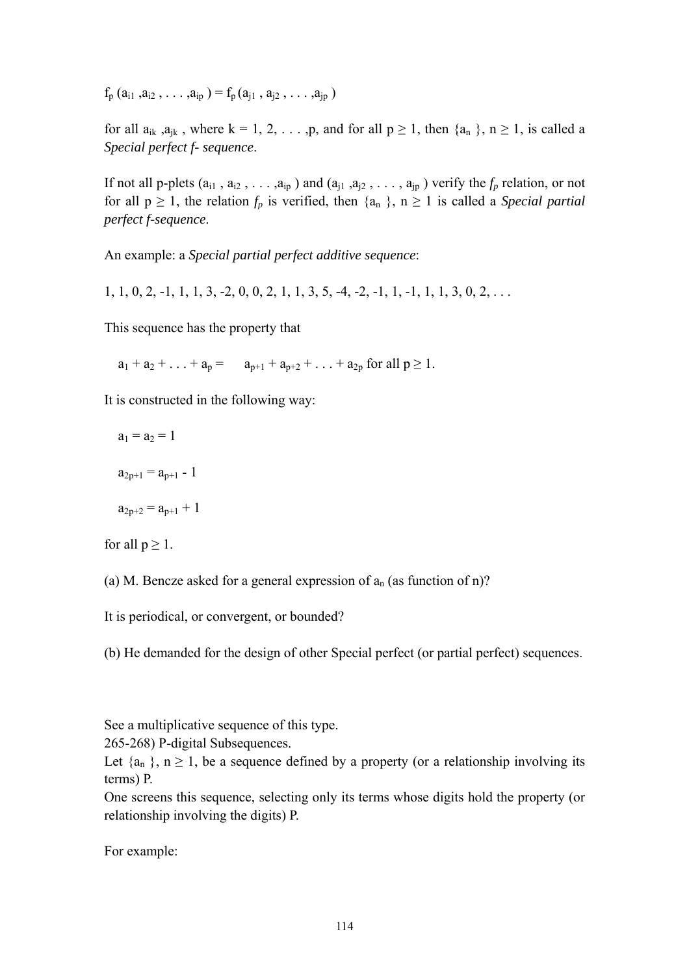$f_p$   $(a_{i1}, a_{i2}, \ldots, a_{ip}) = f_p(a_{i1}, a_{i2}, \ldots, a_{ip})$ 

for all  $a_{ik}$ ,  $a_{jk}$ , where  $k = 1, 2, \ldots, p$ , and for all  $p \ge 1$ , then  $\{a_n\}$ ,  $n \ge 1$ , is called a *Special perfect f- sequence*.

If not all p-plets  $(a_{i1}, a_{i2}, \ldots, a_{ip})$  and  $(a_{i1}, a_{i2}, \ldots, a_{ip})$  verify the  $f_p$  relation, or not for all  $p \ge 1$ , the relation  $f_p$  is verified, then  $\{a_n\}$ ,  $n \ge 1$  is called a *Special partial perfect f-sequence*.

An example: a *Special partial perfect additive sequence*:

 $1, 1, 0, 2, -1, 1, 1, 3, -2, 0, 0, 2, 1, 1, 3, 5, -4, -2, -1, 1, -1, 1, 1, 3, 0, 2, \ldots$ 

This sequence has the property that

 $a_1 + a_2 + \ldots + a_n = a_{n+1} + a_{n+2} + \ldots + a_{2n}$  for all  $p \ge 1$ .

It is constructed in the following way:

$$
a_1=a_2=1
$$

$$
a_{2p+1} = a_{p+1} - 1
$$

$$
a_{2p+2} = a_{p+1} + 1\\
$$

for all  $p \geq 1$ .

(a) M. Bencze asked for a general expression of  $a_n$  (as function of n)?

It is periodical, or convergent, or bounded?

(b) He demanded for the design of other Special perfect (or partial perfect) sequences.

See a multiplicative sequence of this type.

265-268) P-digital Subsequences.

Let  $\{a_n\}$ ,  $n \geq 1$ , be a sequence defined by a property (or a relationship involving its terms) P.

One screens this sequence, selecting only its terms whose digits hold the property (or relationship involving the digits) P.

For example: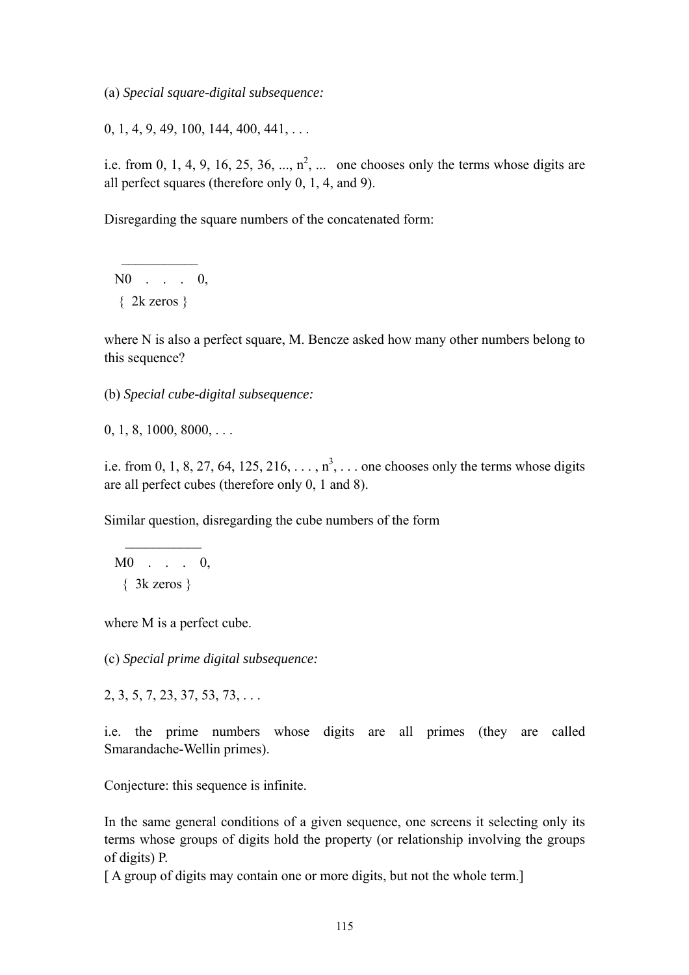(a) *Special square-digital subsequence:* 

 $0, 1, 4, 9, 49, 100, 144, 400, 441, \ldots$ 

i.e. from 0, 1, 4, 9, 16, 25, 36, ...,  $n^2$ , ... one chooses only the terms whose digits are all perfect squares (therefore only 0, 1, 4, and 9).

Disregarding the square numbers of the concatenated form:

 N0 . . . 0,  $\{2k \text{ zeros}\}$ 

 $\frac{1}{2}$  ,  $\frac{1}{2}$  ,  $\frac{1}{2}$  ,  $\frac{1}{2}$  ,  $\frac{1}{2}$  ,  $\frac{1}{2}$ 

where N is also a perfect square, M. Bencze asked how many other numbers belong to this sequence?

(b) *Special cube-digital subsequence:* 

 $0, 1, 8, 1000, 8000, \ldots$ 

i.e. from 0, 1, 8, 27, 64, 125, 216,  $\dots$ ,  $n^3$ ,  $\dots$  one chooses only the terms whose digits are all perfect cubes (therefore only 0, 1 and 8).

Similar question, disregarding the cube numbers of the form

 M0 . . . 0, { 3k zeros }

 $\frac{1}{2}$  ,  $\frac{1}{2}$  ,  $\frac{1}{2}$  ,  $\frac{1}{2}$  ,  $\frac{1}{2}$  ,  $\frac{1}{2}$  ,  $\frac{1}{2}$ 

where M is a perfect cube.

(c) *Special prime digital subsequence:* 

2, 3, 5, 7, 23, 37, 53, 73, . . .

i.e. the prime numbers whose digits are all primes (they are called Smarandache-Wellin primes).

Conjecture: this sequence is infinite.

In the same general conditions of a given sequence, one screens it selecting only its terms whose groups of digits hold the property (or relationship involving the groups of digits) P.

[A group of digits may contain one or more digits, but not the whole term.]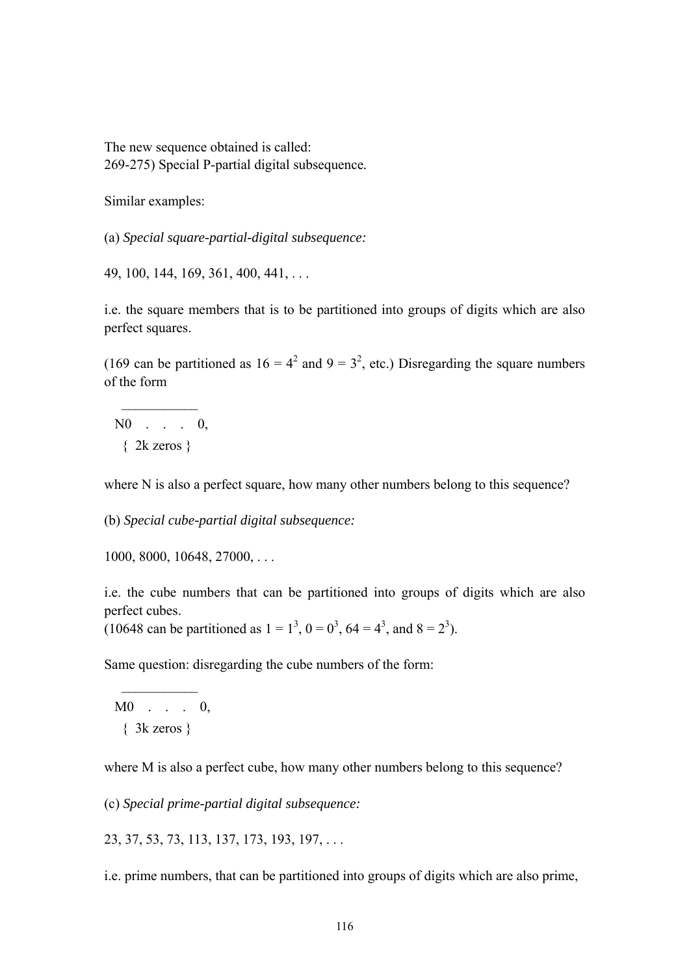The new sequence obtained is called: 269-275) Special P-partial digital subsequence*.* 

Similar examples:

(a) *Special square-partial-digital subsequence:* 

49, 100, 144, 169, 361, 400, 441, . . .

i.e. the square members that is to be partitioned into groups of digits which are also perfect squares.

(169 can be partitioned as  $16 = 4^2$  and  $9 = 3^2$ , etc.) Disregarding the square numbers of the form

 N0 . . . 0, { 2k zeros }

 $\mathcal{L}_\text{max}$ 

where N is also a perfect square, how many other numbers belong to this sequence?

(b) *Special cube-partial digital subsequence:* 

1000, 8000, 10648, 27000, . . .

i.e. the cube numbers that can be partitioned into groups of digits which are also perfect cubes.

(10648 can be partitioned as  $1 = 1^3$ ,  $0 = 0^3$ ,  $64 = 4^3$ , and  $8 = 2^3$ ).

Same question: disregarding the cube numbers of the form:

 M0 . . . 0, { 3k zeros }

 $\frac{1}{2}$  ,  $\frac{1}{2}$  ,  $\frac{1}{2}$  ,  $\frac{1}{2}$  ,  $\frac{1}{2}$  ,  $\frac{1}{2}$ 

where M is also a perfect cube, how many other numbers belong to this sequence?

(c) *Special prime-partial digital subsequence:* 

23, 37, 53, 73, 113, 137, 173, 193, 197, . . .

i.e. prime numbers, that can be partitioned into groups of digits which are also prime,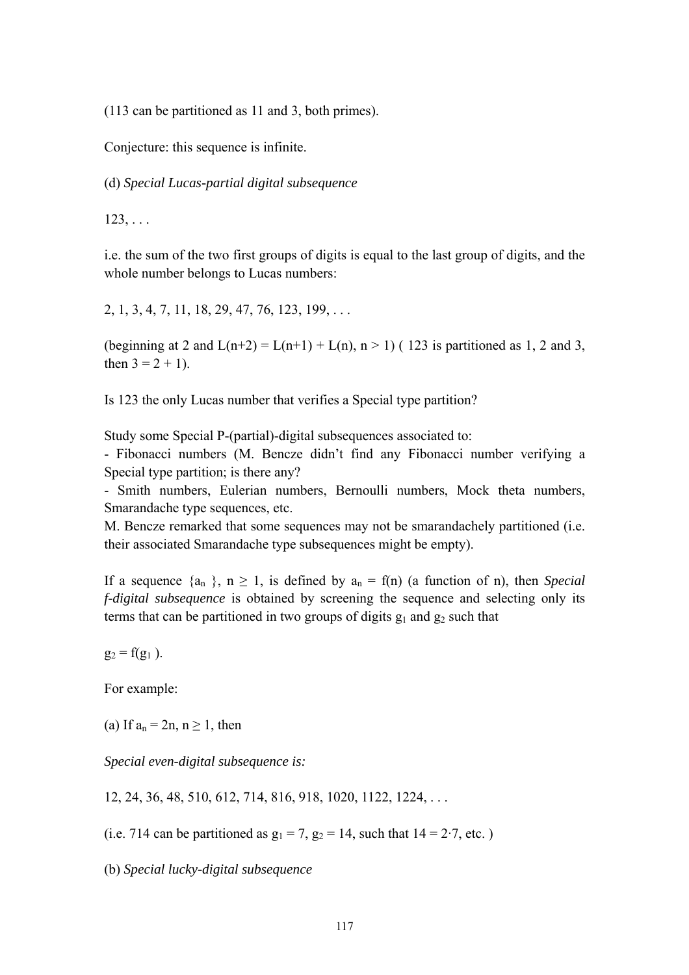(113 can be partitioned as 11 and 3, both primes).

Conjecture: this sequence is infinite.

(d) *Special Lucas-partial digital subsequence* 

 $123, \ldots$ 

i.e. the sum of the two first groups of digits is equal to the last group of digits, and the whole number belongs to Lucas numbers:

2, 1, 3, 4, 7, 11, 18, 29, 47, 76, 123, 199, . . .

(beginning at 2 and  $L(n+2) = L(n+1) + L(n)$ ,  $n > 1$ ) (123 is partitioned as 1, 2 and 3, then  $3 = 2 + 1$ .

Is 123 the only Lucas number that verifies a Special type partition?

Study some Special P-(partial)-digital subsequences associated to:

- Fibonacci numbers (M. Bencze didn't find any Fibonacci number verifying a Special type partition; is there any?

- Smith numbers, Eulerian numbers, Bernoulli numbers, Mock theta numbers, Smarandache type sequences, etc.

M. Bencze remarked that some sequences may not be smarandachely partitioned (i.e. their associated Smarandache type subsequences might be empty).

If a sequence  $\{a_n\}$ ,  $n \ge 1$ , is defined by  $a_n = f(n)$  (a function of n), then *Special f-digital subsequence* is obtained by screening the sequence and selecting only its terms that can be partitioned in two groups of digits  $g_1$  and  $g_2$  such that

 $g_2 = f(g_1)$ .

For example:

(a) If  $a_n = 2n$ ,  $n \ge 1$ , then

*Special even-digital subsequence is:* 

12, 24, 36, 48, 510, 612, 714, 816, 918, 1020, 1122, 1224, . . .

(i.e. 714 can be partitioned as  $g_1 = 7$ ,  $g_2 = 14$ , such that  $14 = 2.7$ , etc.)

(b) *Special lucky-digital subsequence*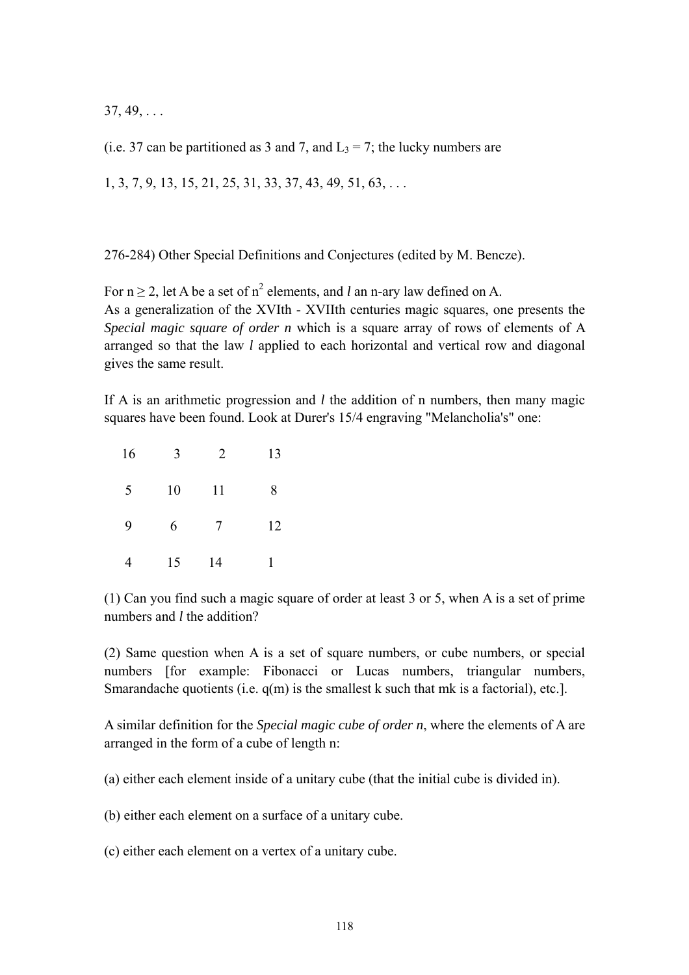$37, 49, \ldots$ 

(i.e. 37 can be partitioned as 3 and 7, and  $L_3 = 7$ ; the lucky numbers are

1, 3, 7, 9, 13, 15, 21, 25, 31, 33, 37, 43, 49, 51, 63, . . .

276-284) Other Special Definitions and Conjectures (edited by M. Bencze).

For  $n \ge 2$ , let A be a set of  $n^2$  elements, and *l* an n-ary law defined on A. As a generalization of the XVIth - XVIIth centuries magic squares, one presents the *Special magic square of order n* which is a square array of rows of elements of A arranged so that the law *l* applied to each horizontal and vertical row and diagonal gives the same result.

If A is an arithmetic progression and *l* the addition of n numbers, then many magic squares have been found. Look at Durer's 15/4 engraving "Melancholia's" one:

| 16 | 3  | 2  | 13 |
|----|----|----|----|
| 5  | 10 | 11 | 8  |
| 9  | 6  | 7  | 12 |
|    | 15 | 14 |    |

(1) Can you find such a magic square of order at least 3 or 5, when A is a set of prime numbers and *l* the addition?

(2) Same question when A is a set of square numbers, or cube numbers, or special numbers [for example: Fibonacci or Lucas numbers, triangular numbers, Smarandache quotients (i.e. q(m) is the smallest k such that mk is a factorial), etc.].

A similar definition for the *Special magic cube of order n*, where the elements of A are arranged in the form of a cube of length n:

(a) either each element inside of a unitary cube (that the initial cube is divided in).

(b) either each element on a surface of a unitary cube.

(c) either each element on a vertex of a unitary cube.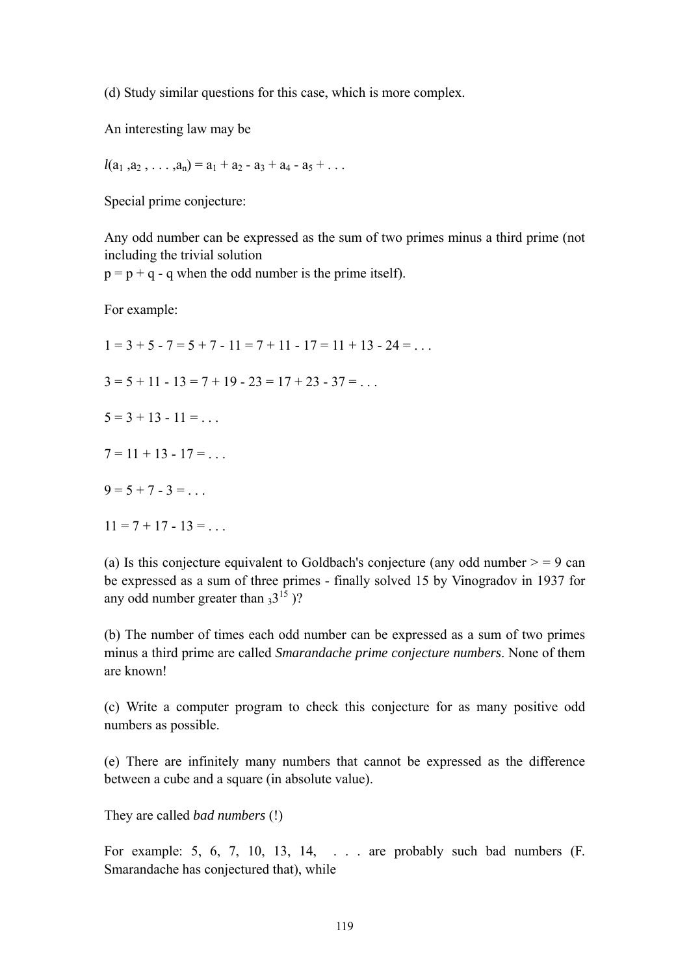(d) Study similar questions for this case, which is more complex.

An interesting law may be

$$
l(a_1, a_2, \ldots, a_n) = a_1 + a_2 - a_3 + a_4 - a_5 + \ldots
$$

Special prime conjecture:

Any odd number can be expressed as the sum of two primes minus a third prime (not including the trivial solution

 $p = p + q - q$  when the odd number is the prime itself).

For example:

 $1 = 3 + 5 - 7 = 5 + 7 - 11 = 7 + 11 - 17 = 11 + 13 - 24 = \dots$  $3 = 5 + 11 - 13 = 7 + 19 - 23 = 17 + 23 - 37 = ...$  $5 = 3 + 13 - 11 = \dots$  $7 = 11 + 13 - 17 = ...$  $9 = 5 + 7 - 3 =$  $11 = 7 + 17 - 13 = ...$ 

(a) Is this conjecture equivalent to Goldbach's conjecture (any odd number  $>$  = 9 can be expressed as a sum of three primes - finally solved 15 by Vinogradov in 1937 for any odd number greater than  $3^{15}$  )?

(b) The number of times each odd number can be expressed as a sum of two primes minus a third prime are called *Smarandache prime conjecture numbers*. None of them are known!

(c) Write a computer program to check this conjecture for as many positive odd numbers as possible.

(e) There are infinitely many numbers that cannot be expressed as the difference between a cube and a square (in absolute value).

They are called *bad numbers* (!)

For example: 5, 6, 7, 10, 13, 14, . . . are probably such bad numbers (F. Smarandache has conjectured that), while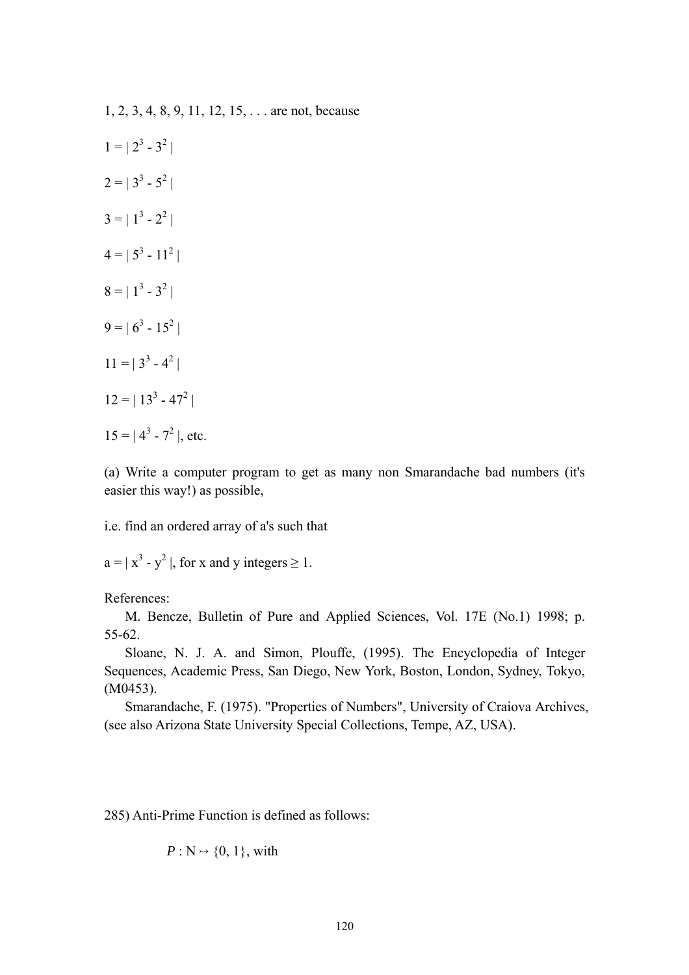1, 2, 3, 4, 8, 9, 11, 12, 15, . . . are not, because

 $1 = | 2^3 - 3^2 |$  $2 = | 3^3 - 5^2 |$  $3 = | 1^3 - 2^2 |$  $4 = | 5^3 - 11^2 |$  $8 = | 1^3 - 3^2 |$  $9 = | 6^3 - 15^2 |$  $11 = | 3^3 - 4^2 |$  $12 = | 13<sup>3</sup> - 47<sup>2</sup> |$  $15 = |4^3 - 7^2|$ , etc.

(a) Write a computer program to get as many non Smarandache bad numbers (it's easier this way!) as possible,

i.e. find an ordered array of a's such that

 $a = |x^3 - y^2|$ , for x and y integers  $\ge 1$ .

References:

 M. Bencze, Bulletin of Pure and Applied Sciences, Vol. 17E (No.1) 1998; p. 55-62.

 Sloane, N. J. A. and Simon, Plouffe, (1995). The Encyclopedia of Integer Sequences, Academic Press, San Diego, New York, Boston, London, Sydney, Tokyo, (M0453).

 Smarandache, F. (1975). "Properties of Numbers", University of Craiova Archives, (see also Arizona State University Special Collections, Tempe, AZ, USA).

285) Anti-Prime Function is defined as follows:

$$
P: \mathbb{N} \rightarrow \{0, 1\}
$$
, with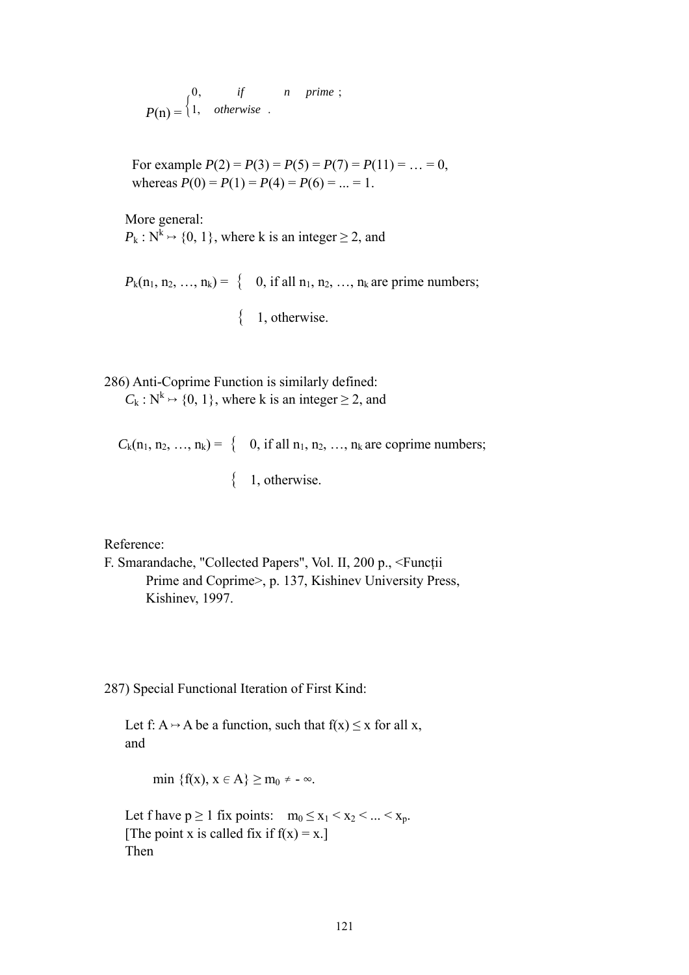$P(n) = \begin{cases} 1, & otherwise \end{cases}$  $0,$  if  $n$  prime; *otherwise if n prime*

> For example  $P(2) = P(3) = P(5) = P(7) = P(11) = ... = 0$ , whereas  $P(0) = P(1) = P(4) = P(6) = ... = 1$ .

 More general:  $P_k : N^k \mapsto \{0, 1\}$ , where k is an integer > 2, and

 $P_k(n_1, n_2, ..., n_k) = \{$  0, if all  $n_1, n_2, ..., n_k$  are prime numbers;

 $\{1, \text{otherwise.}\}$ 

286) Anti-Coprime Function is similarly defined:  $C_k$ :  $N^k \rightarrow \{0, 1\}$ , where k is an integer  $\geq 2$ , and

 $C_k(n_1, n_2, ..., n_k) = \{$  0, if all  $n_1, n_2, ..., n_k$  are coprime numbers;

 $\{1, \text{otherwise.}\}$ 

Reference:

```
F. Smarandache, "Collected Papers", Vol. II, 200 p., <Funcţii 
Prime and Coprime>, p. 137, Kishinev University Press, 
Kishinev, 1997.
```
287) Special Functional Iteration of First Kind:

Let f:  $A \rightarrow A$  be a function, such that  $f(x) \le x$  for all x, and

min  $\{f(x), x \in A\} \ge m_0 \ne -\infty$ .

Let f have  $p \ge 1$  fix points:  $m_0 \le x_1 < x_2 < ... < x_p$ . [The point x is called fix if  $f(x) = x$ .] Then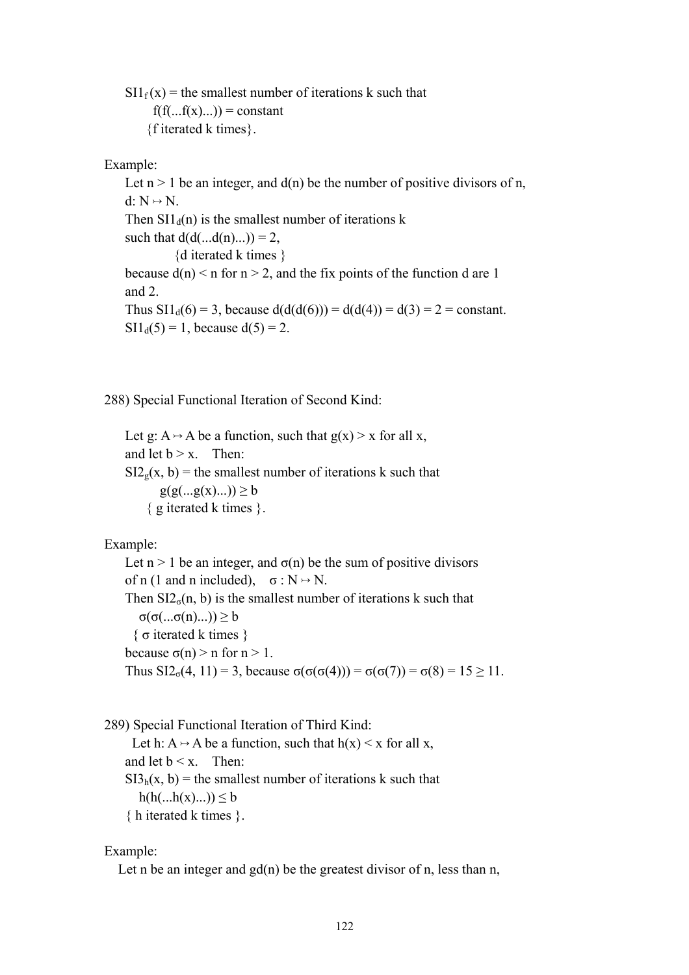$SI1_f(x)$  = the smallest number of iterations k such that  $f(f(...f(x)...)) = constant$ {f iterated k times}.

## Example:

Let  $n > 1$  be an integer, and  $d(n)$  be the number of positive divisors of n,  $d: N \rightarrow N$ . Then  $\text{SI1}_d(n)$  is the smallest number of iterations k such that  $d(d(...d(n)...)) = 2$ , {d iterated k times } because  $d(n) < n$  for  $n > 2$ , and the fix points of the function d are 1 and 2. Thus  $SI1_d(6) = 3$ , because  $d(d(d(6))) = d(d(4)) = d(3) = 2 = constant$ .  $SI1_d(5) = 1$ , because  $d(5) = 2$ .

288) Special Functional Iteration of Second Kind:

Let g:  $A \rightarrow A$  be a function, such that  $g(x) > x$  for all x, and let  $b > x$ . Then:  $SI2<sub>g</sub>(x, b)$  = the smallest number of iterations k such that  $g(g(...g(x)...)) \geq b$ { g iterated k times }.

# Example:

Let  $n > 1$  be an integer, and  $\sigma(n)$  be the sum of positive divisors of n (1 and n included),  $\sigma : N \rightarrow N$ . Then  $\text{SI2}_{\sigma}(n, b)$  is the smallest number of iterations k such that σ(σ(...σ(n)...))  $\geq b$  { σ iterated k times } because  $σ(n) > n$  for  $n > 1$ . Thus  $\text{SI2}_{\sigma}(4, 11) = 3$ , because  $\sigma(\sigma(\sigma(4))) = \sigma(\sigma(7)) = \sigma(8) = 15 \ge 11$ .

289) Special Functional Iteration of Third Kind:

Let h: A  $\rightarrow$  A be a function, such that h(x)  $\leq$  x for all x, and let  $b < x$ . Then:  $SI3<sub>h</sub>(x, b)$  = the smallest number of iterations k such that  $h(h(...h(x)...)) \leq b$ { h iterated k times }.

Example:

Let n be an integer and  $gd(n)$  be the greatest divisor of n, less than n,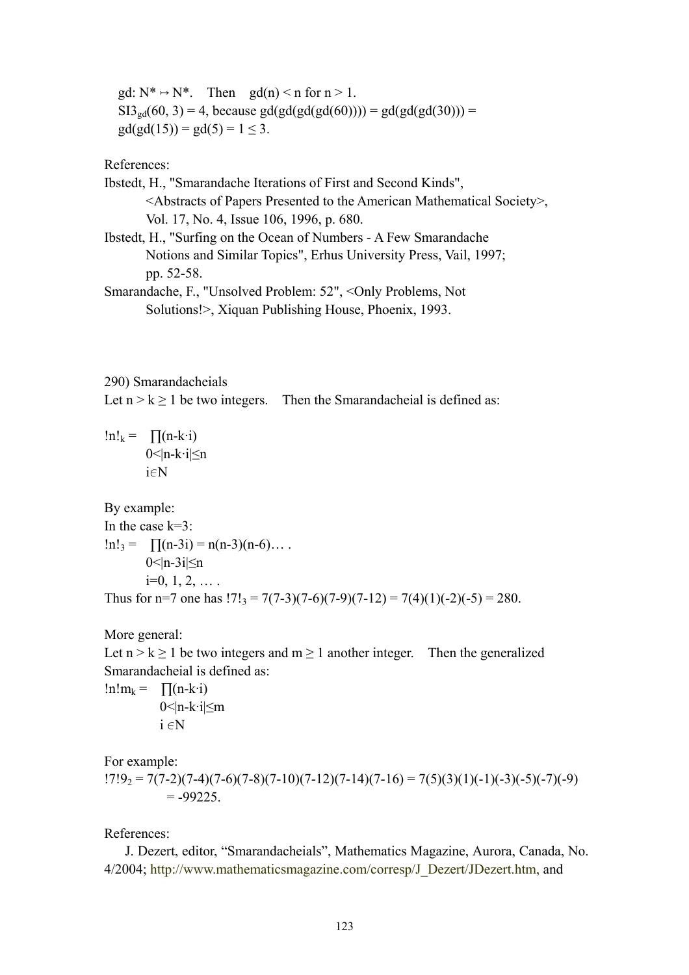gd:  $N^* \rightarrow N^*$ . Then gd(n) < n for  $n > 1$ .  $SI3_{\text{gd}}(60, 3) = 4$ , because gd(gd(gd(gd(60)))) = gd(gd(gd(30))) =  $gd(gd(15)) = gd(5) = 1 \leq 3.$ 

References:

Ibstedt, H., "Smarandache Iterations of First and Second Kinds", <Abstracts of Papers Presented to the American Mathematical Society>, Vol. 17, No. 4, Issue 106, 1996, p. 680. Ibstedt, H., "Surfing on the Ocean of Numbers - A Few Smarandache

 Notions and Similar Topics", Erhus University Press, Vail, 1997; pp. 52-58.

Smarandache, F., "Unsolved Problem: 52", <Only Problems, Not Solutions!>, Xiquan Publishing House, Phoenix, 1993.

290) Smarandacheials

Let  $n > k > 1$  be two integers. Then the Smarandacheial is defined as:

 $ln!_k = \prod(n-k \cdot i)$ 0<|n-k∙i|≤n  $i \in N$ 

By example: In the case  $k=3$ :  $\ln!_3 = \prod(n-3i) = n(n-3)(n-6)...$ 0 $\leq$ |n-3i| $\leq$ n  $i=0, 1, 2, \ldots$ Thus for n=7 one has  $17!_3 = 7(7-3)(7-6)(7-9)(7-12) = 7(4)(1)(-2)(-5) = 280$ .

More general:

Let  $n > k \ge 1$  be two integers and  $m \ge 1$  another integer. Then the generalized Smarandacheial is defined as:

 $!n!m_k = \prod(n-k \cdot i)$  $0$  < | n-k·i $\leq$ m  $i \in N$ 

For example:

 $17!9_2 = 7(7-2)(7-4)(7-6)(7-8)(7-10)(7-12)(7-14)(7-16) = 7(5)(3)(1)(-1)(-3)(-5)(-7)(-9)$  $= -99225$ 

References:

 J. Dezert, editor, "Smarandacheials", Mathematics Magazine, Aurora, Canada, No. 4/2004; http://www.mathematicsmagazine.com/corresp/J\_Dezert/JDezert.htm, and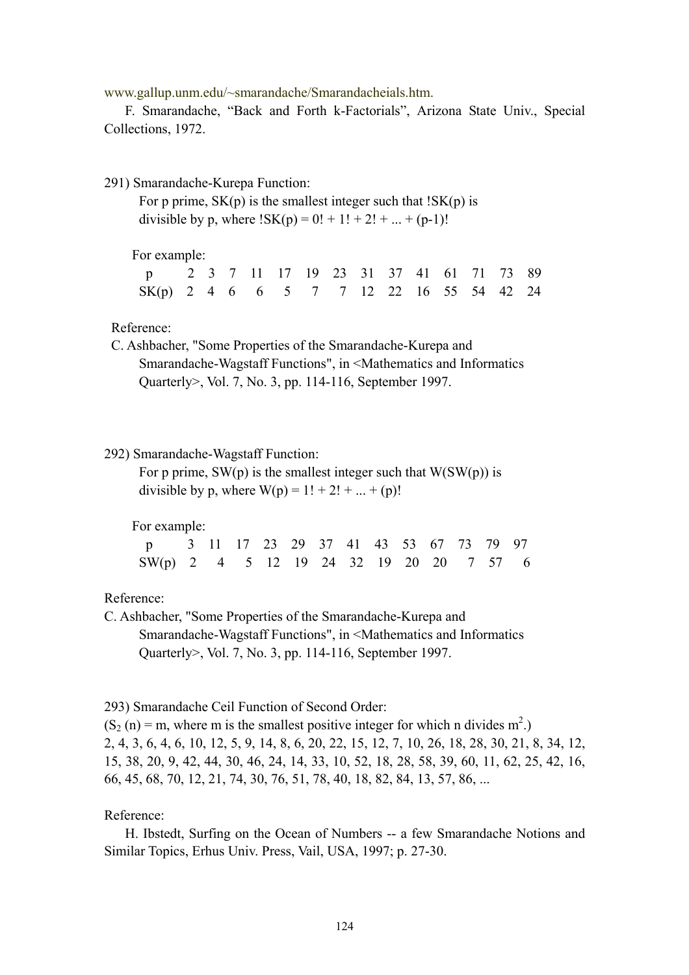www.gallup.unm.edu/~smarandache/Smarandacheials.htm.

 F. Smarandache, "Back and Forth k-Factorials", Arizona State Univ., Special Collections, 1972.

291) Smarandache-Kurepa Function:

For p prime,  $SK(p)$  is the smallest integer such that  $ISK(p)$  is divisible by p, where  $|SK(p) = 0! + 1! + 2! + ... + (p-1)!$ 

For example:

| p 2 3 7 11 17 19 23 31 37 41 61 71 73 89 |  |  |  |  |  |  |  |
|------------------------------------------|--|--|--|--|--|--|--|
| SK(p) 2 4 6 6 5 7 7 12 22 16 55 54 42 24 |  |  |  |  |  |  |  |

Reference:

 C. Ashbacher, "Some Properties of the Smarandache-Kurepa and Smarandache-Wagstaff Functions", in <Mathematics and Informatics Quarterly>, Vol. 7, No. 3, pp. 114-116, September 1997.

#### 292) Smarandache-Wagstaff Function:

For p prime,  $SW(p)$  is the smallest integer such that  $W(SW(p))$  is divisible by p, where  $W(p) = 1! + 2! + ... + (p)!$ 

For example:

| p 3 11 17 23 29 37 41 43 53 67 73 79 97 |  |  |  |  |  |  |  |
|-----------------------------------------|--|--|--|--|--|--|--|
| SW(p) 2 4 5 12 19 24 32 19 20 20 7 57 6 |  |  |  |  |  |  |  |

### Reference:

C. Ashbacher, "Some Properties of the Smarandache-Kurepa and Smarandache-Wagstaff Functions", in <Mathematics and Informatics Quarterly>, Vol. 7, No. 3, pp. 114-116, September 1997.

293) Smarandache Ceil Function of Second Order:

 $(S_2(n) = m$ , where m is the smallest positive integer for which n divides  $m^2$ .) 2, 4, 3, 6, 4, 6, 10, 12, 5, 9, 14, 8, 6, 20, 22, 15, 12, 7, 10, 26, 18, 28, 30, 21, 8, 34, 12, 15, 38, 20, 9, 42, 44, 30, 46, 24, 14, 33, 10, 52, 18, 28, 58, 39, 60, 11, 62, 25, 42, 16, 66, 45, 68, 70, 12, 21, 74, 30, 76, 51, 78, 40, 18, 82, 84, 13, 57, 86, ...

#### Reference:

 H. Ibstedt, Surfing on the Ocean of Numbers -- a few Smarandache Notions and Similar Topics, Erhus Univ. Press, Vail, USA, 1997; p. 27-30.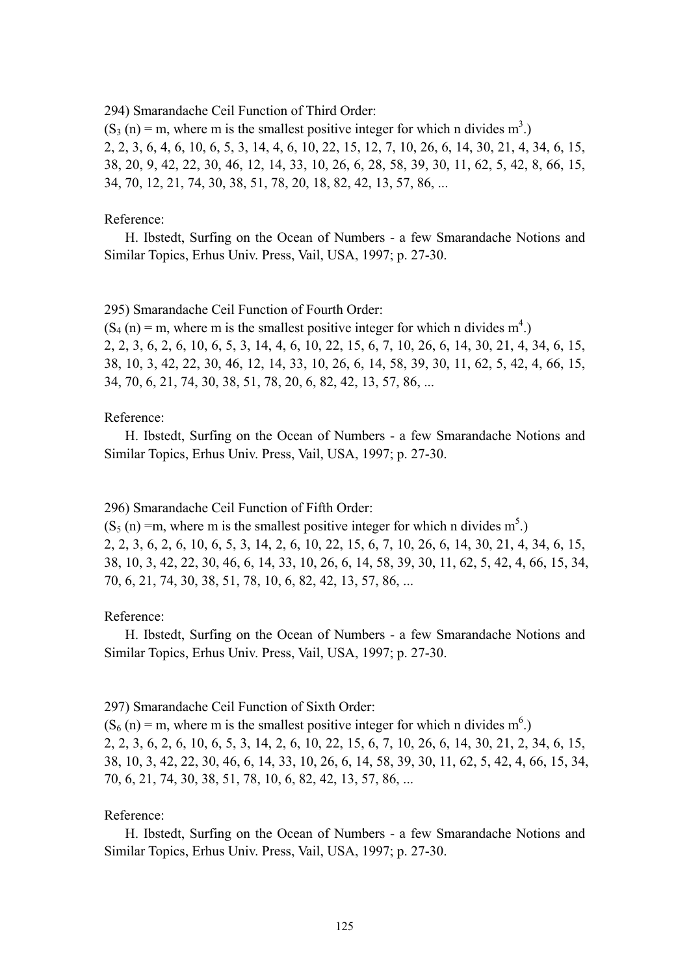294) Smarandache Ceil Function of Third Order:

 $(S_3(n) = m$ , where m is the smallest positive integer for which n divides m<sup>3</sup>.) 2, 2, 3, 6, 4, 6, 10, 6, 5, 3, 14, 4, 6, 10, 22, 15, 12, 7, 10, 26, 6, 14, 30, 21, 4, 34, 6, 15, 38, 20, 9, 42, 22, 30, 46, 12, 14, 33, 10, 26, 6, 28, 58, 39, 30, 11, 62, 5, 42, 8, 66, 15, 34, 70, 12, 21, 74, 30, 38, 51, 78, 20, 18, 82, 42, 13, 57, 86, ...

#### Reference:

 H. Ibstedt, Surfing on the Ocean of Numbers - a few Smarandache Notions and Similar Topics, Erhus Univ. Press, Vail, USA, 1997; p. 27-30.

295) Smarandache Ceil Function of Fourth Order:

 $(S_4(n) = m$ , where m is the smallest positive integer for which n divides  $m<sup>4</sup>$ .) 2, 2, 3, 6, 2, 6, 10, 6, 5, 3, 14, 4, 6, 10, 22, 15, 6, 7, 10, 26, 6, 14, 30, 21, 4, 34, 6, 15, 38, 10, 3, 42, 22, 30, 46, 12, 14, 33, 10, 26, 6, 14, 58, 39, 30, 11, 62, 5, 42, 4, 66, 15, 34, 70, 6, 21, 74, 30, 38, 51, 78, 20, 6, 82, 42, 13, 57, 86, ...

#### Reference:

 H. Ibstedt, Surfing on the Ocean of Numbers - a few Smarandache Notions and Similar Topics, Erhus Univ. Press, Vail, USA, 1997; p. 27-30.

296) Smarandache Ceil Function of Fifth Order:

 $(S_5(n) = m$ , where m is the smallest positive integer for which n divides m<sup>5</sup>.) 2, 2, 3, 6, 2, 6, 10, 6, 5, 3, 14, 2, 6, 10, 22, 15, 6, 7, 10, 26, 6, 14, 30, 21, 4, 34, 6, 15, 38, 10, 3, 42, 22, 30, 46, 6, 14, 33, 10, 26, 6, 14, 58, 39, 30, 11, 62, 5, 42, 4, 66, 15, 34, 70, 6, 21, 74, 30, 38, 51, 78, 10, 6, 82, 42, 13, 57, 86, ...

## Reference:

 H. Ibstedt, Surfing on the Ocean of Numbers - a few Smarandache Notions and Similar Topics, Erhus Univ. Press, Vail, USA, 1997; p. 27-30.

#### 297) Smarandache Ceil Function of Sixth Order:

 $(S_6(n) = m$ , where m is the smallest positive integer for which n divides m<sup>6</sup>.) 2, 2, 3, 6, 2, 6, 10, 6, 5, 3, 14, 2, 6, 10, 22, 15, 6, 7, 10, 26, 6, 14, 30, 21, 2, 34, 6, 15, 38, 10, 3, 42, 22, 30, 46, 6, 14, 33, 10, 26, 6, 14, 58, 39, 30, 11, 62, 5, 42, 4, 66, 15, 34, 70, 6, 21, 74, 30, 38, 51, 78, 10, 6, 82, 42, 13, 57, 86, ...

### Reference:

 H. Ibstedt, Surfing on the Ocean of Numbers - a few Smarandache Notions and Similar Topics, Erhus Univ. Press, Vail, USA, 1997; p. 27-30.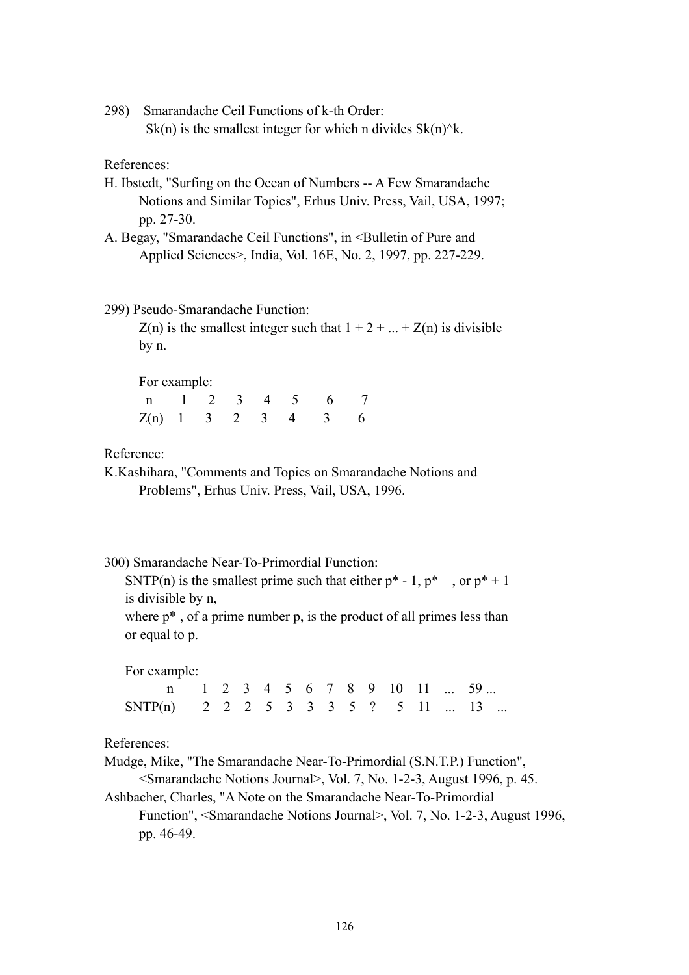298) Smarandache Ceil Functions of k-th Order: Sk(n) is the smallest integer for which n divides  $Sk(n)^{k}$ .

References:

- H. Ibstedt, "Surfing on the Ocean of Numbers -- A Few Smarandache Notions and Similar Topics", Erhus Univ. Press, Vail, USA, 1997; pp. 27-30.
- A. Begay, "Smarandache Ceil Functions", in <Bulletin of Pure and Applied Sciences>, India, Vol. 16E, No. 2, 1997, pp. 227-229.

#### 299) Pseudo-Smarandache Function:

 $Z(n)$  is the smallest integer such that  $1 + 2 + ... + Z(n)$  is divisible by n.

For example:

| n 1 2 3 4 5 6 7      |  |  |  |  |
|----------------------|--|--|--|--|
| $Z(n)$ 1 3 2 3 4 3 6 |  |  |  |  |

Reference:

- K.Kashihara, "Comments and Topics on Smarandache Notions and Problems", Erhus Univ. Press, Vail, USA, 1996.
- 300) Smarandache Near-To-Primordial Function:

SNTP(n) is the smallest prime such that either  $p^* - 1$ ,  $p^*$ , or  $p^* + 1$ is divisible by n,

where  $p^*$ , of a prime number p, is the product of all primes less than or equal to p.

For example:

|                                    |  |  |  |  |  |  | n 1 2 3 4 5 6 7 8 9 10 11  59 |
|------------------------------------|--|--|--|--|--|--|-------------------------------|
| SNTP(n) 2 2 2 5 3 3 3 5 ? 5 11  13 |  |  |  |  |  |  |                               |

References:

Mudge, Mike, "The Smarandache Near-To-Primordial (S.N.T.P.) Function",

<Smarandache Notions Journal>, Vol. 7, No. 1-2-3, August 1996, p. 45.

Ashbacher, Charles, "A Note on the Smarandache Near-To-Primordial Function", <Smarandache Notions Journal>, Vol. 7, No. 1-2-3, August 1996, pp. 46-49.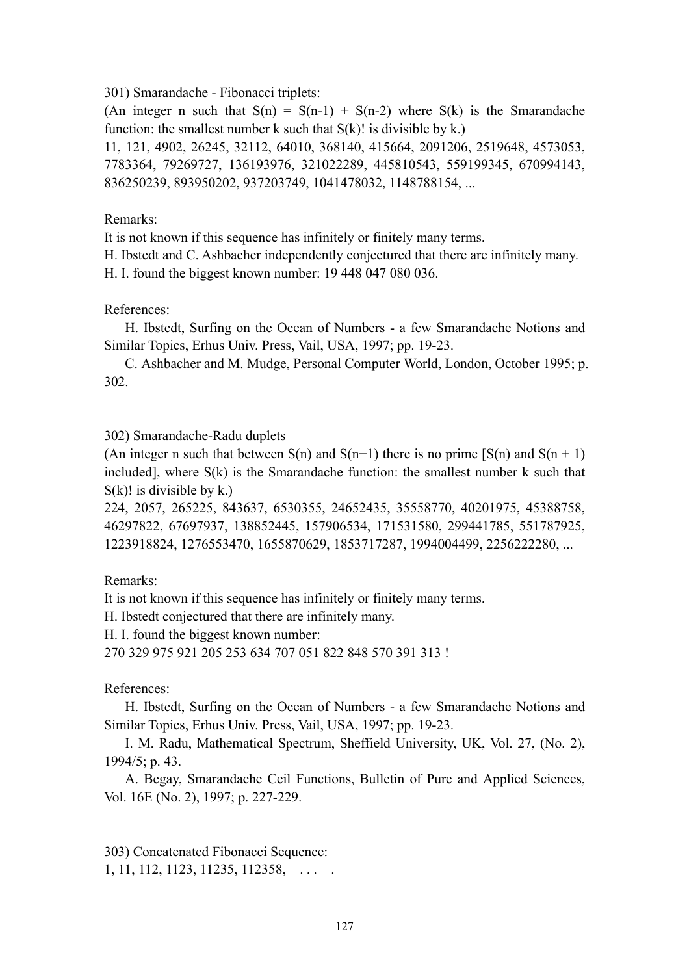301) Smarandache - Fibonacci triplets:

(An integer n such that  $S(n) = S(n-1) + S(n-2)$  where  $S(k)$  is the Smarandache function: the smallest number k such that  $S(k)$ ! is divisible by k.)

11, 121, 4902, 26245, 32112, 64010, 368140, 415664, 2091206, 2519648, 4573053, 7783364, 79269727, 136193976, 321022289, 445810543, 559199345, 670994143, 836250239, 893950202, 937203749, 1041478032, 1148788154, ...

## Remarks:

It is not known if this sequence has infinitely or finitely many terms.

H. Ibstedt and C. Ashbacher independently conjectured that there are infinitely many.

H. I. found the biggest known number: 19 448 047 080 036.

References:

 H. Ibstedt, Surfing on the Ocean of Numbers - a few Smarandache Notions and Similar Topics, Erhus Univ. Press, Vail, USA, 1997; pp. 19-23.

 C. Ashbacher and M. Mudge, Personal Computer World, London, October 1995; p. 302.

## 302) Smarandache-Radu duplets

(An integer n such that between  $S(n)$  and  $S(n+1)$  there is no prime  $[S(n)$  and  $S(n + 1)$ ) included], where S(k) is the Smarandache function: the smallest number k such that  $S(k)!$  is divisible by k.)

224, 2057, 265225, 843637, 6530355, 24652435, 35558770, 40201975, 45388758, 46297822, 67697937, 138852445, 157906534, 171531580, 299441785, 551787925, 1223918824, 1276553470, 1655870629, 1853717287, 1994004499, 2256222280, ...

Remarks:

It is not known if this sequence has infinitely or finitely many terms.

H. Ibstedt conjectured that there are infinitely many.

H. I. found the biggest known number:

270 329 975 921 205 253 634 707 051 822 848 570 391 313 !

References:

 H. Ibstedt, Surfing on the Ocean of Numbers - a few Smarandache Notions and Similar Topics, Erhus Univ. Press, Vail, USA, 1997; pp. 19-23.

 I. M. Radu, Mathematical Spectrum, Sheffield University, UK, Vol. 27, (No. 2), 1994/5; p. 43.

 A. Begay, Smarandache Ceil Functions, Bulletin of Pure and Applied Sciences, Vol. 16E (No. 2), 1997; p. 227-229.

303) Concatenated Fibonacci Sequence: 1, 11, 112, 1123, 11235, 112358, ...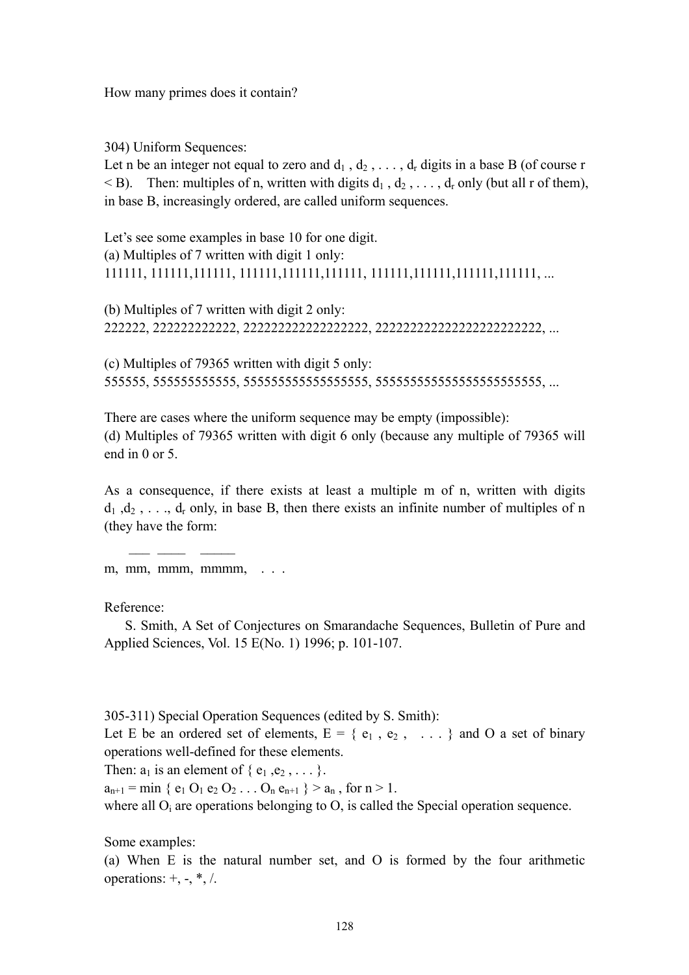How many primes does it contain?

304) Uniform Sequences:

Let n be an integer not equal to zero and  $d_1$ ,  $d_2$ , ...,  $d_r$  digits in a base B (of course r  $\leq$  B). Then: multiples of n, written with digits  $d_1$ ,  $d_2$ , ...,  $d_r$  only (but all r of them), in base B, increasingly ordered, are called uniform sequences.

Let's see some examples in base 10 for one digit. (a) Multiples of 7 written with digit 1 only: 111111, 111111,111111, 111111,111111,111111, 111111,111111,111111,111111, ...

(b) Multiples of 7 written with digit 2 only: 222222, 222222222222, 222222222222222222, 222222222222222222222222, ...

(c) Multiples of 79365 written with digit 5 only: 555555, 555555555555, 555555555555555555, 555555555555555555555555, ...

There are cases where the uniform sequence may be empty (impossible): (d) Multiples of 79365 written with digit 6 only (because any multiple of 79365 will end in 0 or 5.

As a consequence, if there exists at least a multiple m of n, written with digits  $d_1$ ,  $d_2$ , ...,  $d_r$  only, in base B, then there exists an infinite number of multiples of n (they have the form:

m, mm, mmm, mmmm, ...

 $\mathcal{L}$ 

Reference:

 S. Smith, A Set of Conjectures on Smarandache Sequences, Bulletin of Pure and Applied Sciences, Vol. 15 E(No. 1) 1996; p. 101-107.

305-311) Special Operation Sequences (edited by S. Smith):

Let E be an ordered set of elements,  $E = \{e_1, e_2, \ldots\}$  and O a set of binary operations well-defined for these elements.

Then:  $a_1$  is an element of  $\{e_1, e_2, \ldots\}$ .

 $a_{n+1} = \min \{ e_1 O_1 e_2 O_2 \dots O_n e_{n+1} \} > a_n$ , for  $n > 1$ .

where all  $O_i$  are operations belonging to  $O_i$ , is called the Special operation sequence.

Some examples:

(a) When E is the natural number set, and O is formed by the four arithmetic operations:  $+, -, *, /$ .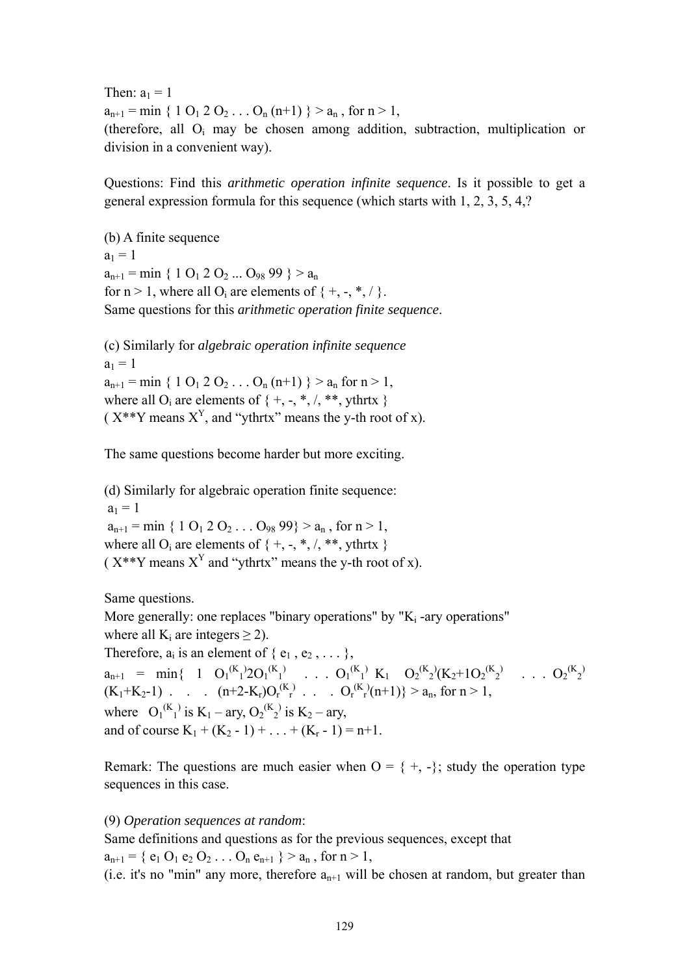Then:  $a_1 = 1$  $a_{n+1} = \min \{ 1 \ 0_1 \ 2 \ 0_2 \dots 0_n \ (n+1) \} > a_n$ , for  $n > 1$ , (therefore, all O<sub>i</sub> may be chosen among addition, subtraction, multiplication or division in a convenient way).

Questions: Find this *arithmetic operation infinite sequence*. Is it possible to get a general expression formula for this sequence (which starts with 1, 2, 3, 5, 4,?

(b) A finite sequence  $a_1 = 1$  $a_{n+1} = \min \{ 1 \ 0_1 \ 2 \ 0_2 \dots \ 0_{98} \ 99 \} > a_n$ for  $n > 1$ , where all  $O_i$  are elements of  $\{ +, -, *, / \}$ . Same questions for this *arithmetic operation finite sequence*.

(c) Similarly for *algebraic operation infinite sequence*   $a_1 = 1$  $a_{n+1}$  = min { 1 O<sub>1</sub> 2 O<sub>2</sub> . . . O<sub>n</sub> (n+1) } >  $a_n$  for n > 1, where all  $O_i$  are elements of  $\{ +, -, *, /, **, ythrtx \}$ ( $X^{**}Y$  means  $X^Y$ , and "ythrtx" means the y-th root of x).

The same questions become harder but more exciting.

(d) Similarly for algebraic operation finite sequence:  $a_1 = 1$  $a_{n+1}$  = min { 1 O<sub>1</sub> 2 O<sub>2</sub> . . . O<sub>98</sub> 99} >  $a_n$ , for n > 1, where all O<sub>i</sub> are elements of  $\{+, -, *, /, **, \text{thrtx }\}$ ( $X^{**}Y$  means  $X^Y$  and "ythrtx" means the y-th root of x).

Same questions.

More generally: one replaces "binary operations" by " $K_i$ -ary operations" where all  $K_i$  are integers  $\geq$  2). Therefore,  $a_i$  is an element of  $\{e_1, e_2, \ldots\}$ ,  $a_{n+1}$  = min{ 1  $O_1^{(K)}2O_1^{(K)}$  . . .  $O_1^{(K)}$  K<sub>1</sub>  $O_2^{(K)}(K_2+1O_2^{(K)})$  . . .  $O_2^{(K)}2$  $(K_1+K_2-1)$  . .  $(n+2-K_r)O_r^{(K)}$  . . .  $O_r^{(K)}(n+1)$  >  $a_n$ , for  $n > 1$ , where  $O_1^{(K_1)}$  is  $K_1 - \text{ary}, O_2^{(K_2)}$  is  $K_2 - \text{ary},$ and of course  $K_1 + (K_2 - 1) + ... + (K_r - 1) = n+1$ .

Remark: The questions are much easier when  $O = \{ +, - \}$ ; study the operation type sequences in this case.

(9) *Operation sequences at random*:

Same definitions and questions as for the previous sequences, except that  $a_{n+1} = \{ e_1 O_1 e_2 O_2 \ldots O_n e_{n+1} \} > a_n$ , for  $n > 1$ ,

(i.e. it's no "min" any more, therefore  $a_{n+1}$  will be chosen at random, but greater than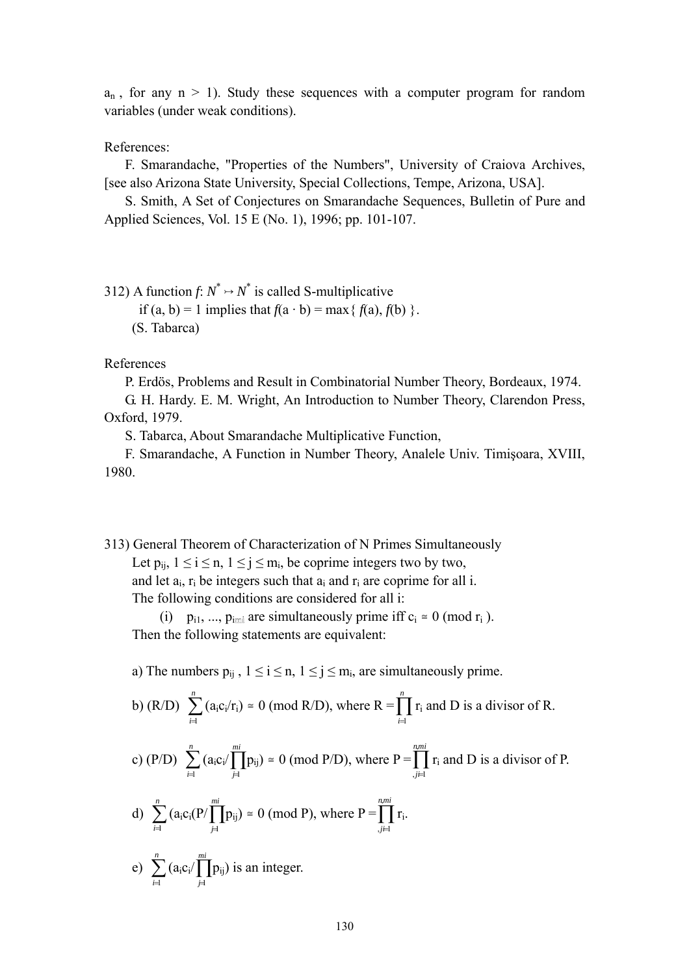$a_n$ , for any  $n > 1$ ). Study these sequences with a computer program for random variables (under weak conditions).

## References:

 F. Smarandache, "Properties of the Numbers", University of Craiova Archives, [see also Arizona State University, Special Collections, Tempe, Arizona, USA].

 S. Smith, A Set of Conjectures on Smarandache Sequences, Bulletin of Pure and Applied Sciences, Vol. 15 E (No. 1), 1996; pp. 101-107.

312) A function  $f: N^* \rightarrow N^*$  is called S-multiplicative

if (a, b) = 1 implies that  $f(a \cdot b) = \max\{f(a), f(b)\}.$ (S. Tabarca)

References

P. Erdös, Problems and Result in Combinatorial Number Theory, Bordeaux, 1974.

 G. H. Hardy. E. M. Wright, An Introduction to Number Theory, Clarendon Press, Oxford, 1979.

S. Tabarca, About Smarandache Multiplicative Function,

 F. Smarandache, A Function in Number Theory, Analele Univ. Timişoara, XVIII, 1980.

313) General Theorem of Characterization of N Primes Simultaneously

Let  $p_{ii}$ ,  $1 \le i \le n$ ,  $1 \le j \le m_i$ , be coprime integers two by two, and let  $a_i$ ,  $r_i$  be integers such that  $a_i$  and  $r_i$  are coprime for all i.

The following conditions are considered for all i:

(i) p<sub>i1</sub>, ..., p<sub>imi</sub> are simultaneously prime iff  $c_i \approx 0 \pmod{r_i}$ . Then the following statements are equivalent:

a) The numbers  $p_{ii}$ ,  $1 \le i \le n$ ,  $1 \le j \le m_i$ , are simultaneously prime.

b) (R/D) 
$$
\sum_{i=1}^{n} (a_i c_i/r_i) \approx 0 \pmod{R/D}
$$
, where  $R = \prod_{i=1}^{n} r_i$  and D is a divisor of R.

c) (P/D) 
$$
\sum_{i=1}^{n} (a_i c_i / \prod_{j=1}^{mi} p_{ij}) \approx 0 \pmod{P/D}
$$
, where  $P = \prod_{j=1}^{n, mi} r_i$  and D is a divisor of P.

d) 
$$
\sum_{i=1}^n (a_i c_i (P/\prod_{j=1}^{mi} p_{ij}) \cong 0 \text{ (mod P), where } P = \prod_{j=1}^{n, mi} r_i.
$$

e)  $\sum_{i=1}^{n}$  $\sum_{i=1}^n (a_i c_i / \prod_{j=1}^{mi}$ *j* 1 p<sub>ij</sub>) is an integer.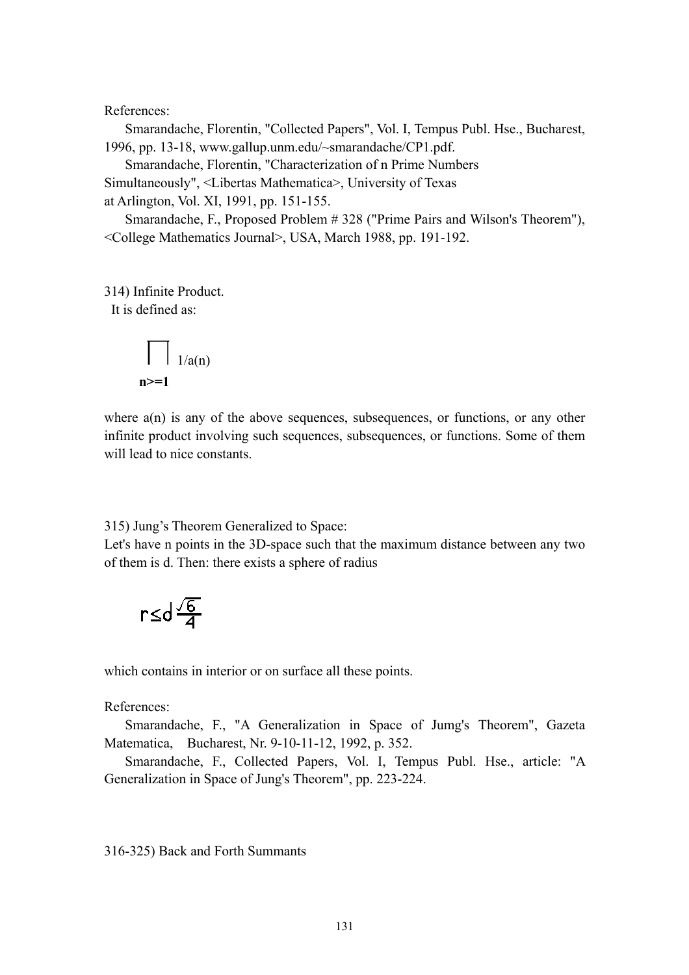#### References:

 Smarandache, Florentin, "Collected Papers", Vol. I, Tempus Publ. Hse., Bucharest, 1996, pp. 13-18, www.gallup.unm.edu/~smarandache/CP1.pdf.

Smarandache, Florentin, "Characterization of n Prime Numbers

Simultaneously", <Libertas Mathematica>, University of Texas

at Arlington, Vol. XI, 1991, pp. 151-155.

 Smarandache, F., Proposed Problem # 328 ("Prime Pairs and Wilson's Theorem"), <College Mathematics Journal>, USA, March 1988, pp. 191-192.

314) Infinite Product.

It is defined as:

$$
\prod_{n>=1} \frac{1}{a(n)}
$$

where  $a(n)$  is any of the above sequences, subsequences, or functions, or any other infinite product involving such sequences, subsequences, or functions. Some of them will lead to nice constants.

#### 315) Jung's Theorem Generalized to Space:

Let's have n points in the 3D-space such that the maximum distance between any two of them is d. Then: there exists a sphere of radius

$$
r \leq d \frac{\sqrt{6}}{4}
$$

which contains in interior or on surface all these points.

References:

 Smarandache, F., "A Generalization in Space of Jumg's Theorem", Gazeta Matematica, Bucharest, Nr. 9-10-11-12, 1992, p. 352.

 Smarandache, F., Collected Papers, Vol. I, Tempus Publ. Hse., article: "A Generalization in Space of Jung's Theorem", pp. 223-224.

316-325) Back and Forth Summants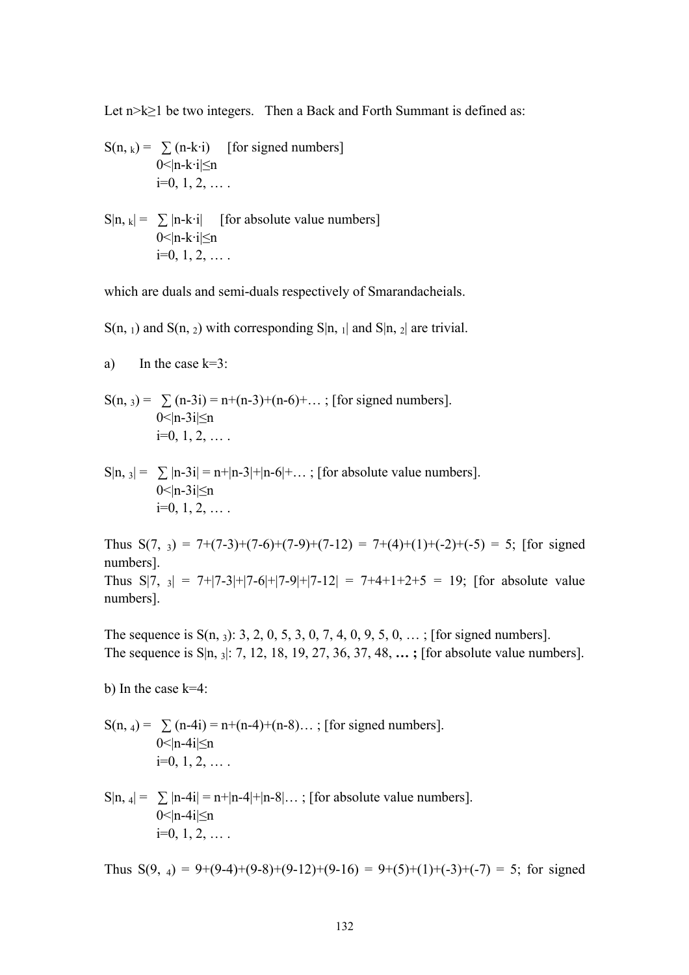Let n>k≥1 be two integers. Then a Back and Forth Summant is defined as:

$$
S(n, k) = \sum (n-k \cdot i) \quad \text{[for signed numbers]}
$$
  
0<|n-k \cdot i| \le n  
i=0, 1, 2, ...

 $S|n, k| = \sum |n-k \cdot i|$  [for absolute value numbers]  $0$  < | n-k·i $\leq$ n  $i=0, 1, 2, \ldots$ 

which are duals and semi-duals respectively of Smarandacheials.

 $S(n, 1)$  and  $S(n, 2)$  with corresponding  $S|n, 1|$  and  $S|n, 2|$  are trivial.

a) In the case 
$$
k=3
$$
:

$$
S(n, 3) = \sum_{0 \le |n-3i| \le n} (n-3i) = n + (n-3) + (n-6) + \dots
$$
; [for signed numbers].  
 
$$
i = 0, 1, 2, \dots
$$

 $\sin s = \sum |n-3i| = n+|n-3|+|n-6|+\dots$ ; [for absolute value numbers]. 0 $\leq$ |n-3i $\leq$ n  $i=0, 1, 2, \ldots$ 

Thus  $S(7, 3) = 7+(7-3)+(7-6)+(7-9)+(7-12) = 7+(4)+(1)+(2)+(5) = 5$ ; [for signed] numbers]. Thus  $S[7, 3] = 7+|7-3|+|7-6|+|7-9|+|7-12| = 7+4+1+2+5 = 19$ ; [for absolute value numbers].

The sequence is  $S(n, 3)$ : 3, 2, 0, 5, 3, 0, 7, 4, 0, 9, 5, 0, ...; [for signed numbers]. The sequence is S|n, 3|: 7, 12, 18, 19, 27, 36, 37, 48, **… ;** [for absolute value numbers].

b) In the case k=4:

$$
S(n, 4) = \sum_{0 < |n-4i| \le n} (n-4) + (n-4) + (n-8) \dots
$$
; [for signed numbers].  
\n
$$
i = 0, 1, 2, \dots
$$

 $\sin A = \sum |n-4i| = n+|n-4|+|n-8|...$ ; [for absolute value numbers]. 0 $\leq$ |n-4 $i$ | $\leq$ n  $i=0, 1, 2, \ldots$ 

Thus  $S(9, 4) = 9+(9-4)+(9-8)+(9-12)+(9-16) = 9+(5)+(1)+(-3)+(-7) = 5$ ; for signed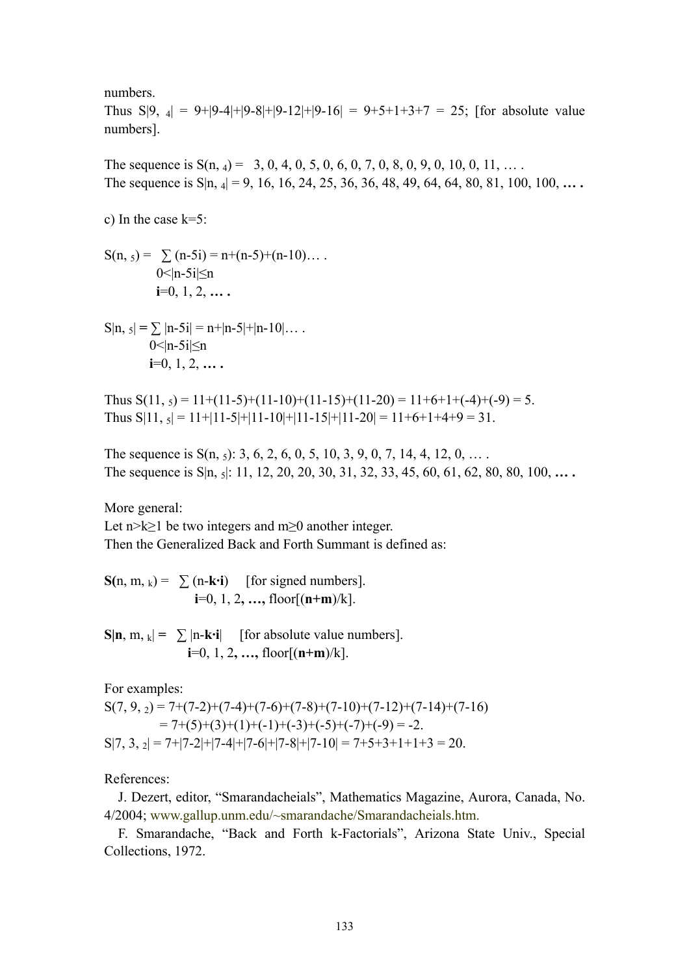numbers.

Thus  $S|9, 4| = 9+|9-4|+|9-8|+|9-12|+|9-16| = 9+5+1+3+7 = 25$ ; [for absolute value numbers].

The sequence is  $S(n, 4) = 3, 0, 4, 0, 5, 0, 6, 0, 7, 0, 8, 0, 9, 0, 10, 0, 11, ...$ The sequence is S|n, 4| = 9, 16, 16, 24, 25, 36, 36, 48, 49, 64, 64, 80, 81, 100, 100, **… .**

c) In the case k=5:

 $S(n, 5) = \sum_{n=5}^{\infty} (n-5i) = n+(n-5)+(n-10)...$  $0$  < | n - 5 i |  $\leq$  n **i**=0, 1, 2, **… .**

 $S|n, 5| = \sum |n-5i| = n+|n-5|+|n-10|...$ 0  $\leq$ |n-5i $\leq$ n **i**=0, 1, 2, **… .**

Thus  $S(11, 5) = 11+(11-5)+(11-10)+(11-15)+(11-20) = 11+6+1+(-4)+(9) = 5.$ Thus  $S[11, s] = 11+|11-5|+|11-10|+|11-15|+|11-20| = 11+6+1+4+9 = 31$ .

The sequence is  $S(n, 5)$ : 3, 6, 2, 6, 0, 5, 10, 3, 9, 0, 7, 14, 4, 12, 0, ... The sequence is S|n, 5|: 11, 12, 20, 20, 30, 31, 32, 33, 45, 60, 61, 62, 80, 80, 100, **… .**

More general:

Let n>k≥1 be two integers and m≥0 another integer. Then the Generalized Back and Forth Summant is defined as:

 $S(n, m, k) = \sum_{k=1}^{k} (n - k \cdot i)$  [for signed numbers].  $i=0, 1, 2, ...,$  floor $[(n+m)/k]$ .

 $\mathbf{S}|\mathbf{n}, \mathbf{m}, \mathbf{k}| = \sum |\mathbf{n}-\mathbf{k}\cdot\mathbf{i}|$  [for absolute value numbers]. **i**=0, 1, 2**, …,** floor[(**n+m**)/k].

For examples:

 $S(7, 9, 2) = 7+(7-2)+(7-4)+(7-6)+(7-8)+(7-10)+(7-12)+(7-14)+(7-16)$  $= 7+(5)+(3)+(1)+(-1)+(-3)+(-5)+(-7)+(-9) = -2.$  $S[7, 3, \frac{1}{2}] = 7 + |7 - 2| + |7 - 4| + |7 - 6| + |7 - 8| + |7 - 10| = 7 + 5 + 3 + 1 + 1 + 3 = 20.$ 

References:

 J. Dezert, editor, "Smarandacheials", Mathematics Magazine, Aurora, Canada, No. 4/2004; www.gallup.unm.edu/~smarandache/Smarandacheials.htm.

 F. Smarandache, "Back and Forth k-Factorials", Arizona State Univ., Special Collections, 1972.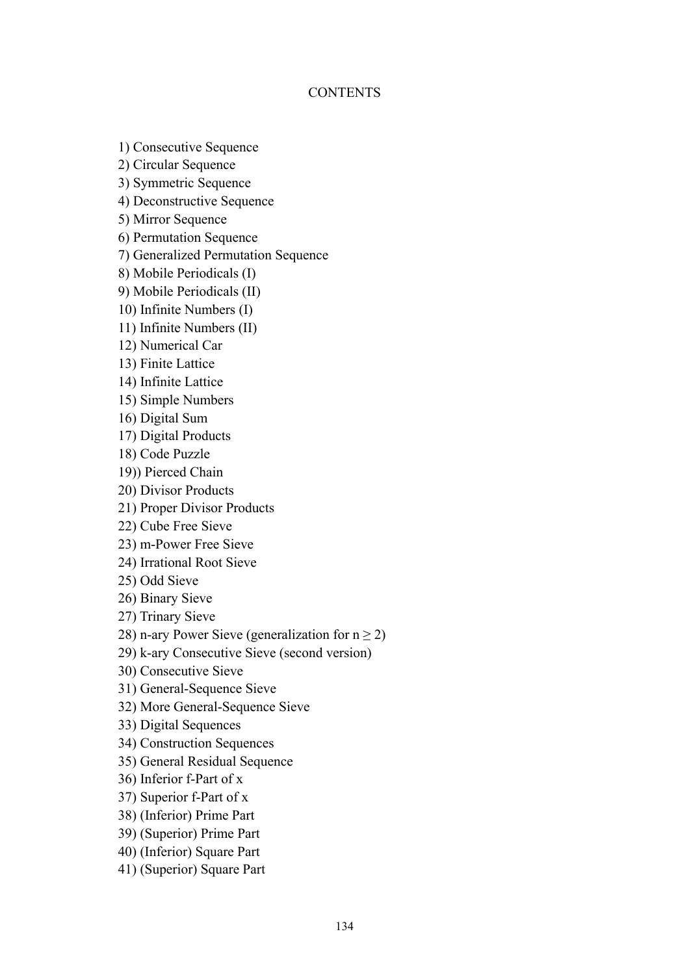# **CONTENTS**

1) Consecutive Sequence

2) Circular Sequence

3) Symmetric Sequence

4) Deconstructive Sequence

5) Mirror Sequence

6) Permutation Sequence

7) Generalized Permutation Sequence

8) Mobile Periodicals (I)

9) Mobile Periodicals (II)

10) Infinite Numbers (I)

11) Infinite Numbers (II)

12) Numerical Car

13) Finite Lattice

14) Infinite Lattice

15) Simple Numbers

16) Digital Sum

17) Digital Products

18) Code Puzzle

19)) Pierced Chain

20) Divisor Products

21) Proper Divisor Products

22) Cube Free Sieve

23) m-Power Free Sieve

24) Irrational Root Sieve

25) Odd Sieve

26) Binary Sieve

27) Trinary Sieve

28) n-ary Power Sieve (generalization for  $n \ge 2$ )

29) k-ary Consecutive Sieve (second version)

30) Consecutive Sieve

31) General-Sequence Sieve

32) More General-Sequence Sieve

33) Digital Sequences

34) Construction Sequences

35) General Residual Sequence

36) Inferior f-Part of x

37) Superior f-Part of x

38) (Inferior) Prime Part

39) (Superior) Prime Part

40) (Inferior) Square Part

41) (Superior) Square Part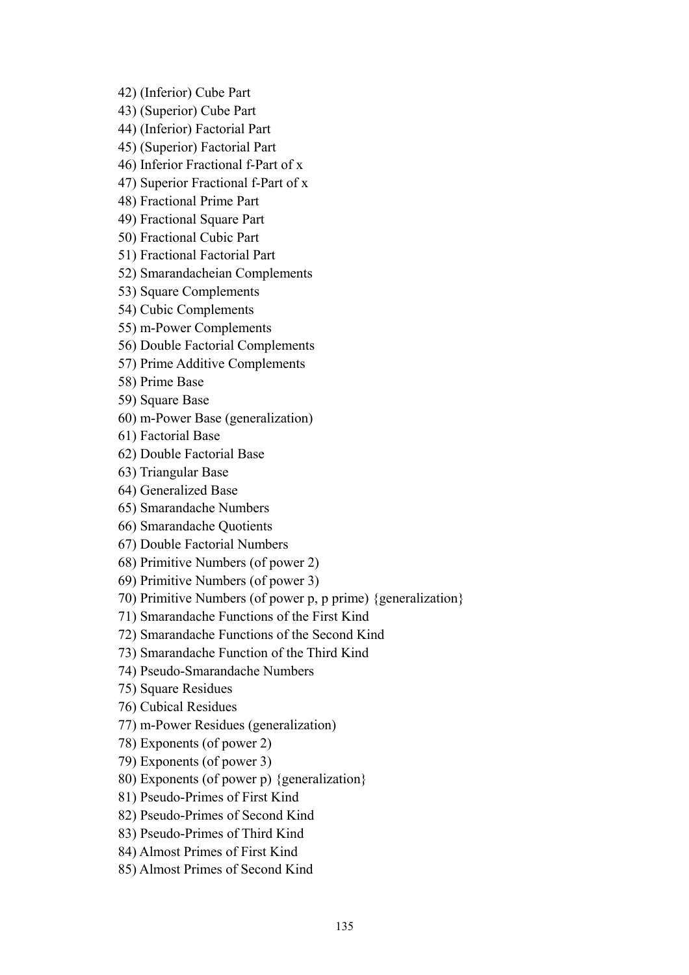42) (Inferior) Cube Part

- 43) (Superior) Cube Part
- 44) (Inferior) Factorial Part
- 45) (Superior) Factorial Part
- 46) Inferior Fractional f-Part of x
- 47) Superior Fractional f-Part of x
- 48) Fractional Prime Part
- 49) Fractional Square Part
- 50) Fractional Cubic Part
- 51) Fractional Factorial Part
- 52) Smarandacheian Complements
- 53) Square Complements
- 54) Cubic Complements
- 55) m-Power Complements
- 56) Double Factorial Complements
- 57) Prime Additive Complements
- 58) Prime Base
- 59) Square Base
- 60) m-Power Base (generalization)
- 61) Factorial Base
- 62) Double Factorial Base
- 63) Triangular Base
- 64) Generalized Base
- 65) Smarandache Numbers
- 66) Smarandache Quotients
- 67) Double Factorial Numbers
- 68) Primitive Numbers (of power 2)
- 69) Primitive Numbers (of power 3)
- 70) Primitive Numbers (of power p, p prime) {generalization}
- 71) Smarandache Functions of the First Kind
- 72) Smarandache Functions of the Second Kind
- 73) Smarandache Function of the Third Kind
- 74) Pseudo-Smarandache Numbers
- 75) Square Residues
- 76) Cubical Residues
- 77) m-Power Residues (generalization)
- 78) Exponents (of power 2)
- 79) Exponents (of power 3)
- 80) Exponents (of power p) {generalization}
- 81) Pseudo-Primes of First Kind
- 82) Pseudo-Primes of Second Kind
- 83) Pseudo-Primes of Third Kind
- 84) Almost Primes of First Kind
- 85) Almost Primes of Second Kind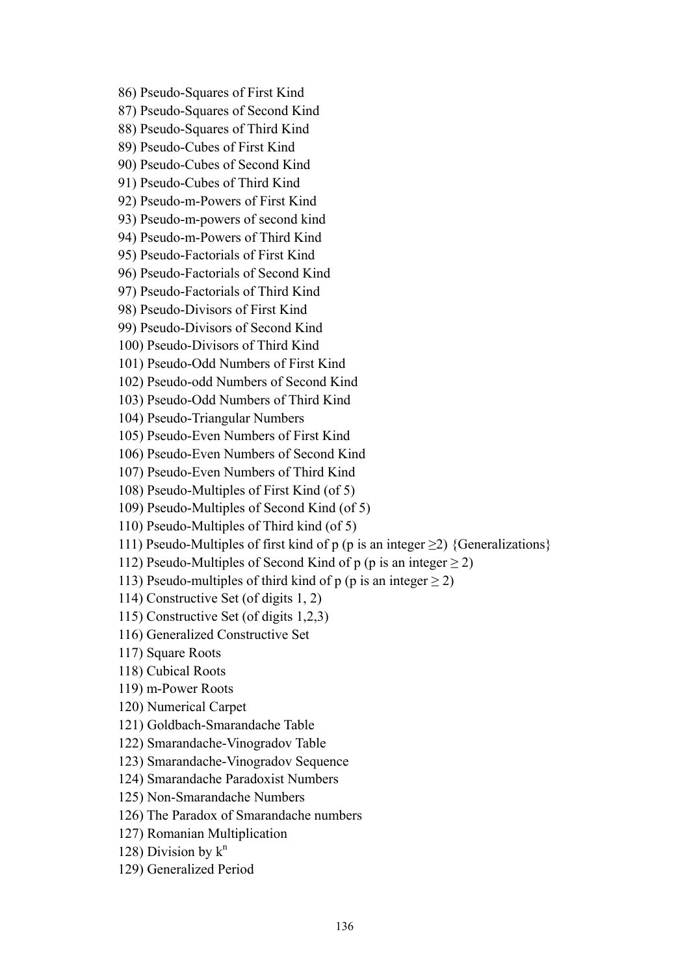86) Pseudo-Squares of First Kind 87) Pseudo-Squares of Second Kind 88) Pseudo-Squares of Third Kind 89) Pseudo-Cubes of First Kind 90) Pseudo-Cubes of Second Kind 91) Pseudo-Cubes of Third Kind 92) Pseudo-m-Powers of First Kind 93) Pseudo-m-powers of second kind 94) Pseudo-m-Powers of Third Kind 95) Pseudo-Factorials of First Kind 96) Pseudo-Factorials of Second Kind 97) Pseudo-Factorials of Third Kind 98) Pseudo-Divisors of First Kind 99) Pseudo-Divisors of Second Kind 100) Pseudo-Divisors of Third Kind 101) Pseudo-Odd Numbers of First Kind 102) Pseudo-odd Numbers of Second Kind 103) Pseudo-Odd Numbers of Third Kind 104) Pseudo-Triangular Numbers 105) Pseudo-Even Numbers of First Kind 106) Pseudo-Even Numbers of Second Kind 107) Pseudo-Even Numbers of Third Kind 108) Pseudo-Multiples of First Kind (of 5) 109) Pseudo-Multiples of Second Kind (of 5) 110) Pseudo-Multiples of Third kind (of 5) 111) Pseudo-Multiples of first kind of p (p is an integer  $\geq$ 2) {Generalizations} 112) Pseudo-Multiples of Second Kind of p (p is an integer  $\geq$  2) 113) Pseudo-multiples of third kind of p (p is an integer  $>$  2) 114) Constructive Set (of digits 1, 2) 115) Constructive Set (of digits 1,2,3) 116) Generalized Constructive Set 117) Square Roots 118) Cubical Roots 119) m-Power Roots 120) Numerical Carpet 121) Goldbach-Smarandache Table 122) Smarandache-Vinogradov Table 123) Smarandache-Vinogradov Sequence 124) Smarandache Paradoxist Numbers 125) Non-Smarandache Numbers 126) The Paradox of Smarandache numbers 127) Romanian Multiplication 128) Division by  $k^n$ 129) Generalized Period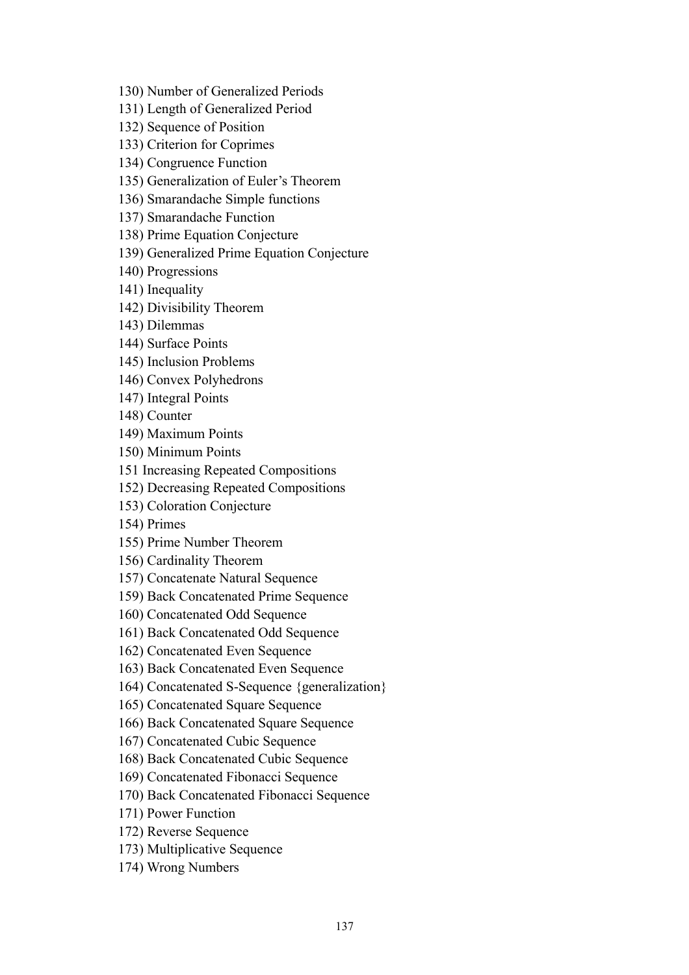130) Number of Generalized Periods

131) Length of Generalized Period

132) Sequence of Position

133) Criterion for Coprimes

134) Congruence Function

135) Generalization of Euler's Theorem

136) Smarandache Simple functions

137) Smarandache Function

138) Prime Equation Conjecture

139) Generalized Prime Equation Conjecture

140) Progressions

141) Inequality

142) Divisibility Theorem

143) Dilemmas

144) Surface Points

145) Inclusion Problems

146) Convex Polyhedrons

147) Integral Points

148) Counter

149) Maximum Points

150) Minimum Points

151 Increasing Repeated Compositions

152) Decreasing Repeated Compositions

153) Coloration Conjecture

154) Primes

155) Prime Number Theorem

156) Cardinality Theorem

157) Concatenate Natural Sequence

159) Back Concatenated Prime Sequence

160) Concatenated Odd Sequence

161) Back Concatenated Odd Sequence

162) Concatenated Even Sequence

163) Back Concatenated Even Sequence

164) Concatenated S-Sequence {generalization}

165) Concatenated Square Sequence

166) Back Concatenated Square Sequence

167) Concatenated Cubic Sequence

168) Back Concatenated Cubic Sequence

169) Concatenated Fibonacci Sequence

170) Back Concatenated Fibonacci Sequence

171) Power Function

172) Reverse Sequence

173) Multiplicative Sequence

174) Wrong Numbers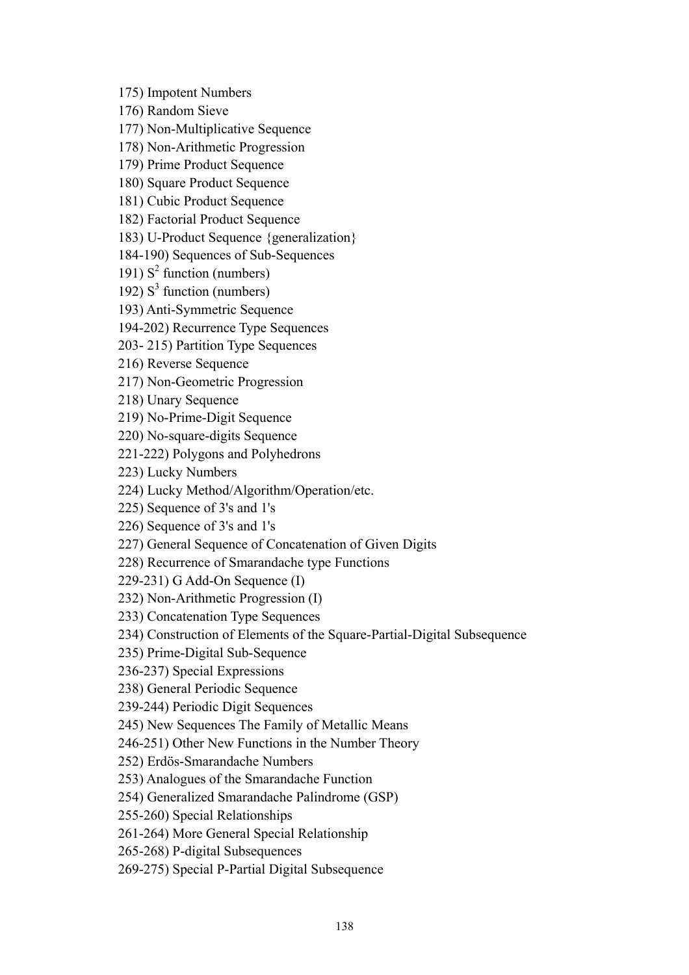175) Impotent Numbers

176) Random Sieve

177) Non-Multiplicative Sequence

178) Non-Arithmetic Progression

179) Prime Product Sequence

180) Square Product Sequence

181) Cubic Product Sequence

182) Factorial Product Sequence

183) U-Product Sequence {generalization}

184-190) Sequences of Sub-Sequences

191)  $S^2$  function (numbers)

192)  $S<sup>3</sup>$  function (numbers)

193) Anti-Symmetric Sequence

194-202) Recurrence Type Sequences

203- 215) Partition Type Sequences

216) Reverse Sequence

217) Non-Geometric Progression

218) Unary Sequence

219) No-Prime-Digit Sequence

220) No-square-digits Sequence

221-222) Polygons and Polyhedrons

223) Lucky Numbers

224) Lucky Method/Algorithm/Operation/etc.

225) Sequence of 3's and 1's

226) Sequence of 3's and 1's

227) General Sequence of Concatenation of Given Digits

228) Recurrence of Smarandache type Functions

229-231) G Add-On Sequence (I)

232) Non-Arithmetic Progression (I)

233) Concatenation Type Sequences

234) Construction of Elements of the Square-Partial-Digital Subsequence

235) Prime-Digital Sub-Sequence

236-237) Special Expressions

238) General Periodic Sequence

239-244) Periodic Digit Sequences

245) New Sequences The Family of Metallic Means

246-251) Other New Functions in the Number Theory

252) Erdös-Smarandache Numbers

253) Analogues of the Smarandache Function

254) Generalized Smarandache Palindrome (GSP)

255-260) Special Relationships

261-264) More General Special Relationship

265-268) P-digital Subsequences

269-275) Special P-Partial Digital Subsequence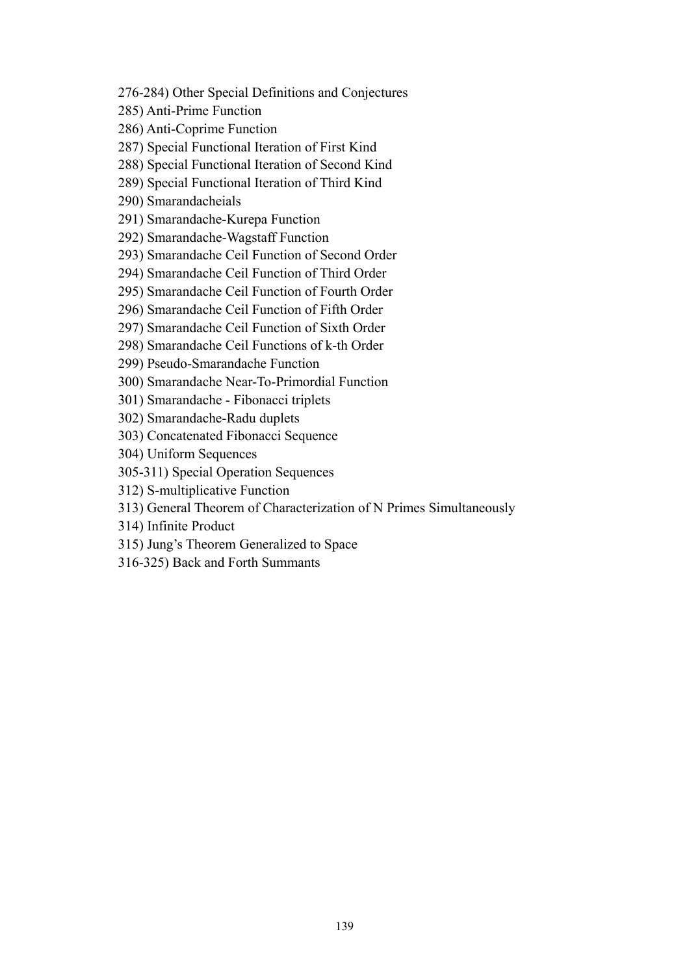276-284) Other Special Definitions and Conjectures

285) Anti-Prime Function

286) Anti-Coprime Function

287) Special Functional Iteration of First Kind

288) Special Functional Iteration of Second Kind

289) Special Functional Iteration of Third Kind

290) Smarandacheials

291) Smarandache-Kurepa Function

292) Smarandache-Wagstaff Function

293) Smarandache Ceil Function of Second Order

294) Smarandache Ceil Function of Third Order

295) Smarandache Ceil Function of Fourth Order

296) Smarandache Ceil Function of Fifth Order

297) Smarandache Ceil Function of Sixth Order

298) Smarandache Ceil Functions of k-th Order

299) Pseudo-Smarandache Function

300) Smarandache Near-To-Primordial Function

301) Smarandache - Fibonacci triplets

302) Smarandache-Radu duplets

303) Concatenated Fibonacci Sequence

304) Uniform Sequences

305-311) Special Operation Sequences

312) S-multiplicative Function

313) General Theorem of Characterization of N Primes Simultaneously

314) Infinite Product

315) Jung's Theorem Generalized to Space

316-325) Back and Forth Summants